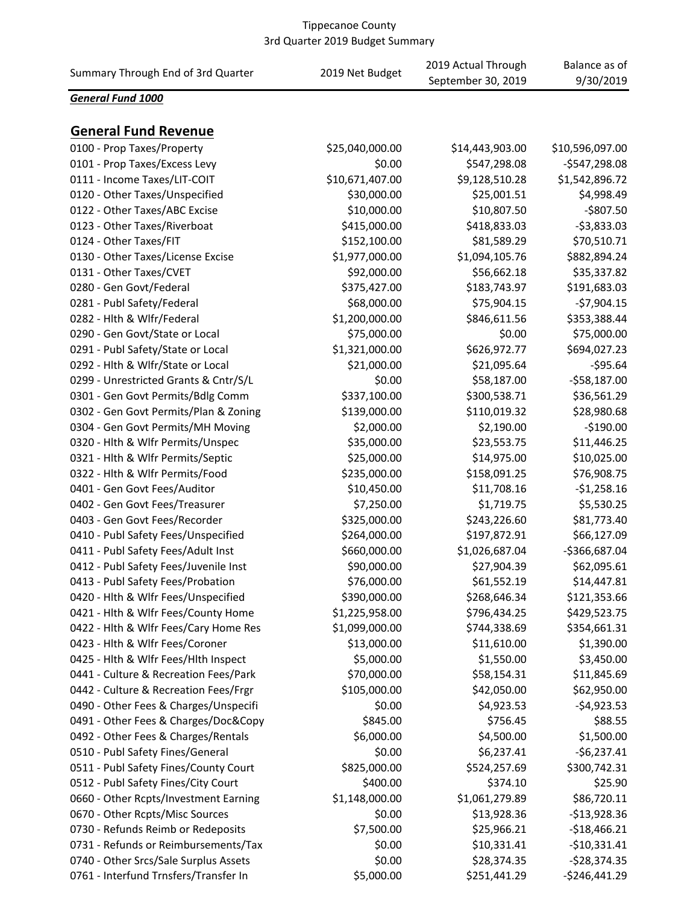| Summary Through End of 3rd Quarter    | 2019 Net Budget | 2019 Actual Through<br>September 30, 2019 | Balance as of<br>9/30/2019 |
|---------------------------------------|-----------------|-------------------------------------------|----------------------------|
| General Fund 1000                     |                 |                                           |                            |
| <b>General Fund Revenue</b>           |                 |                                           |                            |
| 0100 - Prop Taxes/Property            | \$25,040,000.00 | \$14,443,903.00                           | \$10,596,097.00            |
| 0101 - Prop Taxes/Excess Levy         | \$0.00          | \$547,298.08                              | $-$547,298.08$             |
| 0111 - Income Taxes/LIT-COIT          | \$10,671,407.00 | \$9,128,510.28                            | \$1,542,896.72             |
| 0120 - Other Taxes/Unspecified        | \$30,000.00     | \$25,001.51                               | \$4,998.49                 |
| 0122 - Other Taxes/ABC Excise         | \$10,000.00     | \$10,807.50                               | -\$807.50                  |
| 0123 - Other Taxes/Riverboat          | \$415,000.00    | \$418,833.03                              | $-53,833.03$               |
| 0124 - Other Taxes/FIT                | \$152,100.00    | \$81,589.29                               | \$70,510.71                |
| 0130 - Other Taxes/License Excise     | \$1,977,000.00  | \$1,094,105.76                            | \$882,894.24               |
| 0131 - Other Taxes/CVET               | \$92,000.00     | \$56,662.18                               | \$35,337.82                |
| 0280 - Gen Govt/Federal               | \$375,427.00    | \$183,743.97                              | \$191,683.03               |
| 0281 - Publ Safety/Federal            | \$68,000.00     | \$75,904.15                               | $-$7,904.15$               |
| 0282 - Hith & Wifr/Federal            | \$1,200,000.00  | \$846,611.56                              | \$353,388.44               |
| 0290 - Gen Govt/State or Local        | \$75,000.00     | \$0.00                                    | \$75,000.00                |
| 0291 - Publ Safety/State or Local     | \$1,321,000.00  | \$626,972.77                              | \$694,027.23               |
| 0292 - Hlth & Wlfr/State or Local     | \$21,000.00     | \$21,095.64                               | $-595.64$                  |
| 0299 - Unrestricted Grants & Cntr/S/L | \$0.00          | \$58,187.00                               | $-558,187.00$              |
| 0301 - Gen Govt Permits/Bdlg Comm     | \$337,100.00    | \$300,538.71                              | \$36,561.29                |
| 0302 - Gen Govt Permits/Plan & Zoning | \$139,000.00    | \$110,019.32                              | \$28,980.68                |
| 0304 - Gen Govt Permits/MH Moving     | \$2,000.00      | \$2,190.00                                | $-$190.00$                 |
| 0320 - Hlth & Wlfr Permits/Unspec     | \$35,000.00     | \$23,553.75                               | \$11,446.25                |
| 0321 - Hlth & Wlfr Permits/Septic     | \$25,000.00     | \$14,975.00                               | \$10,025.00                |
| 0322 - Hlth & Wlfr Permits/Food       | \$235,000.00    | \$158,091.25                              | \$76,908.75                |
| 0401 - Gen Govt Fees/Auditor          | \$10,450.00     | \$11,708.16                               | $-$1,258.16$               |
| 0402 - Gen Govt Fees/Treasurer        | \$7,250.00      | \$1,719.75                                | \$5,530.25                 |
| 0403 - Gen Govt Fees/Recorder         | \$325,000.00    | \$243,226.60                              | \$81,773.40                |
| 0410 - Publ Safety Fees/Unspecified   | \$264,000.00    | \$197,872.91                              | \$66,127.09                |
|                                       | \$660,000.00    | \$1,026,687.04                            | -\$366,687.04              |
| 0411 - Publ Safety Fees/Adult Inst    |                 |                                           |                            |
| 0412 - Publ Safety Fees/Juvenile Inst | \$90,000.00     | \$27,904.39                               | \$62,095.61                |
| 0413 - Publ Safety Fees/Probation     | \$76,000.00     | \$61,552.19                               | \$14,447.81                |
| 0420 - Hlth & Wlfr Fees/Unspecified   | \$390,000.00    | \$268,646.34                              | \$121,353.66               |
| 0421 - Hlth & Wlfr Fees/County Home   | \$1,225,958.00  | \$796,434.25                              | \$429,523.75               |
| 0422 - Hlth & Wlfr Fees/Cary Home Res | \$1,099,000.00  | \$744,338.69                              | \$354,661.31               |
| 0423 - Hith & Wifr Fees/Coroner       | \$13,000.00     | \$11,610.00                               | \$1,390.00                 |
| 0425 - Hith & Wifr Fees/Hith Inspect  | \$5,000.00      | \$1,550.00                                | \$3,450.00                 |
| 0441 - Culture & Recreation Fees/Park | \$70,000.00     | \$58,154.31                               | \$11,845.69                |
| 0442 - Culture & Recreation Fees/Frgr | \$105,000.00    | \$42,050.00                               | \$62,950.00                |
| 0490 - Other Fees & Charges/Unspecifi | \$0.00          | \$4,923.53                                | $-$4,923.53$               |
| 0491 - Other Fees & Charges/Doc&Copy  | \$845.00        | \$756.45                                  | \$88.55                    |
| 0492 - Other Fees & Charges/Rentals   | \$6,000.00      | \$4,500.00                                | \$1,500.00                 |
| 0510 - Publ Safety Fines/General      | \$0.00          | \$6,237.41                                | $-$6,237.41$               |
| 0511 - Publ Safety Fines/County Court | \$825,000.00    | \$524,257.69                              | \$300,742.31               |
| 0512 - Publ Safety Fines/City Court   | \$400.00        | \$374.10                                  | \$25.90                    |
| 0660 - Other Rcpts/Investment Earning | \$1,148,000.00  | \$1,061,279.89                            | \$86,720.11                |
| 0670 - Other Rcpts/Misc Sources       | \$0.00          | \$13,928.36                               | $-$13,928.36$              |
| 0730 - Refunds Reimb or Redeposits    | \$7,500.00      | \$25,966.21                               | $-$18,466.21$              |
| 0731 - Refunds or Reimbursements/Tax  | \$0.00          | \$10,331.41                               | $-$10,331.41$              |
| 0740 - Other Srcs/Sale Surplus Assets | \$0.00          | \$28,374.35                               | $-$28,374.35$              |
| 0761 - Interfund Trnsfers/Transfer In | \$5,000.00      | \$251,441.29                              | $-$246,441.29$             |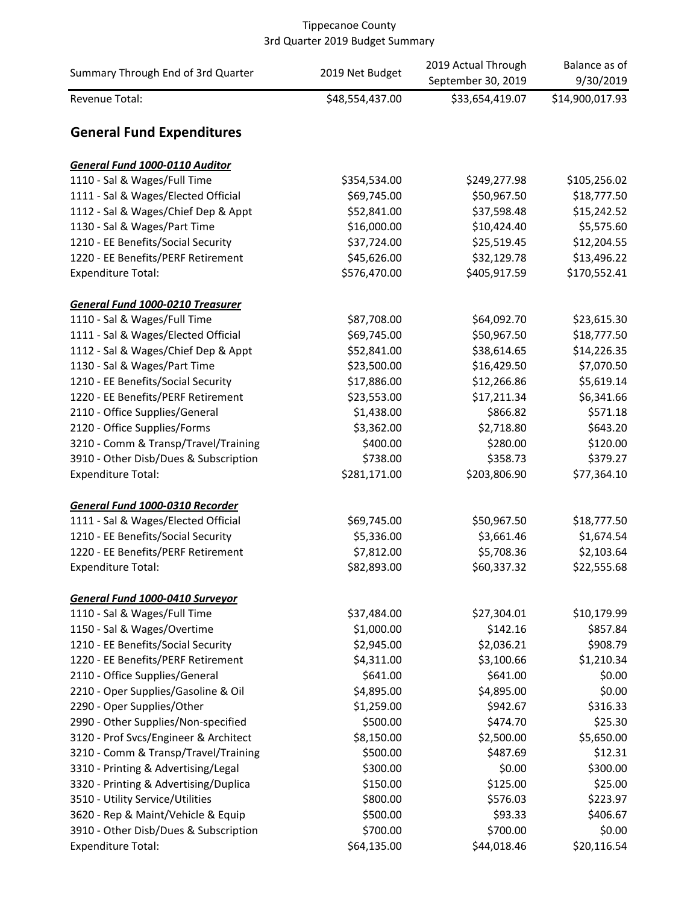| Summary Through End of 3rd Quarter                                | 2019 Net Budget           | 2019 Actual Through<br>September 30, 2019 | Balance as of<br>9/30/2019 |
|-------------------------------------------------------------------|---------------------------|-------------------------------------------|----------------------------|
| Revenue Total:                                                    | \$48,554,437.00           | \$33,654,419.07                           | \$14,900,017.93            |
| <b>General Fund Expenditures</b>                                  |                           |                                           |                            |
| <b>General Fund 1000-0110 Auditor</b>                             |                           |                                           |                            |
| 1110 - Sal & Wages/Full Time                                      | \$354,534.00              | \$249,277.98                              | \$105,256.02               |
| 1111 - Sal & Wages/Elected Official                               | \$69,745.00               | \$50,967.50                               | \$18,777.50                |
| 1112 - Sal & Wages/Chief Dep & Appt                               | \$52,841.00               | \$37,598.48                               | \$15,242.52                |
| 1130 - Sal & Wages/Part Time                                      | \$16,000.00               | \$10,424.40                               | \$5,575.60                 |
| 1210 - EE Benefits/Social Security                                | \$37,724.00               | \$25,519.45                               | \$12,204.55                |
| 1220 - EE Benefits/PERF Retirement                                | \$45,626.00               | \$32,129.78                               | \$13,496.22                |
| <b>Expenditure Total:</b>                                         | \$576,470.00              | \$405,917.59                              | \$170,552.41               |
|                                                                   |                           |                                           |                            |
| <b>General Fund 1000-0210 Treasurer</b>                           |                           |                                           |                            |
| 1110 - Sal & Wages/Full Time                                      | \$87,708.00               | \$64,092.70                               | \$23,615.30                |
| 1111 - Sal & Wages/Elected Official                               | \$69,745.00               | \$50,967.50                               | \$18,777.50                |
| 1112 - Sal & Wages/Chief Dep & Appt                               | \$52,841.00               | \$38,614.65                               | \$14,226.35                |
| 1130 - Sal & Wages/Part Time                                      | \$23,500.00               | \$16,429.50                               | \$7,070.50                 |
| 1210 - EE Benefits/Social Security                                | \$17,886.00               | \$12,266.86                               | \$5,619.14                 |
| 1220 - EE Benefits/PERF Retirement                                | \$23,553.00               | \$17,211.34                               | \$6,341.66                 |
| 2110 - Office Supplies/General                                    | \$1,438.00                | \$866.82                                  | \$571.18                   |
| 2120 - Office Supplies/Forms                                      | \$3,362.00                | \$2,718.80                                | \$643.20                   |
| 3210 - Comm & Transp/Travel/Training                              | \$400.00                  | \$280.00                                  | \$120.00                   |
| 3910 - Other Disb/Dues & Subscription                             | \$738.00                  | \$358.73                                  | \$379.27                   |
| <b>Expenditure Total:</b>                                         | \$281,171.00              | \$203,806.90                              | \$77,364.10                |
| General Fund 1000-0310 Recorder                                   |                           |                                           |                            |
| 1111 - Sal & Wages/Elected Official                               | \$69,745.00               | \$50,967.50                               | \$18,777.50                |
| 1210 - EE Benefits/Social Security                                | \$5,336.00                | \$3,661.46                                | \$1,674.54                 |
| 1220 - EE Benefits/PERF Retirement                                | \$7,812.00                | \$5,708.36                                | \$2,103.64                 |
| <b>Expenditure Total:</b>                                         | \$82,893.00               | \$60,337.32                               | \$22,555.68                |
|                                                                   |                           |                                           |                            |
| General Fund 1000-0410 Surveyor                                   |                           |                                           |                            |
| 1110 - Sal & Wages/Full Time                                      | \$37,484.00<br>\$1,000.00 | \$27,304.01                               | \$10,179.99                |
| 1150 - Sal & Wages/Overtime<br>1210 - EE Benefits/Social Security |                           | \$142.16                                  | \$857.84                   |
|                                                                   | \$2,945.00                | \$2,036.21                                | \$908.79                   |
| 1220 - EE Benefits/PERF Retirement                                | \$4,311.00                | \$3,100.66                                | \$1,210.34                 |
| 2110 - Office Supplies/General                                    | \$641.00                  | \$641.00                                  | \$0.00                     |
| 2210 - Oper Supplies/Gasoline & Oil                               | \$4,895.00                | \$4,895.00                                | \$0.00                     |
| 2290 - Oper Supplies/Other                                        | \$1,259.00                | \$942.67                                  | \$316.33                   |
| 2990 - Other Supplies/Non-specified                               | \$500.00                  | \$474.70                                  | \$25.30                    |
| 3120 - Prof Svcs/Engineer & Architect                             | \$8,150.00                | \$2,500.00                                | \$5,650.00                 |
| 3210 - Comm & Transp/Travel/Training                              | \$500.00                  | \$487.69                                  | \$12.31                    |
| 3310 - Printing & Advertising/Legal                               | \$300.00                  | \$0.00                                    | \$300.00                   |
| 3320 - Printing & Advertising/Duplica                             | \$150.00                  | \$125.00                                  | \$25.00                    |
| 3510 - Utility Service/Utilities                                  | \$800.00                  | \$576.03                                  | \$223.97                   |
| 3620 - Rep & Maint/Vehicle & Equip                                | \$500.00                  | \$93.33                                   | \$406.67                   |
| 3910 - Other Disb/Dues & Subscription                             | \$700.00                  | \$700.00                                  | \$0.00                     |
| <b>Expenditure Total:</b>                                         | \$64,135.00               | \$44,018.46                               | \$20,116.54                |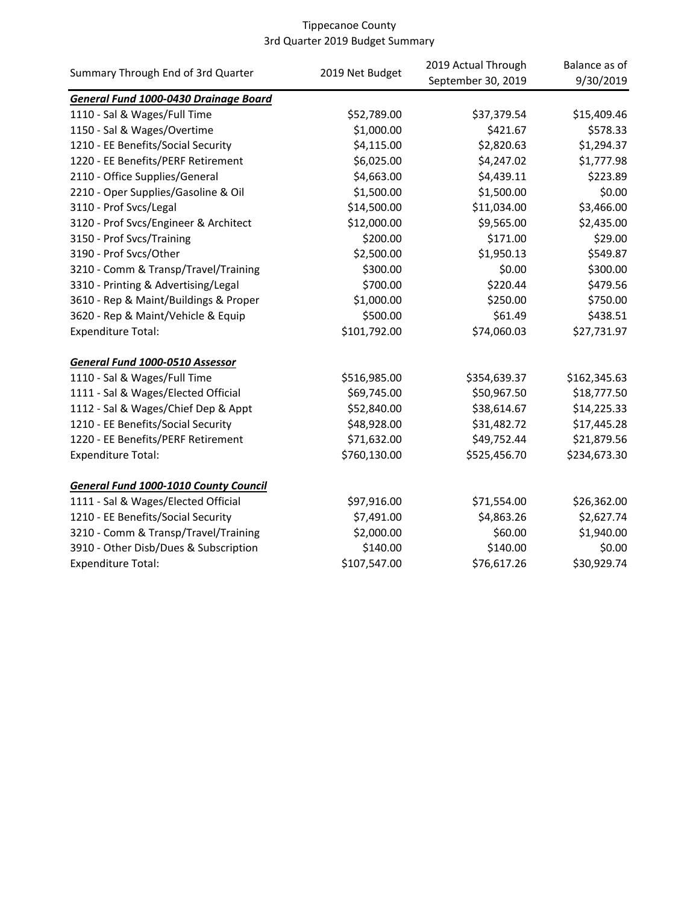| Summary Through End of 3rd Quarter           |                 | 2019 Actual Through | Balance as of |
|----------------------------------------------|-----------------|---------------------|---------------|
|                                              | 2019 Net Budget | September 30, 2019  | 9/30/2019     |
| General Fund 1000-0430 Drainage Board        |                 |                     |               |
| 1110 - Sal & Wages/Full Time                 | \$52,789.00     | \$37,379.54         | \$15,409.46   |
| 1150 - Sal & Wages/Overtime                  | \$1,000.00      | \$421.67            | \$578.33      |
| 1210 - EE Benefits/Social Security           | \$4,115.00      | \$2,820.63          | \$1,294.37    |
| 1220 - EE Benefits/PERF Retirement           | \$6,025.00      | \$4,247.02          | \$1,777.98    |
| 2110 - Office Supplies/General               | \$4,663.00      | \$4,439.11          | \$223.89      |
| 2210 - Oper Supplies/Gasoline & Oil          | \$1,500.00      | \$1,500.00          | \$0.00        |
| 3110 - Prof Svcs/Legal                       | \$14,500.00     | \$11,034.00         | \$3,466.00    |
| 3120 - Prof Svcs/Engineer & Architect        | \$12,000.00     | \$9,565.00          | \$2,435.00    |
| 3150 - Prof Svcs/Training                    | \$200.00        | \$171.00            | \$29.00       |
| 3190 - Prof Svcs/Other                       | \$2,500.00      | \$1,950.13          | \$549.87      |
| 3210 - Comm & Transp/Travel/Training         | \$300.00        | \$0.00              | \$300.00      |
| 3310 - Printing & Advertising/Legal          | \$700.00        | \$220.44            | \$479.56      |
| 3610 - Rep & Maint/Buildings & Proper        | \$1,000.00      | \$250.00            | \$750.00      |
| 3620 - Rep & Maint/Vehicle & Equip           | \$500.00        | \$61.49             | \$438.51      |
| <b>Expenditure Total:</b>                    | \$101,792.00    | \$74,060.03         | \$27,731.97   |
| General Fund 1000-0510 Assessor              |                 |                     |               |
| 1110 - Sal & Wages/Full Time                 | \$516,985.00    | \$354,639.37        | \$162,345.63  |
| 1111 - Sal & Wages/Elected Official          | \$69,745.00     | \$50,967.50         | \$18,777.50   |
| 1112 - Sal & Wages/Chief Dep & Appt          | \$52,840.00     | \$38,614.67         | \$14,225.33   |
| 1210 - EE Benefits/Social Security           | \$48,928.00     | \$31,482.72         | \$17,445.28   |
| 1220 - EE Benefits/PERF Retirement           | \$71,632.00     | \$49,752.44         | \$21,879.56   |
| <b>Expenditure Total:</b>                    | \$760,130.00    | \$525,456.70        | \$234,673.30  |
| <b>General Fund 1000-1010 County Council</b> |                 |                     |               |
| 1111 - Sal & Wages/Elected Official          | \$97,916.00     | \$71,554.00         | \$26,362.00   |
| 1210 - EE Benefits/Social Security           | \$7,491.00      | \$4,863.26          | \$2,627.74    |
| 3210 - Comm & Transp/Travel/Training         | \$2,000.00      | \$60.00             | \$1,940.00    |
| 3910 - Other Disb/Dues & Subscription        | \$140.00        | \$140.00            | \$0.00        |
| <b>Expenditure Total:</b>                    | \$107,547.00    | \$76,617.26         | \$30,929.74   |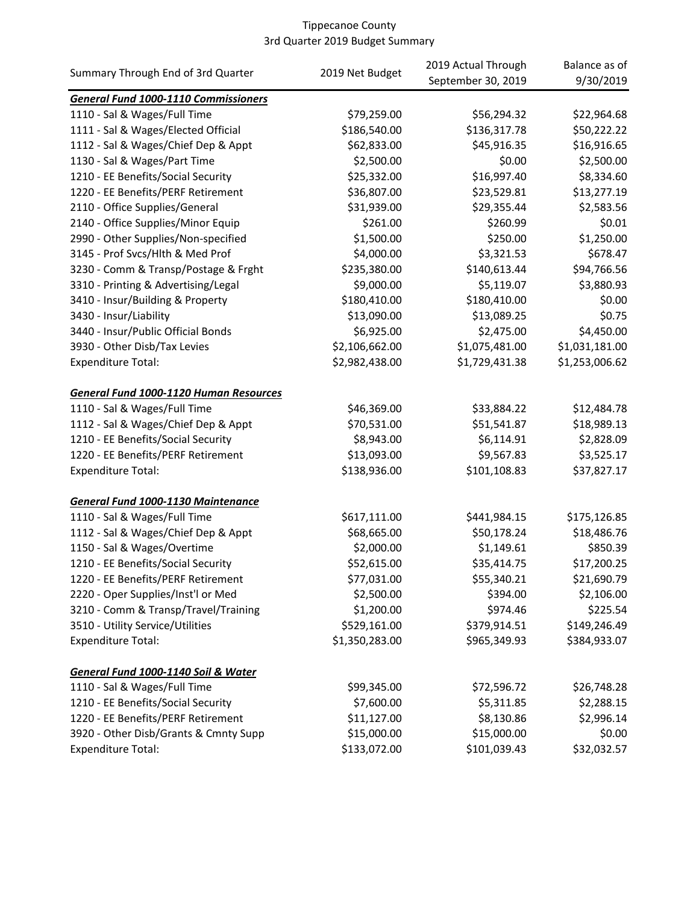|                                               |                 | 2019 Actual Through | Balance as of  |
|-----------------------------------------------|-----------------|---------------------|----------------|
| Summary Through End of 3rd Quarter            | 2019 Net Budget | September 30, 2019  | 9/30/2019      |
| <b>General Fund 1000-1110 Commissioners</b>   |                 |                     |                |
| 1110 - Sal & Wages/Full Time                  | \$79,259.00     | \$56,294.32         | \$22,964.68    |
| 1111 - Sal & Wages/Elected Official           | \$186,540.00    | \$136,317.78        | \$50,222.22    |
| 1112 - Sal & Wages/Chief Dep & Appt           | \$62,833.00     | \$45,916.35         | \$16,916.65    |
| 1130 - Sal & Wages/Part Time                  | \$2,500.00      | \$0.00              | \$2,500.00     |
| 1210 - EE Benefits/Social Security            | \$25,332.00     | \$16,997.40         | \$8,334.60     |
| 1220 - EE Benefits/PERF Retirement            | \$36,807.00     | \$23,529.81         | \$13,277.19    |
| 2110 - Office Supplies/General                | \$31,939.00     | \$29,355.44         | \$2,583.56     |
| 2140 - Office Supplies/Minor Equip            | \$261.00        | \$260.99            | \$0.01         |
| 2990 - Other Supplies/Non-specified           | \$1,500.00      | \$250.00            | \$1,250.00     |
| 3145 - Prof Svcs/Hlth & Med Prof              | \$4,000.00      | \$3,321.53          | \$678.47       |
| 3230 - Comm & Transp/Postage & Frght          | \$235,380.00    | \$140,613.44        | \$94,766.56    |
| 3310 - Printing & Advertising/Legal           | \$9,000.00      | \$5,119.07          | \$3,880.93     |
| 3410 - Insur/Building & Property              | \$180,410.00    | \$180,410.00        | \$0.00         |
| 3430 - Insur/Liability                        | \$13,090.00     | \$13,089.25         | \$0.75         |
| 3440 - Insur/Public Official Bonds            | \$6,925.00      | \$2,475.00          | \$4,450.00     |
| 3930 - Other Disb/Tax Levies                  | \$2,106,662.00  | \$1,075,481.00      | \$1,031,181.00 |
| <b>Expenditure Total:</b>                     | \$2,982,438.00  | \$1,729,431.38      | \$1,253,006.62 |
|                                               |                 |                     |                |
| <b>General Fund 1000-1120 Human Resources</b> |                 |                     |                |
| 1110 - Sal & Wages/Full Time                  | \$46,369.00     | \$33,884.22         | \$12,484.78    |
| 1112 - Sal & Wages/Chief Dep & Appt           | \$70,531.00     | \$51,541.87         | \$18,989.13    |
| 1210 - EE Benefits/Social Security            | \$8,943.00      | \$6,114.91          | \$2,828.09     |
| 1220 - EE Benefits/PERF Retirement            | \$13,093.00     | \$9,567.83          | \$3,525.17     |
| <b>Expenditure Total:</b>                     | \$138,936.00    | \$101,108.83        | \$37,827.17    |
|                                               |                 |                     |                |
| <b>General Fund 1000-1130 Maintenance</b>     |                 |                     |                |
| 1110 - Sal & Wages/Full Time                  | \$617,111.00    | \$441,984.15        | \$175,126.85   |
| 1112 - Sal & Wages/Chief Dep & Appt           | \$68,665.00     | \$50,178.24         | \$18,486.76    |
| 1150 - Sal & Wages/Overtime                   | \$2,000.00      | \$1,149.61          | \$850.39       |
| 1210 - EE Benefits/Social Security            | \$52,615.00     | \$35,414.75         | \$17,200.25    |
| 1220 - EE Benefits/PERF Retirement            | \$77,031.00     | \$55,340.21         | \$21,690.79    |
| 2220 - Oper Supplies/Inst'l or Med            | \$2,500.00      | \$394.00            | \$2,106.00     |
| 3210 - Comm & Transp/Travel/Training          | \$1,200.00      | \$974.46            | \$225.54       |
| 3510 - Utility Service/Utilities              | \$529,161.00    | \$379,914.51        | \$149,246.49   |
| <b>Expenditure Total:</b>                     | \$1,350,283.00  | \$965,349.93        | \$384,933.07   |
|                                               |                 |                     |                |
| General Fund 1000-1140 Soil & Water           |                 |                     |                |
| 1110 - Sal & Wages/Full Time                  | \$99,345.00     | \$72,596.72         | \$26,748.28    |
| 1210 - EE Benefits/Social Security            | \$7,600.00      | \$5,311.85          | \$2,288.15     |
| 1220 - EE Benefits/PERF Retirement            | \$11,127.00     | \$8,130.86          | \$2,996.14     |
| 3920 - Other Disb/Grants & Cmnty Supp         | \$15,000.00     | \$15,000.00         | \$0.00         |
| <b>Expenditure Total:</b>                     | \$133,072.00    | \$101,039.43        | \$32,032.57    |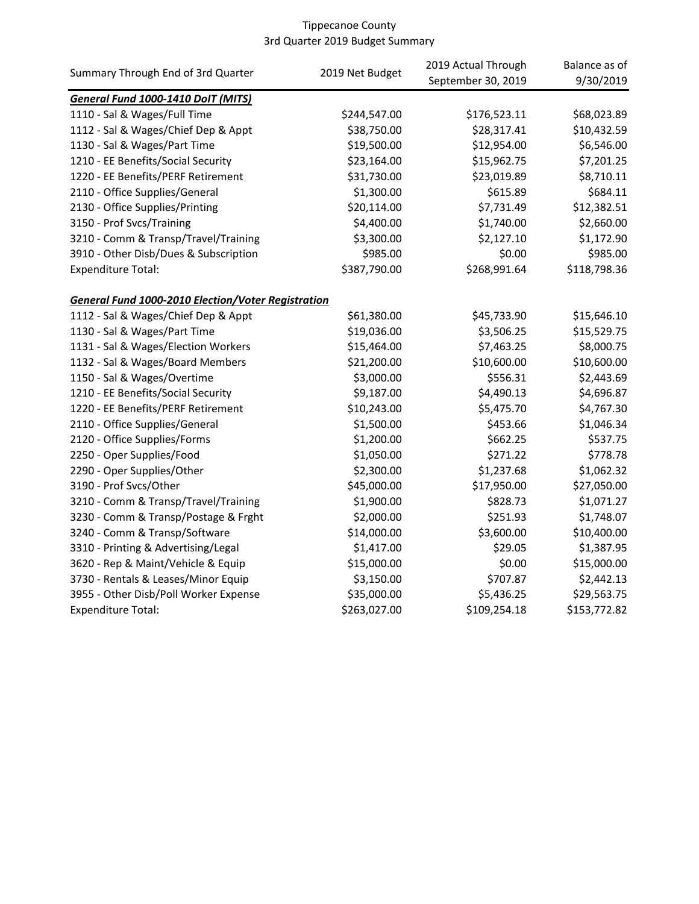|                                                           | 2019 Net Budget | 2019 Actual Through | Balance as of |
|-----------------------------------------------------------|-----------------|---------------------|---------------|
| Summary Through End of 3rd Quarter                        |                 | September 30, 2019  | 9/30/2019     |
| General Fund 1000-1410 DoIT (MITS)                        |                 |                     |               |
| 1110 - Sal & Wages/Full Time                              | \$244,547.00    | \$176,523.11        | \$68,023.89   |
| 1112 - Sal & Wages/Chief Dep & Appt                       | \$38,750.00     | \$28,317.41         | \$10,432.59   |
| 1130 - Sal & Wages/Part Time                              | \$19,500.00     | \$12,954.00         | \$6,546.00    |
| 1210 - EE Benefits/Social Security                        | \$23,164.00     | \$15,962.75         | \$7,201.25    |
| 1220 - EE Benefits/PERF Retirement                        | \$31,730.00     | \$23,019.89         | \$8,710.11    |
| 2110 - Office Supplies/General                            | \$1,300.00      | \$615.89            | \$684.11      |
| 2130 - Office Supplies/Printing                           | \$20,114.00     | \$7,731.49          | \$12,382.51   |
| 3150 - Prof Svcs/Training                                 | \$4,400.00      | \$1,740.00          | \$2,660.00    |
| 3210 - Comm & Transp/Travel/Training                      | \$3,300.00      | \$2,127.10          | \$1,172.90    |
| 3910 - Other Disb/Dues & Subscription                     | \$985.00        | \$0.00              | \$985.00      |
| <b>Expenditure Total:</b>                                 | \$387,790.00    | \$268,991.64        | \$118,798.36  |
| <b>General Fund 1000-2010 Election/Voter Registration</b> |                 |                     |               |
| 1112 - Sal & Wages/Chief Dep & Appt                       | \$61,380.00     | \$45,733.90         | \$15,646.10   |
| 1130 - Sal & Wages/Part Time                              | \$19,036.00     | \$3,506.25          | \$15,529.75   |
| 1131 - Sal & Wages/Election Workers                       | \$15,464.00     | \$7,463.25          | \$8,000.75    |
| 1132 - Sal & Wages/Board Members                          | \$21,200.00     | \$10,600.00         | \$10,600.00   |
| 1150 - Sal & Wages/Overtime                               | \$3,000.00      | \$556.31            | \$2,443.69    |
| 1210 - EE Benefits/Social Security                        | \$9,187.00      | \$4,490.13          | \$4,696.87    |
| 1220 - EE Benefits/PERF Retirement                        | \$10,243.00     | \$5,475.70          | \$4,767.30    |
| 2110 - Office Supplies/General                            | \$1,500.00      | \$453.66            | \$1,046.34    |
| 2120 - Office Supplies/Forms                              | \$1,200.00      | \$662.25            | \$537.75      |
| 2250 - Oper Supplies/Food                                 | \$1,050.00      | \$271.22            | \$778.78      |
| 2290 - Oper Supplies/Other                                | \$2,300.00      | \$1,237.68          | \$1,062.32    |
| 3190 - Prof Svcs/Other                                    | \$45,000.00     | \$17,950.00         | \$27,050.00   |
| 3210 - Comm & Transp/Travel/Training                      | \$1,900.00      | \$828.73            | \$1,071.27    |
| 3230 - Comm & Transp/Postage & Frght                      | \$2,000.00      | \$251.93            | \$1,748.07    |
| 3240 - Comm & Transp/Software                             | \$14,000.00     | \$3,600.00          | \$10,400.00   |
| 3310 - Printing & Advertising/Legal                       | \$1,417.00      | \$29.05             | \$1,387.95    |
| 3620 - Rep & Maint/Vehicle & Equip                        | \$15,000.00     | \$0.00              | \$15,000.00   |
| 3730 - Rentals & Leases/Minor Equip                       | \$3,150.00      | \$707.87            | \$2,442.13    |
| 3955 - Other Disb/Poll Worker Expense                     | \$35,000.00     | \$5,436.25          | \$29,563.75   |
| Expenditure Total:                                        | \$263,027.00    | \$109,254.18        | \$153,772.82  |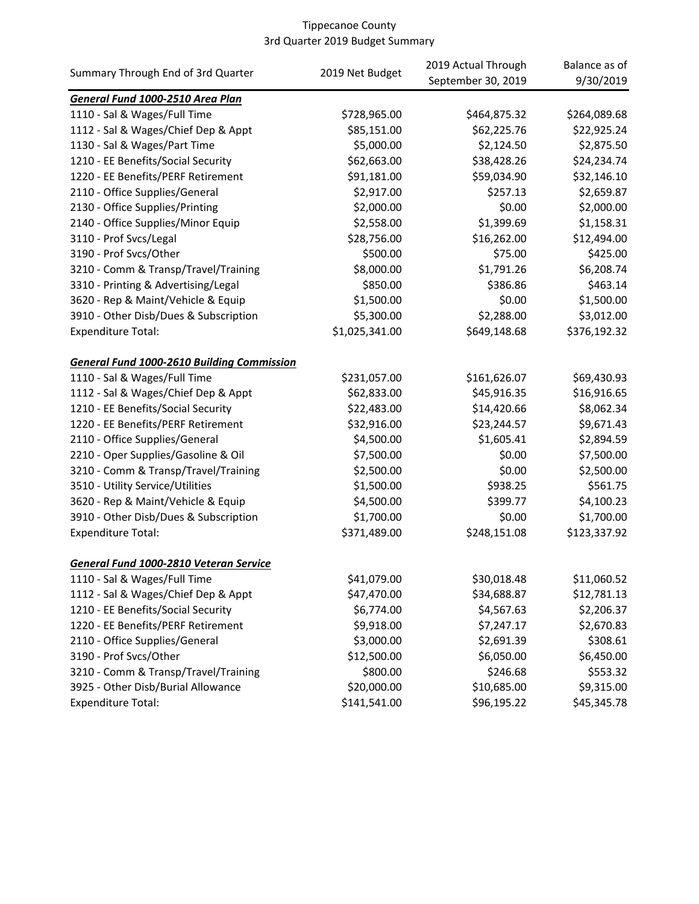| Summary Through End of 3rd Quarter                | 2019 Net Budget | 2019 Actual Through<br>September 30, 2019 | Balance as of<br>9/30/2019 |
|---------------------------------------------------|-----------------|-------------------------------------------|----------------------------|
| General Fund 1000-2510 Area Plan                  |                 |                                           |                            |
| 1110 - Sal & Wages/Full Time                      | \$728,965.00    | \$464,875.32                              | \$264,089.68               |
| 1112 - Sal & Wages/Chief Dep & Appt               | \$85,151.00     | \$62,225.76                               | \$22,925.24                |
| 1130 - Sal & Wages/Part Time                      | \$5,000.00      | \$2,124.50                                | \$2,875.50                 |
| 1210 - EE Benefits/Social Security                | \$62,663.00     | \$38,428.26                               | \$24,234.74                |
| 1220 - EE Benefits/PERF Retirement                | \$91,181.00     | \$59,034.90                               | \$32,146.10                |
| 2110 - Office Supplies/General                    | \$2,917.00      | \$257.13                                  | \$2,659.87                 |
| 2130 - Office Supplies/Printing                   | \$2,000.00      | \$0.00                                    | \$2,000.00                 |
| 2140 - Office Supplies/Minor Equip                | \$2,558.00      | \$1,399.69                                | \$1,158.31                 |
| 3110 - Prof Svcs/Legal                            | \$28,756.00     | \$16,262.00                               | \$12,494.00                |
| 3190 - Prof Svcs/Other                            | \$500.00        | \$75.00                                   | \$425.00                   |
| 3210 - Comm & Transp/Travel/Training              | \$8,000.00      | \$1,791.26                                | \$6,208.74                 |
| 3310 - Printing & Advertising/Legal               | \$850.00        | \$386.86                                  | \$463.14                   |
| 3620 - Rep & Maint/Vehicle & Equip                | \$1,500.00      | \$0.00                                    | \$1,500.00                 |
| 3910 - Other Disb/Dues & Subscription             | \$5,300.00      | \$2,288.00                                | \$3,012.00                 |
| <b>Expenditure Total:</b>                         | \$1,025,341.00  | \$649,148.68                              | \$376,192.32               |
| <b>General Fund 1000-2610 Building Commission</b> |                 |                                           |                            |
| 1110 - Sal & Wages/Full Time                      | \$231,057.00    | \$161,626.07                              | \$69,430.93                |
| 1112 - Sal & Wages/Chief Dep & Appt               | \$62,833.00     | \$45,916.35                               | \$16,916.65                |
| 1210 - EE Benefits/Social Security                | \$22,483.00     | \$14,420.66                               | \$8,062.34                 |
| 1220 - EE Benefits/PERF Retirement                | \$32,916.00     | \$23,244.57                               | \$9,671.43                 |
| 2110 - Office Supplies/General                    | \$4,500.00      | \$1,605.41                                | \$2,894.59                 |
| 2210 - Oper Supplies/Gasoline & Oil               | \$7,500.00      | \$0.00                                    | \$7,500.00                 |
| 3210 - Comm & Transp/Travel/Training              | \$2,500.00      | \$0.00                                    | \$2,500.00                 |
| 3510 - Utility Service/Utilities                  | \$1,500.00      | \$938.25                                  | \$561.75                   |
| 3620 - Rep & Maint/Vehicle & Equip                | \$4,500.00      | \$399.77                                  | \$4,100.23                 |
| 3910 - Other Disb/Dues & Subscription             | \$1,700.00      | \$0.00                                    | \$1,700.00                 |
| <b>Expenditure Total:</b>                         | \$371,489.00    | \$248,151.08                              | \$123,337.92               |
| General Fund 1000-2810 Veteran Service            |                 |                                           |                            |
| 1110 - Sal & Wages/Full Time                      | \$41,079.00     | \$30,018.48                               | \$11,060.52                |
| 1112 - Sal & Wages/Chief Dep & Appt               | \$47,470.00     | \$34,688.87                               | \$12,781.13                |
| 1210 - EE Benefits/Social Security                | \$6,774.00      | \$4,567.63                                | \$2,206.37                 |
| 1220 - EE Benefits/PERF Retirement                | \$9,918.00      | \$7,247.17                                | \$2,670.83                 |
| 2110 - Office Supplies/General                    | \$3,000.00      | \$2,691.39                                | \$308.61                   |
| 3190 - Prof Svcs/Other                            | \$12,500.00     | \$6,050.00                                | \$6,450.00                 |
| 3210 - Comm & Transp/Travel/Training              | \$800.00        | \$246.68                                  | \$553.32                   |
| 3925 - Other Disb/Burial Allowance                | \$20,000.00     | \$10,685.00                               | \$9,315.00                 |
| <b>Expenditure Total:</b>                         | \$141,541.00    | \$96,195.22                               | \$45,345.78                |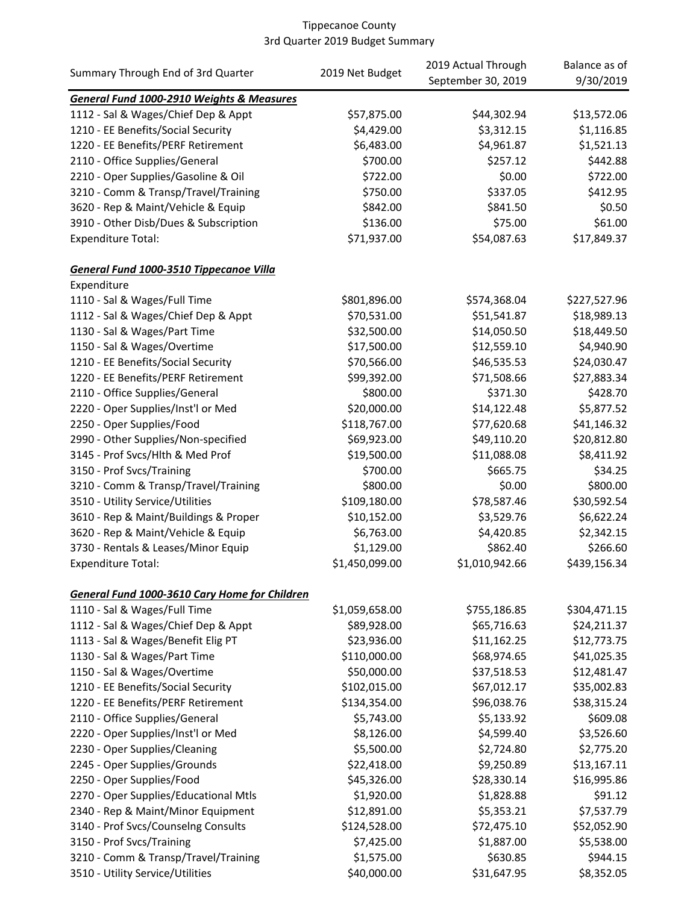|                                                      |                 | 2019 Actual Through | Balance as of |
|------------------------------------------------------|-----------------|---------------------|---------------|
| Summary Through End of 3rd Quarter                   | 2019 Net Budget | September 30, 2019  | 9/30/2019     |
| <b>General Fund 1000-2910 Weights &amp; Measures</b> |                 |                     |               |
| 1112 - Sal & Wages/Chief Dep & Appt                  | \$57,875.00     | \$44,302.94         | \$13,572.06   |
| 1210 - EE Benefits/Social Security                   | \$4,429.00      | \$3,312.15          | \$1,116.85    |
| 1220 - EE Benefits/PERF Retirement                   | \$6,483.00      | \$4,961.87          | \$1,521.13    |
| 2110 - Office Supplies/General                       | \$700.00        | \$257.12            | \$442.88      |
| 2210 - Oper Supplies/Gasoline & Oil                  | \$722.00        | \$0.00              | \$722.00      |
| 3210 - Comm & Transp/Travel/Training                 | \$750.00        | \$337.05            | \$412.95      |
| 3620 - Rep & Maint/Vehicle & Equip                   | \$842.00        | \$841.50            | \$0.50        |
| 3910 - Other Disb/Dues & Subscription                | \$136.00        | \$75.00             | \$61.00       |
| <b>Expenditure Total:</b>                            | \$71,937.00     | \$54,087.63         | \$17,849.37   |
| General Fund 1000-3510 Tippecanoe Villa              |                 |                     |               |
| Expenditure                                          |                 |                     |               |
| 1110 - Sal & Wages/Full Time                         | \$801,896.00    | \$574,368.04        | \$227,527.96  |
| 1112 - Sal & Wages/Chief Dep & Appt                  | \$70,531.00     | \$51,541.87         | \$18,989.13   |
| 1130 - Sal & Wages/Part Time                         | \$32,500.00     | \$14,050.50         | \$18,449.50   |
| 1150 - Sal & Wages/Overtime                          | \$17,500.00     | \$12,559.10         | \$4,940.90    |
| 1210 - EE Benefits/Social Security                   | \$70,566.00     | \$46,535.53         | \$24,030.47   |
| 1220 - EE Benefits/PERF Retirement                   | \$99,392.00     | \$71,508.66         | \$27,883.34   |
| 2110 - Office Supplies/General                       | \$800.00        | \$371.30            | \$428.70      |
| 2220 - Oper Supplies/Inst'l or Med                   | \$20,000.00     | \$14,122.48         | \$5,877.52    |
| 2250 - Oper Supplies/Food                            | \$118,767.00    | \$77,620.68         | \$41,146.32   |
| 2990 - Other Supplies/Non-specified                  | \$69,923.00     | \$49,110.20         | \$20,812.80   |
| 3145 - Prof Svcs/Hlth & Med Prof                     | \$19,500.00     | \$11,088.08         | \$8,411.92    |
| 3150 - Prof Svcs/Training                            | \$700.00        | \$665.75            | \$34.25       |
| 3210 - Comm & Transp/Travel/Training                 | \$800.00        | \$0.00              | \$800.00      |
| 3510 - Utility Service/Utilities                     | \$109,180.00    | \$78,587.46         | \$30,592.54   |
| 3610 - Rep & Maint/Buildings & Proper                | \$10,152.00     | \$3,529.76          | \$6,622.24    |
| 3620 - Rep & Maint/Vehicle & Equip                   | \$6,763.00      | \$4,420.85          | \$2,342.15    |
| 3730 - Rentals & Leases/Minor Equip                  | \$1,129.00      | \$862.40            | \$266.60      |
| <b>Expenditure Total:</b>                            | \$1,450,099.00  | \$1,010,942.66      | \$439,156.34  |
| <b>General Fund 1000-3610 Cary Home for Children</b> |                 |                     |               |
| 1110 - Sal & Wages/Full Time                         | \$1,059,658.00  | \$755,186.85        | \$304,471.15  |
| 1112 - Sal & Wages/Chief Dep & Appt                  | \$89,928.00     | \$65,716.63         | \$24,211.37   |
| 1113 - Sal & Wages/Benefit Elig PT                   | \$23,936.00     | \$11,162.25         | \$12,773.75   |
| 1130 - Sal & Wages/Part Time                         | \$110,000.00    | \$68,974.65         | \$41,025.35   |
| 1150 - Sal & Wages/Overtime                          | \$50,000.00     | \$37,518.53         | \$12,481.47   |
| 1210 - EE Benefits/Social Security                   | \$102,015.00    | \$67,012.17         | \$35,002.83   |
| 1220 - EE Benefits/PERF Retirement                   | \$134,354.00    | \$96,038.76         | \$38,315.24   |
| 2110 - Office Supplies/General                       | \$5,743.00      | \$5,133.92          | \$609.08      |
| 2220 - Oper Supplies/Inst'l or Med                   | \$8,126.00      | \$4,599.40          | \$3,526.60    |
| 2230 - Oper Supplies/Cleaning                        | \$5,500.00      | \$2,724.80          | \$2,775.20    |
| 2245 - Oper Supplies/Grounds                         | \$22,418.00     | \$9,250.89          | \$13,167.11   |
| 2250 - Oper Supplies/Food                            | \$45,326.00     | \$28,330.14         | \$16,995.86   |
| 2270 - Oper Supplies/Educational Mtls                | \$1,920.00      | \$1,828.88          | \$91.12       |
| 2340 - Rep & Maint/Minor Equipment                   | \$12,891.00     | \$5,353.21          | \$7,537.79    |
| 3140 - Prof Svcs/Counselng Consults                  | \$124,528.00    | \$72,475.10         | \$52,052.90   |
| 3150 - Prof Svcs/Training                            | \$7,425.00      | \$1,887.00          | \$5,538.00    |
| 3210 - Comm & Transp/Travel/Training                 | \$1,575.00      | \$630.85            | \$944.15      |
| 3510 - Utility Service/Utilities                     | \$40,000.00     | \$31,647.95         | \$8,352.05    |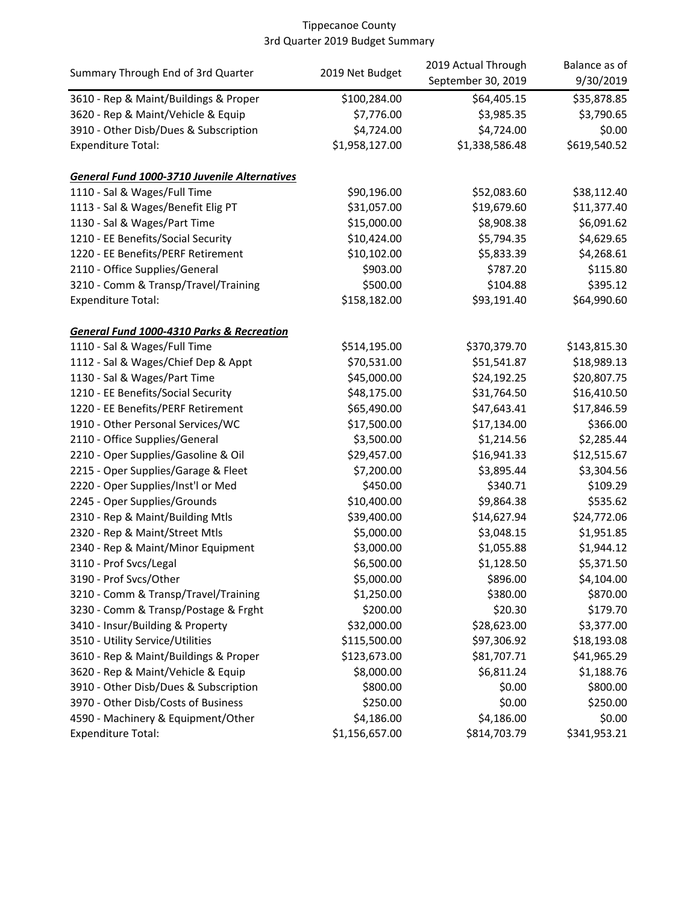|                                                     |                 | 2019 Actual Through | Balance as of |
|-----------------------------------------------------|-----------------|---------------------|---------------|
| Summary Through End of 3rd Quarter                  | 2019 Net Budget | September 30, 2019  | 9/30/2019     |
| 3610 - Rep & Maint/Buildings & Proper               | \$100,284.00    | \$64,405.15         | \$35,878.85   |
| 3620 - Rep & Maint/Vehicle & Equip                  | \$7,776.00      | \$3,985.35          | \$3,790.65    |
| 3910 - Other Disb/Dues & Subscription               | \$4,724.00      | \$4,724.00          | \$0.00        |
| <b>Expenditure Total:</b>                           | \$1,958,127.00  | \$1,338,586.48      | \$619,540.52  |
| <b>General Fund 1000-3710 Juvenile Alternatives</b> |                 |                     |               |
| 1110 - Sal & Wages/Full Time                        | \$90,196.00     | \$52,083.60         | \$38,112.40   |
| 1113 - Sal & Wages/Benefit Elig PT                  | \$31,057.00     | \$19,679.60         | \$11,377.40   |
| 1130 - Sal & Wages/Part Time                        | \$15,000.00     | \$8,908.38          | \$6,091.62    |
| 1210 - EE Benefits/Social Security                  | \$10,424.00     | \$5,794.35          | \$4,629.65    |
| 1220 - EE Benefits/PERF Retirement                  | \$10,102.00     | \$5,833.39          | \$4,268.61    |
| 2110 - Office Supplies/General                      | \$903.00        | \$787.20            | \$115.80      |
| 3210 - Comm & Transp/Travel/Training                | \$500.00        | \$104.88            | \$395.12      |
| Expenditure Total:                                  | \$158,182.00    | \$93,191.40         | \$64,990.60   |
|                                                     |                 |                     |               |
| General Fund 1000-4310 Parks & Recreation           |                 |                     |               |
| 1110 - Sal & Wages/Full Time                        | \$514,195.00    | \$370,379.70        | \$143,815.30  |
| 1112 - Sal & Wages/Chief Dep & Appt                 | \$70,531.00     | \$51,541.87         | \$18,989.13   |
| 1130 - Sal & Wages/Part Time                        | \$45,000.00     | \$24,192.25         | \$20,807.75   |
| 1210 - EE Benefits/Social Security                  | \$48,175.00     | \$31,764.50         | \$16,410.50   |
| 1220 - EE Benefits/PERF Retirement                  | \$65,490.00     | \$47,643.41         | \$17,846.59   |
| 1910 - Other Personal Services/WC                   | \$17,500.00     | \$17,134.00         | \$366.00      |
| 2110 - Office Supplies/General                      | \$3,500.00      | \$1,214.56          | \$2,285.44    |
| 2210 - Oper Supplies/Gasoline & Oil                 | \$29,457.00     | \$16,941.33         | \$12,515.67   |
| 2215 - Oper Supplies/Garage & Fleet                 | \$7,200.00      | \$3,895.44          | \$3,304.56    |
| 2220 - Oper Supplies/Inst'l or Med                  | \$450.00        | \$340.71            | \$109.29      |
| 2245 - Oper Supplies/Grounds                        | \$10,400.00     | \$9,864.38          | \$535.62      |
| 2310 - Rep & Maint/Building Mtls                    | \$39,400.00     | \$14,627.94         | \$24,772.06   |
| 2320 - Rep & Maint/Street Mtls                      | \$5,000.00      | \$3,048.15          | \$1,951.85    |
| 2340 - Rep & Maint/Minor Equipment                  | \$3,000.00      | \$1,055.88          | \$1,944.12    |
| 3110 - Prof Svcs/Legal                              | \$6,500.00      | \$1,128.50          | \$5,371.50    |
| 3190 - Prof Svcs/Other                              | \$5,000.00      | \$896.00            | \$4,104.00    |
| 3210 - Comm & Transp/Travel/Training                | \$1,250.00      | \$380.00            | \$870.00      |
| 3230 - Comm & Transp/Postage & Frght                | \$200.00        | \$20.30             | \$179.70      |
| 3410 - Insur/Building & Property                    | \$32,000.00     | \$28,623.00         | \$3,377.00    |
| 3510 - Utility Service/Utilities                    | \$115,500.00    | \$97,306.92         | \$18,193.08   |
| 3610 - Rep & Maint/Buildings & Proper               | \$123,673.00    | \$81,707.71         | \$41,965.29   |
| 3620 - Rep & Maint/Vehicle & Equip                  | \$8,000.00      | \$6,811.24          | \$1,188.76    |
| 3910 - Other Disb/Dues & Subscription               | \$800.00        | \$0.00              | \$800.00      |
| 3970 - Other Disb/Costs of Business                 | \$250.00        | \$0.00              | \$250.00      |
| 4590 - Machinery & Equipment/Other                  | \$4,186.00      | \$4,186.00          | \$0.00        |
| <b>Expenditure Total:</b>                           | \$1,156,657.00  | \$814,703.79        | \$341,953.21  |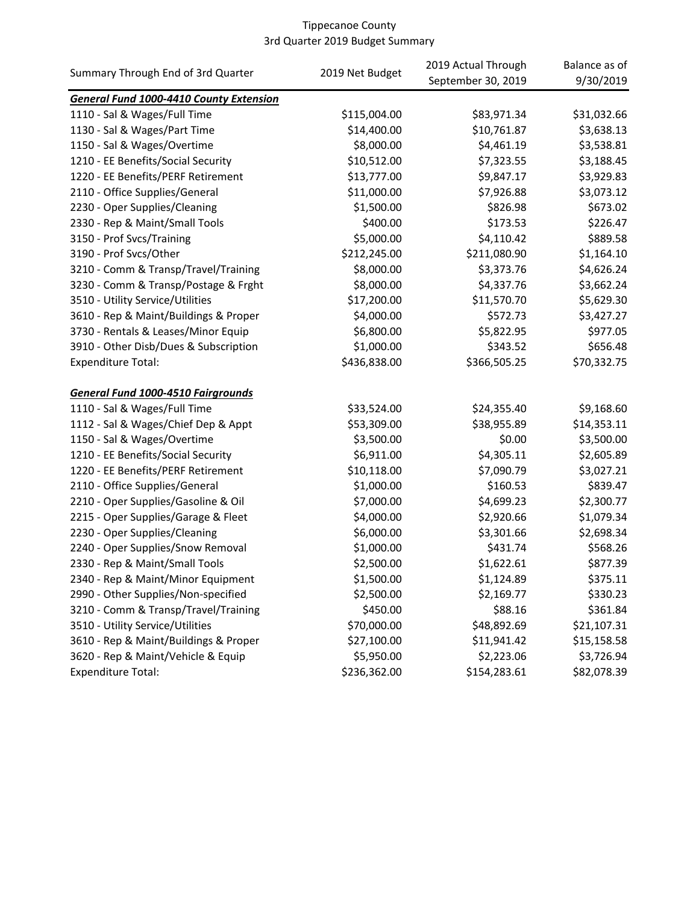| Summary Through End of 3rd Quarter        | 2019 Net Budget | 2019 Actual Through<br>September 30, 2019 | Balance as of<br>9/30/2019 |
|-------------------------------------------|-----------------|-------------------------------------------|----------------------------|
| General Fund 1000-4410 County Extension   |                 |                                           |                            |
| 1110 - Sal & Wages/Full Time              | \$115,004.00    | \$83,971.34                               | \$31,032.66                |
| 1130 - Sal & Wages/Part Time              | \$14,400.00     | \$10,761.87                               | \$3,638.13                 |
| 1150 - Sal & Wages/Overtime               | \$8,000.00      | \$4,461.19                                | \$3,538.81                 |
| 1210 - EE Benefits/Social Security        | \$10,512.00     | \$7,323.55                                | \$3,188.45                 |
| 1220 - EE Benefits/PERF Retirement        | \$13,777.00     | \$9,847.17                                | \$3,929.83                 |
| 2110 - Office Supplies/General            | \$11,000.00     | \$7,926.88                                | \$3,073.12                 |
| 2230 - Oper Supplies/Cleaning             | \$1,500.00      | \$826.98                                  | \$673.02                   |
| 2330 - Rep & Maint/Small Tools            | \$400.00        | \$173.53                                  | \$226.47                   |
| 3150 - Prof Svcs/Training                 | \$5,000.00      | \$4,110.42                                | \$889.58                   |
| 3190 - Prof Svcs/Other                    | \$212,245.00    | \$211,080.90                              | \$1,164.10                 |
| 3210 - Comm & Transp/Travel/Training      | \$8,000.00      | \$3,373.76                                | \$4,626.24                 |
| 3230 - Comm & Transp/Postage & Frght      | \$8,000.00      | \$4,337.76                                | \$3,662.24                 |
| 3510 - Utility Service/Utilities          | \$17,200.00     | \$11,570.70                               | \$5,629.30                 |
| 3610 - Rep & Maint/Buildings & Proper     | \$4,000.00      | \$572.73                                  | \$3,427.27                 |
| 3730 - Rentals & Leases/Minor Equip       | \$6,800.00      | \$5,822.95                                | \$977.05                   |
| 3910 - Other Disb/Dues & Subscription     | \$1,000.00      | \$343.52                                  | \$656.48                   |
| <b>Expenditure Total:</b>                 | \$436,838.00    | \$366,505.25                              | \$70,332.75                |
| <b>General Fund 1000-4510 Fairgrounds</b> |                 |                                           |                            |
| 1110 - Sal & Wages/Full Time              | \$33,524.00     | \$24,355.40                               | \$9,168.60                 |
| 1112 - Sal & Wages/Chief Dep & Appt       | \$53,309.00     | \$38,955.89                               | \$14,353.11                |
| 1150 - Sal & Wages/Overtime               | \$3,500.00      | \$0.00                                    | \$3,500.00                 |
| 1210 - EE Benefits/Social Security        | \$6,911.00      | \$4,305.11                                | \$2,605.89                 |
| 1220 - EE Benefits/PERF Retirement        | \$10,118.00     | \$7,090.79                                | \$3,027.21                 |
| 2110 - Office Supplies/General            | \$1,000.00      | \$160.53                                  | \$839.47                   |
| 2210 - Oper Supplies/Gasoline & Oil       | \$7,000.00      | \$4,699.23                                | \$2,300.77                 |
| 2215 - Oper Supplies/Garage & Fleet       | \$4,000.00      | \$2,920.66                                | \$1,079.34                 |
| 2230 - Oper Supplies/Cleaning             | \$6,000.00      | \$3,301.66                                | \$2,698.34                 |
| 2240 - Oper Supplies/Snow Removal         | \$1,000.00      | \$431.74                                  | \$568.26                   |
| 2330 - Rep & Maint/Small Tools            | \$2,500.00      | \$1,622.61                                | \$877.39                   |
| 2340 - Rep & Maint/Minor Equipment        | \$1,500.00      | \$1,124.89                                | \$375.11                   |
| 2990 - Other Supplies/Non-specified       | \$2,500.00      | \$2,169.77                                | \$330.23                   |
| 3210 - Comm & Transp/Travel/Training      | \$450.00        | \$88.16                                   | \$361.84                   |
| 3510 - Utility Service/Utilities          | \$70,000.00     | \$48,892.69                               | \$21,107.31                |
| 3610 - Rep & Maint/Buildings & Proper     | \$27,100.00     | \$11,941.42                               | \$15,158.58                |
| 3620 - Rep & Maint/Vehicle & Equip        | \$5,950.00      | \$2,223.06                                | \$3,726.94                 |
| <b>Expenditure Total:</b>                 | \$236,362.00    | \$154,283.61                              | \$82,078.39                |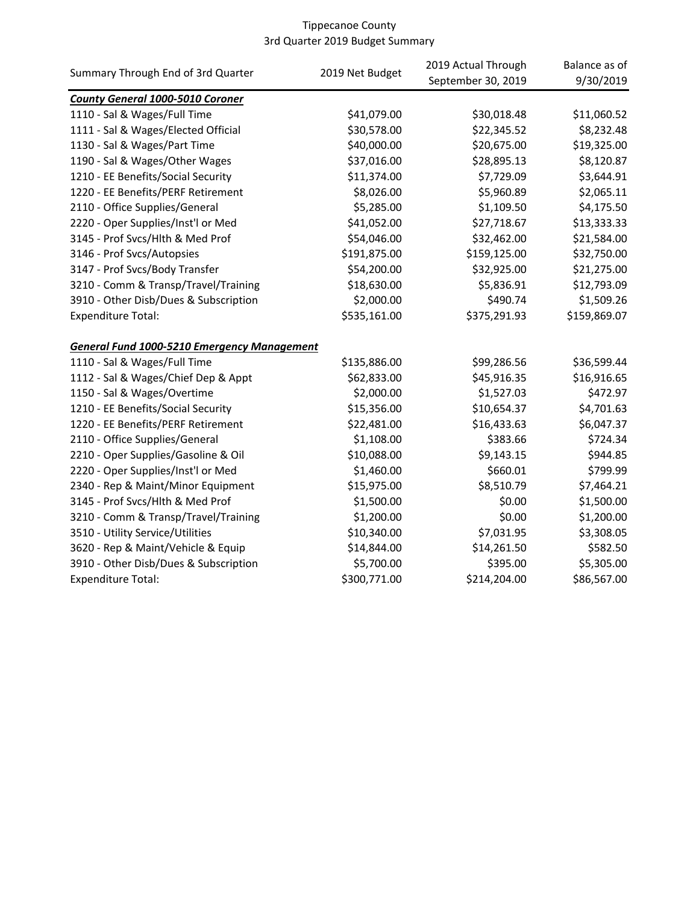| Summary Through End of 3rd Quarter                 | 2019 Net Budget | 2019 Actual Through | Balance as of |
|----------------------------------------------------|-----------------|---------------------|---------------|
|                                                    |                 | September 30, 2019  | 9/30/2019     |
| <b>County General 1000-5010 Coroner</b>            |                 |                     |               |
| 1110 - Sal & Wages/Full Time                       | \$41,079.00     | \$30,018.48         | \$11,060.52   |
| 1111 - Sal & Wages/Elected Official                | \$30,578.00     | \$22,345.52         | \$8,232.48    |
| 1130 - Sal & Wages/Part Time                       | \$40,000.00     | \$20,675.00         | \$19,325.00   |
| 1190 - Sal & Wages/Other Wages                     | \$37,016.00     | \$28,895.13         | \$8,120.87    |
| 1210 - EE Benefits/Social Security                 | \$11,374.00     | \$7,729.09          | \$3,644.91    |
| 1220 - EE Benefits/PERF Retirement                 | \$8,026.00      | \$5,960.89          | \$2,065.11    |
| 2110 - Office Supplies/General                     | \$5,285.00      | \$1,109.50          | \$4,175.50    |
| 2220 - Oper Supplies/Inst'l or Med                 | \$41,052.00     | \$27,718.67         | \$13,333.33   |
| 3145 - Prof Svcs/Hlth & Med Prof                   | \$54,046.00     | \$32,462.00         | \$21,584.00   |
| 3146 - Prof Svcs/Autopsies                         | \$191,875.00    | \$159,125.00        | \$32,750.00   |
| 3147 - Prof Svcs/Body Transfer                     | \$54,200.00     | \$32,925.00         | \$21,275.00   |
| 3210 - Comm & Transp/Travel/Training               | \$18,630.00     | \$5,836.91          | \$12,793.09   |
| 3910 - Other Disb/Dues & Subscription              | \$2,000.00      | \$490.74            | \$1,509.26    |
| <b>Expenditure Total:</b>                          | \$535,161.00    | \$375,291.93        | \$159,869.07  |
| <b>General Fund 1000-5210 Emergency Management</b> |                 |                     |               |
| 1110 - Sal & Wages/Full Time                       | \$135,886.00    | \$99,286.56         | \$36,599.44   |
| 1112 - Sal & Wages/Chief Dep & Appt                | \$62,833.00     | \$45,916.35         | \$16,916.65   |
| 1150 - Sal & Wages/Overtime                        | \$2,000.00      | \$1,527.03          | \$472.97      |
| 1210 - EE Benefits/Social Security                 | \$15,356.00     | \$10,654.37         | \$4,701.63    |
| 1220 - EE Benefits/PERF Retirement                 | \$22,481.00     | \$16,433.63         | \$6,047.37    |
| 2110 - Office Supplies/General                     | \$1,108.00      | \$383.66            | \$724.34      |
| 2210 - Oper Supplies/Gasoline & Oil                | \$10,088.00     | \$9,143.15          | \$944.85      |
| 2220 - Oper Supplies/Inst'l or Med                 | \$1,460.00      | \$660.01            | \$799.99      |
| 2340 - Rep & Maint/Minor Equipment                 | \$15,975.00     | \$8,510.79          | \$7,464.21    |
| 3145 - Prof Svcs/Hlth & Med Prof                   | \$1,500.00      | \$0.00              | \$1,500.00    |
| 3210 - Comm & Transp/Travel/Training               | \$1,200.00      | \$0.00              | \$1,200.00    |
| 3510 - Utility Service/Utilities                   | \$10,340.00     | \$7,031.95          | \$3,308.05    |
| 3620 - Rep & Maint/Vehicle & Equip                 | \$14,844.00     | \$14,261.50         | \$582.50      |
| 3910 - Other Disb/Dues & Subscription              | \$5,700.00      | \$395.00            | \$5,305.00    |
| <b>Expenditure Total:</b>                          | \$300,771.00    | \$214,204.00        | \$86,567.00   |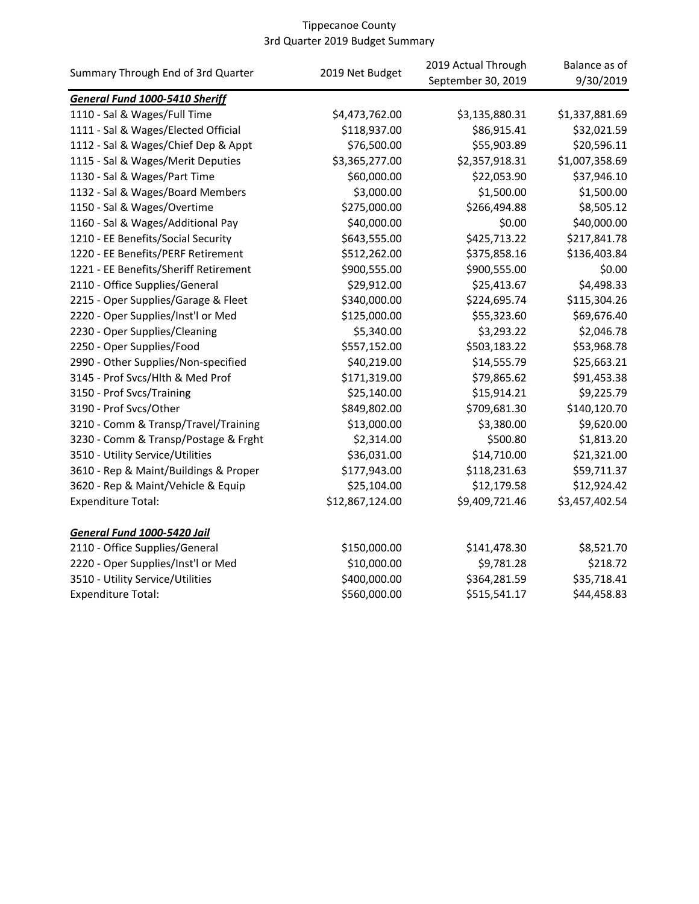|                                       | 2019 Net Budget | 2019 Actual Through | Balance as of  |
|---------------------------------------|-----------------|---------------------|----------------|
| Summary Through End of 3rd Quarter    |                 | September 30, 2019  | 9/30/2019      |
| <b>General Fund 1000-5410 Sheriff</b> |                 |                     |                |
| 1110 - Sal & Wages/Full Time          | \$4,473,762.00  | \$3,135,880.31      | \$1,337,881.69 |
| 1111 - Sal & Wages/Elected Official   | \$118,937.00    | \$86,915.41         | \$32,021.59    |
| 1112 - Sal & Wages/Chief Dep & Appt   | \$76,500.00     | \$55,903.89         | \$20,596.11    |
| 1115 - Sal & Wages/Merit Deputies     | \$3,365,277.00  | \$2,357,918.31      | \$1,007,358.69 |
| 1130 - Sal & Wages/Part Time          | \$60,000.00     | \$22,053.90         | \$37,946.10    |
| 1132 - Sal & Wages/Board Members      | \$3,000.00      | \$1,500.00          | \$1,500.00     |
| 1150 - Sal & Wages/Overtime           | \$275,000.00    | \$266,494.88        | \$8,505.12     |
| 1160 - Sal & Wages/Additional Pay     | \$40,000.00     | \$0.00              | \$40,000.00    |
| 1210 - EE Benefits/Social Security    | \$643,555.00    | \$425,713.22        | \$217,841.78   |
| 1220 - EE Benefits/PERF Retirement    | \$512,262.00    | \$375,858.16        | \$136,403.84   |
| 1221 - EE Benefits/Sheriff Retirement | \$900,555.00    | \$900,555.00        | \$0.00         |
| 2110 - Office Supplies/General        | \$29,912.00     | \$25,413.67         | \$4,498.33     |
| 2215 - Oper Supplies/Garage & Fleet   | \$340,000.00    | \$224,695.74        | \$115,304.26   |
| 2220 - Oper Supplies/Inst'l or Med    | \$125,000.00    | \$55,323.60         | \$69,676.40    |
| 2230 - Oper Supplies/Cleaning         | \$5,340.00      | \$3,293.22          | \$2,046.78     |
| 2250 - Oper Supplies/Food             | \$557,152.00    | \$503,183.22        | \$53,968.78    |
| 2990 - Other Supplies/Non-specified   | \$40,219.00     | \$14,555.79         | \$25,663.21    |
| 3145 - Prof Svcs/Hlth & Med Prof      | \$171,319.00    | \$79,865.62         | \$91,453.38    |
| 3150 - Prof Svcs/Training             | \$25,140.00     | \$15,914.21         | \$9,225.79     |
| 3190 - Prof Svcs/Other                | \$849,802.00    | \$709,681.30        | \$140,120.70   |
| 3210 - Comm & Transp/Travel/Training  | \$13,000.00     | \$3,380.00          | \$9,620.00     |
| 3230 - Comm & Transp/Postage & Frght  | \$2,314.00      | \$500.80            | \$1,813.20     |
| 3510 - Utility Service/Utilities      | \$36,031.00     | \$14,710.00         | \$21,321.00    |
| 3610 - Rep & Maint/Buildings & Proper | \$177,943.00    | \$118,231.63        | \$59,711.37    |
| 3620 - Rep & Maint/Vehicle & Equip    | \$25,104.00     | \$12,179.58         | \$12,924.42    |
| <b>Expenditure Total:</b>             | \$12,867,124.00 | \$9,409,721.46      | \$3,457,402.54 |
| General Fund 1000-5420 Jail           |                 |                     |                |
| 2110 - Office Supplies/General        | \$150,000.00    | \$141,478.30        | \$8,521.70     |
| 2220 - Oper Supplies/Inst'l or Med    | \$10,000.00     | \$9,781.28          | \$218.72       |
| 3510 - Utility Service/Utilities      | \$400,000.00    | \$364,281.59        | \$35,718.41    |
| <b>Expenditure Total:</b>             | \$560,000.00    | \$515,541.17        | \$44,458.83    |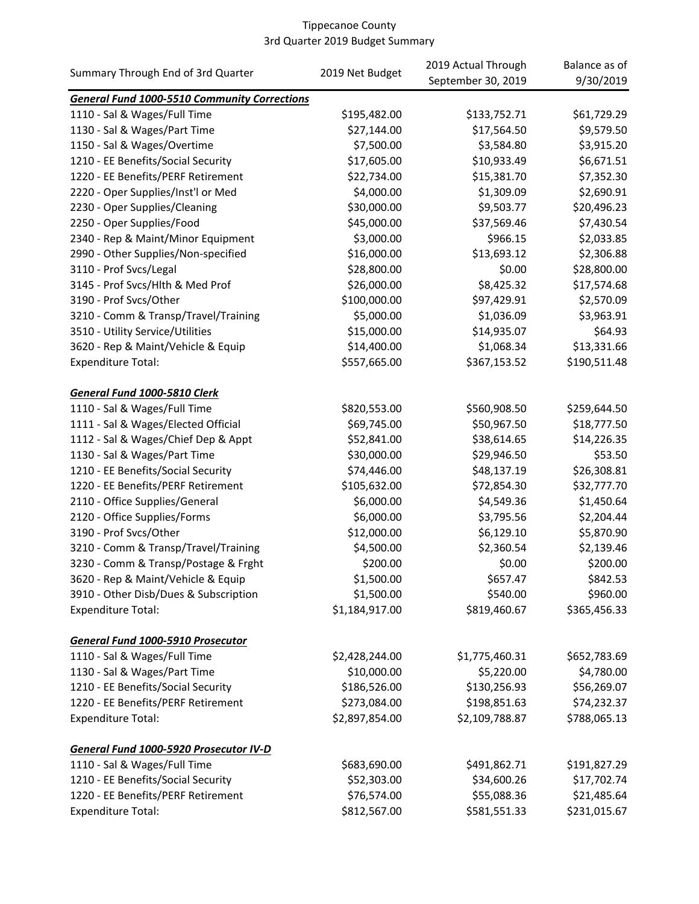| September 30, 2019<br>9/30/2019<br><b>General Fund 1000-5510 Community Corrections</b><br>\$195,482.00<br>\$133,752.71<br>\$61,729.29<br>1110 - Sal & Wages/Full Time<br>\$9,579.50<br>1130 - Sal & Wages/Part Time<br>\$27,144.00<br>\$17,564.50<br>\$7,500.00<br>\$3,584.80<br>\$3,915.20<br>1150 - Sal & Wages/Overtime<br>1210 - EE Benefits/Social Security<br>\$17,605.00<br>\$10,933.49<br>\$6,671.51<br>1220 - EE Benefits/PERF Retirement<br>\$22,734.00<br>\$15,381.70<br>\$7,352.30<br>\$4,000.00<br>\$1,309.09<br>\$2,690.91<br>2220 - Oper Supplies/Inst'l or Med<br>\$30,000.00<br>\$20,496.23<br>2230 - Oper Supplies/Cleaning<br>\$9,503.77<br>\$45,000.00<br>\$7,430.54<br>2250 - Oper Supplies/Food<br>\$37,569.46<br>\$3,000.00<br>\$2,033.85<br>2340 - Rep & Maint/Minor Equipment<br>\$966.15<br>\$16,000.00<br>\$13,693.12<br>\$2,306.88<br>2990 - Other Supplies/Non-specified<br>\$0.00<br>3110 - Prof Svcs/Legal<br>\$28,800.00<br>\$28,800.00<br>3145 - Prof Svcs/Hlth & Med Prof<br>\$26,000.00<br>\$8,425.32<br>\$17,574.68<br>\$100,000.00<br>\$2,570.09<br>3190 - Prof Svcs/Other<br>\$97,429.91<br>\$5,000.00<br>\$1,036.09<br>\$3,963.91<br>3210 - Comm & Transp/Travel/Training<br>\$15,000.00<br>\$64.93<br>3510 - Utility Service/Utilities<br>\$14,935.07<br>\$14,400.00<br>\$13,331.66<br>3620 - Rep & Maint/Vehicle & Equip<br>\$1,068.34<br>\$557,665.00<br>\$190,511.48<br>Expenditure Total:<br>\$367,153.52<br>General Fund 1000-5810 Clerk<br>1110 - Sal & Wages/Full Time<br>\$820,553.00<br>\$259,644.50<br>\$560,908.50<br>\$69,745.00<br>\$18,777.50<br>1111 - Sal & Wages/Elected Official<br>\$50,967.50<br>\$52,841.00<br>\$14,226.35<br>1112 - Sal & Wages/Chief Dep & Appt<br>\$38,614.65<br>\$53.50<br>1130 - Sal & Wages/Part Time<br>\$30,000.00<br>\$29,946.50<br>1210 - EE Benefits/Social Security<br>\$74,446.00<br>\$48,137.19<br>\$26,308.81<br>\$105,632.00<br>\$32,777.70<br>1220 - EE Benefits/PERF Retirement<br>\$72,854.30<br>\$6,000.00<br>\$4,549.36<br>\$1,450.64<br>2110 - Office Supplies/General<br>\$6,000.00<br>2120 - Office Supplies/Forms<br>\$3,795.56<br>\$2,204.44<br>\$12,000.00<br>3190 - Prof Svcs/Other<br>\$6,129.10<br>\$5,870.90<br>\$4,500.00<br>\$2,360.54<br>\$2,139.46<br>3210 - Comm & Transp/Travel/Training<br>\$200.00<br>\$0.00<br>\$200.00<br>3230 - Comm & Transp/Postage & Frght<br>\$1,500.00<br>\$842.53<br>3620 - Rep & Maint/Vehicle & Equip<br>\$657.47<br>\$1,500.00<br>\$960.00<br>3910 - Other Disb/Dues & Subscription<br>\$540.00<br>\$1,184,917.00<br><b>Expenditure Total:</b><br>\$819,460.67<br>\$365,456.33<br>General Fund 1000-5910 Prosecutor<br>\$2,428,244.00<br>1110 - Sal & Wages/Full Time<br>\$1,775,460.31<br>\$652,783.69<br>\$10,000.00<br>\$4,780.00<br>1130 - Sal & Wages/Part Time<br>\$5,220.00<br>\$186,526.00<br>\$130,256.93<br>\$56,269.07<br>1210 - EE Benefits/Social Security<br>1220 - EE Benefits/PERF Retirement<br>\$273,084.00<br>\$198,851.63<br>\$74,232.37<br><b>Expenditure Total:</b><br>\$2,897,854.00<br>\$2,109,788.87<br>\$788,065.13<br>General Fund 1000-5920 Prosecutor IV-D<br>1110 - Sal & Wages/Full Time<br>\$683,690.00<br>\$191,827.29<br>\$491,862.71<br>1210 - EE Benefits/Social Security<br>\$52,303.00<br>\$34,600.26<br>\$17,702.74<br>\$21,485.64<br>1220 - EE Benefits/PERF Retirement<br>\$76,574.00<br>\$55,088.36 |                                    | 2019 Net Budget | 2019 Actual Through | Balance as of |
|-----------------------------------------------------------------------------------------------------------------------------------------------------------------------------------------------------------------------------------------------------------------------------------------------------------------------------------------------------------------------------------------------------------------------------------------------------------------------------------------------------------------------------------------------------------------------------------------------------------------------------------------------------------------------------------------------------------------------------------------------------------------------------------------------------------------------------------------------------------------------------------------------------------------------------------------------------------------------------------------------------------------------------------------------------------------------------------------------------------------------------------------------------------------------------------------------------------------------------------------------------------------------------------------------------------------------------------------------------------------------------------------------------------------------------------------------------------------------------------------------------------------------------------------------------------------------------------------------------------------------------------------------------------------------------------------------------------------------------------------------------------------------------------------------------------------------------------------------------------------------------------------------------------------------------------------------------------------------------------------------------------------------------------------------------------------------------------------------------------------------------------------------------------------------------------------------------------------------------------------------------------------------------------------------------------------------------------------------------------------------------------------------------------------------------------------------------------------------------------------------------------------------------------------------------------------------------------------------------------------------------------------------------------------------------------------------------------------------------------------------------------------------------------------------------------------------------------------------------------------------------------------------------------------------------------------------------------------------------------------------------------------------------------------------------------------------------------------------------------------------------------------------------------------------------------------------------------------------------------------------------------------------------------------------------------------------------------------------------------------------------------------------|------------------------------------|-----------------|---------------------|---------------|
|                                                                                                                                                                                                                                                                                                                                                                                                                                                                                                                                                                                                                                                                                                                                                                                                                                                                                                                                                                                                                                                                                                                                                                                                                                                                                                                                                                                                                                                                                                                                                                                                                                                                                                                                                                                                                                                                                                                                                                                                                                                                                                                                                                                                                                                                                                                                                                                                                                                                                                                                                                                                                                                                                                                                                                                                                                                                                                                                                                                                                                                                                                                                                                                                                                                                                                                                                                                               | Summary Through End of 3rd Quarter |                 |                     |               |
|                                                                                                                                                                                                                                                                                                                                                                                                                                                                                                                                                                                                                                                                                                                                                                                                                                                                                                                                                                                                                                                                                                                                                                                                                                                                                                                                                                                                                                                                                                                                                                                                                                                                                                                                                                                                                                                                                                                                                                                                                                                                                                                                                                                                                                                                                                                                                                                                                                                                                                                                                                                                                                                                                                                                                                                                                                                                                                                                                                                                                                                                                                                                                                                                                                                                                                                                                                                               |                                    |                 |                     |               |
|                                                                                                                                                                                                                                                                                                                                                                                                                                                                                                                                                                                                                                                                                                                                                                                                                                                                                                                                                                                                                                                                                                                                                                                                                                                                                                                                                                                                                                                                                                                                                                                                                                                                                                                                                                                                                                                                                                                                                                                                                                                                                                                                                                                                                                                                                                                                                                                                                                                                                                                                                                                                                                                                                                                                                                                                                                                                                                                                                                                                                                                                                                                                                                                                                                                                                                                                                                                               |                                    |                 |                     |               |
|                                                                                                                                                                                                                                                                                                                                                                                                                                                                                                                                                                                                                                                                                                                                                                                                                                                                                                                                                                                                                                                                                                                                                                                                                                                                                                                                                                                                                                                                                                                                                                                                                                                                                                                                                                                                                                                                                                                                                                                                                                                                                                                                                                                                                                                                                                                                                                                                                                                                                                                                                                                                                                                                                                                                                                                                                                                                                                                                                                                                                                                                                                                                                                                                                                                                                                                                                                                               |                                    |                 |                     |               |
|                                                                                                                                                                                                                                                                                                                                                                                                                                                                                                                                                                                                                                                                                                                                                                                                                                                                                                                                                                                                                                                                                                                                                                                                                                                                                                                                                                                                                                                                                                                                                                                                                                                                                                                                                                                                                                                                                                                                                                                                                                                                                                                                                                                                                                                                                                                                                                                                                                                                                                                                                                                                                                                                                                                                                                                                                                                                                                                                                                                                                                                                                                                                                                                                                                                                                                                                                                                               |                                    |                 |                     |               |
|                                                                                                                                                                                                                                                                                                                                                                                                                                                                                                                                                                                                                                                                                                                                                                                                                                                                                                                                                                                                                                                                                                                                                                                                                                                                                                                                                                                                                                                                                                                                                                                                                                                                                                                                                                                                                                                                                                                                                                                                                                                                                                                                                                                                                                                                                                                                                                                                                                                                                                                                                                                                                                                                                                                                                                                                                                                                                                                                                                                                                                                                                                                                                                                                                                                                                                                                                                                               |                                    |                 |                     |               |
|                                                                                                                                                                                                                                                                                                                                                                                                                                                                                                                                                                                                                                                                                                                                                                                                                                                                                                                                                                                                                                                                                                                                                                                                                                                                                                                                                                                                                                                                                                                                                                                                                                                                                                                                                                                                                                                                                                                                                                                                                                                                                                                                                                                                                                                                                                                                                                                                                                                                                                                                                                                                                                                                                                                                                                                                                                                                                                                                                                                                                                                                                                                                                                                                                                                                                                                                                                                               |                                    |                 |                     |               |
|                                                                                                                                                                                                                                                                                                                                                                                                                                                                                                                                                                                                                                                                                                                                                                                                                                                                                                                                                                                                                                                                                                                                                                                                                                                                                                                                                                                                                                                                                                                                                                                                                                                                                                                                                                                                                                                                                                                                                                                                                                                                                                                                                                                                                                                                                                                                                                                                                                                                                                                                                                                                                                                                                                                                                                                                                                                                                                                                                                                                                                                                                                                                                                                                                                                                                                                                                                                               |                                    |                 |                     |               |
|                                                                                                                                                                                                                                                                                                                                                                                                                                                                                                                                                                                                                                                                                                                                                                                                                                                                                                                                                                                                                                                                                                                                                                                                                                                                                                                                                                                                                                                                                                                                                                                                                                                                                                                                                                                                                                                                                                                                                                                                                                                                                                                                                                                                                                                                                                                                                                                                                                                                                                                                                                                                                                                                                                                                                                                                                                                                                                                                                                                                                                                                                                                                                                                                                                                                                                                                                                                               |                                    |                 |                     |               |
|                                                                                                                                                                                                                                                                                                                                                                                                                                                                                                                                                                                                                                                                                                                                                                                                                                                                                                                                                                                                                                                                                                                                                                                                                                                                                                                                                                                                                                                                                                                                                                                                                                                                                                                                                                                                                                                                                                                                                                                                                                                                                                                                                                                                                                                                                                                                                                                                                                                                                                                                                                                                                                                                                                                                                                                                                                                                                                                                                                                                                                                                                                                                                                                                                                                                                                                                                                                               |                                    |                 |                     |               |
|                                                                                                                                                                                                                                                                                                                                                                                                                                                                                                                                                                                                                                                                                                                                                                                                                                                                                                                                                                                                                                                                                                                                                                                                                                                                                                                                                                                                                                                                                                                                                                                                                                                                                                                                                                                                                                                                                                                                                                                                                                                                                                                                                                                                                                                                                                                                                                                                                                                                                                                                                                                                                                                                                                                                                                                                                                                                                                                                                                                                                                                                                                                                                                                                                                                                                                                                                                                               |                                    |                 |                     |               |
|                                                                                                                                                                                                                                                                                                                                                                                                                                                                                                                                                                                                                                                                                                                                                                                                                                                                                                                                                                                                                                                                                                                                                                                                                                                                                                                                                                                                                                                                                                                                                                                                                                                                                                                                                                                                                                                                                                                                                                                                                                                                                                                                                                                                                                                                                                                                                                                                                                                                                                                                                                                                                                                                                                                                                                                                                                                                                                                                                                                                                                                                                                                                                                                                                                                                                                                                                                                               |                                    |                 |                     |               |
|                                                                                                                                                                                                                                                                                                                                                                                                                                                                                                                                                                                                                                                                                                                                                                                                                                                                                                                                                                                                                                                                                                                                                                                                                                                                                                                                                                                                                                                                                                                                                                                                                                                                                                                                                                                                                                                                                                                                                                                                                                                                                                                                                                                                                                                                                                                                                                                                                                                                                                                                                                                                                                                                                                                                                                                                                                                                                                                                                                                                                                                                                                                                                                                                                                                                                                                                                                                               |                                    |                 |                     |               |
|                                                                                                                                                                                                                                                                                                                                                                                                                                                                                                                                                                                                                                                                                                                                                                                                                                                                                                                                                                                                                                                                                                                                                                                                                                                                                                                                                                                                                                                                                                                                                                                                                                                                                                                                                                                                                                                                                                                                                                                                                                                                                                                                                                                                                                                                                                                                                                                                                                                                                                                                                                                                                                                                                                                                                                                                                                                                                                                                                                                                                                                                                                                                                                                                                                                                                                                                                                                               |                                    |                 |                     |               |
|                                                                                                                                                                                                                                                                                                                                                                                                                                                                                                                                                                                                                                                                                                                                                                                                                                                                                                                                                                                                                                                                                                                                                                                                                                                                                                                                                                                                                                                                                                                                                                                                                                                                                                                                                                                                                                                                                                                                                                                                                                                                                                                                                                                                                                                                                                                                                                                                                                                                                                                                                                                                                                                                                                                                                                                                                                                                                                                                                                                                                                                                                                                                                                                                                                                                                                                                                                                               |                                    |                 |                     |               |
|                                                                                                                                                                                                                                                                                                                                                                                                                                                                                                                                                                                                                                                                                                                                                                                                                                                                                                                                                                                                                                                                                                                                                                                                                                                                                                                                                                                                                                                                                                                                                                                                                                                                                                                                                                                                                                                                                                                                                                                                                                                                                                                                                                                                                                                                                                                                                                                                                                                                                                                                                                                                                                                                                                                                                                                                                                                                                                                                                                                                                                                                                                                                                                                                                                                                                                                                                                                               |                                    |                 |                     |               |
|                                                                                                                                                                                                                                                                                                                                                                                                                                                                                                                                                                                                                                                                                                                                                                                                                                                                                                                                                                                                                                                                                                                                                                                                                                                                                                                                                                                                                                                                                                                                                                                                                                                                                                                                                                                                                                                                                                                                                                                                                                                                                                                                                                                                                                                                                                                                                                                                                                                                                                                                                                                                                                                                                                                                                                                                                                                                                                                                                                                                                                                                                                                                                                                                                                                                                                                                                                                               |                                    |                 |                     |               |
|                                                                                                                                                                                                                                                                                                                                                                                                                                                                                                                                                                                                                                                                                                                                                                                                                                                                                                                                                                                                                                                                                                                                                                                                                                                                                                                                                                                                                                                                                                                                                                                                                                                                                                                                                                                                                                                                                                                                                                                                                                                                                                                                                                                                                                                                                                                                                                                                                                                                                                                                                                                                                                                                                                                                                                                                                                                                                                                                                                                                                                                                                                                                                                                                                                                                                                                                                                                               |                                    |                 |                     |               |
|                                                                                                                                                                                                                                                                                                                                                                                                                                                                                                                                                                                                                                                                                                                                                                                                                                                                                                                                                                                                                                                                                                                                                                                                                                                                                                                                                                                                                                                                                                                                                                                                                                                                                                                                                                                                                                                                                                                                                                                                                                                                                                                                                                                                                                                                                                                                                                                                                                                                                                                                                                                                                                                                                                                                                                                                                                                                                                                                                                                                                                                                                                                                                                                                                                                                                                                                                                                               |                                    |                 |                     |               |
|                                                                                                                                                                                                                                                                                                                                                                                                                                                                                                                                                                                                                                                                                                                                                                                                                                                                                                                                                                                                                                                                                                                                                                                                                                                                                                                                                                                                                                                                                                                                                                                                                                                                                                                                                                                                                                                                                                                                                                                                                                                                                                                                                                                                                                                                                                                                                                                                                                                                                                                                                                                                                                                                                                                                                                                                                                                                                                                                                                                                                                                                                                                                                                                                                                                                                                                                                                                               |                                    |                 |                     |               |
|                                                                                                                                                                                                                                                                                                                                                                                                                                                                                                                                                                                                                                                                                                                                                                                                                                                                                                                                                                                                                                                                                                                                                                                                                                                                                                                                                                                                                                                                                                                                                                                                                                                                                                                                                                                                                                                                                                                                                                                                                                                                                                                                                                                                                                                                                                                                                                                                                                                                                                                                                                                                                                                                                                                                                                                                                                                                                                                                                                                                                                                                                                                                                                                                                                                                                                                                                                                               |                                    |                 |                     |               |
|                                                                                                                                                                                                                                                                                                                                                                                                                                                                                                                                                                                                                                                                                                                                                                                                                                                                                                                                                                                                                                                                                                                                                                                                                                                                                                                                                                                                                                                                                                                                                                                                                                                                                                                                                                                                                                                                                                                                                                                                                                                                                                                                                                                                                                                                                                                                                                                                                                                                                                                                                                                                                                                                                                                                                                                                                                                                                                                                                                                                                                                                                                                                                                                                                                                                                                                                                                                               |                                    |                 |                     |               |
|                                                                                                                                                                                                                                                                                                                                                                                                                                                                                                                                                                                                                                                                                                                                                                                                                                                                                                                                                                                                                                                                                                                                                                                                                                                                                                                                                                                                                                                                                                                                                                                                                                                                                                                                                                                                                                                                                                                                                                                                                                                                                                                                                                                                                                                                                                                                                                                                                                                                                                                                                                                                                                                                                                                                                                                                                                                                                                                                                                                                                                                                                                                                                                                                                                                                                                                                                                                               |                                    |                 |                     |               |
|                                                                                                                                                                                                                                                                                                                                                                                                                                                                                                                                                                                                                                                                                                                                                                                                                                                                                                                                                                                                                                                                                                                                                                                                                                                                                                                                                                                                                                                                                                                                                                                                                                                                                                                                                                                                                                                                                                                                                                                                                                                                                                                                                                                                                                                                                                                                                                                                                                                                                                                                                                                                                                                                                                                                                                                                                                                                                                                                                                                                                                                                                                                                                                                                                                                                                                                                                                                               |                                    |                 |                     |               |
|                                                                                                                                                                                                                                                                                                                                                                                                                                                                                                                                                                                                                                                                                                                                                                                                                                                                                                                                                                                                                                                                                                                                                                                                                                                                                                                                                                                                                                                                                                                                                                                                                                                                                                                                                                                                                                                                                                                                                                                                                                                                                                                                                                                                                                                                                                                                                                                                                                                                                                                                                                                                                                                                                                                                                                                                                                                                                                                                                                                                                                                                                                                                                                                                                                                                                                                                                                                               |                                    |                 |                     |               |
|                                                                                                                                                                                                                                                                                                                                                                                                                                                                                                                                                                                                                                                                                                                                                                                                                                                                                                                                                                                                                                                                                                                                                                                                                                                                                                                                                                                                                                                                                                                                                                                                                                                                                                                                                                                                                                                                                                                                                                                                                                                                                                                                                                                                                                                                                                                                                                                                                                                                                                                                                                                                                                                                                                                                                                                                                                                                                                                                                                                                                                                                                                                                                                                                                                                                                                                                                                                               |                                    |                 |                     |               |
|                                                                                                                                                                                                                                                                                                                                                                                                                                                                                                                                                                                                                                                                                                                                                                                                                                                                                                                                                                                                                                                                                                                                                                                                                                                                                                                                                                                                                                                                                                                                                                                                                                                                                                                                                                                                                                                                                                                                                                                                                                                                                                                                                                                                                                                                                                                                                                                                                                                                                                                                                                                                                                                                                                                                                                                                                                                                                                                                                                                                                                                                                                                                                                                                                                                                                                                                                                                               |                                    |                 |                     |               |
|                                                                                                                                                                                                                                                                                                                                                                                                                                                                                                                                                                                                                                                                                                                                                                                                                                                                                                                                                                                                                                                                                                                                                                                                                                                                                                                                                                                                                                                                                                                                                                                                                                                                                                                                                                                                                                                                                                                                                                                                                                                                                                                                                                                                                                                                                                                                                                                                                                                                                                                                                                                                                                                                                                                                                                                                                                                                                                                                                                                                                                                                                                                                                                                                                                                                                                                                                                                               |                                    |                 |                     |               |
|                                                                                                                                                                                                                                                                                                                                                                                                                                                                                                                                                                                                                                                                                                                                                                                                                                                                                                                                                                                                                                                                                                                                                                                                                                                                                                                                                                                                                                                                                                                                                                                                                                                                                                                                                                                                                                                                                                                                                                                                                                                                                                                                                                                                                                                                                                                                                                                                                                                                                                                                                                                                                                                                                                                                                                                                                                                                                                                                                                                                                                                                                                                                                                                                                                                                                                                                                                                               |                                    |                 |                     |               |
|                                                                                                                                                                                                                                                                                                                                                                                                                                                                                                                                                                                                                                                                                                                                                                                                                                                                                                                                                                                                                                                                                                                                                                                                                                                                                                                                                                                                                                                                                                                                                                                                                                                                                                                                                                                                                                                                                                                                                                                                                                                                                                                                                                                                                                                                                                                                                                                                                                                                                                                                                                                                                                                                                                                                                                                                                                                                                                                                                                                                                                                                                                                                                                                                                                                                                                                                                                                               |                                    |                 |                     |               |
|                                                                                                                                                                                                                                                                                                                                                                                                                                                                                                                                                                                                                                                                                                                                                                                                                                                                                                                                                                                                                                                                                                                                                                                                                                                                                                                                                                                                                                                                                                                                                                                                                                                                                                                                                                                                                                                                                                                                                                                                                                                                                                                                                                                                                                                                                                                                                                                                                                                                                                                                                                                                                                                                                                                                                                                                                                                                                                                                                                                                                                                                                                                                                                                                                                                                                                                                                                                               |                                    |                 |                     |               |
|                                                                                                                                                                                                                                                                                                                                                                                                                                                                                                                                                                                                                                                                                                                                                                                                                                                                                                                                                                                                                                                                                                                                                                                                                                                                                                                                                                                                                                                                                                                                                                                                                                                                                                                                                                                                                                                                                                                                                                                                                                                                                                                                                                                                                                                                                                                                                                                                                                                                                                                                                                                                                                                                                                                                                                                                                                                                                                                                                                                                                                                                                                                                                                                                                                                                                                                                                                                               |                                    |                 |                     |               |
|                                                                                                                                                                                                                                                                                                                                                                                                                                                                                                                                                                                                                                                                                                                                                                                                                                                                                                                                                                                                                                                                                                                                                                                                                                                                                                                                                                                                                                                                                                                                                                                                                                                                                                                                                                                                                                                                                                                                                                                                                                                                                                                                                                                                                                                                                                                                                                                                                                                                                                                                                                                                                                                                                                                                                                                                                                                                                                                                                                                                                                                                                                                                                                                                                                                                                                                                                                                               |                                    |                 |                     |               |
|                                                                                                                                                                                                                                                                                                                                                                                                                                                                                                                                                                                                                                                                                                                                                                                                                                                                                                                                                                                                                                                                                                                                                                                                                                                                                                                                                                                                                                                                                                                                                                                                                                                                                                                                                                                                                                                                                                                                                                                                                                                                                                                                                                                                                                                                                                                                                                                                                                                                                                                                                                                                                                                                                                                                                                                                                                                                                                                                                                                                                                                                                                                                                                                                                                                                                                                                                                                               |                                    |                 |                     |               |
|                                                                                                                                                                                                                                                                                                                                                                                                                                                                                                                                                                                                                                                                                                                                                                                                                                                                                                                                                                                                                                                                                                                                                                                                                                                                                                                                                                                                                                                                                                                                                                                                                                                                                                                                                                                                                                                                                                                                                                                                                                                                                                                                                                                                                                                                                                                                                                                                                                                                                                                                                                                                                                                                                                                                                                                                                                                                                                                                                                                                                                                                                                                                                                                                                                                                                                                                                                                               |                                    |                 |                     |               |
|                                                                                                                                                                                                                                                                                                                                                                                                                                                                                                                                                                                                                                                                                                                                                                                                                                                                                                                                                                                                                                                                                                                                                                                                                                                                                                                                                                                                                                                                                                                                                                                                                                                                                                                                                                                                                                                                                                                                                                                                                                                                                                                                                                                                                                                                                                                                                                                                                                                                                                                                                                                                                                                                                                                                                                                                                                                                                                                                                                                                                                                                                                                                                                                                                                                                                                                                                                                               |                                    |                 |                     |               |
|                                                                                                                                                                                                                                                                                                                                                                                                                                                                                                                                                                                                                                                                                                                                                                                                                                                                                                                                                                                                                                                                                                                                                                                                                                                                                                                                                                                                                                                                                                                                                                                                                                                                                                                                                                                                                                                                                                                                                                                                                                                                                                                                                                                                                                                                                                                                                                                                                                                                                                                                                                                                                                                                                                                                                                                                                                                                                                                                                                                                                                                                                                                                                                                                                                                                                                                                                                                               |                                    |                 |                     |               |
|                                                                                                                                                                                                                                                                                                                                                                                                                                                                                                                                                                                                                                                                                                                                                                                                                                                                                                                                                                                                                                                                                                                                                                                                                                                                                                                                                                                                                                                                                                                                                                                                                                                                                                                                                                                                                                                                                                                                                                                                                                                                                                                                                                                                                                                                                                                                                                                                                                                                                                                                                                                                                                                                                                                                                                                                                                                                                                                                                                                                                                                                                                                                                                                                                                                                                                                                                                                               |                                    |                 |                     |               |
|                                                                                                                                                                                                                                                                                                                                                                                                                                                                                                                                                                                                                                                                                                                                                                                                                                                                                                                                                                                                                                                                                                                                                                                                                                                                                                                                                                                                                                                                                                                                                                                                                                                                                                                                                                                                                                                                                                                                                                                                                                                                                                                                                                                                                                                                                                                                                                                                                                                                                                                                                                                                                                                                                                                                                                                                                                                                                                                                                                                                                                                                                                                                                                                                                                                                                                                                                                                               |                                    |                 |                     |               |
|                                                                                                                                                                                                                                                                                                                                                                                                                                                                                                                                                                                                                                                                                                                                                                                                                                                                                                                                                                                                                                                                                                                                                                                                                                                                                                                                                                                                                                                                                                                                                                                                                                                                                                                                                                                                                                                                                                                                                                                                                                                                                                                                                                                                                                                                                                                                                                                                                                                                                                                                                                                                                                                                                                                                                                                                                                                                                                                                                                                                                                                                                                                                                                                                                                                                                                                                                                                               |                                    |                 |                     |               |
|                                                                                                                                                                                                                                                                                                                                                                                                                                                                                                                                                                                                                                                                                                                                                                                                                                                                                                                                                                                                                                                                                                                                                                                                                                                                                                                                                                                                                                                                                                                                                                                                                                                                                                                                                                                                                                                                                                                                                                                                                                                                                                                                                                                                                                                                                                                                                                                                                                                                                                                                                                                                                                                                                                                                                                                                                                                                                                                                                                                                                                                                                                                                                                                                                                                                                                                                                                                               |                                    |                 |                     |               |
|                                                                                                                                                                                                                                                                                                                                                                                                                                                                                                                                                                                                                                                                                                                                                                                                                                                                                                                                                                                                                                                                                                                                                                                                                                                                                                                                                                                                                                                                                                                                                                                                                                                                                                                                                                                                                                                                                                                                                                                                                                                                                                                                                                                                                                                                                                                                                                                                                                                                                                                                                                                                                                                                                                                                                                                                                                                                                                                                                                                                                                                                                                                                                                                                                                                                                                                                                                                               |                                    |                 |                     |               |
|                                                                                                                                                                                                                                                                                                                                                                                                                                                                                                                                                                                                                                                                                                                                                                                                                                                                                                                                                                                                                                                                                                                                                                                                                                                                                                                                                                                                                                                                                                                                                                                                                                                                                                                                                                                                                                                                                                                                                                                                                                                                                                                                                                                                                                                                                                                                                                                                                                                                                                                                                                                                                                                                                                                                                                                                                                                                                                                                                                                                                                                                                                                                                                                                                                                                                                                                                                                               |                                    |                 |                     |               |
|                                                                                                                                                                                                                                                                                                                                                                                                                                                                                                                                                                                                                                                                                                                                                                                                                                                                                                                                                                                                                                                                                                                                                                                                                                                                                                                                                                                                                                                                                                                                                                                                                                                                                                                                                                                                                                                                                                                                                                                                                                                                                                                                                                                                                                                                                                                                                                                                                                                                                                                                                                                                                                                                                                                                                                                                                                                                                                                                                                                                                                                                                                                                                                                                                                                                                                                                                                                               |                                    |                 |                     |               |
|                                                                                                                                                                                                                                                                                                                                                                                                                                                                                                                                                                                                                                                                                                                                                                                                                                                                                                                                                                                                                                                                                                                                                                                                                                                                                                                                                                                                                                                                                                                                                                                                                                                                                                                                                                                                                                                                                                                                                                                                                                                                                                                                                                                                                                                                                                                                                                                                                                                                                                                                                                                                                                                                                                                                                                                                                                                                                                                                                                                                                                                                                                                                                                                                                                                                                                                                                                                               |                                    |                 |                     |               |
|                                                                                                                                                                                                                                                                                                                                                                                                                                                                                                                                                                                                                                                                                                                                                                                                                                                                                                                                                                                                                                                                                                                                                                                                                                                                                                                                                                                                                                                                                                                                                                                                                                                                                                                                                                                                                                                                                                                                                                                                                                                                                                                                                                                                                                                                                                                                                                                                                                                                                                                                                                                                                                                                                                                                                                                                                                                                                                                                                                                                                                                                                                                                                                                                                                                                                                                                                                                               |                                    |                 |                     |               |
| \$812,567.00<br>\$231,015.67<br><b>Expenditure Total:</b><br>\$581,551.33                                                                                                                                                                                                                                                                                                                                                                                                                                                                                                                                                                                                                                                                                                                                                                                                                                                                                                                                                                                                                                                                                                                                                                                                                                                                                                                                                                                                                                                                                                                                                                                                                                                                                                                                                                                                                                                                                                                                                                                                                                                                                                                                                                                                                                                                                                                                                                                                                                                                                                                                                                                                                                                                                                                                                                                                                                                                                                                                                                                                                                                                                                                                                                                                                                                                                                                     |                                    |                 |                     |               |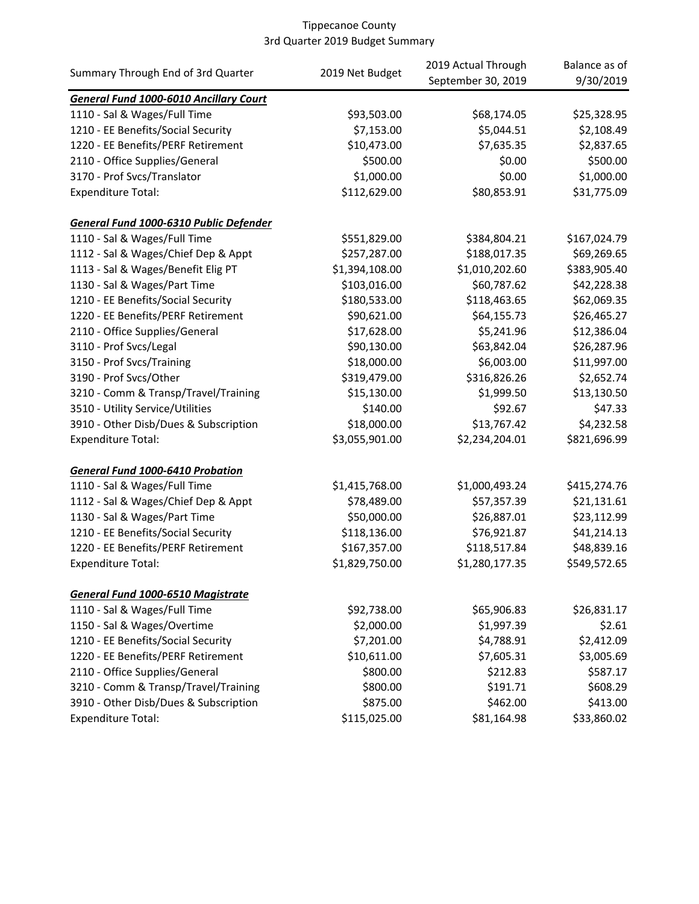|                                               |                 | 2019 Actual Through | Balance as of |
|-----------------------------------------------|-----------------|---------------------|---------------|
| Summary Through End of 3rd Quarter            | 2019 Net Budget | September 30, 2019  | 9/30/2019     |
| <b>General Fund 1000-6010 Ancillary Court</b> |                 |                     |               |
| 1110 - Sal & Wages/Full Time                  | \$93,503.00     | \$68,174.05         | \$25,328.95   |
| 1210 - EE Benefits/Social Security            | \$7,153.00      | \$5,044.51          | \$2,108.49    |
| 1220 - EE Benefits/PERF Retirement            | \$10,473.00     | \$7,635.35          | \$2,837.65    |
| 2110 - Office Supplies/General                | \$500.00        | \$0.00              | \$500.00      |
| 3170 - Prof Svcs/Translator                   | \$1,000.00      | \$0.00              | \$1,000.00    |
| <b>Expenditure Total:</b>                     | \$112,629.00    | \$80,853.91         | \$31,775.09   |
| General Fund 1000-6310 Public Defender        |                 |                     |               |
| 1110 - Sal & Wages/Full Time                  | \$551,829.00    | \$384,804.21        | \$167,024.79  |
| 1112 - Sal & Wages/Chief Dep & Appt           | \$257,287.00    | \$188,017.35        | \$69,269.65   |
| 1113 - Sal & Wages/Benefit Elig PT            | \$1,394,108.00  | \$1,010,202.60      | \$383,905.40  |
| 1130 - Sal & Wages/Part Time                  | \$103,016.00    | \$60,787.62         | \$42,228.38   |
| 1210 - EE Benefits/Social Security            | \$180,533.00    | \$118,463.65        | \$62,069.35   |
| 1220 - EE Benefits/PERF Retirement            | \$90,621.00     | \$64,155.73         | \$26,465.27   |
| 2110 - Office Supplies/General                | \$17,628.00     | \$5,241.96          | \$12,386.04   |
| 3110 - Prof Svcs/Legal                        | \$90,130.00     | \$63,842.04         | \$26,287.96   |
| 3150 - Prof Svcs/Training                     | \$18,000.00     | \$6,003.00          | \$11,997.00   |
| 3190 - Prof Svcs/Other                        | \$319,479.00    | \$316,826.26        | \$2,652.74    |
| 3210 - Comm & Transp/Travel/Training          | \$15,130.00     | \$1,999.50          | \$13,130.50   |
| 3510 - Utility Service/Utilities              | \$140.00        | \$92.67             | \$47.33       |
| 3910 - Other Disb/Dues & Subscription         | \$18,000.00     | \$13,767.42         | \$4,232.58    |
| <b>Expenditure Total:</b>                     | \$3,055,901.00  | \$2,234,204.01      | \$821,696.99  |
| General Fund 1000-6410 Probation              |                 |                     |               |
| 1110 - Sal & Wages/Full Time                  | \$1,415,768.00  | \$1,000,493.24      | \$415,274.76  |
| 1112 - Sal & Wages/Chief Dep & Appt           | \$78,489.00     | \$57,357.39         | \$21,131.61   |
| 1130 - Sal & Wages/Part Time                  | \$50,000.00     | \$26,887.01         | \$23,112.99   |
| 1210 - EE Benefits/Social Security            | \$118,136.00    | \$76,921.87         | \$41,214.13   |
| 1220 - EE Benefits/PERF Retirement            | \$167,357.00    | \$118,517.84        | \$48,839.16   |
| <b>Expenditure Total:</b>                     | \$1,829,750.00  | \$1,280,177.35      | \$549,572.65  |
| <b>General Fund 1000-6510 Magistrate</b>      |                 |                     |               |
| 1110 - Sal & Wages/Full Time                  | \$92,738.00     | \$65,906.83         | \$26,831.17   |
| 1150 - Sal & Wages/Overtime                   | \$2,000.00      | \$1,997.39          | \$2.61        |
| 1210 - EE Benefits/Social Security            | \$7,201.00      | \$4,788.91          | \$2,412.09    |
| 1220 - EE Benefits/PERF Retirement            | \$10,611.00     | \$7,605.31          | \$3,005.69    |
| 2110 - Office Supplies/General                | \$800.00        | \$212.83            | \$587.17      |
| 3210 - Comm & Transp/Travel/Training          | \$800.00        | \$191.71            | \$608.29      |
| 3910 - Other Disb/Dues & Subscription         | \$875.00        | \$462.00            | \$413.00      |
| <b>Expenditure Total:</b>                     | \$115,025.00    | \$81,164.98         | \$33,860.02   |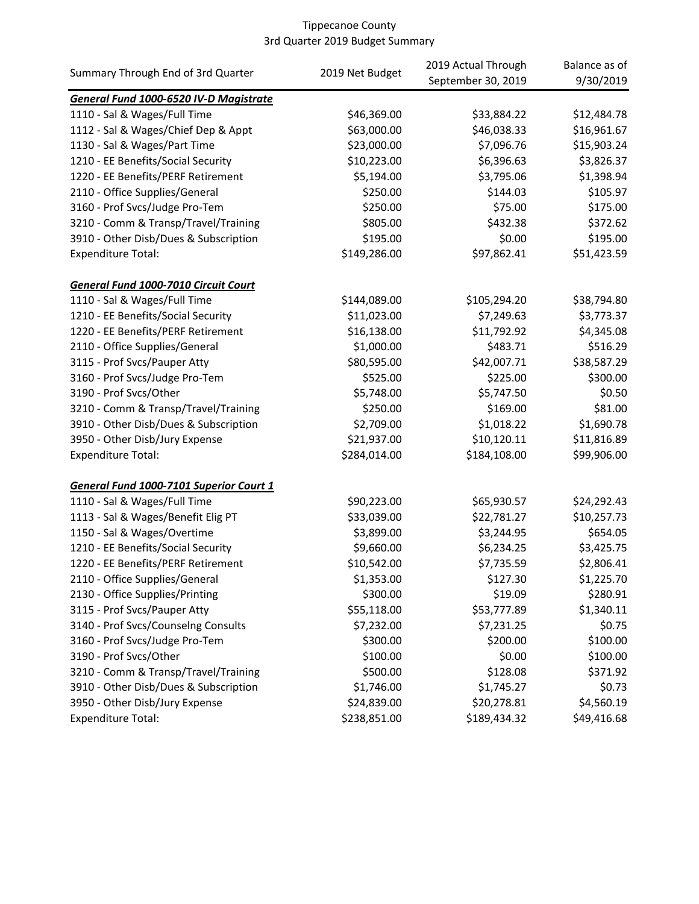|                                         |                 | 2019 Actual Through | Balance as of |
|-----------------------------------------|-----------------|---------------------|---------------|
| Summary Through End of 3rd Quarter      | 2019 Net Budget | September 30, 2019  | 9/30/2019     |
| General Fund 1000-6520 IV-D Magistrate  |                 |                     |               |
| 1110 - Sal & Wages/Full Time            | \$46,369.00     | \$33,884.22         | \$12,484.78   |
| 1112 - Sal & Wages/Chief Dep & Appt     | \$63,000.00     | \$46,038.33         | \$16,961.67   |
| 1130 - Sal & Wages/Part Time            | \$23,000.00     | \$7,096.76          | \$15,903.24   |
| 1210 - EE Benefits/Social Security      | \$10,223.00     | \$6,396.63          | \$3,826.37    |
| 1220 - EE Benefits/PERF Retirement      | \$5,194.00      | \$3,795.06          | \$1,398.94    |
| 2110 - Office Supplies/General          | \$250.00        | \$144.03            | \$105.97      |
| 3160 - Prof Svcs/Judge Pro-Tem          | \$250.00        | \$75.00             | \$175.00      |
| 3210 - Comm & Transp/Travel/Training    | \$805.00        | \$432.38            | \$372.62      |
| 3910 - Other Disb/Dues & Subscription   | \$195.00        | \$0.00              | \$195.00      |
| <b>Expenditure Total:</b>               | \$149,286.00    | \$97,862.41         | \$51,423.59   |
| General Fund 1000-7010 Circuit Court    |                 |                     |               |
| 1110 - Sal & Wages/Full Time            | \$144,089.00    | \$105,294.20        | \$38,794.80   |
| 1210 - EE Benefits/Social Security      | \$11,023.00     | \$7,249.63          | \$3,773.37    |
| 1220 - EE Benefits/PERF Retirement      | \$16,138.00     | \$11,792.92         | \$4,345.08    |
| 2110 - Office Supplies/General          | \$1,000.00      | \$483.71            | \$516.29      |
| 3115 - Prof Svcs/Pauper Atty            | \$80,595.00     | \$42,007.71         | \$38,587.29   |
| 3160 - Prof Svcs/Judge Pro-Tem          | \$525.00        | \$225.00            | \$300.00      |
| 3190 - Prof Svcs/Other                  | \$5,748.00      | \$5,747.50          | \$0.50        |
| 3210 - Comm & Transp/Travel/Training    | \$250.00        | \$169.00            | \$81.00       |
| 3910 - Other Disb/Dues & Subscription   | \$2,709.00      | \$1,018.22          | \$1,690.78    |
| 3950 - Other Disb/Jury Expense          | \$21,937.00     | \$10,120.11         | \$11,816.89   |
| <b>Expenditure Total:</b>               | \$284,014.00    | \$184,108.00        | \$99,906.00   |
| General Fund 1000-7101 Superior Court 1 |                 |                     |               |
| 1110 - Sal & Wages/Full Time            | \$90,223.00     | \$65,930.57         | \$24,292.43   |
| 1113 - Sal & Wages/Benefit Elig PT      | \$33,039.00     | \$22,781.27         | \$10,257.73   |
| 1150 - Sal & Wages/Overtime             | \$3,899.00      | \$3,244.95          | \$654.05      |
| 1210 - EE Benefits/Social Security      | \$9,660.00      | \$6,234.25          | \$3,425.75    |
| 1220 - EE Benefits/PERF Retirement      | \$10,542.00     | \$7,735.59          | \$2,806.41    |
| 2110 - Office Supplies/General          | \$1,353.00      | \$127.30            | \$1,225.70    |
| 2130 - Office Supplies/Printing         | \$300.00        | \$19.09             | \$280.91      |
| 3115 - Prof Svcs/Pauper Atty            | \$55,118.00     | \$53,777.89         | \$1,340.11    |
| 3140 - Prof Svcs/Counselng Consults     | \$7,232.00      | \$7,231.25          | \$0.75        |
| 3160 - Prof Svcs/Judge Pro-Tem          | \$300.00        | \$200.00            | \$100.00      |
| 3190 - Prof Svcs/Other                  | \$100.00        | \$0.00              | \$100.00      |
| 3210 - Comm & Transp/Travel/Training    | \$500.00        | \$128.08            | \$371.92      |
| 3910 - Other Disb/Dues & Subscription   | \$1,746.00      | \$1,745.27          | \$0.73        |
| 3950 - Other Disb/Jury Expense          | \$24,839.00     | \$20,278.81         | \$4,560.19    |
| <b>Expenditure Total:</b>               | \$238,851.00    | \$189,434.32        | \$49,416.68   |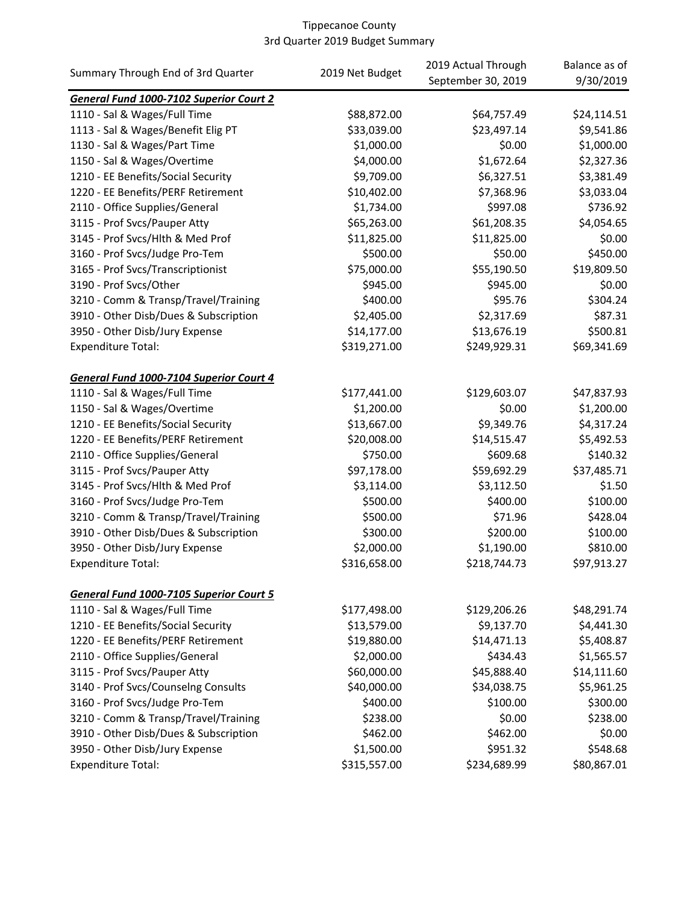|                                         | 2019 Net Budget | 2019 Actual Through | Balance as of |
|-----------------------------------------|-----------------|---------------------|---------------|
| Summary Through End of 3rd Quarter      |                 | September 30, 2019  | 9/30/2019     |
| General Fund 1000-7102 Superior Court 2 |                 |                     |               |
| 1110 - Sal & Wages/Full Time            | \$88,872.00     | \$64,757.49         | \$24,114.51   |
| 1113 - Sal & Wages/Benefit Elig PT      | \$33,039.00     | \$23,497.14         | \$9,541.86    |
| 1130 - Sal & Wages/Part Time            | \$1,000.00      | \$0.00              | \$1,000.00    |
| 1150 - Sal & Wages/Overtime             | \$4,000.00      | \$1,672.64          | \$2,327.36    |
| 1210 - EE Benefits/Social Security      | \$9,709.00      | \$6,327.51          | \$3,381.49    |
| 1220 - EE Benefits/PERF Retirement      | \$10,402.00     | \$7,368.96          | \$3,033.04    |
| 2110 - Office Supplies/General          | \$1,734.00      | \$997.08            | \$736.92      |
| 3115 - Prof Svcs/Pauper Atty            | \$65,263.00     | \$61,208.35         | \$4,054.65    |
| 3145 - Prof Svcs/Hlth & Med Prof        | \$11,825.00     | \$11,825.00         | \$0.00        |
| 3160 - Prof Svcs/Judge Pro-Tem          | \$500.00        | \$50.00             | \$450.00      |
| 3165 - Prof Svcs/Transcriptionist       | \$75,000.00     | \$55,190.50         | \$19,809.50   |
| 3190 - Prof Svcs/Other                  | \$945.00        | \$945.00            | \$0.00        |
| 3210 - Comm & Transp/Travel/Training    | \$400.00        | \$95.76             | \$304.24      |
| 3910 - Other Disb/Dues & Subscription   | \$2,405.00      | \$2,317.69          | \$87.31       |
| 3950 - Other Disb/Jury Expense          | \$14,177.00     | \$13,676.19         | \$500.81      |
| <b>Expenditure Total:</b>               | \$319,271.00    | \$249,929.31        | \$69,341.69   |
|                                         |                 |                     |               |
| General Fund 1000-7104 Superior Court 4 |                 |                     |               |
| 1110 - Sal & Wages/Full Time            | \$177,441.00    | \$129,603.07        | \$47,837.93   |
| 1150 - Sal & Wages/Overtime             | \$1,200.00      | \$0.00              | \$1,200.00    |
| 1210 - EE Benefits/Social Security      | \$13,667.00     | \$9,349.76          | \$4,317.24    |
| 1220 - EE Benefits/PERF Retirement      | \$20,008.00     | \$14,515.47         | \$5,492.53    |
| 2110 - Office Supplies/General          | \$750.00        | \$609.68            | \$140.32      |
| 3115 - Prof Svcs/Pauper Atty            | \$97,178.00     | \$59,692.29         | \$37,485.71   |
| 3145 - Prof Svcs/Hlth & Med Prof        | \$3,114.00      | \$3,112.50          | \$1.50        |
| 3160 - Prof Svcs/Judge Pro-Tem          | \$500.00        | \$400.00            | \$100.00      |
| 3210 - Comm & Transp/Travel/Training    | \$500.00        | \$71.96             | \$428.04      |
| 3910 - Other Disb/Dues & Subscription   | \$300.00        | \$200.00            | \$100.00      |
| 3950 - Other Disb/Jury Expense          | \$2,000.00      | \$1,190.00          | \$810.00      |
| <b>Expenditure Total:</b>               | \$316,658.00    | \$218,744.73        | \$97,913.27   |
|                                         |                 |                     |               |
| General Fund 1000-7105 Superior Court 5 |                 |                     |               |
| 1110 - Sal & Wages/Full Time            | \$177,498.00    | \$129,206.26        | \$48,291.74   |
| 1210 - EE Benefits/Social Security      | \$13,579.00     | \$9,137.70          | \$4,441.30    |
| 1220 - EE Benefits/PERF Retirement      | \$19,880.00     | \$14,471.13         | \$5,408.87    |
| 2110 - Office Supplies/General          | \$2,000.00      | \$434.43            | \$1,565.57    |
| 3115 - Prof Svcs/Pauper Atty            | \$60,000.00     | \$45,888.40         | \$14,111.60   |
| 3140 - Prof Svcs/Counselng Consults     | \$40,000.00     | \$34,038.75         | \$5,961.25    |
| 3160 - Prof Svcs/Judge Pro-Tem          | \$400.00        | \$100.00            | \$300.00      |
| 3210 - Comm & Transp/Travel/Training    | \$238.00        | \$0.00              | \$238.00      |
| 3910 - Other Disb/Dues & Subscription   | \$462.00        | \$462.00            | \$0.00        |
| 3950 - Other Disb/Jury Expense          | \$1,500.00      | \$951.32            | \$548.68      |
| <b>Expenditure Total:</b>               | \$315,557.00    | \$234,689.99        | \$80,867.01   |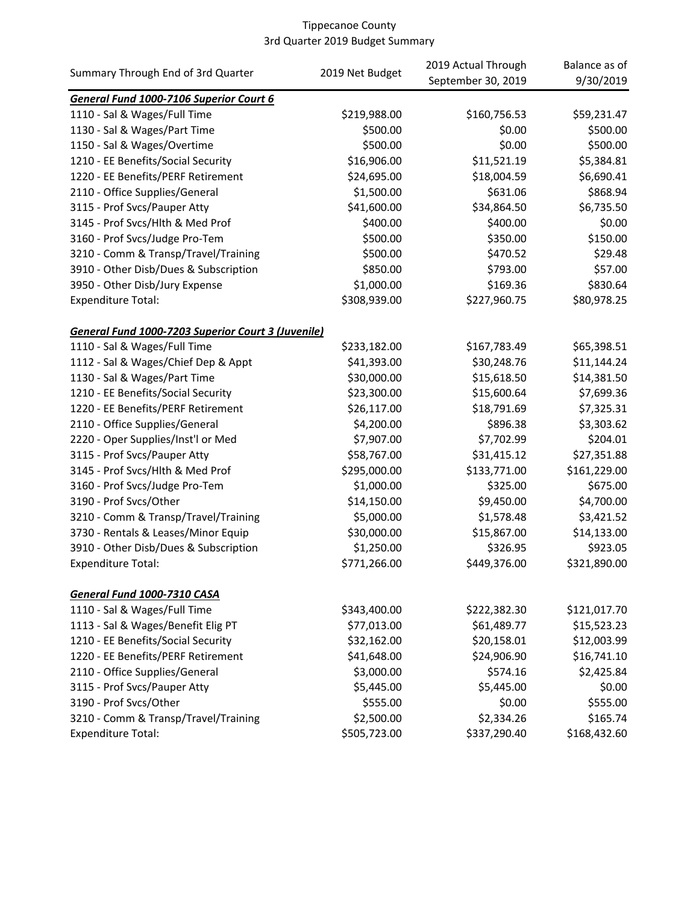| Summary Through End of 3rd Quarter                 | 2019 Net Budget | 2019 Actual Through | Balance as of |
|----------------------------------------------------|-----------------|---------------------|---------------|
|                                                    |                 | September 30, 2019  | 9/30/2019     |
| General Fund 1000-7106 Superior Court 6            |                 |                     |               |
| 1110 - Sal & Wages/Full Time                       | \$219,988.00    | \$160,756.53        | \$59,231.47   |
| 1130 - Sal & Wages/Part Time                       | \$500.00        | \$0.00              | \$500.00      |
| 1150 - Sal & Wages/Overtime                        | \$500.00        | \$0.00              | \$500.00      |
| 1210 - EE Benefits/Social Security                 | \$16,906.00     | \$11,521.19         | \$5,384.81    |
| 1220 - EE Benefits/PERF Retirement                 | \$24,695.00     | \$18,004.59         | \$6,690.41    |
| 2110 - Office Supplies/General                     | \$1,500.00      | \$631.06            | \$868.94      |
| 3115 - Prof Svcs/Pauper Atty                       | \$41,600.00     | \$34,864.50         | \$6,735.50    |
| 3145 - Prof Svcs/Hlth & Med Prof                   | \$400.00        | \$400.00            | \$0.00        |
| 3160 - Prof Svcs/Judge Pro-Tem                     | \$500.00        | \$350.00            | \$150.00      |
| 3210 - Comm & Transp/Travel/Training               | \$500.00        | \$470.52            | \$29.48       |
| 3910 - Other Disb/Dues & Subscription              | \$850.00        | \$793.00            | \$57.00       |
| 3950 - Other Disb/Jury Expense                     | \$1,000.00      | \$169.36            | \$830.64      |
| <b>Expenditure Total:</b>                          | \$308,939.00    | \$227,960.75        | \$80,978.25   |
| General Fund 1000-7203 Superior Court 3 (Juvenile) |                 |                     |               |
| 1110 - Sal & Wages/Full Time                       | \$233,182.00    | \$167,783.49        | \$65,398.51   |
| 1112 - Sal & Wages/Chief Dep & Appt                | \$41,393.00     | \$30,248.76         | \$11,144.24   |
| 1130 - Sal & Wages/Part Time                       | \$30,000.00     | \$15,618.50         | \$14,381.50   |
| 1210 - EE Benefits/Social Security                 | \$23,300.00     | \$15,600.64         | \$7,699.36    |
| 1220 - EE Benefits/PERF Retirement                 | \$26,117.00     | \$18,791.69         | \$7,325.31    |
| 2110 - Office Supplies/General                     | \$4,200.00      | \$896.38            | \$3,303.62    |
| 2220 - Oper Supplies/Inst'l or Med                 | \$7,907.00      | \$7,702.99          | \$204.01      |
| 3115 - Prof Svcs/Pauper Atty                       | \$58,767.00     | \$31,415.12         | \$27,351.88   |
| 3145 - Prof Svcs/Hlth & Med Prof                   | \$295,000.00    | \$133,771.00        | \$161,229.00  |
| 3160 - Prof Svcs/Judge Pro-Tem                     | \$1,000.00      | \$325.00            | \$675.00      |
| 3190 - Prof Svcs/Other                             | \$14,150.00     | \$9,450.00          | \$4,700.00    |
| 3210 - Comm & Transp/Travel/Training               | \$5,000.00      | \$1,578.48          | \$3,421.52    |
| 3730 - Rentals & Leases/Minor Equip                | \$30,000.00     | \$15,867.00         | \$14,133.00   |
| 3910 - Other Disb/Dues & Subscription              | \$1,250.00      | \$326.95            | \$923.05      |
| <b>Expenditure Total:</b>                          | \$771,266.00    | \$449,376.00        | \$321,890.00  |
| General Fund 1000-7310 CASA                        |                 |                     |               |
| 1110 - Sal & Wages/Full Time                       | \$343,400.00    | \$222,382.30        | \$121,017.70  |
| 1113 - Sal & Wages/Benefit Elig PT                 | \$77,013.00     | \$61,489.77         | \$15,523.23   |
| 1210 - EE Benefits/Social Security                 | \$32,162.00     | \$20,158.01         | \$12,003.99   |
| 1220 - EE Benefits/PERF Retirement                 | \$41,648.00     | \$24,906.90         | \$16,741.10   |
| 2110 - Office Supplies/General                     | \$3,000.00      | \$574.16            | \$2,425.84    |
| 3115 - Prof Svcs/Pauper Atty                       | \$5,445.00      | \$5,445.00          | \$0.00        |
| 3190 - Prof Svcs/Other                             | \$555.00        | \$0.00              | \$555.00      |
| 3210 - Comm & Transp/Travel/Training               | \$2,500.00      | \$2,334.26          | \$165.74      |
| <b>Expenditure Total:</b>                          | \$505,723.00    | \$337,290.40        | \$168,432.60  |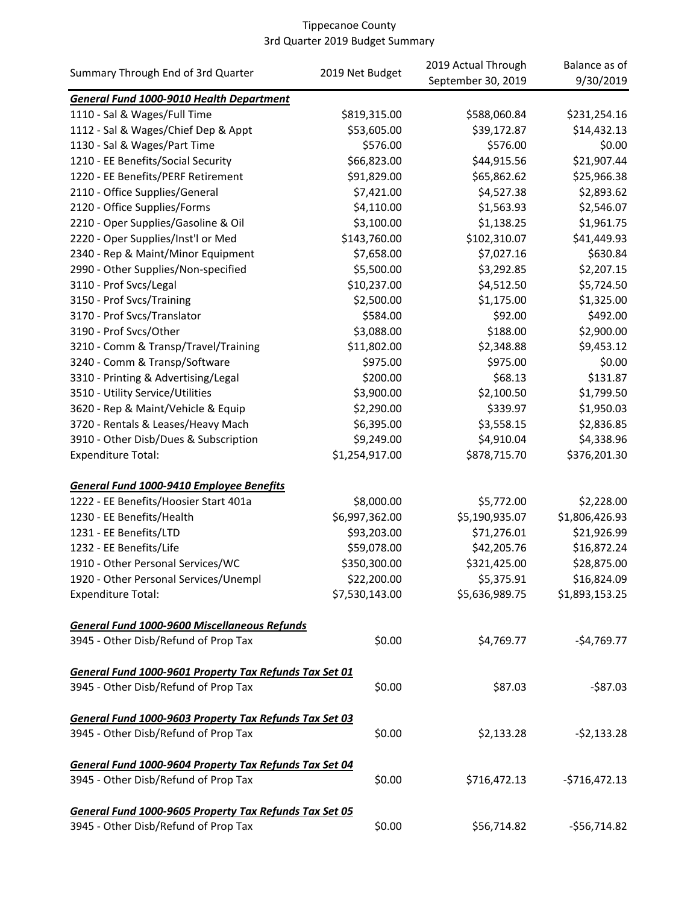|                                                        | 2019 Net Budget | 2019 Actual Through | Balance as of  |
|--------------------------------------------------------|-----------------|---------------------|----------------|
| Summary Through End of 3rd Quarter                     |                 | September 30, 2019  | 9/30/2019      |
| General Fund 1000-9010 Health Department               |                 |                     |                |
| 1110 - Sal & Wages/Full Time                           | \$819,315.00    | \$588,060.84        | \$231,254.16   |
| 1112 - Sal & Wages/Chief Dep & Appt                    | \$53,605.00     | \$39,172.87         | \$14,432.13    |
| 1130 - Sal & Wages/Part Time                           | \$576.00        | \$576.00            | \$0.00         |
| 1210 - EE Benefits/Social Security                     | \$66,823.00     | \$44,915.56         | \$21,907.44    |
| 1220 - EE Benefits/PERF Retirement                     | \$91,829.00     | \$65,862.62         | \$25,966.38    |
| 2110 - Office Supplies/General                         | \$7,421.00      | \$4,527.38          | \$2,893.62     |
| 2120 - Office Supplies/Forms                           | \$4,110.00      | \$1,563.93          | \$2,546.07     |
| 2210 - Oper Supplies/Gasoline & Oil                    | \$3,100.00      | \$1,138.25          | \$1,961.75     |
| 2220 - Oper Supplies/Inst'l or Med                     | \$143,760.00    | \$102,310.07        | \$41,449.93    |
| 2340 - Rep & Maint/Minor Equipment                     | \$7,658.00      | \$7,027.16          | \$630.84       |
| 2990 - Other Supplies/Non-specified                    | \$5,500.00      | \$3,292.85          | \$2,207.15     |
| 3110 - Prof Svcs/Legal                                 | \$10,237.00     | \$4,512.50          | \$5,724.50     |
| 3150 - Prof Svcs/Training                              | \$2,500.00      | \$1,175.00          | \$1,325.00     |
| 3170 - Prof Svcs/Translator                            | \$584.00        | \$92.00             | \$492.00       |
| 3190 - Prof Svcs/Other                                 | \$3,088.00      | \$188.00            | \$2,900.00     |
| 3210 - Comm & Transp/Travel/Training                   | \$11,802.00     | \$2,348.88          | \$9,453.12     |
| 3240 - Comm & Transp/Software                          | \$975.00        | \$975.00            | \$0.00         |
| 3310 - Printing & Advertising/Legal                    | \$200.00        | \$68.13             | \$131.87       |
| 3510 - Utility Service/Utilities                       | \$3,900.00      | \$2,100.50          | \$1,799.50     |
| 3620 - Rep & Maint/Vehicle & Equip                     | \$2,290.00      | \$339.97            | \$1,950.03     |
| 3720 - Rentals & Leases/Heavy Mach                     | \$6,395.00      | \$3,558.15          | \$2,836.85     |
| 3910 - Other Disb/Dues & Subscription                  | \$9,249.00      | \$4,910.04          | \$4,338.96     |
| <b>Expenditure Total:</b>                              | \$1,254,917.00  | \$878,715.70        | \$376,201.30   |
| <b>General Fund 1000-9410 Employee Benefits</b>        |                 |                     |                |
| 1222 - EE Benefits/Hoosier Start 401a                  | \$8,000.00      | \$5,772.00          | \$2,228.00     |
| 1230 - EE Benefits/Health                              | \$6,997,362.00  | \$5,190,935.07      | \$1,806,426.93 |
| 1231 - EE Benefits/LTD                                 | \$93,203.00     | \$71,276.01         | \$21,926.99    |
| 1232 - EE Benefits/Life                                | \$59,078.00     | \$42,205.76         | \$16,872.24    |
| 1910 - Other Personal Services/WC                      | \$350,300.00    | \$321,425.00        | \$28,875.00    |
| 1920 - Other Personal Services/Unempl                  | \$22,200.00     | \$5,375.91          | \$16,824.09    |
| <b>Expenditure Total:</b>                              | \$7,530,143.00  | \$5,636,989.75      | \$1,893,153.25 |
|                                                        |                 |                     |                |
| <b>General Fund 1000-9600 Miscellaneous Refunds</b>    |                 |                     |                |
| 3945 - Other Disb/Refund of Prop Tax                   | \$0.00          | \$4,769.77          | $-$4,769.77$   |
| General Fund 1000-9601 Property Tax Refunds Tax Set 01 |                 |                     |                |
| 3945 - Other Disb/Refund of Prop Tax                   | \$0.00          | \$87.03             | $-587.03$      |
|                                                        |                 |                     |                |
| General Fund 1000-9603 Property Tax Refunds Tax Set 03 |                 |                     |                |
| 3945 - Other Disb/Refund of Prop Tax                   | \$0.00          | \$2,133.28          | $-52,133.28$   |
| General Fund 1000-9604 Property Tax Refunds Tax Set 04 |                 |                     |                |
| 3945 - Other Disb/Refund of Prop Tax                   | \$0.00          | \$716,472.13        | $-$716,472.13$ |
| General Fund 1000-9605 Property Tax Refunds Tax Set 05 |                 |                     |                |
| 3945 - Other Disb/Refund of Prop Tax                   | \$0.00          | \$56,714.82         | $-556,714.82$  |
|                                                        |                 |                     |                |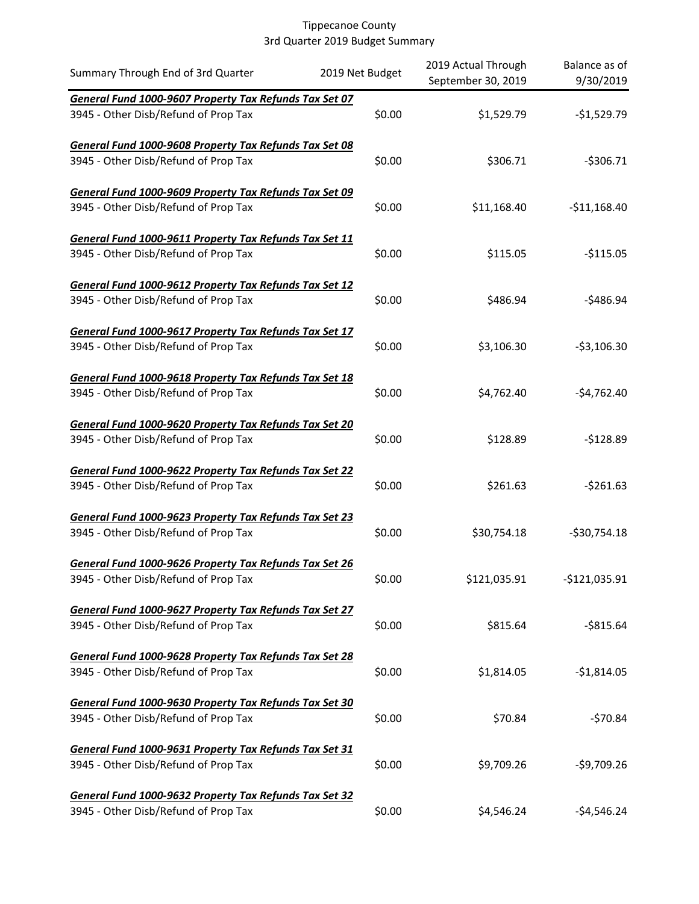| Summary Through End of 3rd Quarter                     | 2019 Net Budget | 2019 Actual Through<br>September 30, 2019 | Balance as of<br>9/30/2019 |
|--------------------------------------------------------|-----------------|-------------------------------------------|----------------------------|
| General Fund 1000-9607 Property Tax Refunds Tax Set 07 |                 |                                           |                            |
| 3945 - Other Disb/Refund of Prop Tax                   | \$0.00          | \$1,529.79                                | $-$1,529.79$               |
| General Fund 1000-9608 Property Tax Refunds Tax Set 08 |                 |                                           |                            |
| 3945 - Other Disb/Refund of Prop Tax                   | \$0.00          | \$306.71                                  | $-5306.71$                 |
| General Fund 1000-9609 Property Tax Refunds Tax Set 09 |                 |                                           |                            |
| 3945 - Other Disb/Refund of Prop Tax                   | \$0.00          | \$11,168.40                               | $-$11,168.40$              |
| General Fund 1000-9611 Property Tax Refunds Tax Set 11 |                 |                                           |                            |
| 3945 - Other Disb/Refund of Prop Tax                   | \$0.00          | \$115.05                                  | $-$115.05$                 |
| General Fund 1000-9612 Property Tax Refunds Tax Set 12 |                 |                                           |                            |
| 3945 - Other Disb/Refund of Prop Tax                   | \$0.00          | \$486.94                                  | $-5486.94$                 |
| General Fund 1000-9617 Property Tax Refunds Tax Set 17 |                 |                                           |                            |
| 3945 - Other Disb/Refund of Prop Tax                   | \$0.00          | \$3,106.30                                | $-53,106.30$               |
| General Fund 1000-9618 Property Tax Refunds Tax Set 18 |                 |                                           |                            |
| 3945 - Other Disb/Refund of Prop Tax                   | \$0.00          | \$4,762.40                                | $-54,762.40$               |
| General Fund 1000-9620 Property Tax Refunds Tax Set 20 |                 |                                           |                            |
| 3945 - Other Disb/Refund of Prop Tax                   | \$0.00          | \$128.89                                  | $-$128.89$                 |
| General Fund 1000-9622 Property Tax Refunds Tax Set 22 |                 |                                           |                            |
| 3945 - Other Disb/Refund of Prop Tax                   | \$0.00          | \$261.63                                  | $-5261.63$                 |
| General Fund 1000-9623 Property Tax Refunds Tax Set 23 |                 |                                           |                            |
| 3945 - Other Disb/Refund of Prop Tax                   | \$0.00          | \$30,754.18                               | $-530,754.18$              |
| General Fund 1000-9626 Property Tax Refunds Tax Set 26 |                 |                                           |                            |
| 3945 - Other Disb/Refund of Prop Tax                   | \$0.00          | \$121,035.91                              | $-$121,035.91$             |
| General Fund 1000-9627 Property Tax Refunds Tax Set 27 |                 |                                           |                            |
| 3945 - Other Disb/Refund of Prop Tax                   | \$0.00          | \$815.64                                  | $-$ \$815.64               |
| General Fund 1000-9628 Property Tax Refunds Tax Set 28 |                 |                                           |                            |
| 3945 - Other Disb/Refund of Prop Tax                   | \$0.00          | \$1,814.05                                | $-$1,814.05$               |
| General Fund 1000-9630 Property Tax Refunds Tax Set 30 |                 |                                           |                            |
| 3945 - Other Disb/Refund of Prop Tax                   | \$0.00          | \$70.84                                   | $-570.84$                  |
| General Fund 1000-9631 Property Tax Refunds Tax Set 31 |                 |                                           |                            |
| 3945 - Other Disb/Refund of Prop Tax                   | \$0.00          | \$9,709.26                                | $-$9,709.26$               |
| General Fund 1000-9632 Property Tax Refunds Tax Set 32 |                 |                                           |                            |
| 3945 - Other Disb/Refund of Prop Tax                   | \$0.00          | \$4,546.24                                | $-54,546.24$               |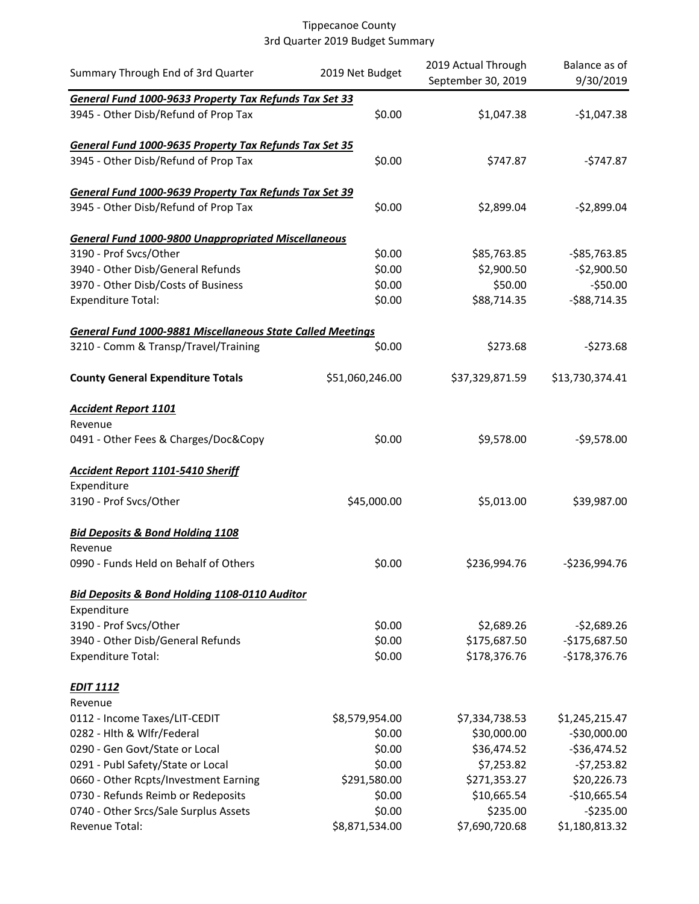| Summary Through End of 3rd Quarter                                | 2019 Net Budget | 2019 Actual Through<br>September 30, 2019 | Balance as of<br>9/30/2019 |
|-------------------------------------------------------------------|-----------------|-------------------------------------------|----------------------------|
| General Fund 1000-9633 Property Tax Refunds Tax Set 33            |                 |                                           |                            |
| 3945 - Other Disb/Refund of Prop Tax                              | \$0.00          | \$1,047.38                                | $-$1,047.38$               |
| General Fund 1000-9635 Property Tax Refunds Tax Set 35            |                 |                                           |                            |
| 3945 - Other Disb/Refund of Prop Tax                              | \$0.00          | \$747.87                                  | -\$747.87                  |
| General Fund 1000-9639 Property Tax Refunds Tax Set 39            |                 |                                           |                            |
| 3945 - Other Disb/Refund of Prop Tax                              | \$0.00          | \$2,899.04                                | $-$2,899.04$               |
| <b>General Fund 1000-9800 Unappropriated Miscellaneous</b>        |                 |                                           |                            |
| 3190 - Prof Svcs/Other                                            | \$0.00          | \$85,763.85                               | $-$ \$85,763.85            |
| 3940 - Other Disb/General Refunds                                 | \$0.00          | \$2,900.50                                | $-$2,900.50$               |
| 3970 - Other Disb/Costs of Business                               | \$0.00          | \$50.00                                   | $-550.00$                  |
| <b>Expenditure Total:</b>                                         | \$0.00          | \$88,714.35                               | $-$ \$88,714.35            |
| <b>General Fund 1000-9881 Miscellaneous State Called Meetings</b> |                 |                                           |                            |
| 3210 - Comm & Transp/Travel/Training                              | \$0.00          | \$273.68                                  | $-5273.68$                 |
| <b>County General Expenditure Totals</b>                          | \$51,060,246.00 | \$37,329,871.59                           | \$13,730,374.41            |
| <b>Accident Report 1101</b>                                       |                 |                                           |                            |
| Revenue                                                           |                 |                                           |                            |
| 0491 - Other Fees & Charges/Doc&Copy                              | \$0.00          | \$9,578.00                                | $-59,578.00$               |
| <b>Accident Report 1101-5410 Sheriff</b>                          |                 |                                           |                            |
| Expenditure                                                       |                 |                                           |                            |
| 3190 - Prof Svcs/Other                                            | \$45,000.00     | \$5,013.00                                | \$39,987.00                |
| <b>Bid Deposits &amp; Bond Holding 1108</b>                       |                 |                                           |                            |
| Revenue                                                           |                 |                                           |                            |
| 0990 - Funds Held on Behalf of Others                             | \$0.00          | \$236,994.76                              | $-$236,994.76$             |
| <b>Bid Deposits &amp; Bond Holding 1108-0110 Auditor</b>          |                 |                                           |                            |
| Expenditure                                                       |                 |                                           |                            |
| 3190 - Prof Svcs/Other                                            | \$0.00          | \$2,689.26                                | $-52,689.26$               |
| 3940 - Other Disb/General Refunds                                 | \$0.00          | \$175,687.50                              | $-$175,687.50$             |
| <b>Expenditure Total:</b>                                         | \$0.00          | \$178,376.76                              | $-$178,376.76$             |
| <b>EDIT 1112</b>                                                  |                 |                                           |                            |
| Revenue                                                           |                 |                                           |                            |
| 0112 - Income Taxes/LIT-CEDIT                                     | \$8,579,954.00  | \$7,334,738.53                            | \$1,245,215.47             |
| 0282 - Hlth & Wlfr/Federal                                        | \$0.00          | \$30,000.00                               | $-530,000.00$              |
| 0290 - Gen Govt/State or Local                                    | \$0.00          | \$36,474.52                               | $-536,474.52$              |
| 0291 - Publ Safety/State or Local                                 | \$0.00          | \$7,253.82                                | $-57,253.82$               |
| 0660 - Other Rcpts/Investment Earning                             | \$291,580.00    | \$271,353.27                              | \$20,226.73                |
| 0730 - Refunds Reimb or Redeposits                                | \$0.00          | \$10,665.54                               | $-$10,665.54$              |
| 0740 - Other Srcs/Sale Surplus Assets                             | \$0.00          | \$235.00                                  | $-5235.00$                 |
| Revenue Total:                                                    | \$8,871,534.00  | \$7,690,720.68                            | \$1,180,813.32             |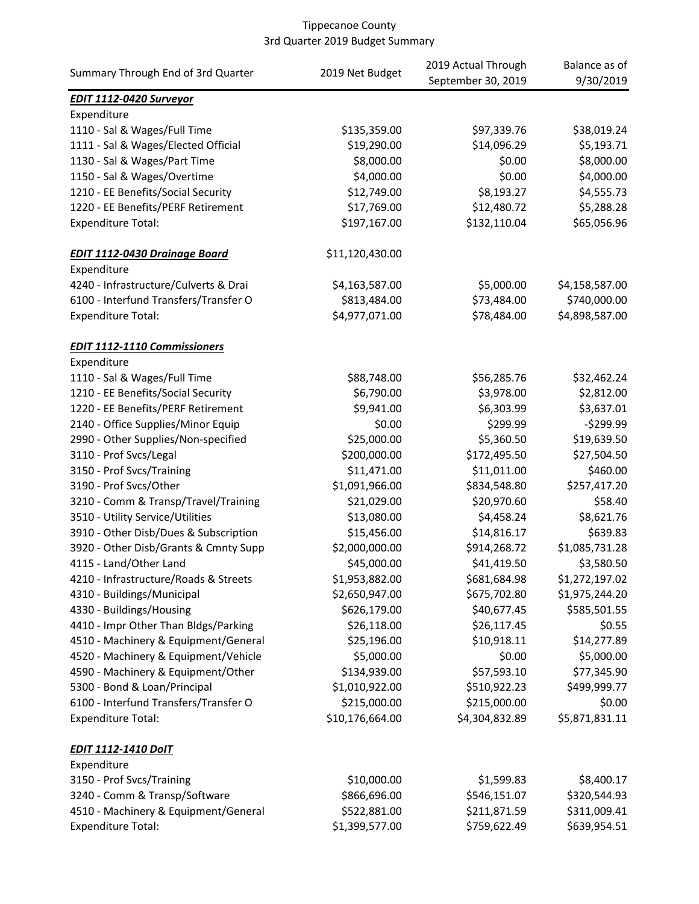| Summary Through End of 3rd Quarter    | 2019 Net Budget | 2019 Actual Through | Balance as of  |
|---------------------------------------|-----------------|---------------------|----------------|
|                                       |                 | September 30, 2019  | 9/30/2019      |
| <b>EDIT 1112-0420 Surveyor</b>        |                 |                     |                |
| Expenditure                           |                 |                     |                |
| 1110 - Sal & Wages/Full Time          | \$135,359.00    | \$97,339.76         | \$38,019.24    |
| 1111 - Sal & Wages/Elected Official   | \$19,290.00     | \$14,096.29         | \$5,193.71     |
| 1130 - Sal & Wages/Part Time          | \$8,000.00      | \$0.00              | \$8,000.00     |
| 1150 - Sal & Wages/Overtime           | \$4,000.00      | \$0.00              | \$4,000.00     |
| 1210 - EE Benefits/Social Security    | \$12,749.00     | \$8,193.27          | \$4,555.73     |
| 1220 - EE Benefits/PERF Retirement    | \$17,769.00     | \$12,480.72         | \$5,288.28     |
| <b>Expenditure Total:</b>             | \$197,167.00    | \$132,110.04        | \$65,056.96    |
| <b>EDIT 1112-0430 Drainage Board</b>  | \$11,120,430.00 |                     |                |
| Expenditure                           |                 |                     |                |
| 4240 - Infrastructure/Culverts & Drai | \$4,163,587.00  | \$5,000.00          | \$4,158,587.00 |
| 6100 - Interfund Transfers/Transfer O | \$813,484.00    | \$73,484.00         | \$740,000.00   |
| <b>Expenditure Total:</b>             | \$4,977,071.00  | \$78,484.00         | \$4,898,587.00 |
| <b>EDIT 1112-1110 Commissioners</b>   |                 |                     |                |
| Expenditure                           |                 |                     |                |
| 1110 - Sal & Wages/Full Time          | \$88,748.00     | \$56,285.76         | \$32,462.24    |
| 1210 - EE Benefits/Social Security    | \$6,790.00      | \$3,978.00          | \$2,812.00     |
| 1220 - EE Benefits/PERF Retirement    | \$9,941.00      | \$6,303.99          | \$3,637.01     |
| 2140 - Office Supplies/Minor Equip    | \$0.00          | \$299.99            | $-5299.99$     |
| 2990 - Other Supplies/Non-specified   | \$25,000.00     | \$5,360.50          | \$19,639.50    |
| 3110 - Prof Svcs/Legal                | \$200,000.00    | \$172,495.50        | \$27,504.50    |
| 3150 - Prof Svcs/Training             | \$11,471.00     | \$11,011.00         | \$460.00       |
| 3190 - Prof Svcs/Other                | \$1,091,966.00  | \$834,548.80        | \$257,417.20   |
| 3210 - Comm & Transp/Travel/Training  | \$21,029.00     | \$20,970.60         | \$58.40        |
| 3510 - Utility Service/Utilities      | \$13,080.00     | \$4,458.24          | \$8,621.76     |
| 3910 - Other Disb/Dues & Subscription | \$15,456.00     | \$14,816.17         | \$639.83       |
| 3920 - Other Disb/Grants & Cmnty Supp | \$2,000,000.00  | \$914,268.72        | \$1,085,731.28 |
| 4115 - Land/Other Land                | \$45,000.00     | \$41,419.50         | \$3,580.50     |
| 4210 - Infrastructure/Roads & Streets | \$1,953,882.00  | \$681,684.98        | \$1,272,197.02 |
| 4310 - Buildings/Municipal            | \$2,650,947.00  | \$675,702.80        | \$1,975,244.20 |
| 4330 - Buildings/Housing              | \$626,179.00    | \$40,677.45         | \$585,501.55   |
| 4410 - Impr Other Than Bldgs/Parking  |                 |                     | \$0.55         |
|                                       | \$26,118.00     | \$26,117.45         |                |
| 4510 - Machinery & Equipment/General  | \$25,196.00     | \$10,918.11         | \$14,277.89    |
| 4520 - Machinery & Equipment/Vehicle  | \$5,000.00      | \$0.00              | \$5,000.00     |
| 4590 - Machinery & Equipment/Other    | \$134,939.00    | \$57,593.10         | \$77,345.90    |
| 5300 - Bond & Loan/Principal          | \$1,010,922.00  | \$510,922.23        | \$499,999.77   |
| 6100 - Interfund Transfers/Transfer O | \$215,000.00    | \$215,000.00        | \$0.00         |
| <b>Expenditure Total:</b>             | \$10,176,664.00 | \$4,304,832.89      | \$5,871,831.11 |
| <b>EDIT 1112-1410 DoIT</b>            |                 |                     |                |
| Expenditure                           |                 |                     |                |
| 3150 - Prof Svcs/Training             | \$10,000.00     | \$1,599.83          | \$8,400.17     |
| 3240 - Comm & Transp/Software         | \$866,696.00    | \$546,151.07        | \$320,544.93   |
| 4510 - Machinery & Equipment/General  | \$522,881.00    | \$211,871.59        | \$311,009.41   |
| <b>Expenditure Total:</b>             | \$1,399,577.00  | \$759,622.49        | \$639,954.51   |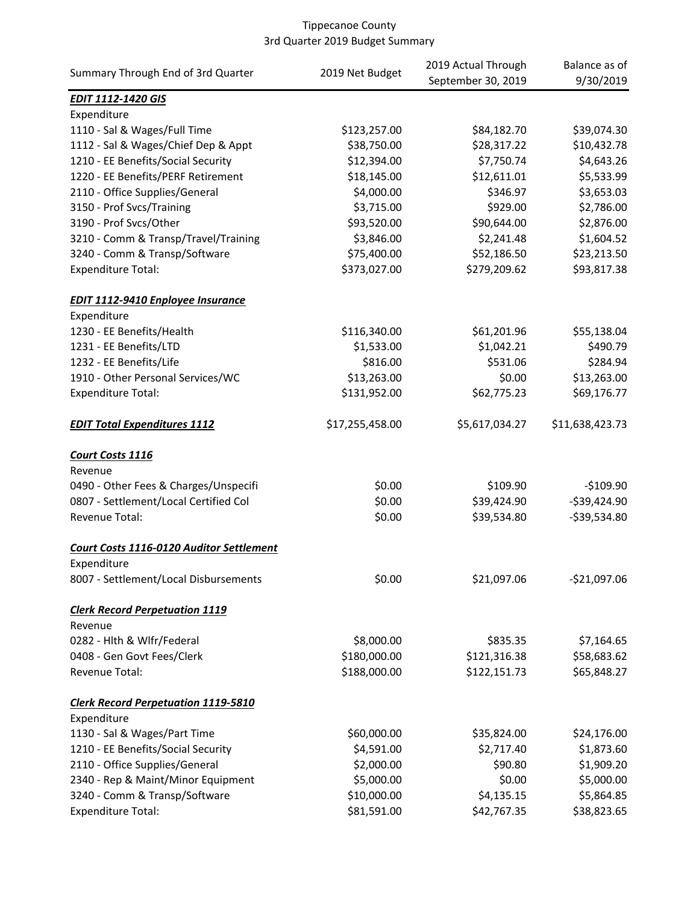|                                                 | 2019 Net Budget | 2019 Actual Through | Balance as of   |
|-------------------------------------------------|-----------------|---------------------|-----------------|
| Summary Through End of 3rd Quarter              |                 | September 30, 2019  | 9/30/2019       |
| <b>EDIT 1112-1420 GIS</b>                       |                 |                     |                 |
| Expenditure                                     |                 |                     |                 |
| 1110 - Sal & Wages/Full Time                    | \$123,257.00    | \$84,182.70         | \$39,074.30     |
| 1112 - Sal & Wages/Chief Dep & Appt             | \$38,750.00     | \$28,317.22         | \$10,432.78     |
| 1210 - EE Benefits/Social Security              | \$12,394.00     | \$7,750.74          | \$4,643.26      |
| 1220 - EE Benefits/PERF Retirement              | \$18,145.00     | \$12,611.01         | \$5,533.99      |
| 2110 - Office Supplies/General                  | \$4,000.00      | \$346.97            | \$3,653.03      |
| 3150 - Prof Svcs/Training                       | \$3,715.00      | \$929.00            | \$2,786.00      |
| 3190 - Prof Svcs/Other                          | \$93,520.00     | \$90,644.00         | \$2,876.00      |
| 3210 - Comm & Transp/Travel/Training            | \$3,846.00      | \$2,241.48          | \$1,604.52      |
| 3240 - Comm & Transp/Software                   | \$75,400.00     | \$52,186.50         | \$23,213.50     |
| <b>Expenditure Total:</b>                       | \$373,027.00    | \$279,209.62        | \$93,817.38     |
| <b>EDIT 1112-9410 Enployee Insurance</b>        |                 |                     |                 |
| Expenditure                                     |                 |                     |                 |
| 1230 - EE Benefits/Health                       | \$116,340.00    | \$61,201.96         | \$55,138.04     |
| 1231 - EE Benefits/LTD                          | \$1,533.00      | \$1,042.21          | \$490.79        |
| 1232 - EE Benefits/Life                         | \$816.00        | \$531.06            | \$284.94        |
| 1910 - Other Personal Services/WC               | \$13,263.00     | \$0.00              | \$13,263.00     |
| <b>Expenditure Total:</b>                       | \$131,952.00    | \$62,775.23         | \$69,176.77     |
| <b>EDIT Total Expenditures 1112</b>             | \$17,255,458.00 | \$5,617,034.27      | \$11,638,423.73 |
| Court Costs 1116                                |                 |                     |                 |
| Revenue                                         |                 |                     |                 |
| 0490 - Other Fees & Charges/Unspecifi           | \$0.00          | \$109.90            | $-$109.90$      |
| 0807 - Settlement/Local Certified Col           | \$0.00          | \$39,424.90         | $-$ \$39,424.90 |
| Revenue Total:                                  | \$0.00          | \$39,534.80         | -\$39,534.80    |
| <b>Court Costs 1116-0120 Auditor Settlement</b> |                 |                     |                 |
| Expenditure                                     |                 |                     |                 |
| 8007 - Settlement/Local Disbursements           | \$0.00          | \$21,097.06         | $-$21,097.06$   |
| <b>Clerk Record Perpetuation 1119</b>           |                 |                     |                 |
| Revenue                                         |                 |                     |                 |
| 0282 - Hlth & Wlfr/Federal                      | \$8,000.00      | \$835.35            | \$7,164.65      |
| 0408 - Gen Govt Fees/Clerk                      | \$180,000.00    | \$121,316.38        | \$58,683.62     |
| Revenue Total:                                  | \$188,000.00    | \$122,151.73        | \$65,848.27     |
| <b>Clerk Record Perpetuation 1119-5810</b>      |                 |                     |                 |
| Expenditure                                     |                 |                     |                 |
| 1130 - Sal & Wages/Part Time                    | \$60,000.00     | \$35,824.00         | \$24,176.00     |
| 1210 - EE Benefits/Social Security              | \$4,591.00      | \$2,717.40          | \$1,873.60      |
| 2110 - Office Supplies/General                  | \$2,000.00      | \$90.80             | \$1,909.20      |
| 2340 - Rep & Maint/Minor Equipment              | \$5,000.00      | \$0.00              | \$5,000.00      |
| 3240 - Comm & Transp/Software                   | \$10,000.00     | \$4,135.15          | \$5,864.85      |
| <b>Expenditure Total:</b>                       | \$81,591.00     | \$42,767.35         | \$38,823.65     |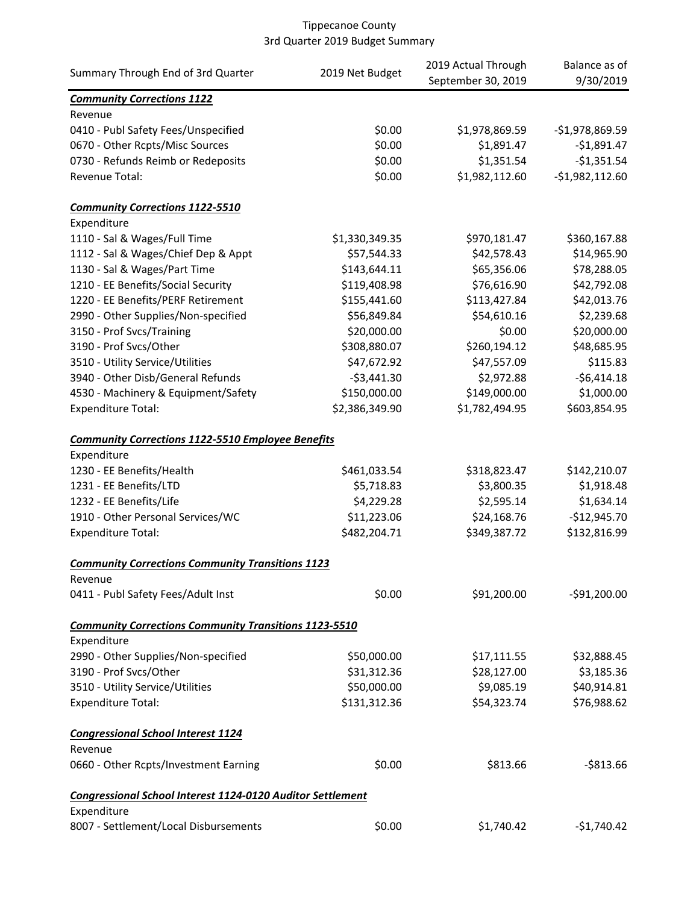|                                                                   |                 | 2019 Actual Through | Balance as of    |
|-------------------------------------------------------------------|-----------------|---------------------|------------------|
| Summary Through End of 3rd Quarter                                | 2019 Net Budget | September 30, 2019  | 9/30/2019        |
| <b>Community Corrections 1122</b>                                 |                 |                     |                  |
| Revenue                                                           |                 |                     |                  |
| 0410 - Publ Safety Fees/Unspecified                               | \$0.00          | \$1,978,869.59      | $-$1,978,869.59$ |
| 0670 - Other Rcpts/Misc Sources                                   | \$0.00          | \$1,891.47          | $-$1,891.47$     |
| 0730 - Refunds Reimb or Redeposits                                | \$0.00          | \$1,351.54          | $-$1,351.54$     |
| Revenue Total:                                                    | \$0.00          | \$1,982,112.60      | $-$1,982,112.60$ |
| <b>Community Corrections 1122-5510</b>                            |                 |                     |                  |
| Expenditure                                                       |                 |                     |                  |
| 1110 - Sal & Wages/Full Time                                      | \$1,330,349.35  | \$970,181.47        | \$360,167.88     |
| 1112 - Sal & Wages/Chief Dep & Appt                               | \$57,544.33     | \$42,578.43         | \$14,965.90      |
| 1130 - Sal & Wages/Part Time                                      | \$143,644.11    | \$65,356.06         | \$78,288.05      |
| 1210 - EE Benefits/Social Security                                | \$119,408.98    | \$76,616.90         | \$42,792.08      |
| 1220 - EE Benefits/PERF Retirement                                | \$155,441.60    | \$113,427.84        | \$42,013.76      |
| 2990 - Other Supplies/Non-specified                               | \$56,849.84     | \$54,610.16         | \$2,239.68       |
| 3150 - Prof Svcs/Training                                         | \$20,000.00     | \$0.00              | \$20,000.00      |
| 3190 - Prof Svcs/Other                                            | \$308,880.07    | \$260,194.12        | \$48,685.95      |
| 3510 - Utility Service/Utilities                                  | \$47,672.92     | \$47,557.09         | \$115.83         |
| 3940 - Other Disb/General Refunds                                 | $-$3,441.30$    | \$2,972.88          | $-56,414.18$     |
| 4530 - Machinery & Equipment/Safety                               | \$150,000.00    | \$149,000.00        | \$1,000.00       |
| <b>Expenditure Total:</b>                                         | \$2,386,349.90  | \$1,782,494.95      | \$603,854.95     |
| <b>Community Corrections 1122-5510 Employee Benefits</b>          |                 |                     |                  |
| Expenditure                                                       |                 |                     |                  |
| 1230 - EE Benefits/Health                                         | \$461,033.54    | \$318,823.47        | \$142,210.07     |
| 1231 - EE Benefits/LTD                                            | \$5,718.83      | \$3,800.35          | \$1,918.48       |
| 1232 - EE Benefits/Life                                           | \$4,229.28      | \$2,595.14          | \$1,634.14       |
| 1910 - Other Personal Services/WC                                 | \$11,223.06     | \$24,168.76         | $-$12,945.70$    |
| <b>Expenditure Total:</b>                                         | \$482,204.71    | \$349,387.72        | \$132,816.99     |
| <b>Community Corrections Community Transitions 1123</b>           |                 |                     |                  |
| Revenue                                                           |                 |                     |                  |
| 0411 - Publ Safety Fees/Adult Inst                                | \$0.00          | \$91,200.00         | $-591,200.00$    |
| <b>Community Corrections Community Transitions 1123-5510</b>      |                 |                     |                  |
| Expenditure                                                       |                 |                     |                  |
| 2990 - Other Supplies/Non-specified                               | \$50,000.00     | \$17,111.55         | \$32,888.45      |
| 3190 - Prof Svcs/Other                                            | \$31,312.36     | \$28,127.00         | \$3,185.36       |
| 3510 - Utility Service/Utilities                                  | \$50,000.00     | \$9,085.19          | \$40,914.81      |
| <b>Expenditure Total:</b>                                         | \$131,312.36    | \$54,323.74         | \$76,988.62      |
| <b>Congressional School Interest 1124</b>                         |                 |                     |                  |
| Revenue                                                           |                 |                     |                  |
| 0660 - Other Rcpts/Investment Earning                             | \$0.00          | \$813.66            | $-$ \$813.66     |
| <b>Congressional School Interest 1124-0120 Auditor Settlement</b> |                 |                     |                  |
| Expenditure                                                       |                 |                     |                  |
| 8007 - Settlement/Local Disbursements                             | \$0.00          | \$1,740.42          | -\$1,740.42      |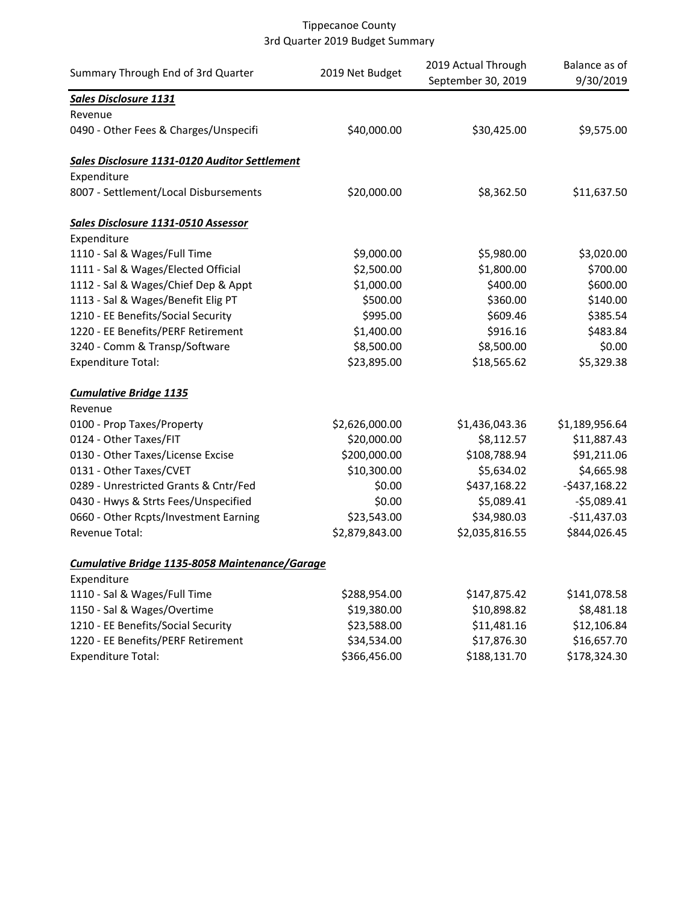| Summary Through End of 3rd Quarter             | 2019 Net Budget | 2019 Actual Through<br>September 30, 2019 | Balance as of<br>9/30/2019 |
|------------------------------------------------|-----------------|-------------------------------------------|----------------------------|
| <b>Sales Disclosure 1131</b>                   |                 |                                           |                            |
| Revenue                                        |                 |                                           |                            |
| 0490 - Other Fees & Charges/Unspecifi          | \$40,000.00     | \$30,425.00                               | \$9,575.00                 |
| Sales Disclosure 1131-0120 Auditor Settlement  |                 |                                           |                            |
| Expenditure                                    |                 |                                           |                            |
| 8007 - Settlement/Local Disbursements          | \$20,000.00     | \$8,362.50                                | \$11,637.50                |
| Sales Disclosure 1131-0510 Assessor            |                 |                                           |                            |
| Expenditure                                    |                 |                                           |                            |
| 1110 - Sal & Wages/Full Time                   | \$9,000.00      | \$5,980.00                                | \$3,020.00                 |
| 1111 - Sal & Wages/Elected Official            | \$2,500.00      | \$1,800.00                                | \$700.00                   |
| 1112 - Sal & Wages/Chief Dep & Appt            | \$1,000.00      | \$400.00                                  | \$600.00                   |
| 1113 - Sal & Wages/Benefit Elig PT             | \$500.00        | \$360.00                                  | \$140.00                   |
| 1210 - EE Benefits/Social Security             | \$995.00        | \$609.46                                  | \$385.54                   |
| 1220 - EE Benefits/PERF Retirement             | \$1,400.00      | \$916.16                                  | \$483.84                   |
| 3240 - Comm & Transp/Software                  | \$8,500.00      | \$8,500.00                                | \$0.00                     |
| <b>Expenditure Total:</b>                      | \$23,895.00     | \$18,565.62                               | \$5,329.38                 |
| <b>Cumulative Bridge 1135</b>                  |                 |                                           |                            |
| Revenue                                        |                 |                                           |                            |
| 0100 - Prop Taxes/Property                     | \$2,626,000.00  | \$1,436,043.36                            | \$1,189,956.64             |
| 0124 - Other Taxes/FIT                         | \$20,000.00     | \$8,112.57                                | \$11,887.43                |
| 0130 - Other Taxes/License Excise              | \$200,000.00    | \$108,788.94                              | \$91,211.06                |
| 0131 - Other Taxes/CVET                        | \$10,300.00     | \$5,634.02                                | \$4,665.98                 |
| 0289 - Unrestricted Grants & Cntr/Fed          | \$0.00          | \$437,168.22                              | $-$437,168.22$             |
| 0430 - Hwys & Strts Fees/Unspecified           | \$0.00          | \$5,089.41                                | $-55,089.41$               |
| 0660 - Other Rcpts/Investment Earning          | \$23,543.00     | \$34,980.03                               | $-$11,437.03$              |
| Revenue Total:                                 | \$2,879,843.00  | \$2,035,816.55                            | \$844,026.45               |
| Cumulative Bridge 1135-8058 Maintenance/Garage |                 |                                           |                            |
| Expenditure                                    |                 |                                           |                            |
| 1110 - Sal & Wages/Full Time                   | \$288,954.00    | \$147,875.42                              | \$141,078.58               |
| 1150 - Sal & Wages/Overtime                    | \$19,380.00     | \$10,898.82                               | \$8,481.18                 |
| 1210 - EE Benefits/Social Security             | \$23,588.00     | \$11,481.16                               | \$12,106.84                |
| 1220 - EE Benefits/PERF Retirement             | \$34,534.00     | \$17,876.30                               | \$16,657.70                |
| <b>Expenditure Total:</b>                      | \$366,456.00    | \$188,131.70                              | \$178,324.30               |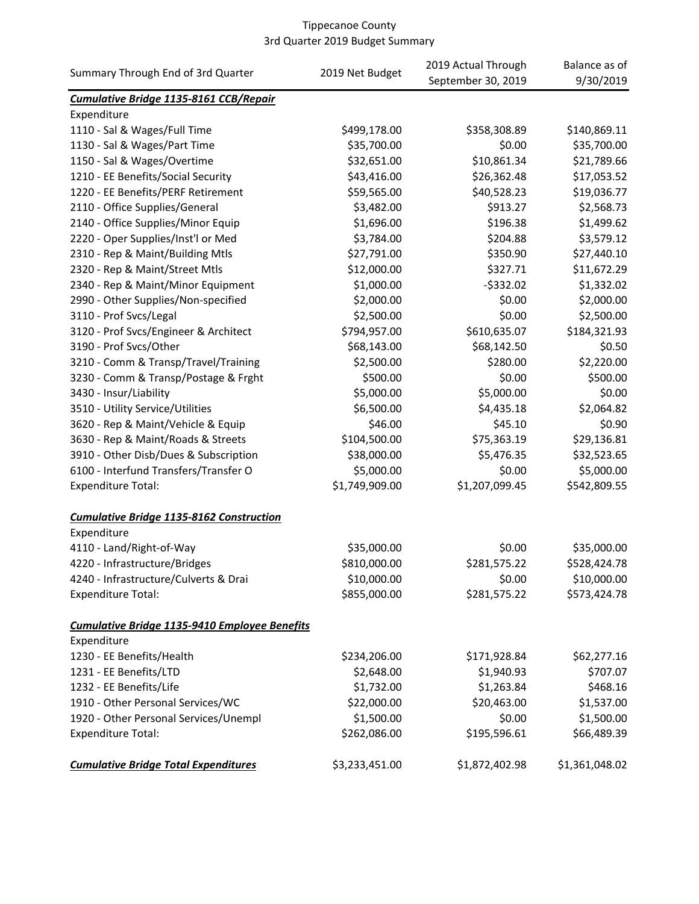|                                                      |                 | 2019 Actual Through      | Balance as of  |
|------------------------------------------------------|-----------------|--------------------------|----------------|
| Summary Through End of 3rd Quarter                   | 2019 Net Budget | September 30, 2019       | 9/30/2019      |
| Cumulative Bridge 1135-8161 CCB/Repair               |                 |                          |                |
| Expenditure                                          |                 |                          |                |
| 1110 - Sal & Wages/Full Time                         | \$499,178.00    | \$358,308.89             | \$140,869.11   |
| 1130 - Sal & Wages/Part Time                         | \$35,700.00     | \$0.00                   | \$35,700.00    |
| 1150 - Sal & Wages/Overtime                          | \$32,651.00     | \$10,861.34              | \$21,789.66    |
| 1210 - EE Benefits/Social Security                   | \$43,416.00     | \$26,362.48              | \$17,053.52    |
| 1220 - EE Benefits/PERF Retirement                   | \$59,565.00     | \$40,528.23              | \$19,036.77    |
| 2110 - Office Supplies/General                       | \$3,482.00      | \$913.27                 | \$2,568.73     |
| 2140 - Office Supplies/Minor Equip                   | \$1,696.00      | \$196.38                 | \$1,499.62     |
| 2220 - Oper Supplies/Inst'l or Med                   | \$3,784.00      | \$204.88                 | \$3,579.12     |
| 2310 - Rep & Maint/Building Mtls                     | \$27,791.00     | \$350.90                 | \$27,440.10    |
| 2320 - Rep & Maint/Street Mtls                       | \$12,000.00     | \$327.71                 | \$11,672.29    |
| 2340 - Rep & Maint/Minor Equipment                   | \$1,000.00      | $-5332.02$               | \$1,332.02     |
| 2990 - Other Supplies/Non-specified                  | \$2,000.00      | \$0.00                   | \$2,000.00     |
| 3110 - Prof Svcs/Legal                               | \$2,500.00      | \$0.00                   | \$2,500.00     |
| 3120 - Prof Svcs/Engineer & Architect                | \$794,957.00    | \$610,635.07             | \$184,321.93   |
| 3190 - Prof Svcs/Other                               | \$68,143.00     | \$68,142.50              | \$0.50         |
| 3210 - Comm & Transp/Travel/Training                 | \$2,500.00      | \$280.00                 | \$2,220.00     |
| 3230 - Comm & Transp/Postage & Frght                 | \$500.00        | \$0.00                   | \$500.00       |
| 3430 - Insur/Liability                               | \$5,000.00      | \$5,000.00               | \$0.00         |
| 3510 - Utility Service/Utilities                     | \$6,500.00      | \$4,435.18               | \$2,064.82     |
| 3620 - Rep & Maint/Vehicle & Equip                   | \$46.00         | \$45.10                  | \$0.90         |
| 3630 - Rep & Maint/Roads & Streets                   | \$104,500.00    | \$75,363.19              | \$29,136.81    |
| 3910 - Other Disb/Dues & Subscription                | \$38,000.00     | \$5,476.35               | \$32,523.65    |
| 6100 - Interfund Transfers/Transfer O                | \$5,000.00      | \$0.00                   | \$5,000.00     |
| <b>Expenditure Total:</b>                            | \$1,749,909.00  | \$1,207,099.45           | \$542,809.55   |
| <b>Cumulative Bridge 1135-8162 Construction</b>      |                 |                          |                |
| Expenditure<br>4110 - Land/Right-of-Way              | \$35,000.00     | \$0.00                   | \$35,000.00    |
| 4220 - Infrastructure/Bridges                        | \$810,000.00    | \$281,575.22             | \$528,424.78   |
| 4240 - Infrastructure/Culverts & Drai                | \$10,000.00     | \$0.00                   | \$10,000.00    |
| <b>Expenditure Total:</b>                            | \$855,000.00    | \$281,575.22             | \$573,424.78   |
|                                                      |                 |                          |                |
| <b>Cumulative Bridge 1135-9410 Employee Benefits</b> |                 |                          |                |
| Expenditure                                          |                 |                          |                |
| 1230 - EE Benefits/Health                            | \$234,206.00    | \$171,928.84             | \$62,277.16    |
| 1231 - EE Benefits/LTD                               | \$2,648.00      | \$1,940.93<br>\$1,263.84 | \$707.07       |
| 1232 - EE Benefits/Life                              | \$1,732.00      |                          | \$468.16       |
| 1910 - Other Personal Services/WC                    | \$22,000.00     | \$20,463.00              | \$1,537.00     |
| 1920 - Other Personal Services/Unempl                | \$1,500.00      | \$0.00                   | \$1,500.00     |
| <b>Expenditure Total:</b>                            | \$262,086.00    | \$195,596.61             | \$66,489.39    |
| <b>Cumulative Bridge Total Expenditures</b>          | \$3,233,451.00  | \$1,872,402.98           | \$1,361,048.02 |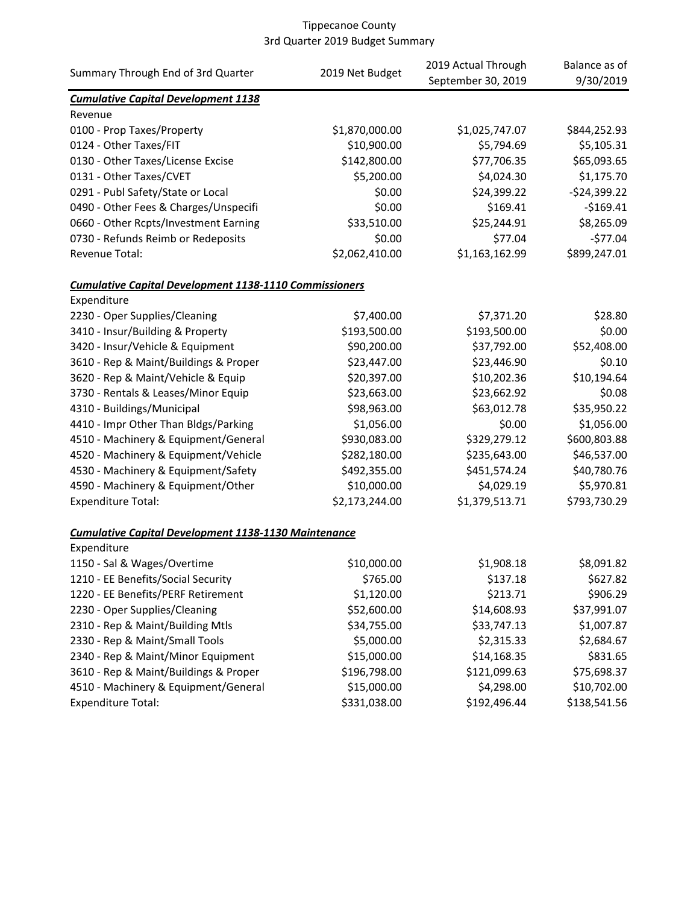| Summary Through End of 3rd Quarter                            | 2019 Net Budget | 2019 Actual Through<br>September 30, 2019 | Balance as of<br>9/30/2019 |
|---------------------------------------------------------------|-----------------|-------------------------------------------|----------------------------|
| <b>Cumulative Capital Development 1138</b>                    |                 |                                           |                            |
| Revenue                                                       |                 |                                           |                            |
| 0100 - Prop Taxes/Property                                    | \$1,870,000.00  | \$1,025,747.07                            | \$844,252.93               |
| 0124 - Other Taxes/FIT                                        | \$10,900.00     | \$5,794.69                                | \$5,105.31                 |
| 0130 - Other Taxes/License Excise                             | \$142,800.00    | \$77,706.35                               | \$65,093.65                |
| 0131 - Other Taxes/CVET                                       | \$5,200.00      | \$4,024.30                                | \$1,175.70                 |
| 0291 - Publ Safety/State or Local                             | \$0.00          | \$24,399.22                               | $-$24,399.22$              |
| 0490 - Other Fees & Charges/Unspecifi                         | \$0.00          | \$169.41                                  | $-$169.41$                 |
| 0660 - Other Rcpts/Investment Earning                         | \$33,510.00     | \$25,244.91                               | \$8,265.09                 |
| 0730 - Refunds Reimb or Redeposits                            | \$0.00          | \$77.04                                   | $-577.04$                  |
| Revenue Total:                                                | \$2,062,410.00  | \$1,163,162.99                            | \$899,247.01               |
| <b>Cumulative Capital Development 1138-1110 Commissioners</b> |                 |                                           |                            |
| Expenditure                                                   |                 |                                           |                            |
| 2230 - Oper Supplies/Cleaning                                 | \$7,400.00      | \$7,371.20                                | \$28.80                    |
| 3410 - Insur/Building & Property                              | \$193,500.00    | \$193,500.00                              | \$0.00                     |
| 3420 - Insur/Vehicle & Equipment                              | \$90,200.00     | \$37,792.00                               | \$52,408.00                |
| 3610 - Rep & Maint/Buildings & Proper                         | \$23,447.00     | \$23,446.90                               | \$0.10                     |
| 3620 - Rep & Maint/Vehicle & Equip                            | \$20,397.00     | \$10,202.36                               | \$10,194.64                |
| 3730 - Rentals & Leases/Minor Equip                           | \$23,663.00     | \$23,662.92                               | \$0.08                     |
| 4310 - Buildings/Municipal                                    | \$98,963.00     | \$63,012.78                               | \$35,950.22                |
| 4410 - Impr Other Than Bldgs/Parking                          | \$1,056.00      | \$0.00                                    | \$1,056.00                 |
| 4510 - Machinery & Equipment/General                          | \$930,083.00    | \$329,279.12                              | \$600,803.88               |
| 4520 - Machinery & Equipment/Vehicle                          | \$282,180.00    | \$235,643.00                              | \$46,537.00                |
| 4530 - Machinery & Equipment/Safety                           | \$492,355.00    | \$451,574.24                              | \$40,780.76                |
| 4590 - Machinery & Equipment/Other                            | \$10,000.00     | \$4,029.19                                | \$5,970.81                 |
| <b>Expenditure Total:</b>                                     | \$2,173,244.00  | \$1,379,513.71                            | \$793,730.29               |
| <b>Cumulative Capital Development 1138-1130 Maintenance</b>   |                 |                                           |                            |
| Expenditure                                                   |                 |                                           |                            |
| 1150 - Sal & Wages/Overtime                                   | \$10,000.00     | \$1,908.18                                | \$8,091.82                 |
| 1210 - EE Benefits/Social Security                            | \$765.00        | \$137.18                                  | \$627.82                   |
| 1220 - EE Benefits/PERF Retirement                            | \$1,120.00      | \$213.71                                  | \$906.29                   |
| 2230 - Oper Supplies/Cleaning                                 | \$52,600.00     | \$14,608.93                               | \$37,991.07                |
| 2310 - Rep & Maint/Building Mtls                              | \$34,755.00     | \$33,747.13                               | \$1,007.87                 |
| 2330 - Rep & Maint/Small Tools                                | \$5,000.00      | \$2,315.33                                | \$2,684.67                 |
| 2340 - Rep & Maint/Minor Equipment                            | \$15,000.00     | \$14,168.35                               | \$831.65                   |
| 3610 - Rep & Maint/Buildings & Proper                         | \$196,798.00    | \$121,099.63                              | \$75,698.37                |
| 4510 - Machinery & Equipment/General                          | \$15,000.00     | \$4,298.00                                | \$10,702.00                |
| <b>Expenditure Total:</b>                                     | \$331,038.00    | \$192,496.44                              | \$138,541.56               |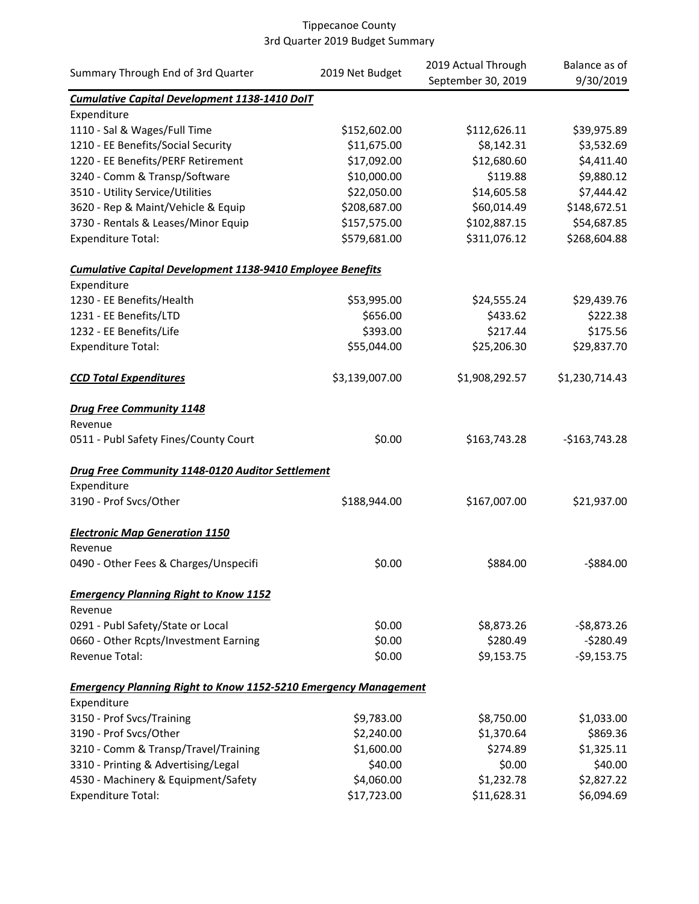| Summary Through End of 3rd Quarter                                     | 2019 Net Budget | 2019 Actual Through<br>September 30, 2019 | Balance as of<br>9/30/2019 |
|------------------------------------------------------------------------|-----------------|-------------------------------------------|----------------------------|
| <b>Cumulative Capital Development 1138-1410 DoIT</b>                   |                 |                                           |                            |
| Expenditure                                                            |                 |                                           |                            |
| 1110 - Sal & Wages/Full Time                                           | \$152,602.00    | \$112,626.11                              | \$39,975.89                |
| 1210 - EE Benefits/Social Security                                     | \$11,675.00     | \$8,142.31                                | \$3,532.69                 |
| 1220 - EE Benefits/PERF Retirement                                     | \$17,092.00     | \$12,680.60                               | \$4,411.40                 |
| 3240 - Comm & Transp/Software                                          | \$10,000.00     | \$119.88                                  | \$9,880.12                 |
| 3510 - Utility Service/Utilities                                       | \$22,050.00     | \$14,605.58                               | \$7,444.42                 |
| 3620 - Rep & Maint/Vehicle & Equip                                     | \$208,687.00    | \$60,014.49                               | \$148,672.51               |
| 3730 - Rentals & Leases/Minor Equip                                    | \$157,575.00    | \$102,887.15                              | \$54,687.85                |
| <b>Expenditure Total:</b>                                              | \$579,681.00    | \$311,076.12                              | \$268,604.88               |
| <b>Cumulative Capital Development 1138-9410 Employee Benefits</b>      |                 |                                           |                            |
| Expenditure                                                            |                 |                                           |                            |
| 1230 - EE Benefits/Health                                              | \$53,995.00     | \$24,555.24                               | \$29,439.76                |
| 1231 - EE Benefits/LTD                                                 | \$656.00        | \$433.62                                  | \$222.38                   |
| 1232 - EE Benefits/Life                                                | \$393.00        | \$217.44                                  | \$175.56                   |
| <b>Expenditure Total:</b>                                              | \$55,044.00     | \$25,206.30                               | \$29,837.70                |
| <b>CCD Total Expenditures</b>                                          | \$3,139,007.00  | \$1,908,292.57                            | \$1,230,714.43             |
| <b>Drug Free Community 1148</b>                                        |                 |                                           |                            |
| Revenue                                                                |                 |                                           |                            |
| 0511 - Publ Safety Fines/County Court                                  | \$0.00          | \$163,743.28                              | $-$163,743.28$             |
| Drug Free Community 1148-0120 Auditor Settlement                       |                 |                                           |                            |
| Expenditure                                                            |                 |                                           |                            |
| 3190 - Prof Svcs/Other                                                 | \$188,944.00    | \$167,007.00                              | \$21,937.00                |
| <b>Electronic Map Generation 1150</b>                                  |                 |                                           |                            |
| Revenue                                                                |                 |                                           |                            |
| 0490 - Other Fees & Charges/Unspecifi                                  | \$0.00          | \$884.00                                  | $-5884.00$                 |
| <b>Emergency Planning Right to Know 1152</b>                           |                 |                                           |                            |
| Revenue                                                                |                 |                                           |                            |
| 0291 - Publ Safety/State or Local                                      | \$0.00          | \$8,873.26                                | $-$ \$8,873.26             |
| 0660 - Other Rcpts/Investment Earning                                  | \$0.00          | \$280.49                                  | $-5280.49$                 |
| Revenue Total:                                                         | \$0.00          | \$9,153.75                                | $-59,153.75$               |
| <b>Emergency Planning Right to Know 1152-5210 Emergency Management</b> |                 |                                           |                            |
| Expenditure                                                            |                 |                                           |                            |
| 3150 - Prof Svcs/Training                                              | \$9,783.00      | \$8,750.00                                | \$1,033.00                 |
| 3190 - Prof Svcs/Other                                                 | \$2,240.00      | \$1,370.64                                | \$869.36                   |
| 3210 - Comm & Transp/Travel/Training                                   | \$1,600.00      | \$274.89                                  | \$1,325.11                 |
| 3310 - Printing & Advertising/Legal                                    | \$40.00         | \$0.00                                    | \$40.00                    |
| 4530 - Machinery & Equipment/Safety                                    | \$4,060.00      | \$1,232.78                                | \$2,827.22                 |
| <b>Expenditure Total:</b>                                              | \$17,723.00     | \$11,628.31                               | \$6,094.69                 |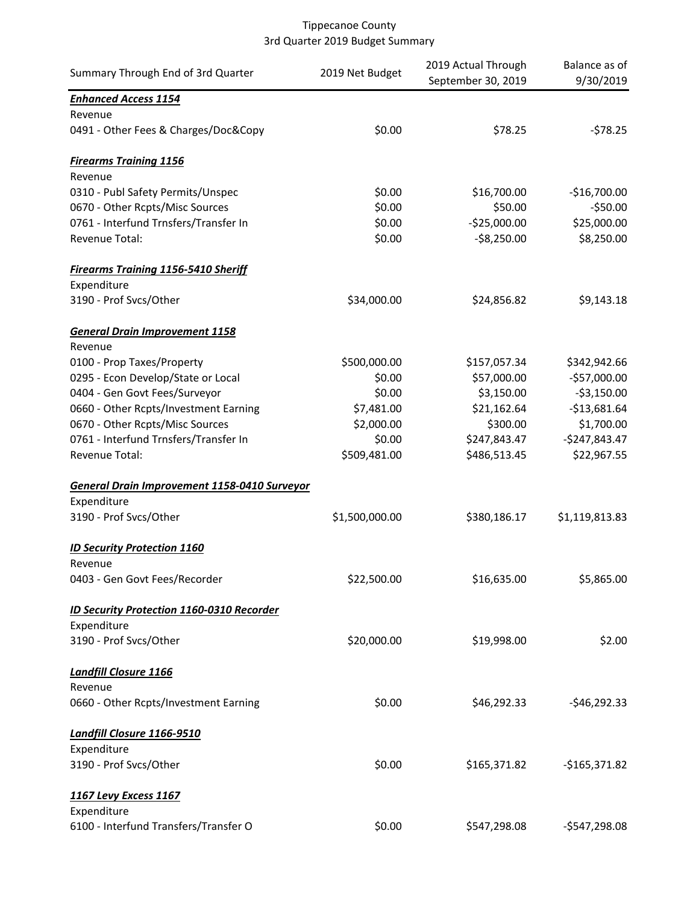| Summary Through End of 3rd Quarter               | 2019 Net Budget | 2019 Actual Through<br>September 30, 2019 | Balance as of<br>9/30/2019 |
|--------------------------------------------------|-----------------|-------------------------------------------|----------------------------|
| <b>Enhanced Access 1154</b>                      |                 |                                           |                            |
| Revenue                                          |                 |                                           |                            |
| 0491 - Other Fees & Charges/Doc&Copy             | \$0.00          | \$78.25                                   | $-578.25$                  |
| <b>Firearms Training 1156</b>                    |                 |                                           |                            |
| Revenue                                          |                 |                                           |                            |
| 0310 - Publ Safety Permits/Unspec                | \$0.00          | \$16,700.00                               | $-$16,700.00$              |
| 0670 - Other Rcpts/Misc Sources                  | \$0.00          | \$50.00                                   | $-550.00$                  |
| 0761 - Interfund Trnsfers/Transfer In            | \$0.00          | $-$25,000.00$                             | \$25,000.00                |
| Revenue Total:                                   | \$0.00          | $-58,250.00$                              | \$8,250.00                 |
| <b>Firearms Training 1156-5410 Sheriff</b>       |                 |                                           |                            |
| Expenditure                                      |                 |                                           |                            |
| 3190 - Prof Svcs/Other                           | \$34,000.00     | \$24,856.82                               | \$9,143.18                 |
| <b>General Drain Improvement 1158</b>            |                 |                                           |                            |
| Revenue                                          |                 |                                           |                            |
| 0100 - Prop Taxes/Property                       | \$500,000.00    | \$157,057.34                              | \$342,942.66               |
| 0295 - Econ Develop/State or Local               | \$0.00          | \$57,000.00                               | $-$57,000.00$              |
| 0404 - Gen Govt Fees/Surveyor                    | \$0.00          | \$3,150.00                                | $-53,150.00$               |
| 0660 - Other Rcpts/Investment Earning            | \$7,481.00      | \$21,162.64                               | $-$13,681.64$              |
| 0670 - Other Rcpts/Misc Sources                  | \$2,000.00      | \$300.00                                  | \$1,700.00                 |
| 0761 - Interfund Trnsfers/Transfer In            | \$0.00          | \$247,843.47                              | $-$247,843.47$             |
| Revenue Total:                                   | \$509,481.00    | \$486,513.45                              | \$22,967.55                |
| General Drain Improvement 1158-0410 Surveyor     |                 |                                           |                            |
| Expenditure                                      |                 |                                           |                            |
| 3190 - Prof Svcs/Other                           | \$1,500,000.00  | \$380,186.17                              | \$1,119,813.83             |
| <b>ID Security Protection 1160</b>               |                 |                                           |                            |
| Revenue                                          |                 |                                           |                            |
| 0403 - Gen Govt Fees/Recorder                    | \$22,500.00     | \$16,635.00                               | \$5,865.00                 |
| <b>ID Security Protection 1160-0310 Recorder</b> |                 |                                           |                            |
| Expenditure                                      |                 |                                           |                            |
| 3190 - Prof Svcs/Other                           | \$20,000.00     | \$19,998.00                               | \$2.00                     |
| Landfill Closure 1166                            |                 |                                           |                            |
| Revenue                                          |                 |                                           |                            |
| 0660 - Other Rcpts/Investment Earning            | \$0.00          | \$46,292.33                               | $-$46,292.33$              |
| Landfill Closure 1166-9510                       |                 |                                           |                            |
| Expenditure                                      |                 |                                           |                            |
| 3190 - Prof Svcs/Other                           | \$0.00          | \$165,371.82                              | $-$165,371.82$             |
| <b>1167 Levy Excess 1167</b>                     |                 |                                           |                            |
| Expenditure                                      |                 |                                           |                            |
| 6100 - Interfund Transfers/Transfer O            | \$0.00          | \$547,298.08                              | $-$547,298.08$             |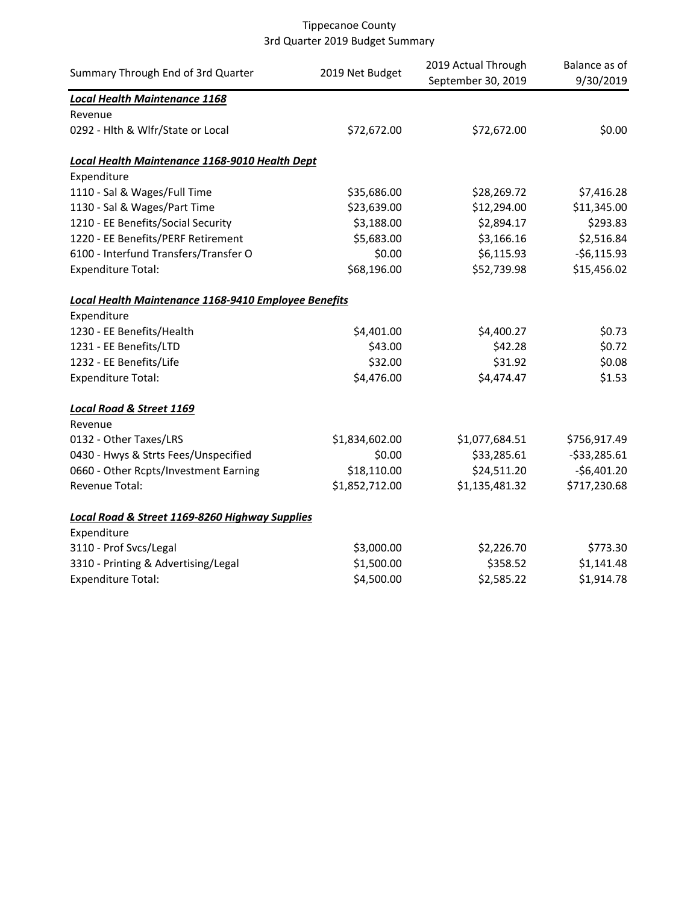| Summary Through End of 3rd Quarter                                       | 2019 Net Budget | 2019 Actual Through<br>September 30, 2019 | Balance as of<br>9/30/2019 |
|--------------------------------------------------------------------------|-----------------|-------------------------------------------|----------------------------|
| <b>Local Health Maintenance 1168</b>                                     |                 |                                           |                            |
| Revenue                                                                  |                 |                                           |                            |
| 0292 - Hlth & Wlfr/State or Local                                        | \$72,672.00     | \$72,672.00                               | \$0.00                     |
| Local Health Maintenance 1168-9010 Health Dept                           |                 |                                           |                            |
| Expenditure                                                              |                 |                                           |                            |
| 1110 - Sal & Wages/Full Time                                             | \$35,686.00     | \$28,269.72                               | \$7,416.28                 |
| 1130 - Sal & Wages/Part Time                                             | \$23,639.00     | \$12,294.00                               | \$11,345.00                |
| 1210 - EE Benefits/Social Security                                       | \$3,188.00      | \$2,894.17                                | \$293.83                   |
| 1220 - EE Benefits/PERF Retirement                                       | \$5,683.00      | \$3,166.16                                | \$2,516.84                 |
| 6100 - Interfund Transfers/Transfer O                                    | \$0.00          | \$6,115.93                                | $-56,115.93$               |
| <b>Expenditure Total:</b>                                                | \$68,196.00     | \$52,739.98                               | \$15,456.02                |
| <b>Local Health Maintenance 1168-9410 Employee Benefits</b>              |                 |                                           |                            |
| Expenditure                                                              |                 |                                           |                            |
| 1230 - EE Benefits/Health                                                | \$4,401.00      | \$4,400.27                                | \$0.73                     |
| 1231 - EE Benefits/LTD                                                   | \$43.00         | \$42.28                                   | \$0.72                     |
| 1232 - EE Benefits/Life                                                  | \$32.00         | \$31.92                                   | \$0.08                     |
| <b>Expenditure Total:</b>                                                | \$4,476.00      | \$4,474.47                                | \$1.53                     |
| <b>Local Road &amp; Street 1169</b>                                      |                 |                                           |                            |
| Revenue                                                                  |                 |                                           |                            |
| 0132 - Other Taxes/LRS                                                   | \$1,834,602.00  | \$1,077,684.51                            | \$756,917.49               |
| 0430 - Hwys & Strts Fees/Unspecified                                     | \$0.00          | \$33,285.61                               | $-533,285.61$              |
| 0660 - Other Rcpts/Investment Earning                                    | \$18,110.00     | \$24,511.20                               | $-$6,401.20$               |
| Revenue Total:                                                           | \$1,852,712.00  | \$1,135,481.32                            | \$717,230.68               |
| <b>Local Road &amp; Street 1169-8260 Highway Supplies</b><br>Expenditure |                 |                                           |                            |
| 3110 - Prof Svcs/Legal                                                   | \$3,000.00      | \$2,226.70                                | \$773.30                   |
| 3310 - Printing & Advertising/Legal                                      | \$1,500.00      | \$358.52                                  | \$1,141.48                 |
| <b>Expenditure Total:</b>                                                | \$4,500.00      | \$2,585.22                                | \$1,914.78                 |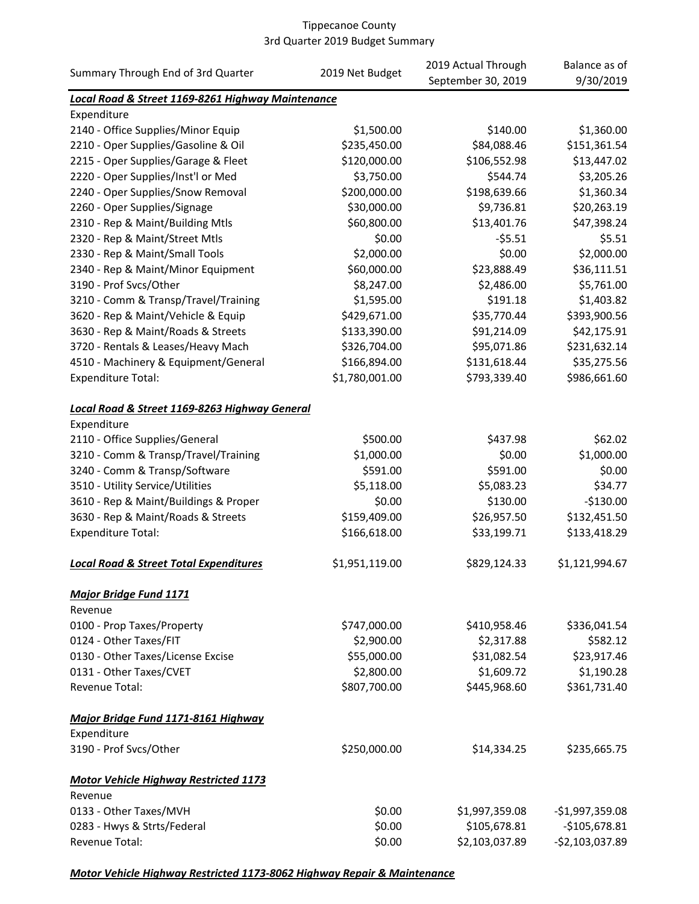| Summary Through End of 3rd Quarter                | 2019 Net Budget | 2019 Actual Through | Balance as of    |
|---------------------------------------------------|-----------------|---------------------|------------------|
|                                                   |                 | September 30, 2019  | 9/30/2019        |
| Local Road & Street 1169-8261 Highway Maintenance |                 |                     |                  |
| Expenditure                                       |                 |                     |                  |
| 2140 - Office Supplies/Minor Equip                | \$1,500.00      | \$140.00            | \$1,360.00       |
| 2210 - Oper Supplies/Gasoline & Oil               | \$235,450.00    | \$84,088.46         | \$151,361.54     |
| 2215 - Oper Supplies/Garage & Fleet               | \$120,000.00    | \$106,552.98        | \$13,447.02      |
| 2220 - Oper Supplies/Inst'l or Med                | \$3,750.00      | \$544.74            | \$3,205.26       |
| 2240 - Oper Supplies/Snow Removal                 | \$200,000.00    | \$198,639.66        | \$1,360.34       |
| 2260 - Oper Supplies/Signage                      | \$30,000.00     | \$9,736.81          | \$20,263.19      |
| 2310 - Rep & Maint/Building Mtls                  | \$60,800.00     | \$13,401.76         | \$47,398.24      |
| 2320 - Rep & Maint/Street Mtls                    | \$0.00          | $-55.51$            | \$5.51           |
| 2330 - Rep & Maint/Small Tools                    | \$2,000.00      | \$0.00              | \$2,000.00       |
| 2340 - Rep & Maint/Minor Equipment                | \$60,000.00     | \$23,888.49         | \$36,111.51      |
| 3190 - Prof Svcs/Other                            | \$8,247.00      | \$2,486.00          | \$5,761.00       |
| 3210 - Comm & Transp/Travel/Training              | \$1,595.00      | \$191.18            | \$1,403.82       |
| 3620 - Rep & Maint/Vehicle & Equip                | \$429,671.00    | \$35,770.44         | \$393,900.56     |
| 3630 - Rep & Maint/Roads & Streets                | \$133,390.00    | \$91,214.09         | \$42,175.91      |
| 3720 - Rentals & Leases/Heavy Mach                | \$326,704.00    | \$95,071.86         | \$231,632.14     |
| 4510 - Machinery & Equipment/General              | \$166,894.00    | \$131,618.44        | \$35,275.56      |
| <b>Expenditure Total:</b>                         | \$1,780,001.00  | \$793,339.40        | \$986,661.60     |
| Local Road & Street 1169-8263 Highway General     |                 |                     |                  |
| Expenditure                                       |                 |                     |                  |
| 2110 - Office Supplies/General                    | \$500.00        | \$437.98            | \$62.02          |
| 3210 - Comm & Transp/Travel/Training              | \$1,000.00      | \$0.00              | \$1,000.00       |
| 3240 - Comm & Transp/Software                     | \$591.00        | \$591.00            | \$0.00           |
| 3510 - Utility Service/Utilities                  | \$5,118.00      | \$5,083.23          | \$34.77          |
| 3610 - Rep & Maint/Buildings & Proper             | \$0.00          | \$130.00            | $-$130.00$       |
| 3630 - Rep & Maint/Roads & Streets                | \$159,409.00    | \$26,957.50         | \$132,451.50     |
| <b>Expenditure Total:</b>                         | \$166,618.00    | \$33,199.71         | \$133,418.29     |
| <b>Local Road &amp; Street Total Expenditures</b> | \$1,951,119.00  | \$829,124.33        | \$1,121,994.67   |
| <b>Major Bridge Fund 1171</b>                     |                 |                     |                  |
| Revenue                                           |                 |                     |                  |
| 0100 - Prop Taxes/Property                        | \$747,000.00    | \$410,958.46        | \$336,041.54     |
| 0124 - Other Taxes/FIT                            | \$2,900.00      | \$2,317.88          | \$582.12         |
| 0130 - Other Taxes/License Excise                 | \$55,000.00     | \$31,082.54         | \$23,917.46      |
| 0131 - Other Taxes/CVET                           | \$2,800.00      | \$1,609.72          | \$1,190.28       |
| <b>Revenue Total:</b>                             | \$807,700.00    | \$445,968.60        | \$361,731.40     |
| Major Bridge Fund 1171-8161 Highway               |                 |                     |                  |
| Expenditure                                       |                 |                     |                  |
| 3190 - Prof Svcs/Other                            | \$250,000.00    | \$14,334.25         | \$235,665.75     |
| <b>Motor Vehicle Highway Restricted 1173</b>      |                 |                     |                  |
| Revenue                                           |                 |                     |                  |
| 0133 - Other Taxes/MVH                            | \$0.00          | \$1,997,359.08      | $-$1,997,359.08$ |
| 0283 - Hwys & Strts/Federal                       | \$0.00          | \$105,678.81        | $-$105,678.81$   |
| Revenue Total:                                    | \$0.00          | \$2,103,037.89      | $-52,103,037.89$ |

### *Motor Vehicle Highway Restricted 1173-8062 Highway Repair & Maintenance*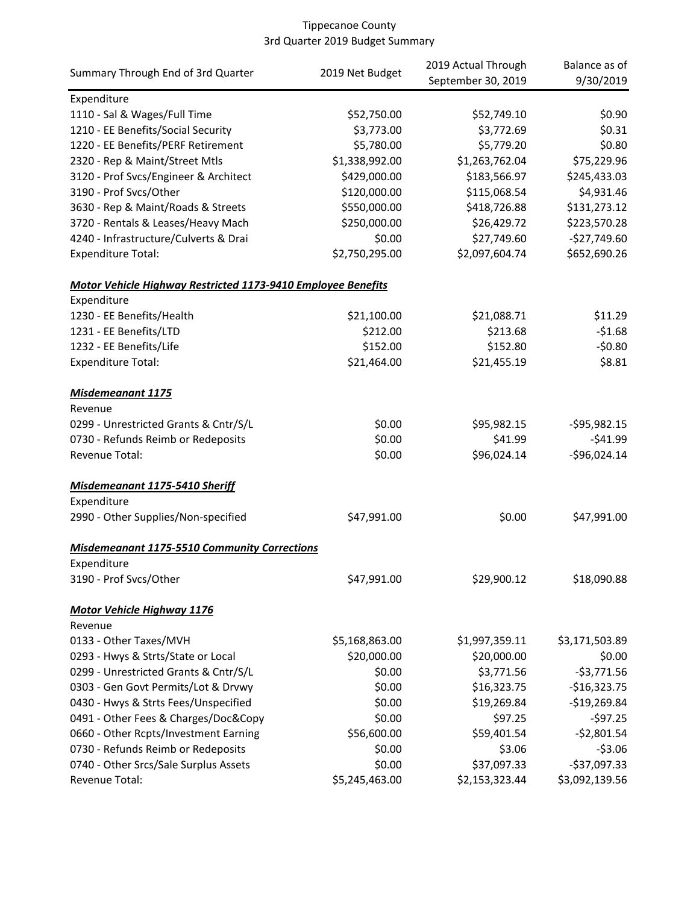|                                                                     |                 | 2019 Actual Through | Balance as of   |
|---------------------------------------------------------------------|-----------------|---------------------|-----------------|
| Summary Through End of 3rd Quarter                                  | 2019 Net Budget | September 30, 2019  | 9/30/2019       |
| Expenditure                                                         |                 |                     |                 |
| 1110 - Sal & Wages/Full Time                                        | \$52,750.00     | \$52,749.10         | \$0.90          |
| 1210 - EE Benefits/Social Security                                  | \$3,773.00      | \$3,772.69          | \$0.31          |
| 1220 - EE Benefits/PERF Retirement                                  | \$5,780.00      | \$5,779.20          | \$0.80          |
| 2320 - Rep & Maint/Street Mtls                                      | \$1,338,992.00  | \$1,263,762.04      | \$75,229.96     |
| 3120 - Prof Svcs/Engineer & Architect                               | \$429,000.00    | \$183,566.97        | \$245,433.03    |
| 3190 - Prof Svcs/Other                                              | \$120,000.00    | \$115,068.54        | \$4,931.46      |
| 3630 - Rep & Maint/Roads & Streets                                  | \$550,000.00    | \$418,726.88        | \$131,273.12    |
| 3720 - Rentals & Leases/Heavy Mach                                  | \$250,000.00    | \$26,429.72         | \$223,570.28    |
| 4240 - Infrastructure/Culverts & Drai                               | \$0.00          | \$27,749.60         | $-$27,749.60$   |
| <b>Expenditure Total:</b>                                           | \$2,750,295.00  | \$2,097,604.74      | \$652,690.26    |
| <b>Motor Vehicle Highway Restricted 1173-9410 Employee Benefits</b> |                 |                     |                 |
| Expenditure                                                         |                 |                     |                 |
| 1230 - EE Benefits/Health                                           | \$21,100.00     | \$21,088.71         | \$11.29         |
| 1231 - EE Benefits/LTD                                              | \$212.00        | \$213.68            | $-51.68$        |
| 1232 - EE Benefits/Life                                             | \$152.00        | \$152.80            | $-50.80$        |
| <b>Expenditure Total:</b>                                           | \$21,464.00     | \$21,455.19         | \$8.81          |
| <b>Misdemeanant 1175</b>                                            |                 |                     |                 |
| Revenue                                                             |                 |                     |                 |
| 0299 - Unrestricted Grants & Cntr/S/L                               | \$0.00          | \$95,982.15         | $-$ \$95,982.15 |
| 0730 - Refunds Reimb or Redeposits                                  | \$0.00          | \$41.99             | $-541.99$       |
| Revenue Total:                                                      | \$0.00          | \$96,024.14         | $-$96,024.14$   |
| Misdemeanant 1175-5410 Sheriff                                      |                 |                     |                 |
| Expenditure                                                         |                 |                     |                 |
| 2990 - Other Supplies/Non-specified                                 | \$47,991.00     | \$0.00              | \$47,991.00     |
| <b>Misdemeanant 1175-5510 Community Corrections</b>                 |                 |                     |                 |
| Expenditure                                                         |                 |                     |                 |
| 3190 - Prof Svcs/Other                                              | \$47,991.00     | \$29,900.12         | \$18,090.88     |
| <b>Motor Vehicle Highway 1176</b>                                   |                 |                     |                 |
| Revenue                                                             |                 |                     |                 |
| 0133 - Other Taxes/MVH                                              | \$5,168,863.00  | \$1,997,359.11      | \$3,171,503.89  |
| 0293 - Hwys & Strts/State or Local                                  | \$20,000.00     | \$20,000.00         | \$0.00          |
| 0299 - Unrestricted Grants & Cntr/S/L                               | \$0.00          | \$3,771.56          | $-$3,771.56$    |
| 0303 - Gen Govt Permits/Lot & Drvwy                                 | \$0.00          | \$16,323.75         | $-$16,323.75$   |
| 0430 - Hwys & Strts Fees/Unspecified                                | \$0.00          | \$19,269.84         | $-$19,269.84$   |
| 0491 - Other Fees & Charges/Doc&Copy                                | \$0.00          | \$97.25             | $-597.25$       |
| 0660 - Other Rcpts/Investment Earning                               | \$56,600.00     | \$59,401.54         | $-$2,801.54$    |
| 0730 - Refunds Reimb or Redeposits                                  | \$0.00          | \$3.06              | $-53.06$        |
| 0740 - Other Srcs/Sale Surplus Assets                               | \$0.00          | \$37,097.33         | $-$37,097.33$   |
| Revenue Total:                                                      | \$5,245,463.00  | \$2,153,323.44      | \$3,092,139.56  |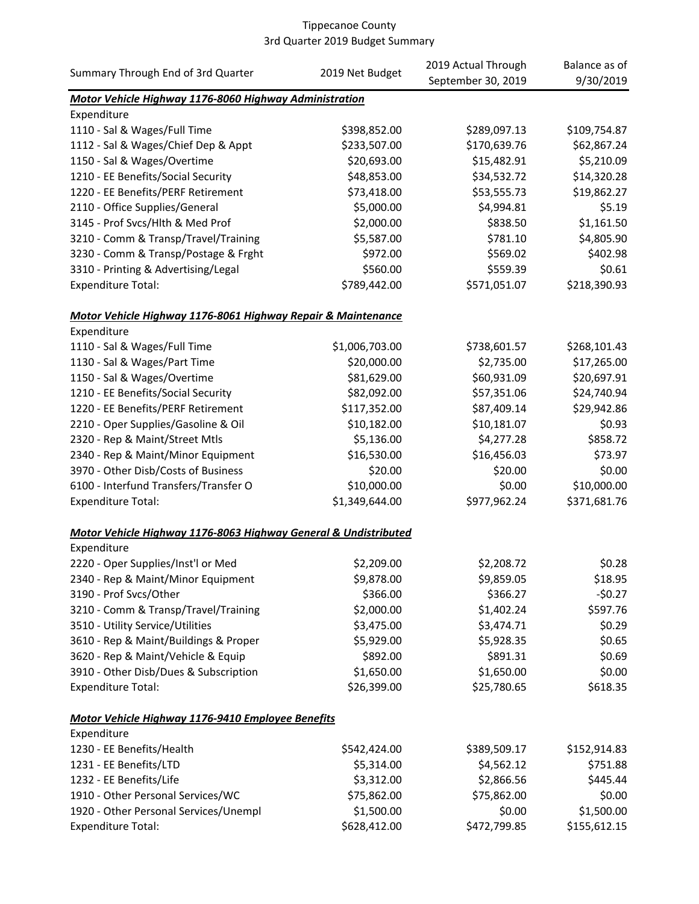| Summary Through End of 3rd Quarter                                             |                 | 2019 Actual Through | Balance as of |
|--------------------------------------------------------------------------------|-----------------|---------------------|---------------|
|                                                                                | 2019 Net Budget | September 30, 2019  | 9/30/2019     |
| Motor Vehicle Highway 1176-8060 Highway Administration                         |                 |                     |               |
| Expenditure                                                                    |                 |                     |               |
| 1110 - Sal & Wages/Full Time                                                   | \$398,852.00    | \$289,097.13        | \$109,754.87  |
| 1112 - Sal & Wages/Chief Dep & Appt                                            | \$233,507.00    | \$170,639.76        | \$62,867.24   |
| 1150 - Sal & Wages/Overtime                                                    | \$20,693.00     | \$15,482.91         | \$5,210.09    |
| 1210 - EE Benefits/Social Security                                             | \$48,853.00     | \$34,532.72         | \$14,320.28   |
| 1220 - EE Benefits/PERF Retirement                                             | \$73,418.00     | \$53,555.73         | \$19,862.27   |
| 2110 - Office Supplies/General                                                 | \$5,000.00      | \$4,994.81          | \$5.19        |
| 3145 - Prof Svcs/Hlth & Med Prof                                               | \$2,000.00      | \$838.50            | \$1,161.50    |
| 3210 - Comm & Transp/Travel/Training                                           | \$5,587.00      | \$781.10            | \$4,805.90    |
| 3230 - Comm & Transp/Postage & Frght                                           | \$972.00        | \$569.02            | \$402.98      |
| 3310 - Printing & Advertising/Legal                                            | \$560.00        | \$559.39            | \$0.61        |
| <b>Expenditure Total:</b>                                                      | \$789,442.00    | \$571,051.07        | \$218,390.93  |
| Motor Vehicle Highway 1176-8061 Highway Repair & Maintenance                   |                 |                     |               |
| Expenditure                                                                    |                 |                     |               |
| 1110 - Sal & Wages/Full Time                                                   | \$1,006,703.00  | \$738,601.57        | \$268,101.43  |
| 1130 - Sal & Wages/Part Time                                                   | \$20,000.00     | \$2,735.00          | \$17,265.00   |
| 1150 - Sal & Wages/Overtime                                                    | \$81,629.00     | \$60,931.09         | \$20,697.91   |
| 1210 - EE Benefits/Social Security                                             | \$82,092.00     | \$57,351.06         | \$24,740.94   |
| 1220 - EE Benefits/PERF Retirement                                             | \$117,352.00    | \$87,409.14         | \$29,942.86   |
| 2210 - Oper Supplies/Gasoline & Oil                                            | \$10,182.00     | \$10,181.07         | \$0.93        |
| 2320 - Rep & Maint/Street Mtls                                                 | \$5,136.00      | \$4,277.28          | \$858.72      |
| 2340 - Rep & Maint/Minor Equipment                                             | \$16,530.00     | \$16,456.03         | \$73.97       |
| 3970 - Other Disb/Costs of Business                                            | \$20.00         | \$20.00             | \$0.00        |
| 6100 - Interfund Transfers/Transfer O                                          | \$10,000.00     | \$0.00              | \$10,000.00   |
| <b>Expenditure Total:</b>                                                      | \$1,349,644.00  | \$977,962.24        | \$371,681.76  |
|                                                                                |                 |                     |               |
| Motor Vehicle Highway 1176-8063 Highway General & Undistributed<br>Expenditure |                 |                     |               |
|                                                                                | \$2,209.00      | \$2,208.72          | \$0.28        |
| 2220 - Oper Supplies/Inst'l or Med                                             |                 |                     |               |
| 2340 - Rep & Maint/Minor Equipment                                             | \$9,878.00      | \$9,859.05          | \$18.95       |
| 3190 - Prof Svcs/Other                                                         | \$366.00        | \$366.27            | $-50.27$      |
| 3210 - Comm & Transp/Travel/Training                                           | \$2,000.00      | \$1,402.24          | \$597.76      |
| 3510 - Utility Service/Utilities                                               | \$3,475.00      | \$3,474.71          | \$0.29        |
| 3610 - Rep & Maint/Buildings & Proper                                          | \$5,929.00      | \$5,928.35          | \$0.65        |
| 3620 - Rep & Maint/Vehicle & Equip                                             | \$892.00        | \$891.31            | \$0.69        |
| 3910 - Other Disb/Dues & Subscription                                          | \$1,650.00      | \$1,650.00          | \$0.00        |
| <b>Expenditure Total:</b>                                                      | \$26,399.00     | \$25,780.65         | \$618.35      |
| Motor Vehicle Highway 1176-9410 Employee Benefits                              |                 |                     |               |
| Expenditure                                                                    |                 |                     |               |
| 1230 - EE Benefits/Health                                                      | \$542,424.00    | \$389,509.17        | \$152,914.83  |
| 1231 - EE Benefits/LTD                                                         | \$5,314.00      | \$4,562.12          | \$751.88      |
| 1232 - EE Benefits/Life                                                        | \$3,312.00      | \$2,866.56          | \$445.44      |
| 1910 - Other Personal Services/WC                                              | \$75,862.00     | \$75,862.00         | \$0.00        |
| 1920 - Other Personal Services/Unempl                                          | \$1,500.00      | \$0.00              | \$1,500.00    |
| <b>Expenditure Total:</b>                                                      | \$628,412.00    | \$472,799.85        | \$155,612.15  |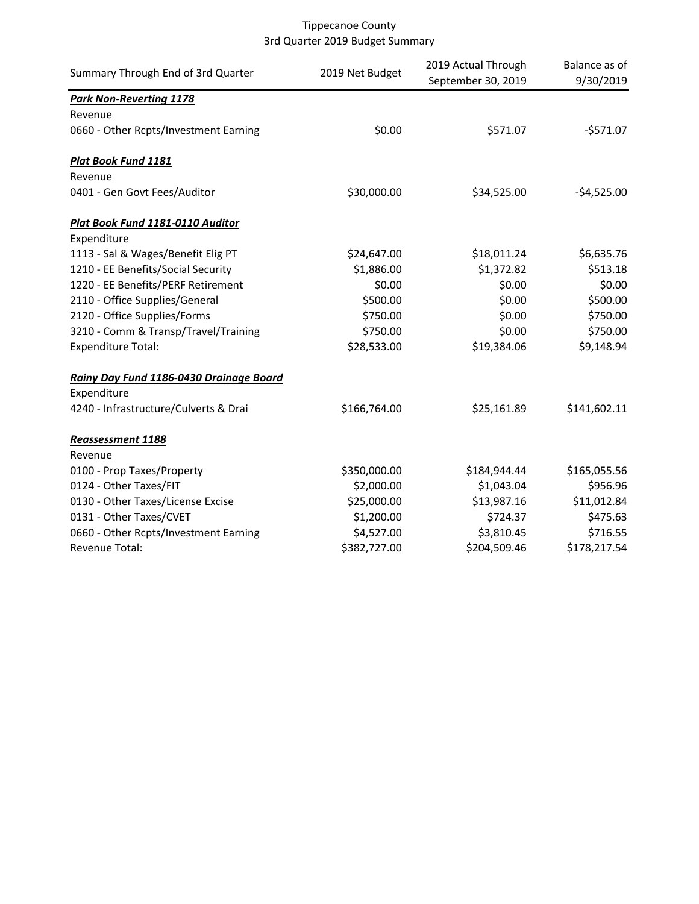| Summary Through End of 3rd Quarter      | 2019 Net Budget | 2019 Actual Through<br>September 30, 2019 | Balance as of<br>9/30/2019 |
|-----------------------------------------|-----------------|-------------------------------------------|----------------------------|
| <b>Park Non-Reverting 1178</b>          |                 |                                           |                            |
| Revenue                                 |                 |                                           |                            |
| 0660 - Other Rcpts/Investment Earning   | \$0.00          | \$571.07                                  | $-$571.07$                 |
| <b>Plat Book Fund 1181</b>              |                 |                                           |                            |
| Revenue                                 |                 |                                           |                            |
| 0401 - Gen Govt Fees/Auditor            | \$30,000.00     | \$34,525.00                               | $-$4,525.00$               |
| Plat Book Fund 1181-0110 Auditor        |                 |                                           |                            |
| Expenditure                             |                 |                                           |                            |
| 1113 - Sal & Wages/Benefit Elig PT      | \$24,647.00     | \$18,011.24                               | \$6,635.76                 |
| 1210 - EE Benefits/Social Security      | \$1,886.00      | \$1,372.82                                | \$513.18                   |
| 1220 - EE Benefits/PERF Retirement      | \$0.00          | \$0.00                                    | \$0.00                     |
| 2110 - Office Supplies/General          | \$500.00        | \$0.00                                    | \$500.00                   |
| 2120 - Office Supplies/Forms            | \$750.00        | \$0.00                                    | \$750.00                   |
| 3210 - Comm & Transp/Travel/Training    | \$750.00        | \$0.00                                    | \$750.00                   |
| <b>Expenditure Total:</b>               | \$28,533.00     | \$19,384.06                               | \$9,148.94                 |
| Rainy Day Fund 1186-0430 Drainage Board |                 |                                           |                            |
| Expenditure                             |                 |                                           |                            |
| 4240 - Infrastructure/Culverts & Drai   | \$166,764.00    | \$25,161.89                               | \$141,602.11               |
| <b>Reassessment 1188</b>                |                 |                                           |                            |
| Revenue                                 |                 |                                           |                            |
| 0100 - Prop Taxes/Property              | \$350,000.00    | \$184,944.44                              | \$165,055.56               |
| 0124 - Other Taxes/FIT                  | \$2,000.00      | \$1,043.04                                | \$956.96                   |
| 0130 - Other Taxes/License Excise       | \$25,000.00     | \$13,987.16                               | \$11,012.84                |
| 0131 - Other Taxes/CVET                 | \$1,200.00      | \$724.37                                  | \$475.63                   |
| 0660 - Other Rcpts/Investment Earning   | \$4,527.00      | \$3,810.45                                | \$716.55                   |
| Revenue Total:                          | \$382,727.00    | \$204,509.46                              | \$178,217.54               |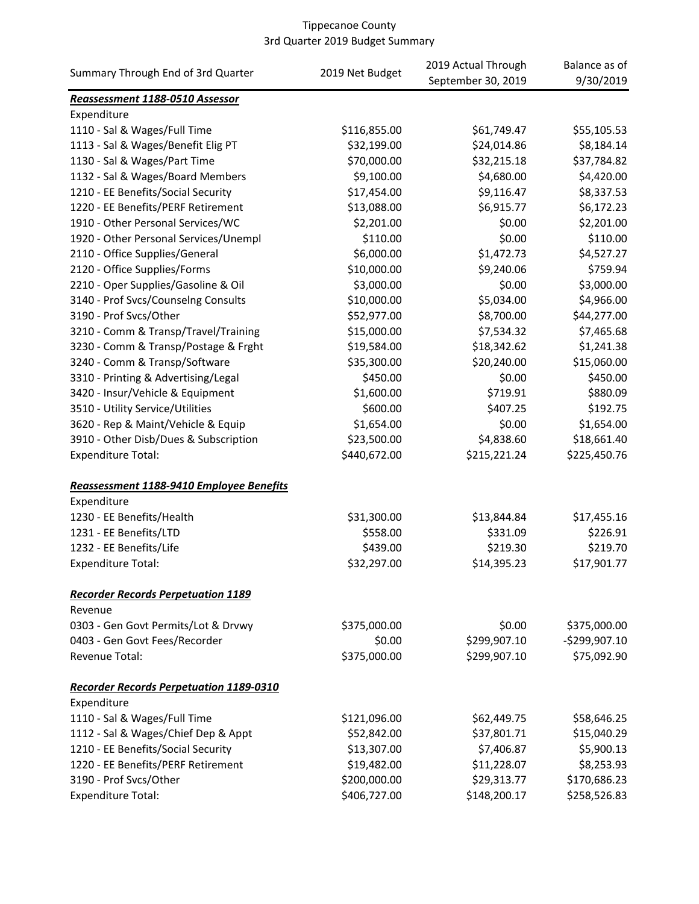|                                                |                 | 2019 Actual Through | Balance as of  |
|------------------------------------------------|-----------------|---------------------|----------------|
| Summary Through End of 3rd Quarter             | 2019 Net Budget | September 30, 2019  | 9/30/2019      |
| Reassessment 1188-0510 Assessor                |                 |                     |                |
| Expenditure                                    |                 |                     |                |
| 1110 - Sal & Wages/Full Time                   | \$116,855.00    | \$61,749.47         | \$55,105.53    |
| 1113 - Sal & Wages/Benefit Elig PT             | \$32,199.00     | \$24,014.86         | \$8,184.14     |
| 1130 - Sal & Wages/Part Time                   | \$70,000.00     | \$32,215.18         | \$37,784.82    |
| 1132 - Sal & Wages/Board Members               | \$9,100.00      | \$4,680.00          | \$4,420.00     |
| 1210 - EE Benefits/Social Security             | \$17,454.00     | \$9,116.47          | \$8,337.53     |
| 1220 - EE Benefits/PERF Retirement             | \$13,088.00     | \$6,915.77          | \$6,172.23     |
| 1910 - Other Personal Services/WC              | \$2,201.00      | \$0.00              | \$2,201.00     |
| 1920 - Other Personal Services/Unempl          | \$110.00        | \$0.00              | \$110.00       |
| 2110 - Office Supplies/General                 | \$6,000.00      | \$1,472.73          | \$4,527.27     |
| 2120 - Office Supplies/Forms                   | \$10,000.00     | \$9,240.06          | \$759.94       |
| 2210 - Oper Supplies/Gasoline & Oil            | \$3,000.00      | \$0.00              | \$3,000.00     |
| 3140 - Prof Svcs/Counselng Consults            | \$10,000.00     | \$5,034.00          | \$4,966.00     |
| 3190 - Prof Svcs/Other                         | \$52,977.00     | \$8,700.00          | \$44,277.00    |
| 3210 - Comm & Transp/Travel/Training           | \$15,000.00     | \$7,534.32          | \$7,465.68     |
| 3230 - Comm & Transp/Postage & Frght           | \$19,584.00     | \$18,342.62         | \$1,241.38     |
| 3240 - Comm & Transp/Software                  | \$35,300.00     | \$20,240.00         | \$15,060.00    |
| 3310 - Printing & Advertising/Legal            | \$450.00        | \$0.00              | \$450.00       |
| 3420 - Insur/Vehicle & Equipment               | \$1,600.00      | \$719.91            | \$880.09       |
| 3510 - Utility Service/Utilities               | \$600.00        | \$407.25            | \$192.75       |
| 3620 - Rep & Maint/Vehicle & Equip             | \$1,654.00      | \$0.00              | \$1,654.00     |
| 3910 - Other Disb/Dues & Subscription          | \$23,500.00     | \$4,838.60          | \$18,661.40    |
| <b>Expenditure Total:</b>                      | \$440,672.00    | \$215,221.24        | \$225,450.76   |
| Reassessment 1188-9410 Employee Benefits       |                 |                     |                |
| Expenditure                                    |                 |                     |                |
| 1230 - EE Benefits/Health                      | \$31,300.00     | \$13,844.84         | \$17,455.16    |
| 1231 - EE Benefits/LTD                         | \$558.00        | \$331.09            | \$226.91       |
| 1232 - EE Benefits/Life                        | \$439.00        | \$219.30            | \$219.70       |
| <b>Expenditure Total:</b>                      | \$32,297.00     | \$14,395.23         | \$17,901.77    |
| <b>Recorder Records Perpetuation 1189</b>      |                 |                     |                |
| Revenue                                        |                 |                     |                |
| 0303 - Gen Govt Permits/Lot & Drvwy            | \$375,000.00    | \$0.00              | \$375,000.00   |
| 0403 - Gen Govt Fees/Recorder                  | \$0.00          | \$299,907.10        | $-$299,907.10$ |
| Revenue Total:                                 | \$375,000.00    | \$299,907.10        | \$75,092.90    |
| <b>Recorder Records Perpetuation 1189-0310</b> |                 |                     |                |
| Expenditure                                    |                 |                     |                |
| 1110 - Sal & Wages/Full Time                   | \$121,096.00    | \$62,449.75         | \$58,646.25    |
| 1112 - Sal & Wages/Chief Dep & Appt            | \$52,842.00     | \$37,801.71         | \$15,040.29    |
| 1210 - EE Benefits/Social Security             | \$13,307.00     | \$7,406.87          | \$5,900.13     |
| 1220 - EE Benefits/PERF Retirement             | \$19,482.00     | \$11,228.07         | \$8,253.93     |
| 3190 - Prof Svcs/Other                         | \$200,000.00    | \$29,313.77         | \$170,686.23   |
| <b>Expenditure Total:</b>                      | \$406,727.00    | \$148,200.17        | \$258,526.83   |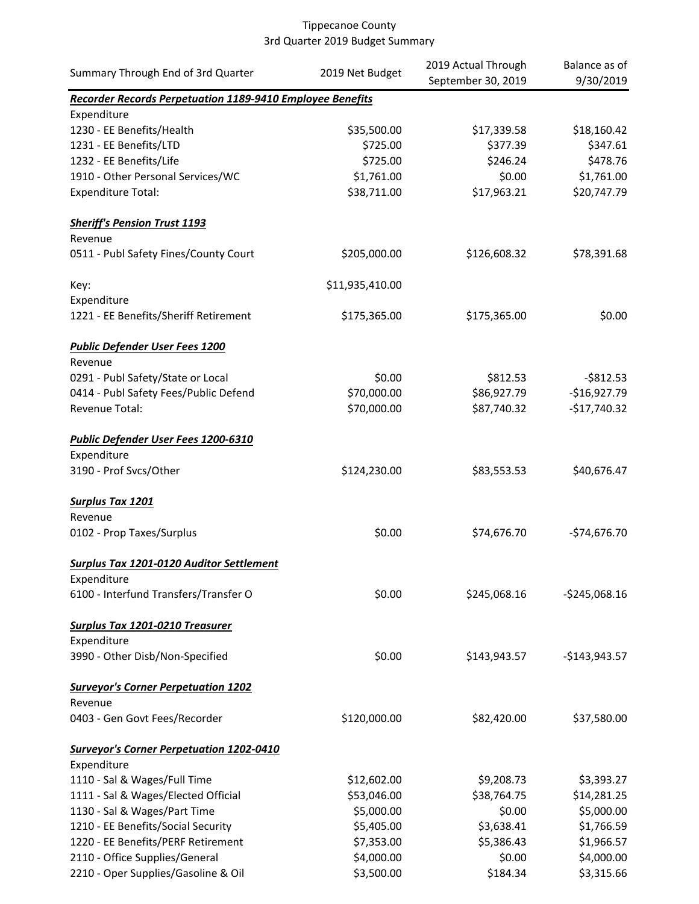| Summary Through End of 3rd Quarter                        | 2019 Net Budget | 2019 Actual Through | Balance as of  |
|-----------------------------------------------------------|-----------------|---------------------|----------------|
|                                                           |                 | September 30, 2019  | 9/30/2019      |
| Recorder Records Perpetuation 1189-9410 Employee Benefits |                 |                     |                |
| Expenditure                                               |                 |                     |                |
| 1230 - EE Benefits/Health                                 | \$35,500.00     | \$17,339.58         | \$18,160.42    |
| 1231 - EE Benefits/LTD                                    | \$725.00        | \$377.39            | \$347.61       |
| 1232 - EE Benefits/Life                                   | \$725.00        | \$246.24            | \$478.76       |
| 1910 - Other Personal Services/WC                         | \$1,761.00      | \$0.00              | \$1,761.00     |
| <b>Expenditure Total:</b>                                 | \$38,711.00     | \$17,963.21         | \$20,747.79    |
| <b>Sheriff's Pension Trust 1193</b>                       |                 |                     |                |
| Revenue                                                   |                 |                     |                |
| 0511 - Publ Safety Fines/County Court                     | \$205,000.00    | \$126,608.32        | \$78,391.68    |
| Key:                                                      | \$11,935,410.00 |                     |                |
| Expenditure                                               |                 |                     |                |
| 1221 - EE Benefits/Sheriff Retirement                     | \$175,365.00    | \$175,365.00        | \$0.00         |
| <b>Public Defender User Fees 1200</b>                     |                 |                     |                |
| Revenue                                                   |                 |                     |                |
| 0291 - Publ Safety/State or Local                         | \$0.00          | \$812.53            | $-$ \$812.53   |
| 0414 - Publ Safety Fees/Public Defend                     | \$70,000.00     | \$86,927.79         | $-$16,927.79$  |
| Revenue Total:                                            | \$70,000.00     | \$87,740.32         | $-$17,740.32$  |
| Public Defender User Fees 1200-6310                       |                 |                     |                |
| Expenditure                                               |                 |                     |                |
| 3190 - Prof Svcs/Other                                    | \$124,230.00    | \$83,553.53         | \$40,676.47    |
| <b>Surplus Tax 1201</b>                                   |                 |                     |                |
| Revenue                                                   |                 |                     |                |
| 0102 - Prop Taxes/Surplus                                 | \$0.00          | \$74,676.70         | $-$74,676.70$  |
| Surplus Tax 1201-0120 Auditor Settlement                  |                 |                     |                |
| Expenditure                                               |                 |                     |                |
| 6100 - Interfund Transfers/Transfer O                     | \$0.00          | \$245,068.16        | $-$245,068.16$ |
| Surplus Tax 1201-0210 Treasurer                           |                 |                     |                |
| Expenditure                                               |                 |                     |                |
| 3990 - Other Disb/Non-Specified                           | \$0.00          | \$143,943.57        | $-$143,943.57$ |
| <b>Surveyor's Corner Perpetuation 1202</b>                |                 |                     |                |
| Revenue                                                   |                 |                     |                |
| 0403 - Gen Govt Fees/Recorder                             | \$120,000.00    | \$82,420.00         | \$37,580.00    |
| <b>Surveyor's Corner Perpetuation 1202-0410</b>           |                 |                     |                |
| Expenditure                                               |                 |                     |                |
| 1110 - Sal & Wages/Full Time                              | \$12,602.00     | \$9,208.73          | \$3,393.27     |
| 1111 - Sal & Wages/Elected Official                       | \$53,046.00     | \$38,764.75         | \$14,281.25    |
| 1130 - Sal & Wages/Part Time                              | \$5,000.00      | \$0.00              | \$5,000.00     |
| 1210 - EE Benefits/Social Security                        | \$5,405.00      | \$3,638.41          | \$1,766.59     |
| 1220 - EE Benefits/PERF Retirement                        | \$7,353.00      | \$5,386.43          | \$1,966.57     |
| 2110 - Office Supplies/General                            | \$4,000.00      | \$0.00              | \$4,000.00     |
| 2210 - Oper Supplies/Gasoline & Oil                       | \$3,500.00      | \$184.34            | \$3,315.66     |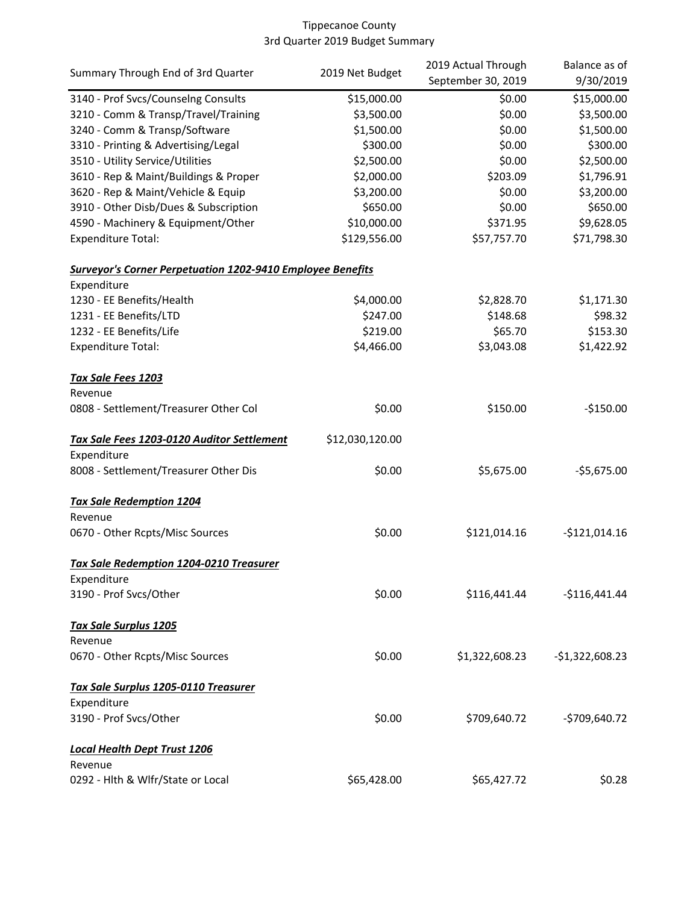|                                                                   |                 | 2019 Actual Through | Balance as of    |
|-------------------------------------------------------------------|-----------------|---------------------|------------------|
| Summary Through End of 3rd Quarter                                | 2019 Net Budget | September 30, 2019  | 9/30/2019        |
| 3140 - Prof Svcs/Counselng Consults                               | \$15,000.00     | \$0.00              | \$15,000.00      |
| 3210 - Comm & Transp/Travel/Training                              | \$3,500.00      | \$0.00              | \$3,500.00       |
| 3240 - Comm & Transp/Software                                     | \$1,500.00      | \$0.00              | \$1,500.00       |
| 3310 - Printing & Advertising/Legal                               | \$300.00        | \$0.00              | \$300.00         |
| 3510 - Utility Service/Utilities                                  | \$2,500.00      | \$0.00              | \$2,500.00       |
| 3610 - Rep & Maint/Buildings & Proper                             | \$2,000.00      | \$203.09            | \$1,796.91       |
| 3620 - Rep & Maint/Vehicle & Equip                                | \$3,200.00      | \$0.00              | \$3,200.00       |
| 3910 - Other Disb/Dues & Subscription                             | \$650.00        | \$0.00              | \$650.00         |
| 4590 - Machinery & Equipment/Other                                | \$10,000.00     | \$371.95            | \$9,628.05       |
| <b>Expenditure Total:</b>                                         | \$129,556.00    | \$57,757.70         | \$71,798.30      |
| <b>Surveyor's Corner Perpetuation 1202-9410 Employee Benefits</b> |                 |                     |                  |
| Expenditure                                                       |                 |                     |                  |
| 1230 - EE Benefits/Health                                         | \$4,000.00      | \$2,828.70          | \$1,171.30       |
| 1231 - EE Benefits/LTD                                            | \$247.00        | \$148.68            | \$98.32          |
| 1232 - EE Benefits/Life                                           | \$219.00        | \$65.70             | \$153.30         |
| <b>Expenditure Total:</b>                                         | \$4,466.00      | \$3,043.08          | \$1,422.92       |
| Tax Sale Fees 1203                                                |                 |                     |                  |
| Revenue                                                           |                 |                     |                  |
| 0808 - Settlement/Treasurer Other Col                             | \$0.00          | \$150.00            | $-$150.00$       |
| Tax Sale Fees 1203-0120 Auditor Settlement                        | \$12,030,120.00 |                     |                  |
| Expenditure                                                       |                 |                     |                  |
| 8008 - Settlement/Treasurer Other Dis                             | \$0.00          | \$5,675.00          | $-55,675.00$     |
| <b>Tax Sale Redemption 1204</b>                                   |                 |                     |                  |
| Revenue                                                           |                 |                     |                  |
| 0670 - Other Rcpts/Misc Sources                                   | \$0.00          | \$121,014.16        | $-$121,014.16$   |
| <b>Tax Sale Redemption 1204-0210 Treasurer</b>                    |                 |                     |                  |
| Expenditure                                                       |                 |                     |                  |
| 3190 - Prof Svcs/Other                                            | \$0.00          | \$116,441.44        | $-$116,441.44$   |
| <b>Tax Sale Surplus 1205</b>                                      |                 |                     |                  |
| Revenue                                                           |                 |                     |                  |
| 0670 - Other Rcpts/Misc Sources                                   | \$0.00          | \$1,322,608.23      | $-$1,322,608.23$ |
| Tax Sale Surplus 1205-0110 Treasurer                              |                 |                     |                  |
| Expenditure                                                       |                 |                     |                  |
| 3190 - Prof Svcs/Other                                            | \$0.00          | \$709,640.72        | $-$709,640.72$   |
| <b>Local Health Dept Trust 1206</b>                               |                 |                     |                  |
| Revenue                                                           |                 |                     |                  |
| 0292 - Hlth & Wlfr/State or Local                                 | \$65,428.00     | \$65,427.72         | \$0.28           |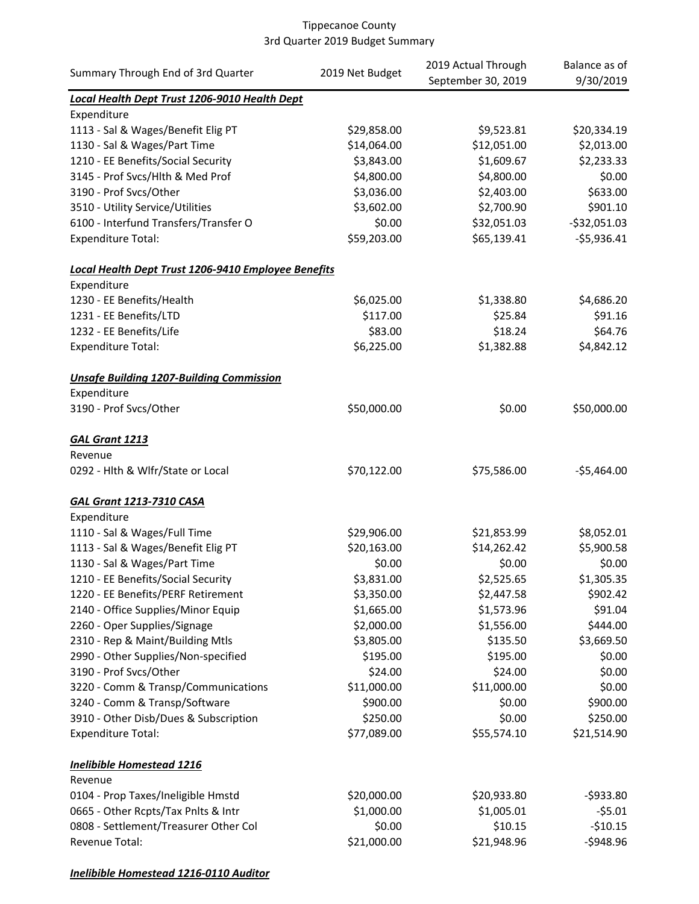| Summary Through End of 3rd Quarter                  | 2019 Net Budget | 2019 Actual Through | Balance as of |
|-----------------------------------------------------|-----------------|---------------------|---------------|
|                                                     |                 | September 30, 2019  | 9/30/2019     |
| Local Health Dept Trust 1206-9010 Health Dept       |                 |                     |               |
| Expenditure                                         |                 |                     |               |
| 1113 - Sal & Wages/Benefit Elig PT                  | \$29,858.00     | \$9,523.81          | \$20,334.19   |
| 1130 - Sal & Wages/Part Time                        | \$14,064.00     | \$12,051.00         | \$2,013.00    |
| 1210 - EE Benefits/Social Security                  | \$3,843.00      | \$1,609.67          | \$2,233.33    |
| 3145 - Prof Svcs/Hlth & Med Prof                    | \$4,800.00      | \$4,800.00          | \$0.00        |
| 3190 - Prof Svcs/Other                              | \$3,036.00      | \$2,403.00          | \$633.00      |
| 3510 - Utility Service/Utilities                    | \$3,602.00      | \$2,700.90          | \$901.10      |
| 6100 - Interfund Transfers/Transfer O               | \$0.00          | \$32,051.03         | $-$32,051.03$ |
| <b>Expenditure Total:</b>                           | \$59,203.00     | \$65,139.41         | $-$5,936.41$  |
| Local Health Dept Trust 1206-9410 Employee Benefits |                 |                     |               |
| Expenditure                                         |                 |                     |               |
| 1230 - EE Benefits/Health                           | \$6,025.00      | \$1,338.80          | \$4,686.20    |
| 1231 - EE Benefits/LTD                              | \$117.00        | \$25.84             | \$91.16       |
| 1232 - EE Benefits/Life                             | \$83.00         | \$18.24             | \$64.76       |
| <b>Expenditure Total:</b>                           | \$6,225.00      | \$1,382.88          | \$4,842.12    |
| <b>Unsafe Building 1207-Building Commission</b>     |                 |                     |               |
| Expenditure                                         |                 |                     |               |
| 3190 - Prof Svcs/Other                              | \$50,000.00     | \$0.00              | \$50,000.00   |
| GAL Grant 1213                                      |                 |                     |               |
| Revenue                                             |                 |                     |               |
| 0292 - Hlth & Wlfr/State or Local                   | \$70,122.00     | \$75,586.00         | $-$5,464.00$  |
| <b>GAL Grant 1213-7310 CASA</b>                     |                 |                     |               |
| Expenditure                                         |                 |                     |               |
| 1110 - Sal & Wages/Full Time                        | \$29,906.00     | \$21,853.99         | \$8,052.01    |
| 1113 - Sal & Wages/Benefit Elig PT                  | \$20,163.00     | \$14,262.42         | \$5,900.58    |
| 1130 - Sal & Wages/Part Time                        | \$0.00          | \$0.00              | \$0.00        |
| 1210 - EE Benefits/Social Security                  | \$3,831.00      | \$2,525.65          | \$1,305.35    |
| 1220 - EE Benefits/PERF Retirement                  | \$3,350.00      | \$2,447.58          | \$902.42      |
| 2140 - Office Supplies/Minor Equip                  | \$1,665.00      | \$1,573.96          | \$91.04       |
| 2260 - Oper Supplies/Signage                        | \$2,000.00      | \$1,556.00          | \$444.00      |
| 2310 - Rep & Maint/Building Mtls                    | \$3,805.00      | \$135.50            | \$3,669.50    |
| 2990 - Other Supplies/Non-specified                 | \$195.00        | \$195.00            | \$0.00        |
| 3190 - Prof Svcs/Other                              | \$24.00         | \$24.00             | \$0.00        |
| 3220 - Comm & Transp/Communications                 | \$11,000.00     | \$11,000.00         | \$0.00        |
| 3240 - Comm & Transp/Software                       | \$900.00        | \$0.00              | \$900.00      |
| 3910 - Other Disb/Dues & Subscription               | \$250.00        | \$0.00              | \$250.00      |
| <b>Expenditure Total:</b>                           | \$77,089.00     | \$55,574.10         | \$21,514.90   |
| <b>Inelibible Homestead 1216</b>                    |                 |                     |               |
| Revenue                                             |                 |                     |               |
| 0104 - Prop Taxes/Ineligible Hmstd                  | \$20,000.00     | \$20,933.80         | $-5933.80$    |
| 0665 - Other Rcpts/Tax Pnlts & Intr                 | \$1,000.00      | \$1,005.01          | $-55.01$      |
| 0808 - Settlement/Treasurer Other Col               | \$0.00          | \$10.15             | $-510.15$     |
| Revenue Total:                                      | \$21,000.00     | \$21,948.96         | $-$948.96$    |

*Inelibible Homestead 1216-0110 Auditor*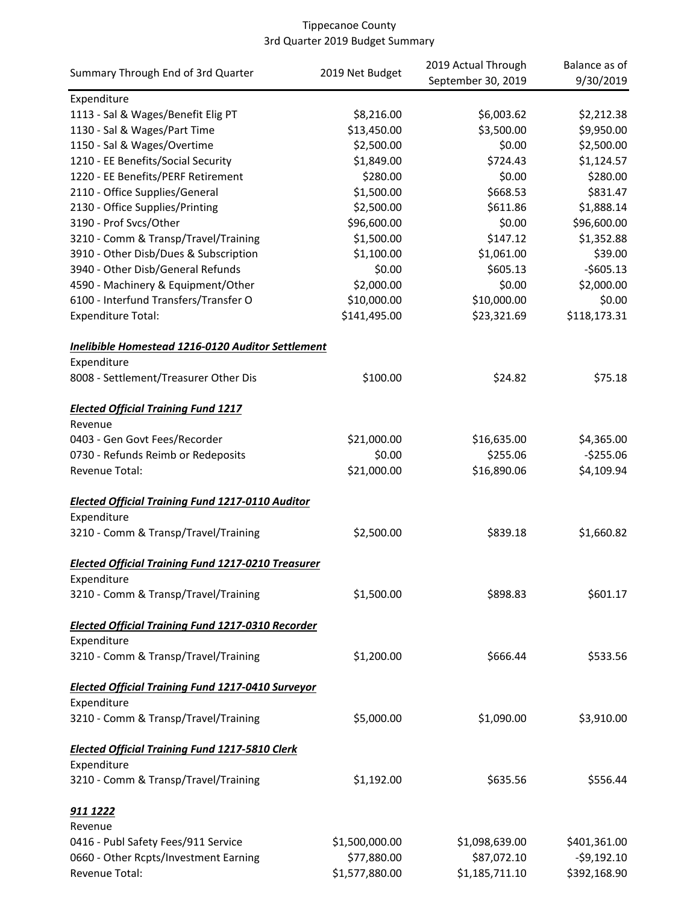|                                                           |                 | 2019 Actual Through | Balance as of  |
|-----------------------------------------------------------|-----------------|---------------------|----------------|
| Summary Through End of 3rd Quarter                        | 2019 Net Budget | September 30, 2019  | 9/30/2019      |
| Expenditure                                               |                 |                     |                |
| 1113 - Sal & Wages/Benefit Elig PT                        | \$8,216.00      | \$6,003.62          | \$2,212.38     |
| 1130 - Sal & Wages/Part Time                              | \$13,450.00     | \$3,500.00          | \$9,950.00     |
| 1150 - Sal & Wages/Overtime                               | \$2,500.00      | \$0.00              | \$2,500.00     |
| 1210 - EE Benefits/Social Security                        | \$1,849.00      | \$724.43            | \$1,124.57     |
| 1220 - EE Benefits/PERF Retirement                        | \$280.00        | \$0.00              | \$280.00       |
| 2110 - Office Supplies/General                            | \$1,500.00      | \$668.53            | \$831.47       |
| 2130 - Office Supplies/Printing                           | \$2,500.00      | \$611.86            | \$1,888.14     |
| 3190 - Prof Svcs/Other                                    | \$96,600.00     | \$0.00              | \$96,600.00    |
| 3210 - Comm & Transp/Travel/Training                      | \$1,500.00      | \$147.12            | \$1,352.88     |
| 3910 - Other Disb/Dues & Subscription                     | \$1,100.00      | \$1,061.00          | \$39.00        |
| 3940 - Other Disb/General Refunds                         | \$0.00          | \$605.13            | $-$605.13$     |
| 4590 - Machinery & Equipment/Other                        | \$2,000.00      | \$0.00              | \$2,000.00     |
| 6100 - Interfund Transfers/Transfer O                     | \$10,000.00     | \$10,000.00         | \$0.00         |
| <b>Expenditure Total:</b>                                 | \$141,495.00    | \$23,321.69         | \$118,173.31   |
|                                                           |                 |                     |                |
| Inelibible Homestead 1216-0120 Auditor Settlement         |                 |                     |                |
| Expenditure                                               |                 |                     |                |
| 8008 - Settlement/Treasurer Other Dis                     | \$100.00        | \$24.82             | \$75.18        |
| <b>Elected Official Training Fund 1217</b>                |                 |                     |                |
| Revenue                                                   |                 |                     |                |
| 0403 - Gen Govt Fees/Recorder                             | \$21,000.00     | \$16,635.00         | \$4,365.00     |
| 0730 - Refunds Reimb or Redeposits                        | \$0.00          | \$255.06            | $-5255.06$     |
| Revenue Total:                                            | \$21,000.00     | \$16,890.06         | \$4,109.94     |
|                                                           |                 |                     |                |
| <b>Elected Official Training Fund 1217-0110 Auditor</b>   |                 |                     |                |
| Expenditure                                               |                 |                     |                |
| 3210 - Comm & Transp/Travel/Training                      | \$2,500.00      | \$839.18            | \$1,660.82     |
| <b>Elected Official Training Fund 1217-0210 Treasurer</b> |                 |                     |                |
| Expenditure                                               |                 |                     |                |
| 3210 - Comm & Transp/Travel/Training                      | \$1,500.00      | \$898.83            | \$601.17       |
|                                                           |                 |                     |                |
| <b>Elected Official Training Fund 1217-0310 Recorder</b>  |                 |                     |                |
| Expenditure                                               |                 |                     |                |
| 3210 - Comm & Transp/Travel/Training                      | \$1,200.00      | \$666.44            | \$533.56       |
| <b>Elected Official Training Fund 1217-0410 Surveyor</b>  |                 |                     |                |
| Expenditure                                               |                 |                     |                |
| 3210 - Comm & Transp/Travel/Training                      | \$5,000.00      | \$1,090.00          | \$3,910.00     |
| <b>Elected Official Training Fund 1217-5810 Clerk</b>     |                 |                     |                |
| Expenditure                                               |                 |                     |                |
| 3210 - Comm & Transp/Travel/Training                      | \$1,192.00      | \$635.56            | \$556.44       |
| 911 1222                                                  |                 |                     |                |
| Revenue                                                   |                 |                     |                |
| 0416 - Publ Safety Fees/911 Service                       | \$1,500,000.00  | \$1,098,639.00      | \$401,361.00   |
| 0660 - Other Rcpts/Investment Earning                     | \$77,880.00     | \$87,072.10         | $-$ \$9,192.10 |
| Revenue Total:                                            | \$1,577,880.00  | \$1,185,711.10      | \$392,168.90   |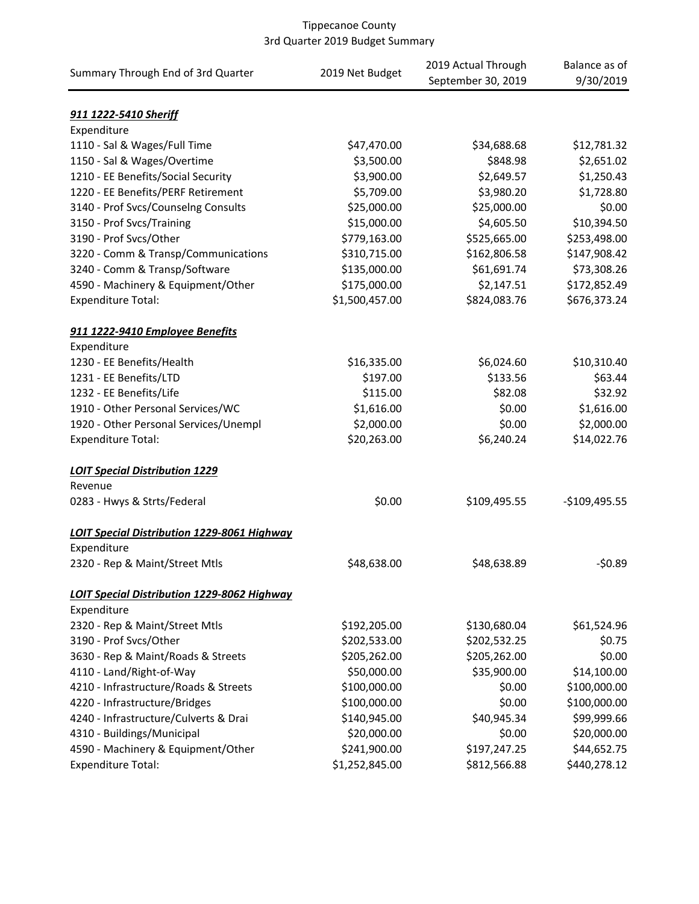| Summary Through End of 3rd Quarter            | 2019 Net Budget | 2019 Actual Through<br>September 30, 2019 | Balance as of<br>9/30/2019 |
|-----------------------------------------------|-----------------|-------------------------------------------|----------------------------|
| 911 1222-5410 Sheriff                         |                 |                                           |                            |
| Expenditure                                   |                 |                                           |                            |
| 1110 - Sal & Wages/Full Time                  | \$47,470.00     | \$34,688.68                               | \$12,781.32                |
| 1150 - Sal & Wages/Overtime                   | \$3,500.00      | \$848.98                                  | \$2,651.02                 |
| 1210 - EE Benefits/Social Security            | \$3,900.00      | \$2,649.57                                | \$1,250.43                 |
| 1220 - EE Benefits/PERF Retirement            | \$5,709.00      | \$3,980.20                                | \$1,728.80                 |
| 3140 - Prof Svcs/Counselng Consults           | \$25,000.00     | \$25,000.00                               | \$0.00                     |
| 3150 - Prof Svcs/Training                     | \$15,000.00     | \$4,605.50                                | \$10,394.50                |
| 3190 - Prof Svcs/Other                        | \$779,163.00    | \$525,665.00                              | \$253,498.00               |
| 3220 - Comm & Transp/Communications           | \$310,715.00    | \$162,806.58                              | \$147,908.42               |
| 3240 - Comm & Transp/Software                 | \$135,000.00    | \$61,691.74                               | \$73,308.26                |
| 4590 - Machinery & Equipment/Other            | \$175,000.00    | \$2,147.51                                | \$172,852.49               |
| <b>Expenditure Total:</b>                     | \$1,500,457.00  | \$824,083.76                              | \$676,373.24               |
| 911 1222-9410 Employee Benefits               |                 |                                           |                            |
| Expenditure                                   |                 |                                           |                            |
| 1230 - EE Benefits/Health                     | \$16,335.00     | \$6,024.60                                | \$10,310.40                |
| 1231 - EE Benefits/LTD                        | \$197.00        | \$133.56                                  | \$63.44                    |
| 1232 - EE Benefits/Life                       | \$115.00        | \$82.08                                   | \$32.92                    |
| 1910 - Other Personal Services/WC             | \$1,616.00      | \$0.00                                    | \$1,616.00                 |
| 1920 - Other Personal Services/Unempl         | \$2,000.00      | \$0.00                                    | \$2,000.00                 |
| <b>Expenditure Total:</b>                     | \$20,263.00     | \$6,240.24                                | \$14,022.76                |
| <b>LOIT Special Distribution 1229</b>         |                 |                                           |                            |
| Revenue                                       |                 |                                           |                            |
| 0283 - Hwys & Strts/Federal                   | \$0.00          | \$109,495.55                              | $-$109,495.55$             |
| LOIT Special Distribution 1229-8061 Highway   |                 |                                           |                            |
| Expenditure<br>2320 - Rep & Maint/Street Mtls | \$48,638.00     | \$48,638.89                               | $-50.89$                   |
| LOIT Special Distribution 1229-8062 Highway   |                 |                                           |                            |
| Expenditure                                   |                 |                                           |                            |
| 2320 - Rep & Maint/Street Mtls                | \$192,205.00    | \$130,680.04                              | \$61,524.96                |
| 3190 - Prof Svcs/Other                        | \$202,533.00    | \$202,532.25                              | \$0.75                     |
| 3630 - Rep & Maint/Roads & Streets            | \$205,262.00    | \$205,262.00                              | \$0.00                     |
| 4110 - Land/Right-of-Way                      | \$50,000.00     | \$35,900.00                               | \$14,100.00                |
| 4210 - Infrastructure/Roads & Streets         | \$100,000.00    | \$0.00                                    | \$100,000.00               |
| 4220 - Infrastructure/Bridges                 | \$100,000.00    | \$0.00                                    | \$100,000.00               |
| 4240 - Infrastructure/Culverts & Drai         | \$140,945.00    | \$40,945.34                               | \$99,999.66                |
| 4310 - Buildings/Municipal                    | \$20,000.00     | \$0.00                                    | \$20,000.00                |
| 4590 - Machinery & Equipment/Other            | \$241,900.00    | \$197,247.25                              | \$44,652.75                |
| <b>Expenditure Total:</b>                     | \$1,252,845.00  | \$812,566.88                              | \$440,278.12               |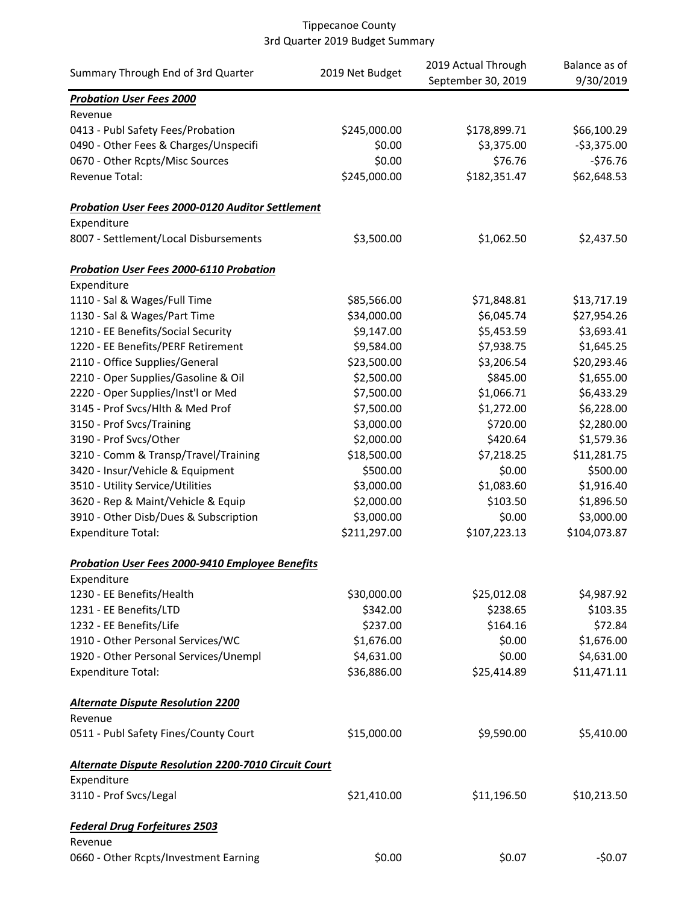|                                                             |                 | 2019 Actual Through | Balance as of |
|-------------------------------------------------------------|-----------------|---------------------|---------------|
| Summary Through End of 3rd Quarter                          | 2019 Net Budget | September 30, 2019  | 9/30/2019     |
| <b>Probation User Fees 2000</b>                             |                 |                     |               |
| Revenue                                                     |                 |                     |               |
| 0413 - Publ Safety Fees/Probation                           | \$245,000.00    | \$178,899.71        | \$66,100.29   |
| 0490 - Other Fees & Charges/Unspecifi                       | \$0.00          | \$3,375.00          | $-53,375.00$  |
| 0670 - Other Rcpts/Misc Sources                             | \$0.00          | \$76.76             | $-576.76$     |
| Revenue Total:                                              | \$245,000.00    | \$182,351.47        | \$62,648.53   |
| <b>Probation User Fees 2000-0120 Auditor Settlement</b>     |                 |                     |               |
| Expenditure                                                 |                 |                     |               |
| 8007 - Settlement/Local Disbursements                       | \$3,500.00      | \$1,062.50          | \$2,437.50    |
| <b>Probation User Fees 2000-6110 Probation</b>              |                 |                     |               |
| Expenditure                                                 |                 |                     |               |
| 1110 - Sal & Wages/Full Time                                | \$85,566.00     | \$71,848.81         | \$13,717.19   |
| 1130 - Sal & Wages/Part Time                                | \$34,000.00     | \$6,045.74          | \$27,954.26   |
| 1210 - EE Benefits/Social Security                          | \$9,147.00      | \$5,453.59          | \$3,693.41    |
| 1220 - EE Benefits/PERF Retirement                          | \$9,584.00      | \$7,938.75          | \$1,645.25    |
| 2110 - Office Supplies/General                              | \$23,500.00     | \$3,206.54          | \$20,293.46   |
| 2210 - Oper Supplies/Gasoline & Oil                         | \$2,500.00      | \$845.00            | \$1,655.00    |
| 2220 - Oper Supplies/Inst'l or Med                          | \$7,500.00      | \$1,066.71          | \$6,433.29    |
| 3145 - Prof Svcs/Hlth & Med Prof                            | \$7,500.00      | \$1,272.00          | \$6,228.00    |
| 3150 - Prof Svcs/Training                                   | \$3,000.00      | \$720.00            | \$2,280.00    |
| 3190 - Prof Svcs/Other                                      | \$2,000.00      | \$420.64            | \$1,579.36    |
| 3210 - Comm & Transp/Travel/Training                        | \$18,500.00     | \$7,218.25          | \$11,281.75   |
| 3420 - Insur/Vehicle & Equipment                            | \$500.00        | \$0.00              | \$500.00      |
| 3510 - Utility Service/Utilities                            | \$3,000.00      | \$1,083.60          | \$1,916.40    |
| 3620 - Rep & Maint/Vehicle & Equip                          | \$2,000.00      | \$103.50            | \$1,896.50    |
| 3910 - Other Disb/Dues & Subscription                       | \$3,000.00      | \$0.00              | \$3,000.00    |
| <b>Expenditure Total:</b>                                   | \$211,297.00    | \$107,223.13        | \$104,073.87  |
| Probation User Fees 2000-9410 Employee Benefits             |                 |                     |               |
| Expenditure                                                 |                 |                     |               |
| 1230 - EE Benefits/Health                                   | \$30,000.00     | \$25,012.08         | \$4,987.92    |
| 1231 - EE Benefits/LTD                                      | \$342.00        | \$238.65            | \$103.35      |
| 1232 - EE Benefits/Life                                     | \$237.00        | \$164.16            | \$72.84       |
| 1910 - Other Personal Services/WC                           | \$1,676.00      | \$0.00              | \$1,676.00    |
| 1920 - Other Personal Services/Unempl                       | \$4,631.00      | \$0.00              | \$4,631.00    |
| <b>Expenditure Total:</b>                                   | \$36,886.00     | \$25,414.89         | \$11,471.11   |
| <b>Alternate Dispute Resolution 2200</b>                    |                 |                     |               |
| Revenue                                                     |                 |                     |               |
| 0511 - Publ Safety Fines/County Court                       | \$15,000.00     | \$9,590.00          | \$5,410.00    |
| <b>Alternate Dispute Resolution 2200-7010 Circuit Court</b> |                 |                     |               |
| Expenditure                                                 |                 |                     |               |
| 3110 - Prof Svcs/Legal                                      | \$21,410.00     | \$11,196.50         | \$10,213.50   |
| <b>Federal Drug Forfeitures 2503</b>                        |                 |                     |               |
| Revenue                                                     |                 |                     |               |
| 0660 - Other Rcpts/Investment Earning                       | \$0.00          | \$0.07              | $-50.07$      |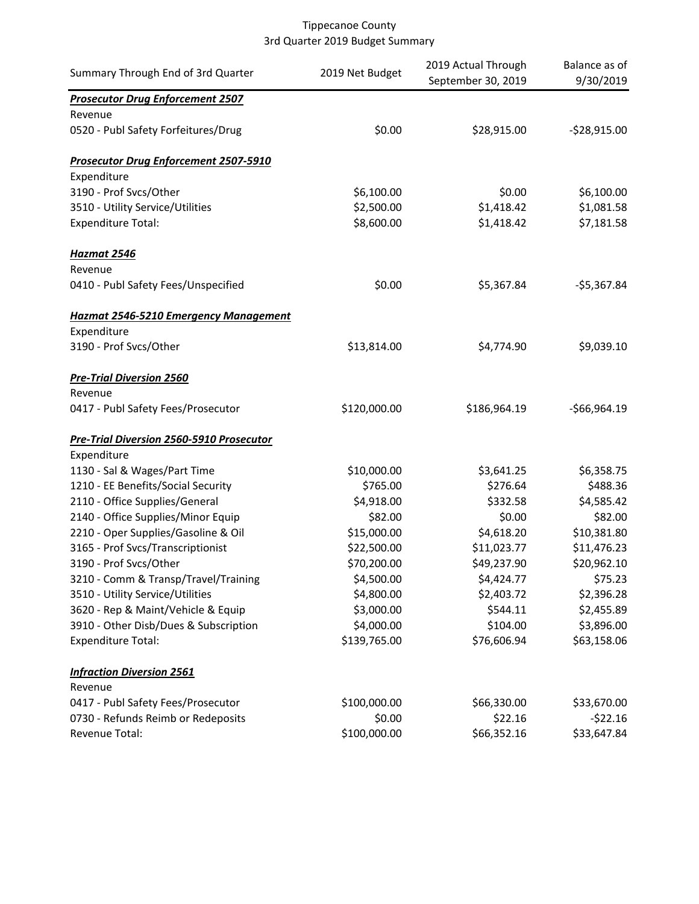| Summary Through End of 3rd Quarter              | 2019 Net Budget | 2019 Actual Through<br>September 30, 2019 | Balance as of<br>9/30/2019 |
|-------------------------------------------------|-----------------|-------------------------------------------|----------------------------|
| <b>Prosecutor Drug Enforcement 2507</b>         |                 |                                           |                            |
| Revenue                                         |                 |                                           |                            |
| 0520 - Publ Safety Forfeitures/Drug             | \$0.00          | \$28,915.00                               | $-528,915.00$              |
| <b>Prosecutor Drug Enforcement 2507-5910</b>    |                 |                                           |                            |
| Expenditure                                     |                 |                                           |                            |
| 3190 - Prof Svcs/Other                          | \$6,100.00      | \$0.00                                    | \$6,100.00                 |
| 3510 - Utility Service/Utilities                | \$2,500.00      | \$1,418.42                                | \$1,081.58                 |
| <b>Expenditure Total:</b>                       | \$8,600.00      | \$1,418.42                                | \$7,181.58                 |
| Hazmat 2546                                     |                 |                                           |                            |
| Revenue                                         |                 |                                           |                            |
| 0410 - Publ Safety Fees/Unspecified             | \$0.00          | \$5,367.84                                | $-55,367.84$               |
| <b>Hazmat 2546-5210 Emergency Management</b>    |                 |                                           |                            |
| Expenditure                                     |                 |                                           |                            |
| 3190 - Prof Svcs/Other                          | \$13,814.00     | \$4,774.90                                | \$9,039.10                 |
| <b>Pre-Trial Diversion 2560</b>                 |                 |                                           |                            |
| Revenue                                         |                 |                                           |                            |
| 0417 - Publ Safety Fees/Prosecutor              | \$120,000.00    | \$186,964.19                              | $-$66,964.19$              |
| <b>Pre-Trial Diversion 2560-5910 Prosecutor</b> |                 |                                           |                            |
| Expenditure                                     |                 |                                           |                            |
| 1130 - Sal & Wages/Part Time                    | \$10,000.00     | \$3,641.25                                | \$6,358.75                 |
| 1210 - EE Benefits/Social Security              | \$765.00        | \$276.64                                  | \$488.36                   |
| 2110 - Office Supplies/General                  | \$4,918.00      | \$332.58                                  | \$4,585.42                 |
| 2140 - Office Supplies/Minor Equip              | \$82.00         | \$0.00                                    | \$82.00                    |
| 2210 - Oper Supplies/Gasoline & Oil             | \$15,000.00     | \$4,618.20                                | \$10,381.80                |
| 3165 - Prof Svcs/Transcriptionist               | \$22,500.00     | \$11,023.77                               | \$11,476.23                |
| 3190 - Prof Svcs/Other                          | \$70,200.00     | \$49,237.90                               | \$20,962.10                |
| 3210 - Comm & Transp/Travel/Training            | \$4,500.00      | \$4,424.77                                | \$75.23                    |
| 3510 - Utility Service/Utilities                | \$4,800.00      | \$2,403.72                                | \$2,396.28                 |
| 3620 - Rep & Maint/Vehicle & Equip              | \$3,000.00      | \$544.11                                  | \$2,455.89                 |
| 3910 - Other Disb/Dues & Subscription           | \$4,000.00      | \$104.00                                  | \$3,896.00                 |
| <b>Expenditure Total:</b>                       | \$139,765.00    | \$76,606.94                               | \$63,158.06                |
| <b>Infraction Diversion 2561</b>                |                 |                                           |                            |
| Revenue<br>0417 - Publ Safety Fees/Prosecutor   | \$100,000.00    | \$66,330.00                               | \$33,670.00                |
| 0730 - Refunds Reimb or Redeposits              | \$0.00          | \$22.16                                   | $-522.16$                  |
| Revenue Total:                                  | \$100,000.00    | \$66,352.16                               | \$33,647.84                |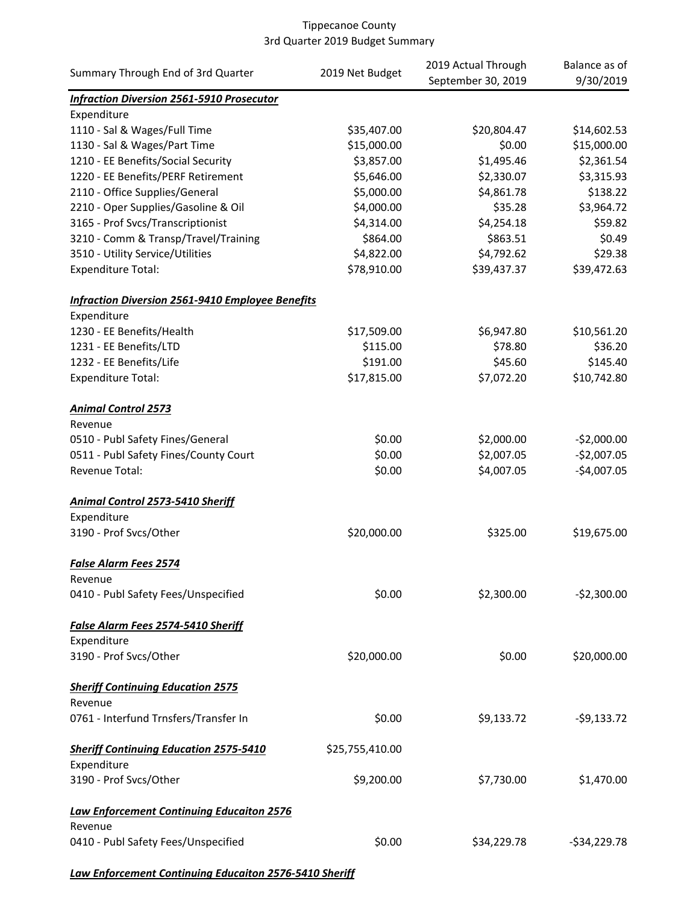|                                                         | 2019 Net Budget | 2019 Actual Through | Balance as of  |
|---------------------------------------------------------|-----------------|---------------------|----------------|
| Summary Through End of 3rd Quarter                      |                 | September 30, 2019  | 9/30/2019      |
| <b>Infraction Diversion 2561-5910 Prosecutor</b>        |                 |                     |                |
| Expenditure                                             |                 |                     |                |
| 1110 - Sal & Wages/Full Time                            | \$35,407.00     | \$20,804.47         | \$14,602.53    |
| 1130 - Sal & Wages/Part Time                            | \$15,000.00     | \$0.00              | \$15,000.00    |
| 1210 - EE Benefits/Social Security                      | \$3,857.00      | \$1,495.46          | \$2,361.54     |
| 1220 - EE Benefits/PERF Retirement                      | \$5,646.00      | \$2,330.07          | \$3,315.93     |
| 2110 - Office Supplies/General                          | \$5,000.00      | \$4,861.78          | \$138.22       |
| 2210 - Oper Supplies/Gasoline & Oil                     | \$4,000.00      | \$35.28             | \$3,964.72     |
| 3165 - Prof Svcs/Transcriptionist                       | \$4,314.00      | \$4,254.18          | \$59.82        |
| 3210 - Comm & Transp/Travel/Training                    | \$864.00        | \$863.51            | \$0.49         |
| 3510 - Utility Service/Utilities                        | \$4,822.00      | \$4,792.62          | \$29.38        |
| <b>Expenditure Total:</b>                               | \$78,910.00     | \$39,437.37         | \$39,472.63    |
| <b>Infraction Diversion 2561-9410 Employee Benefits</b> |                 |                     |                |
| Expenditure                                             |                 |                     |                |
| 1230 - EE Benefits/Health                               | \$17,509.00     | \$6,947.80          | \$10,561.20    |
| 1231 - EE Benefits/LTD                                  | \$115.00        | \$78.80             | \$36.20        |
| 1232 - EE Benefits/Life                                 | \$191.00        | \$45.60             | \$145.40       |
| <b>Expenditure Total:</b>                               | \$17,815.00     | \$7,072.20          | \$10,742.80    |
|                                                         |                 |                     |                |
| <b>Animal Control 2573</b><br>Revenue                   |                 |                     |                |
| 0510 - Publ Safety Fines/General                        | \$0.00          | \$2,000.00          | $-52,000.00$   |
| 0511 - Publ Safety Fines/County Court                   | \$0.00          | \$2,007.05          | $-$2,007.05$   |
| Revenue Total:                                          | \$0.00          | \$4,007.05          | $-$4,007.05$   |
|                                                         |                 |                     |                |
| <b>Animal Control 2573-5410 Sheriff</b>                 |                 |                     |                |
| Expenditure                                             |                 |                     |                |
| 3190 - Prof Svcs/Other                                  | \$20,000.00     | \$325.00            | \$19,675.00    |
| <b>False Alarm Fees 2574</b>                            |                 |                     |                |
| Revenue                                                 |                 |                     |                |
| 0410 - Publ Safety Fees/Unspecified                     | \$0.00          | \$2,300.00          | $-52,300.00$   |
| False Alarm Fees 2574-5410 Sheriff                      |                 |                     |                |
| Expenditure                                             |                 |                     |                |
| 3190 - Prof Svcs/Other                                  | \$20,000.00     | \$0.00              | \$20,000.00    |
| <b>Sheriff Continuing Education 2575</b>                |                 |                     |                |
| Revenue                                                 |                 |                     |                |
| 0761 - Interfund Trnsfers/Transfer In                   | \$0.00          | \$9,133.72          | $-$ \$9,133.72 |
| <b>Sheriff Continuing Education 2575-5410</b>           | \$25,755,410.00 |                     |                |
| Expenditure                                             |                 |                     |                |
| 3190 - Prof Svcs/Other                                  | \$9,200.00      | \$7,730.00          | \$1,470.00     |
| <b>Law Enforcement Continuing Educaiton 2576</b>        |                 |                     |                |
| Revenue                                                 |                 |                     |                |
| 0410 - Publ Safety Fees/Unspecified                     | \$0.00          | \$34,229.78         | $-534,229.78$  |
|                                                         |                 |                     |                |

*Law Enforcement Continuing Educaiton 2576-5410 Sheriff*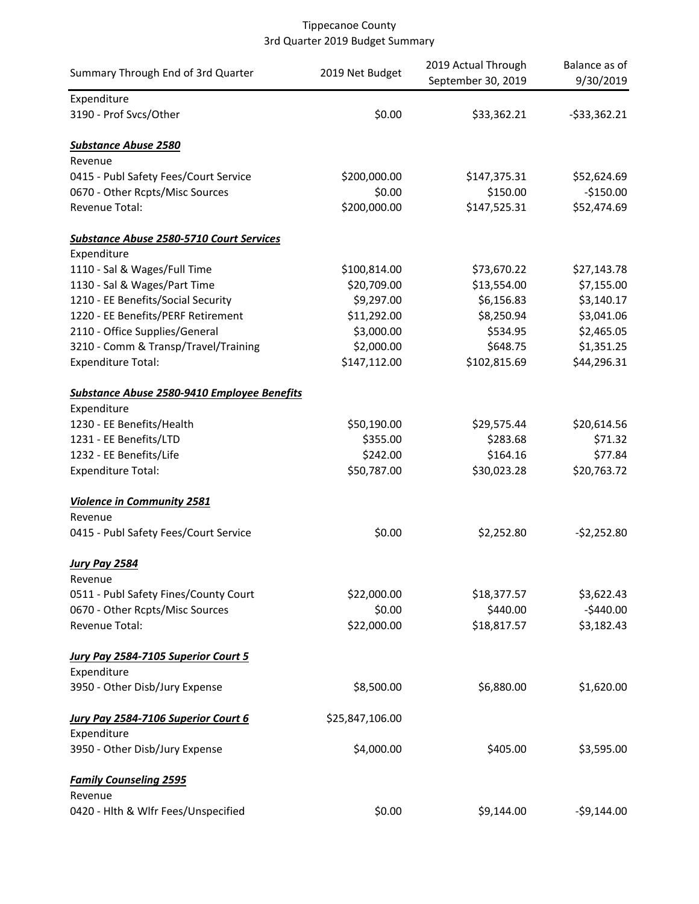| Summary Through End of 3rd Quarter                 | 2019 Net Budget | 2019 Actual Through<br>September 30, 2019 | Balance as of<br>9/30/2019 |
|----------------------------------------------------|-----------------|-------------------------------------------|----------------------------|
| Expenditure                                        |                 |                                           |                            |
| 3190 - Prof Svcs/Other                             | \$0.00          | \$33,362.21                               | $-533,362.21$              |
| <b>Substance Abuse 2580</b>                        |                 |                                           |                            |
| Revenue                                            |                 |                                           |                            |
| 0415 - Publ Safety Fees/Court Service              | \$200,000.00    | \$147,375.31                              | \$52,624.69                |
| 0670 - Other Rcpts/Misc Sources                    | \$0.00          | \$150.00                                  | $-$150.00$                 |
| Revenue Total:                                     | \$200,000.00    | \$147,525.31                              | \$52,474.69                |
| <b>Substance Abuse 2580-5710 Court Services</b>    |                 |                                           |                            |
| Expenditure                                        |                 |                                           |                            |
| 1110 - Sal & Wages/Full Time                       | \$100,814.00    | \$73,670.22                               | \$27,143.78                |
| 1130 - Sal & Wages/Part Time                       | \$20,709.00     | \$13,554.00                               | \$7,155.00                 |
| 1210 - EE Benefits/Social Security                 | \$9,297.00      | \$6,156.83                                | \$3,140.17                 |
| 1220 - EE Benefits/PERF Retirement                 | \$11,292.00     | \$8,250.94                                | \$3,041.06                 |
| 2110 - Office Supplies/General                     | \$3,000.00      | \$534.95                                  | \$2,465.05                 |
| 3210 - Comm & Transp/Travel/Training               | \$2,000.00      | \$648.75                                  | \$1,351.25                 |
| <b>Expenditure Total:</b>                          | \$147,112.00    | \$102,815.69                              | \$44,296.31                |
| <b>Substance Abuse 2580-9410 Employee Benefits</b> |                 |                                           |                            |
| Expenditure                                        |                 |                                           |                            |
| 1230 - EE Benefits/Health                          | \$50,190.00     | \$29,575.44                               | \$20,614.56                |
| 1231 - EE Benefits/LTD                             | \$355.00        | \$283.68                                  | \$71.32                    |
| 1232 - EE Benefits/Life                            | \$242.00        | \$164.16                                  | \$77.84                    |
| <b>Expenditure Total:</b>                          | \$50,787.00     | \$30,023.28                               | \$20,763.72                |
| <b>Violence in Community 2581</b>                  |                 |                                           |                            |
| Revenue                                            |                 |                                           |                            |
| 0415 - Publ Safety Fees/Court Service              | \$0.00          | \$2,252.80                                | $-52,252.80$               |
| <b>Jury Pay 2584</b>                               |                 |                                           |                            |
| Revenue                                            |                 |                                           |                            |
| 0511 - Publ Safety Fines/County Court              | \$22,000.00     | \$18,377.57                               | \$3,622.43                 |
| 0670 - Other Rcpts/Misc Sources                    | \$0.00          | \$440.00                                  | $-$440.00$                 |
| Revenue Total:                                     | \$22,000.00     | \$18,817.57                               | \$3,182.43                 |
| Jury Pay 2584-7105 Superior Court 5                |                 |                                           |                            |
| Expenditure                                        |                 |                                           |                            |
| 3950 - Other Disb/Jury Expense                     | \$8,500.00      | \$6,880.00                                | \$1,620.00                 |
| Jury Pay 2584-7106 Superior Court 6                | \$25,847,106.00 |                                           |                            |
| Expenditure                                        |                 |                                           |                            |
| 3950 - Other Disb/Jury Expense                     | \$4,000.00      | \$405.00                                  | \$3,595.00                 |
| <b>Family Counseling 2595</b>                      |                 |                                           |                            |
| Revenue                                            |                 |                                           |                            |
| 0420 - Hlth & Wlfr Fees/Unspecified                | \$0.00          | \$9,144.00                                | $-59,144.00$               |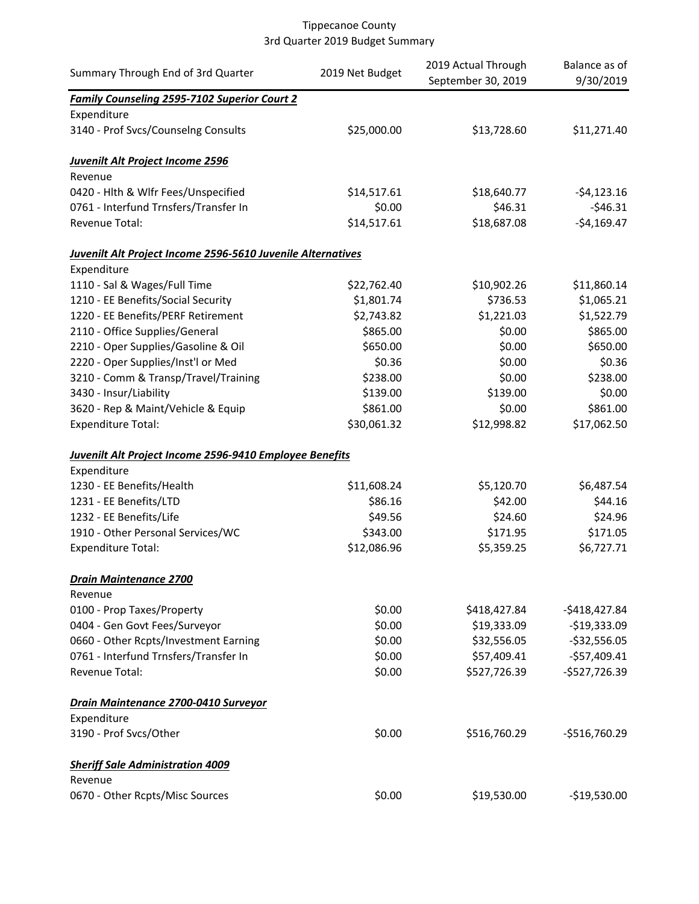| Summary Through End of 3rd Quarter                          | 2019 Net Budget | 2019 Actual Through<br>September 30, 2019 | Balance as of<br>9/30/2019 |
|-------------------------------------------------------------|-----------------|-------------------------------------------|----------------------------|
| <b>Family Counseling 2595-7102 Superior Court 2</b>         |                 |                                           |                            |
| Expenditure                                                 |                 |                                           |                            |
| 3140 - Prof Svcs/Counselng Consults                         | \$25,000.00     | \$13,728.60                               | \$11,271.40                |
| <b>Juvenilt Alt Project Income 2596</b>                     |                 |                                           |                            |
| Revenue                                                     |                 |                                           |                            |
| 0420 - Hlth & Wlfr Fees/Unspecified                         | \$14,517.61     | \$18,640.77                               | $-54,123.16$               |
| 0761 - Interfund Trnsfers/Transfer In                       | \$0.00          | \$46.31                                   | $-546.31$                  |
| Revenue Total:                                              | \$14,517.61     | \$18,687.08                               | $-$4,169.47$               |
| Juvenilt Alt Project Income 2596-5610 Juvenile Alternatives |                 |                                           |                            |
| Expenditure                                                 |                 |                                           |                            |
| 1110 - Sal & Wages/Full Time                                | \$22,762.40     | \$10,902.26                               | \$11,860.14                |
| 1210 - EE Benefits/Social Security                          | \$1,801.74      | \$736.53                                  | \$1,065.21                 |
| 1220 - EE Benefits/PERF Retirement                          | \$2,743.82      | \$1,221.03                                | \$1,522.79                 |
| 2110 - Office Supplies/General                              | \$865.00        | \$0.00                                    | \$865.00                   |
| 2210 - Oper Supplies/Gasoline & Oil                         | \$650.00        | \$0.00                                    | \$650.00                   |
| 2220 - Oper Supplies/Inst'l or Med                          | \$0.36          | \$0.00                                    | \$0.36                     |
| 3210 - Comm & Transp/Travel/Training                        | \$238.00        | \$0.00                                    | \$238.00                   |
| 3430 - Insur/Liability                                      | \$139.00        | \$139.00                                  | \$0.00                     |
| 3620 - Rep & Maint/Vehicle & Equip                          | \$861.00        | \$0.00                                    | \$861.00                   |
| <b>Expenditure Total:</b>                                   | \$30,061.32     | \$12,998.82                               | \$17,062.50                |
| Juvenilt Alt Project Income 2596-9410 Employee Benefits     |                 |                                           |                            |
| Expenditure                                                 |                 |                                           |                            |
| 1230 - EE Benefits/Health                                   | \$11,608.24     | \$5,120.70                                | \$6,487.54                 |
| 1231 - EE Benefits/LTD                                      | \$86.16         | \$42.00                                   | \$44.16                    |
| 1232 - EE Benefits/Life                                     | \$49.56         | \$24.60                                   | \$24.96                    |
| 1910 - Other Personal Services/WC                           | \$343.00        | \$171.95                                  | \$171.05                   |
| <b>Expenditure Total:</b>                                   | \$12,086.96     | \$5,359.25                                | \$6,727.71                 |
| <b>Drain Maintenance 2700</b>                               |                 |                                           |                            |
| Revenue                                                     |                 |                                           |                            |
| 0100 - Prop Taxes/Property                                  | \$0.00          | \$418,427.84                              | $-$418,427.84$             |
| 0404 - Gen Govt Fees/Surveyor                               | \$0.00          | \$19,333.09                               | $-$19,333.09$              |
| 0660 - Other Rcpts/Investment Earning                       | \$0.00          | \$32,556.05                               | $-$32,556.05$              |
| 0761 - Interfund Trnsfers/Transfer In                       | \$0.00          | \$57,409.41                               | $-$57,409.41$              |
| Revenue Total:                                              | \$0.00          | \$527,726.39                              | $-$527,726.39$             |
| Drain Maintenance 2700-0410 Surveyor                        |                 |                                           |                            |
| Expenditure                                                 |                 |                                           |                            |
| 3190 - Prof Svcs/Other                                      | \$0.00          | \$516,760.29                              | $-$516,760.29$             |
| <b>Sheriff Sale Administration 4009</b>                     |                 |                                           |                            |
| Revenue                                                     |                 |                                           |                            |
| 0670 - Other Rcpts/Misc Sources                             | \$0.00          | \$19,530.00                               | $-$19,530.00$              |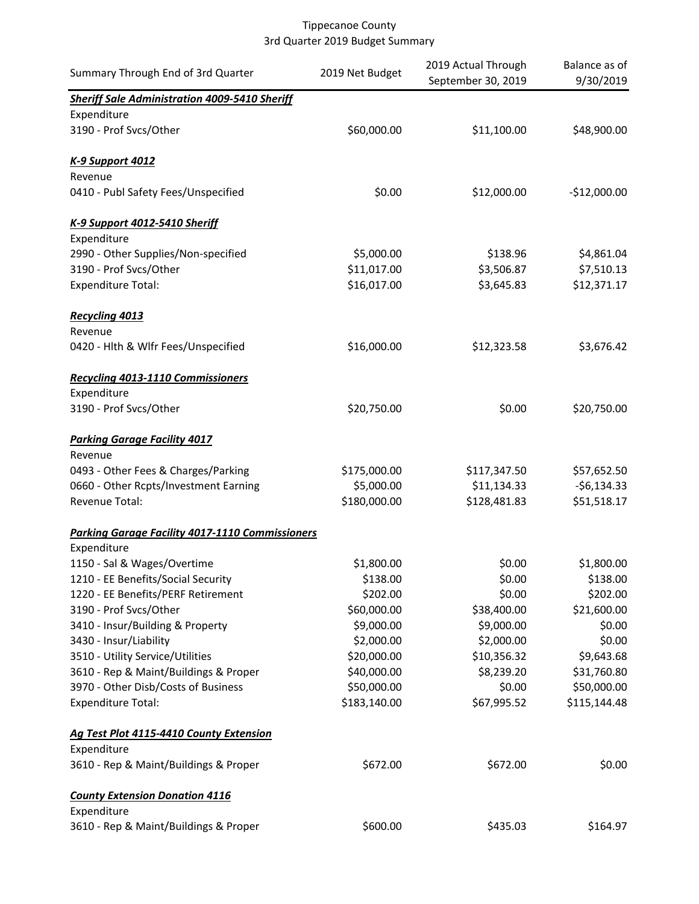| Summary Through End of 3rd Quarter                     | 2019 Net Budget | 2019 Actual Through<br>September 30, 2019 | Balance as of<br>9/30/2019 |
|--------------------------------------------------------|-----------------|-------------------------------------------|----------------------------|
| <b>Sheriff Sale Administration 4009-5410 Sheriff</b>   |                 |                                           |                            |
| Expenditure                                            |                 |                                           |                            |
| 3190 - Prof Svcs/Other                                 | \$60,000.00     | \$11,100.00                               | \$48,900.00                |
| <b>K-9 Support 4012</b>                                |                 |                                           |                            |
| Revenue                                                |                 |                                           |                            |
| 0410 - Publ Safety Fees/Unspecified                    | \$0.00          | \$12,000.00                               | $-$12,000.00$              |
| K-9 Support 4012-5410 Sheriff                          |                 |                                           |                            |
| Expenditure                                            |                 |                                           |                            |
| 2990 - Other Supplies/Non-specified                    | \$5,000.00      | \$138.96                                  | \$4,861.04                 |
| 3190 - Prof Svcs/Other                                 | \$11,017.00     | \$3,506.87                                | \$7,510.13                 |
| <b>Expenditure Total:</b>                              | \$16,017.00     | \$3,645.83                                | \$12,371.17                |
| Recycling 4013                                         |                 |                                           |                            |
| Revenue                                                |                 |                                           |                            |
| 0420 - Hlth & Wlfr Fees/Unspecified                    | \$16,000.00     | \$12,323.58                               | \$3,676.42                 |
| <b>Recycling 4013-1110 Commissioners</b>               |                 |                                           |                            |
| Expenditure                                            |                 |                                           |                            |
| 3190 - Prof Svcs/Other                                 | \$20,750.00     | \$0.00                                    | \$20,750.00                |
| <b>Parking Garage Facility 4017</b>                    |                 |                                           |                            |
| Revenue                                                |                 |                                           |                            |
| 0493 - Other Fees & Charges/Parking                    | \$175,000.00    | \$117,347.50                              | \$57,652.50                |
| 0660 - Other Rcpts/Investment Earning                  | \$5,000.00      | \$11,134.33                               | $-56,134.33$               |
| Revenue Total:                                         | \$180,000.00    | \$128,481.83                              | \$51,518.17                |
| <b>Parking Garage Facility 4017-1110 Commissioners</b> |                 |                                           |                            |
| Expenditure                                            |                 |                                           |                            |
| 1150 - Sal & Wages/Overtime                            | \$1,800.00      | \$0.00                                    | \$1,800.00                 |
| 1210 - EE Benefits/Social Security                     | \$138.00        | \$0.00                                    | \$138.00                   |
| 1220 - EE Benefits/PERF Retirement                     | \$202.00        | \$0.00                                    | \$202.00                   |
| 3190 - Prof Svcs/Other                                 | \$60,000.00     | \$38,400.00                               | \$21,600.00                |
| 3410 - Insur/Building & Property                       | \$9,000.00      | \$9,000.00                                | \$0.00                     |
| 3430 - Insur/Liability                                 | \$2,000.00      | \$2,000.00                                | \$0.00                     |
| 3510 - Utility Service/Utilities                       | \$20,000.00     | \$10,356.32                               | \$9,643.68                 |
| 3610 - Rep & Maint/Buildings & Proper                  | \$40,000.00     | \$8,239.20                                | \$31,760.80                |
| 3970 - Other Disb/Costs of Business                    | \$50,000.00     | \$0.00                                    | \$50,000.00                |
| <b>Expenditure Total:</b>                              | \$183,140.00    | \$67,995.52                               | \$115,144.48               |
| Ag Test Plot 4115-4410 County Extension                |                 |                                           |                            |
| Expenditure                                            |                 |                                           |                            |
| 3610 - Rep & Maint/Buildings & Proper                  | \$672.00        | \$672.00                                  | \$0.00                     |
| <b>County Extension Donation 4116</b>                  |                 |                                           |                            |
| Expenditure                                            |                 |                                           |                            |
| 3610 - Rep & Maint/Buildings & Proper                  | \$600.00        | \$435.03                                  | \$164.97                   |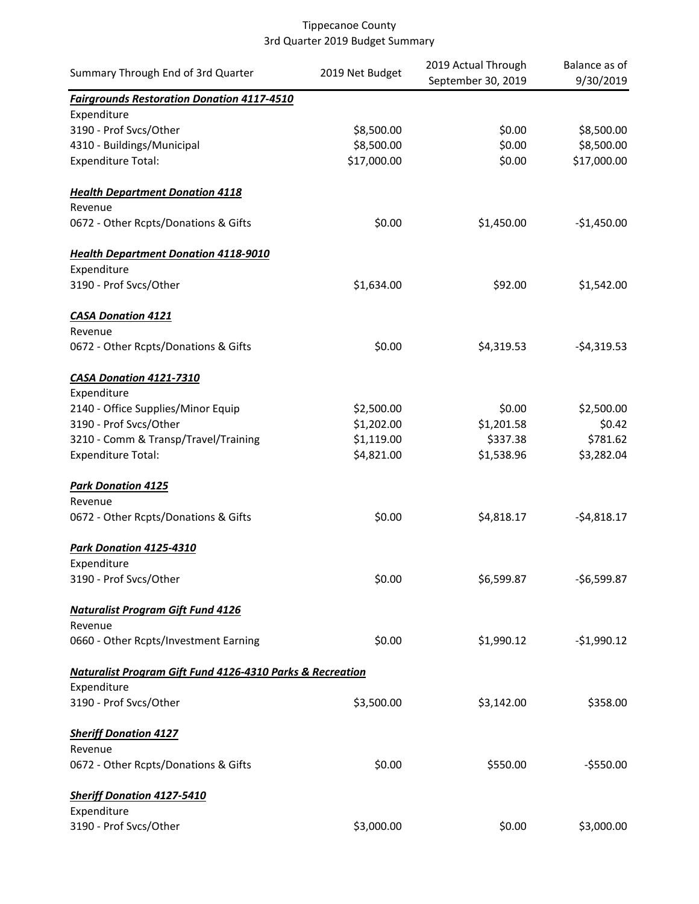| Summary Through End of 3rd Quarter                                   | 2019 Net Budget | 2019 Actual Through | Balance as of |
|----------------------------------------------------------------------|-----------------|---------------------|---------------|
|                                                                      |                 | September 30, 2019  | 9/30/2019     |
| <b>Fairgrounds Restoration Donation 4117-4510</b>                    |                 |                     |               |
| Expenditure<br>3190 - Prof Svcs/Other                                | \$8,500.00      | \$0.00              | \$8,500.00    |
| 4310 - Buildings/Municipal                                           | \$8,500.00      | \$0.00              | \$8,500.00    |
| <b>Expenditure Total:</b>                                            | \$17,000.00     | \$0.00              | \$17,000.00   |
|                                                                      |                 |                     |               |
| <b>Health Department Donation 4118</b><br>Revenue                    |                 |                     |               |
| 0672 - Other Rcpts/Donations & Gifts                                 | \$0.00          | \$1,450.00          | $-$1,450.00$  |
|                                                                      |                 |                     |               |
| <b>Health Department Donation 4118-9010</b>                          |                 |                     |               |
| Expenditure                                                          |                 |                     |               |
| 3190 - Prof Svcs/Other                                               | \$1,634.00      | \$92.00             | \$1,542.00    |
| <b>CASA Donation 4121</b>                                            |                 |                     |               |
| Revenue                                                              |                 |                     |               |
| 0672 - Other Rcpts/Donations & Gifts                                 | \$0.00          | \$4,319.53          | $-54,319.53$  |
|                                                                      |                 |                     |               |
| <b>CASA Donation 4121-7310</b>                                       |                 |                     |               |
| Expenditure                                                          |                 |                     |               |
| 2140 - Office Supplies/Minor Equip                                   | \$2,500.00      | \$0.00              | \$2,500.00    |
| 3190 - Prof Svcs/Other                                               | \$1,202.00      | \$1,201.58          | \$0.42        |
| 3210 - Comm & Transp/Travel/Training                                 | \$1,119.00      | \$337.38            | \$781.62      |
| <b>Expenditure Total:</b>                                            | \$4,821.00      | \$1,538.96          | \$3,282.04    |
| <b>Park Donation 4125</b>                                            |                 |                     |               |
| Revenue                                                              |                 |                     |               |
| 0672 - Other Rcpts/Donations & Gifts                                 | \$0.00          | \$4,818.17          | $-$4,818.17$  |
|                                                                      |                 |                     |               |
| Park Donation 4125-4310                                              |                 |                     |               |
| Expenditure                                                          |                 |                     |               |
| 3190 - Prof Svcs/Other                                               | \$0.00          | \$6,599.87          | -\$6,599.87   |
|                                                                      |                 |                     |               |
| <b>Naturalist Program Gift Fund 4126</b>                             |                 |                     |               |
| Revenue                                                              |                 |                     |               |
| 0660 - Other Rcpts/Investment Earning                                | \$0.00          | \$1,990.12          | $-$1,990.12$  |
| <b>Naturalist Program Gift Fund 4126-4310 Parks &amp; Recreation</b> |                 |                     |               |
| Expenditure                                                          |                 |                     |               |
| 3190 - Prof Svcs/Other                                               | \$3,500.00      | \$3,142.00          | \$358.00      |
|                                                                      |                 |                     |               |
| <b>Sheriff Donation 4127</b>                                         |                 |                     |               |
| Revenue                                                              |                 |                     |               |
| 0672 - Other Rcpts/Donations & Gifts                                 | \$0.00          | \$550.00            | $-$550.00$    |
| <b>Sheriff Donation 4127-5410</b>                                    |                 |                     |               |
| Expenditure                                                          |                 |                     |               |
| 3190 - Prof Svcs/Other                                               | \$3,000.00      | \$0.00              | \$3,000.00    |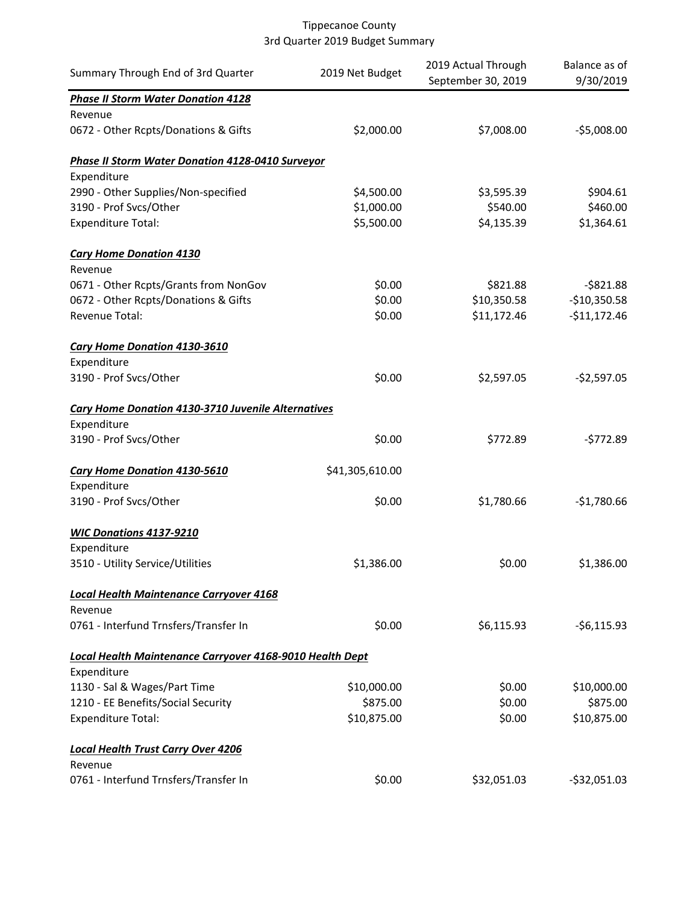| Summary Through End of 3rd Quarter                        | 2019 Net Budget | 2019 Actual Through | Balance as of |
|-----------------------------------------------------------|-----------------|---------------------|---------------|
|                                                           |                 | September 30, 2019  | 9/30/2019     |
| <b>Phase II Storm Water Donation 4128</b>                 |                 |                     |               |
| Revenue                                                   |                 |                     |               |
| 0672 - Other Rcpts/Donations & Gifts                      | \$2,000.00      | \$7,008.00          | $-55,008.00$  |
| Phase II Storm Water Donation 4128-0410 Surveyor          |                 |                     |               |
| Expenditure                                               |                 |                     |               |
| 2990 - Other Supplies/Non-specified                       | \$4,500.00      | \$3,595.39          | \$904.61      |
| 3190 - Prof Svcs/Other                                    | \$1,000.00      | \$540.00            | \$460.00      |
| <b>Expenditure Total:</b>                                 | \$5,500.00      | \$4,135.39          | \$1,364.61    |
| <b>Cary Home Donation 4130</b>                            |                 |                     |               |
| Revenue                                                   |                 |                     |               |
| 0671 - Other Rcpts/Grants from NonGov                     | \$0.00          | \$821.88            | $-$ \$821.88  |
| 0672 - Other Rcpts/Donations & Gifts                      | \$0.00          | \$10,350.58         | $-$10,350.58$ |
| Revenue Total:                                            | \$0.00          | \$11,172.46         | $-$11,172.46$ |
| Cary Home Donation 4130-3610                              |                 |                     |               |
| Expenditure                                               |                 |                     |               |
| 3190 - Prof Svcs/Other                                    | \$0.00          | \$2,597.05          | $-$2,597.05$  |
| <b>Cary Home Donation 4130-3710 Juvenile Alternatives</b> |                 |                     |               |
| Expenditure                                               |                 |                     |               |
| 3190 - Prof Svcs/Other                                    | \$0.00          | \$772.89            | $-5772.89$    |
| <b>Cary Home Donation 4130-5610</b>                       | \$41,305,610.00 |                     |               |
| Expenditure                                               |                 |                     |               |
| 3190 - Prof Svcs/Other                                    | \$0.00          | \$1,780.66          | $-$1,780.66$  |
| <b>WIC Donations 4137-9210</b>                            |                 |                     |               |
| Expenditure                                               |                 |                     |               |
| 3510 - Utility Service/Utilities                          | \$1,386.00      | \$0.00              | \$1,386.00    |
| <b>Local Health Maintenance Carryover 4168</b>            |                 |                     |               |
| Revenue                                                   |                 |                     |               |
| 0761 - Interfund Trnsfers/Transfer In                     | \$0.00          | \$6,115.93          | $-56,115.93$  |
| Local Health Maintenance Carryover 4168-9010 Health Dept  |                 |                     |               |
| Expenditure                                               |                 |                     |               |
| 1130 - Sal & Wages/Part Time                              | \$10,000.00     | \$0.00              | \$10,000.00   |
| 1210 - EE Benefits/Social Security                        | \$875.00        | \$0.00              | \$875.00      |
| <b>Expenditure Total:</b>                                 | \$10,875.00     | \$0.00              | \$10,875.00   |
| <b>Local Health Trust Carry Over 4206</b>                 |                 |                     |               |
| Revenue                                                   |                 |                     |               |
| 0761 - Interfund Trnsfers/Transfer In                     | \$0.00          | \$32,051.03         | $-532,051.03$ |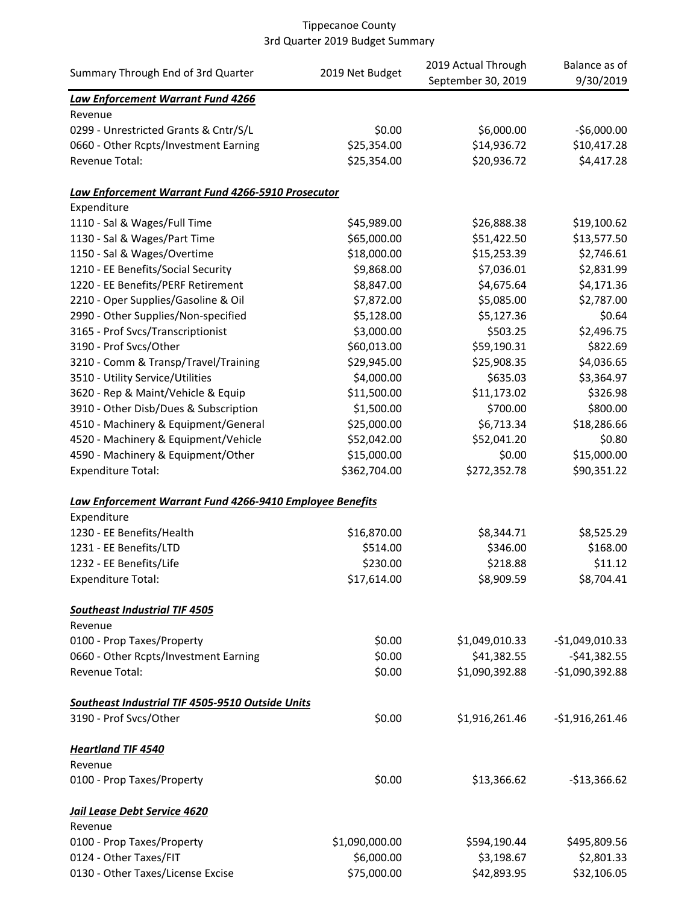|                                                          |                 | 2019 Actual Through | Balance as of    |
|----------------------------------------------------------|-----------------|---------------------|------------------|
| Summary Through End of 3rd Quarter                       | 2019 Net Budget | September 30, 2019  | 9/30/2019        |
| Law Enforcement Warrant Fund 4266                        |                 |                     |                  |
| Revenue                                                  |                 |                     |                  |
| 0299 - Unrestricted Grants & Cntr/S/L                    | \$0.00          | \$6,000.00          | $-56,000.00$     |
| 0660 - Other Rcpts/Investment Earning                    | \$25,354.00     | \$14,936.72         | \$10,417.28      |
| Revenue Total:                                           | \$25,354.00     | \$20,936.72         | \$4,417.28       |
| Law Enforcement Warrant Fund 4266-5910 Prosecutor        |                 |                     |                  |
| Expenditure                                              |                 |                     |                  |
| 1110 - Sal & Wages/Full Time                             | \$45,989.00     | \$26,888.38         | \$19,100.62      |
| 1130 - Sal & Wages/Part Time                             | \$65,000.00     | \$51,422.50         | \$13,577.50      |
| 1150 - Sal & Wages/Overtime                              | \$18,000.00     | \$15,253.39         | \$2,746.61       |
| 1210 - EE Benefits/Social Security                       | \$9,868.00      | \$7,036.01          | \$2,831.99       |
| 1220 - EE Benefits/PERF Retirement                       | \$8,847.00      | \$4,675.64          | \$4,171.36       |
| 2210 - Oper Supplies/Gasoline & Oil                      | \$7,872.00      | \$5,085.00          | \$2,787.00       |
| 2990 - Other Supplies/Non-specified                      | \$5,128.00      | \$5,127.36          | \$0.64           |
| 3165 - Prof Svcs/Transcriptionist                        | \$3,000.00      | \$503.25            | \$2,496.75       |
| 3190 - Prof Svcs/Other                                   | \$60,013.00     | \$59,190.31         | \$822.69         |
| 3210 - Comm & Transp/Travel/Training                     | \$29,945.00     | \$25,908.35         | \$4,036.65       |
| 3510 - Utility Service/Utilities                         | \$4,000.00      | \$635.03            | \$3,364.97       |
| 3620 - Rep & Maint/Vehicle & Equip                       | \$11,500.00     | \$11,173.02         | \$326.98         |
| 3910 - Other Disb/Dues & Subscription                    | \$1,500.00      | \$700.00            | \$800.00         |
|                                                          |                 |                     |                  |
| 4510 - Machinery & Equipment/General                     | \$25,000.00     | \$6,713.34          | \$18,286.66      |
| 4520 - Machinery & Equipment/Vehicle                     | \$52,042.00     | \$52,041.20         | \$0.80           |
| 4590 - Machinery & Equipment/Other                       | \$15,000.00     | \$0.00              | \$15,000.00      |
| <b>Expenditure Total:</b>                                | \$362,704.00    | \$272,352.78        | \$90,351.22      |
| Law Enforcement Warrant Fund 4266-9410 Employee Benefits |                 |                     |                  |
| Expenditure                                              |                 |                     |                  |
| 1230 - EE Benefits/Health                                | \$16,870.00     | \$8,344.71          | \$8,525.29       |
| 1231 - EE Benefits/LTD                                   | \$514.00        | \$346.00            | \$168.00         |
| 1232 - EE Benefits/Life                                  | \$230.00        | \$218.88            | \$11.12          |
| <b>Expenditure Total:</b>                                | \$17,614.00     | \$8,909.59          | \$8,704.41       |
| <b>Southeast Industrial TIF 4505</b>                     |                 |                     |                  |
| Revenue                                                  |                 |                     |                  |
| 0100 - Prop Taxes/Property                               | \$0.00          | \$1,049,010.33      | $-$1,049,010.33$ |
| 0660 - Other Rcpts/Investment Earning                    | \$0.00          | \$41,382.55         | $-$ \$41,382.55  |
| Revenue Total:                                           | \$0.00          | \$1,090,392.88      | $-$1,090,392.88$ |
| Southeast Industrial TIF 4505-9510 Outside Units         |                 |                     |                  |
| 3190 - Prof Svcs/Other                                   | \$0.00          | \$1,916,261.46      | $-$1,916,261.46$ |
|                                                          |                 |                     |                  |
| <b>Heartland TIF 4540</b><br>Revenue                     |                 |                     |                  |
|                                                          |                 |                     |                  |
| 0100 - Prop Taxes/Property                               | \$0.00          | \$13,366.62         | $-$13,366.62$    |
| Jail Lease Debt Service 4620                             |                 |                     |                  |
| Revenue                                                  |                 |                     |                  |
| 0100 - Prop Taxes/Property                               | \$1,090,000.00  | \$594,190.44        | \$495,809.56     |
| 0124 - Other Taxes/FIT                                   | \$6,000.00      | \$3,198.67          | \$2,801.33       |
| 0130 - Other Taxes/License Excise                        | \$75,000.00     | \$42,893.95         | \$32,106.05      |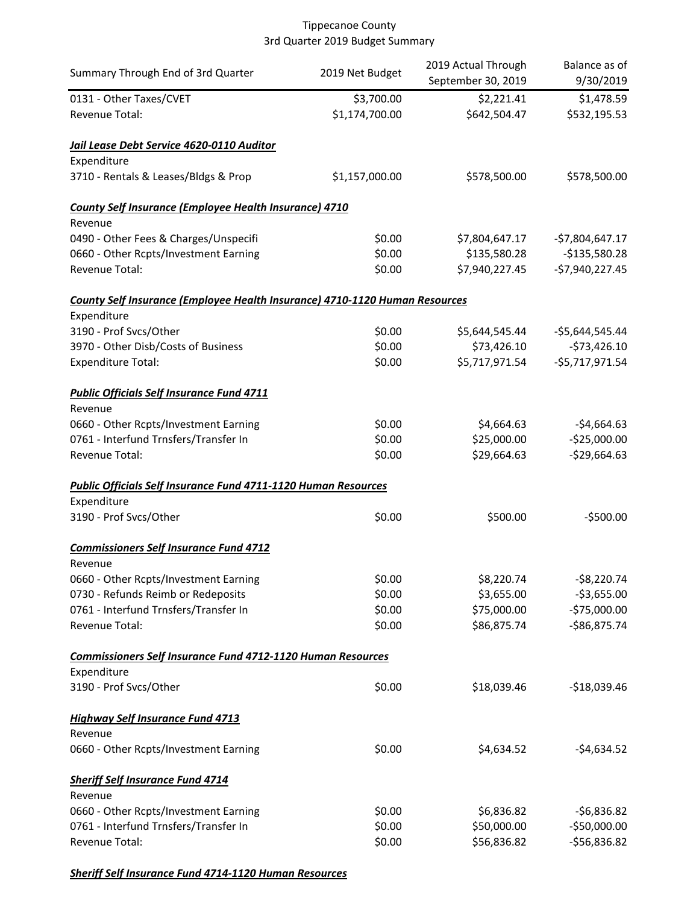| Summary Through End of 3rd Quarter                                                | 2019 Net Budget | 2019 Actual Through<br>September 30, 2019 | Balance as of<br>9/30/2019 |
|-----------------------------------------------------------------------------------|-----------------|-------------------------------------------|----------------------------|
| 0131 - Other Taxes/CVET                                                           | \$3,700.00      | \$2,221.41                                | \$1,478.59                 |
| Revenue Total:                                                                    | \$1,174,700.00  | \$642,504.47                              | \$532,195.53               |
| Jail Lease Debt Service 4620-0110 Auditor                                         |                 |                                           |                            |
| Expenditure<br>3710 - Rentals & Leases/Bldgs & Prop                               | \$1,157,000.00  | \$578,500.00                              | \$578,500.00               |
| County Self Insurance (Employee Health Insurance) 4710<br>Revenue                 |                 |                                           |                            |
| 0490 - Other Fees & Charges/Unspecifi                                             | \$0.00          | \$7,804,647.17                            | $-$7,804,647.17$           |
| 0660 - Other Rcpts/Investment Earning                                             | \$0.00          | \$135,580.28                              | $-$135,580.28$             |
| Revenue Total:                                                                    | \$0.00          | \$7,940,227.45                            | $-$7,940,227.45$           |
| County Self Insurance (Employee Health Insurance) 4710-1120 Human Resources       |                 |                                           |                            |
| Expenditure                                                                       |                 |                                           |                            |
| 3190 - Prof Svcs/Other                                                            | \$0.00          | \$5,644,545.44                            | $-55,644,545.44$           |
| 3970 - Other Disb/Costs of Business                                               | \$0.00          | \$73,426.10                               | $-$73,426.10$              |
| <b>Expenditure Total:</b>                                                         | \$0.00          | \$5,717,971.54                            | $-55,717,971.54$           |
| <b>Public Officials Self Insurance Fund 4711</b><br>Revenue                       |                 |                                           |                            |
| 0660 - Other Rcpts/Investment Earning                                             | \$0.00          | \$4,664.63                                | $-$4,664.63$               |
| 0761 - Interfund Trnsfers/Transfer In                                             | \$0.00          | \$25,000.00                               | $-$25,000.00$              |
| Revenue Total:                                                                    | \$0.00          | \$29,664.63                               | $-$29,664.63$              |
| <b>Public Officials Self Insurance Fund 4711-1120 Human Resources</b>             |                 |                                           |                            |
| Expenditure                                                                       |                 |                                           |                            |
| 3190 - Prof Svcs/Other                                                            | \$0.00          | \$500.00                                  | $-$500.00$                 |
| <b>Commissioners Self Insurance Fund 4712</b>                                     |                 |                                           |                            |
| Revenue                                                                           |                 |                                           |                            |
| 0660 - Other Rcpts/Investment Earning                                             | \$0.00          | \$8,220.74                                | $-58,220.74$               |
| 0730 - Refunds Reimb or Redeposits                                                | \$0.00          | \$3,655.00                                | $-$3,655.00$               |
| 0761 - Interfund Trnsfers/Transfer In                                             | \$0.00          | \$75,000.00                               | $-$75,000.00$              |
| Revenue Total:                                                                    | \$0.00          | \$86,875.74                               | $-$86,875.74$              |
| <b>Commissioners Self Insurance Fund 4712-1120 Human Resources</b><br>Expenditure |                 |                                           |                            |
| 3190 - Prof Svcs/Other                                                            | \$0.00          | \$18,039.46                               | $-$18,039.46$              |
| <b>Highway Self Insurance Fund 4713</b>                                           |                 |                                           |                            |
| Revenue                                                                           |                 |                                           |                            |
| 0660 - Other Rcpts/Investment Earning                                             | \$0.00          | \$4,634.52                                | $-$4,634.52$               |
| <b>Sheriff Self Insurance Fund 4714</b>                                           |                 |                                           |                            |
| Revenue                                                                           |                 |                                           |                            |
| 0660 - Other Rcpts/Investment Earning                                             | \$0.00          | \$6,836.82                                | $-56,836.82$               |
| 0761 - Interfund Trnsfers/Transfer In                                             | \$0.00          | \$50,000.00                               | $-$50,000.00$              |
| Revenue Total:                                                                    | \$0.00          | \$56,836.82                               | $-556,836.82$              |

*Sheriff Self Insurance Fund 4714-1120 Human Resources*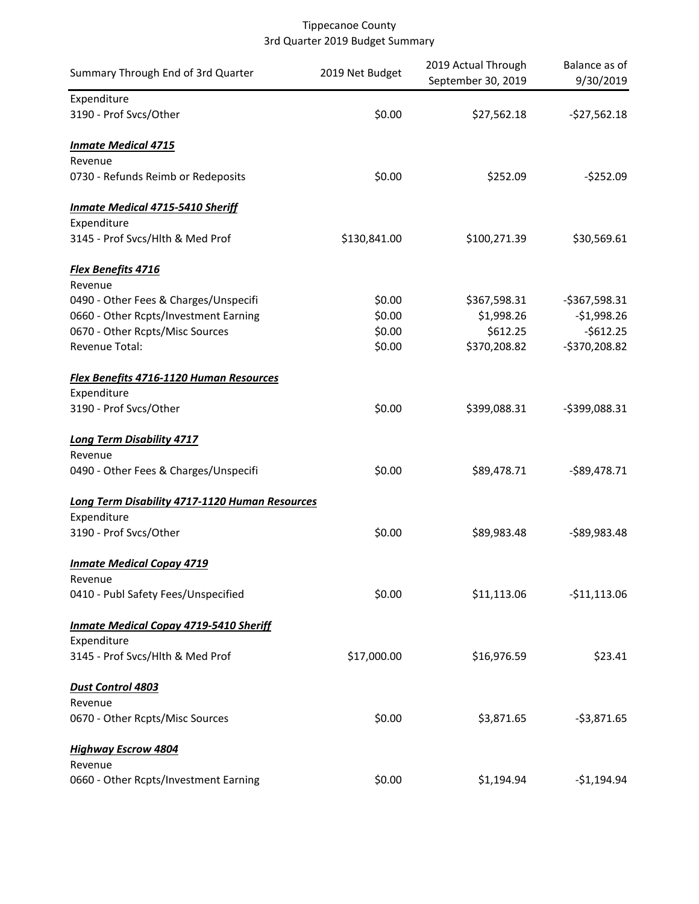| Summary Through End of 3rd Quarter             | 2019 Net Budget | 2019 Actual Through<br>September 30, 2019 | Balance as of<br>9/30/2019 |
|------------------------------------------------|-----------------|-------------------------------------------|----------------------------|
| Expenditure                                    |                 |                                           |                            |
| 3190 - Prof Svcs/Other                         | \$0.00          | \$27,562.18                               | $-527,562.18$              |
| <b>Inmate Medical 4715</b>                     |                 |                                           |                            |
| Revenue                                        |                 |                                           |                            |
| 0730 - Refunds Reimb or Redeposits             | \$0.00          | \$252.09                                  | $-$ \$252.09               |
| <b>Inmate Medical 4715-5410 Sheriff</b>        |                 |                                           |                            |
| Expenditure                                    |                 |                                           |                            |
| 3145 - Prof Svcs/Hlth & Med Prof               | \$130,841.00    | \$100,271.39                              | \$30,569.61                |
| <b>Flex Benefits 4716</b>                      |                 |                                           |                            |
| Revenue                                        |                 |                                           |                            |
| 0490 - Other Fees & Charges/Unspecifi          | \$0.00          | \$367,598.31                              | $-5367,598.31$             |
| 0660 - Other Rcpts/Investment Earning          | \$0.00          | \$1,998.26                                | $-$1,998.26$               |
| 0670 - Other Rcpts/Misc Sources                | \$0.00          | \$612.25                                  | $-$612.25$                 |
| Revenue Total:                                 | \$0.00          | \$370,208.82                              | -\$370,208.82              |
| <b>Flex Benefits 4716-1120 Human Resources</b> |                 |                                           |                            |
| Expenditure                                    |                 |                                           |                            |
| 3190 - Prof Svcs/Other                         | \$0.00          | \$399,088.31                              | $-5399,088.31$             |
| <b>Long Term Disability 4717</b>               |                 |                                           |                            |
| Revenue                                        |                 |                                           |                            |
| 0490 - Other Fees & Charges/Unspecifi          | \$0.00          | \$89,478.71                               | $-$ \$89,478.71            |
| Long Term Disability 4717-1120 Human Resources |                 |                                           |                            |
| Expenditure                                    |                 |                                           |                            |
| 3190 - Prof Svcs/Other                         | \$0.00          | \$89,983.48                               | $-$ \$89,983.48            |
| <b>Inmate Medical Copay 4719</b>               |                 |                                           |                            |
| Revenue                                        |                 |                                           |                            |
| 0410 - Publ Safety Fees/Unspecified            | \$0.00          | \$11,113.06                               | $-$11,113.06$              |
| <b>Inmate Medical Copay 4719-5410 Sheriff</b>  |                 |                                           |                            |
| Expenditure                                    |                 |                                           |                            |
| 3145 - Prof Svcs/Hlth & Med Prof               | \$17,000.00     | \$16,976.59                               | \$23.41                    |
| Dust Control 4803                              |                 |                                           |                            |
| Revenue                                        |                 |                                           |                            |
| 0670 - Other Rcpts/Misc Sources                | \$0.00          | \$3,871.65                                | $-53,871.65$               |
| <b>Highway Escrow 4804</b>                     |                 |                                           |                            |
| Revenue                                        |                 |                                           |                            |
| 0660 - Other Rcpts/Investment Earning          | \$0.00          | \$1,194.94                                | $-51,194.94$               |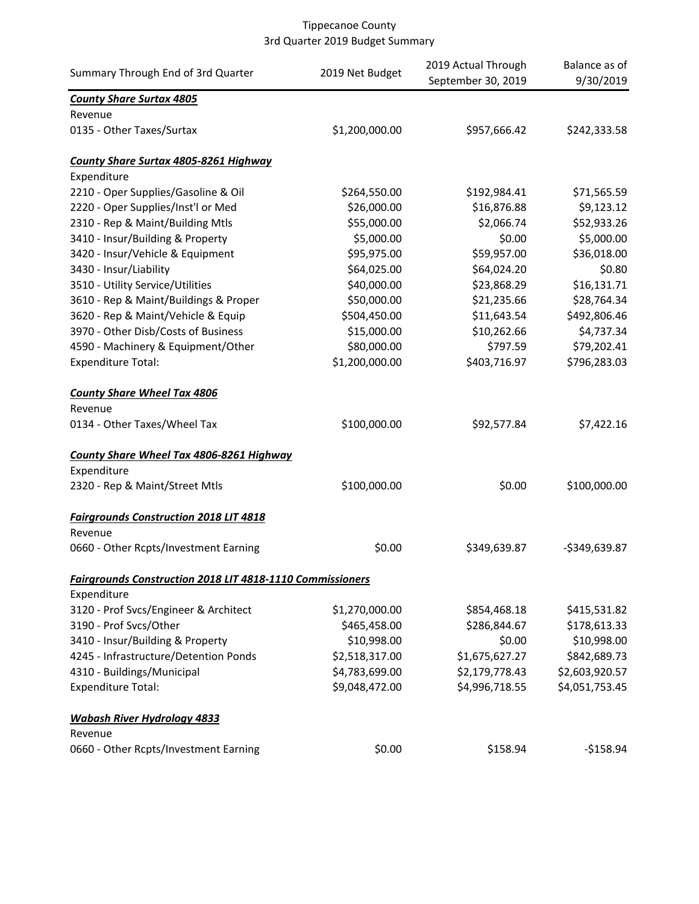| Summary Through End of 3rd Quarter                               | 2019 Net Budget | 2019 Actual Through<br>September 30, 2019 | Balance as of<br>9/30/2019 |
|------------------------------------------------------------------|-----------------|-------------------------------------------|----------------------------|
| <b>County Share Surtax 4805</b>                                  |                 |                                           |                            |
| Revenue                                                          |                 |                                           |                            |
| 0135 - Other Taxes/Surtax                                        | \$1,200,000.00  | \$957,666.42                              | \$242,333.58               |
| <b>County Share Surtax 4805-8261 Highway</b>                     |                 |                                           |                            |
| Expenditure                                                      |                 |                                           |                            |
| 2210 - Oper Supplies/Gasoline & Oil                              | \$264,550.00    | \$192,984.41                              | \$71,565.59                |
| 2220 - Oper Supplies/Inst'l or Med                               | \$26,000.00     | \$16,876.88                               | \$9,123.12                 |
| 2310 - Rep & Maint/Building Mtls                                 | \$55,000.00     | \$2,066.74                                | \$52,933.26                |
| 3410 - Insur/Building & Property                                 | \$5,000.00      | \$0.00                                    | \$5,000.00                 |
| 3420 - Insur/Vehicle & Equipment                                 | \$95,975.00     | \$59,957.00                               | \$36,018.00                |
| 3430 - Insur/Liability                                           | \$64,025.00     | \$64,024.20                               | \$0.80                     |
| 3510 - Utility Service/Utilities                                 | \$40,000.00     | \$23,868.29                               | \$16,131.71                |
| 3610 - Rep & Maint/Buildings & Proper                            | \$50,000.00     | \$21,235.66                               | \$28,764.34                |
| 3620 - Rep & Maint/Vehicle & Equip                               | \$504,450.00    | \$11,643.54                               | \$492,806.46               |
| 3970 - Other Disb/Costs of Business                              | \$15,000.00     | \$10,262.66                               | \$4,737.34                 |
| 4590 - Machinery & Equipment/Other                               | \$80,000.00     | \$797.59                                  | \$79,202.41                |
| <b>Expenditure Total:</b>                                        | \$1,200,000.00  | \$403,716.97                              | \$796,283.03               |
| <b>County Share Wheel Tax 4806</b>                               |                 |                                           |                            |
| Revenue                                                          |                 |                                           |                            |
| 0134 - Other Taxes/Wheel Tax                                     | \$100,000.00    | \$92,577.84                               | \$7,422.16                 |
| County Share Wheel Tax 4806-8261 Highway                         |                 |                                           |                            |
| Expenditure                                                      |                 |                                           |                            |
| 2320 - Rep & Maint/Street Mtls                                   | \$100,000.00    | \$0.00                                    | \$100,000.00               |
| <b>Fairgrounds Construction 2018 LIT 4818</b>                    |                 |                                           |                            |
| Revenue                                                          |                 |                                           |                            |
| 0660 - Other Rcpts/Investment Earning                            | \$0.00          | \$349,639.87                              | $-$349,639.87$             |
| <b>Fairgrounds Construction 2018 LIT 4818-1110 Commissioners</b> |                 |                                           |                            |
| Expenditure                                                      |                 |                                           |                            |
| 3120 - Prof Svcs/Engineer & Architect                            | \$1,270,000.00  | \$854,468.18                              | \$415,531.82               |
| 3190 - Prof Svcs/Other                                           | \$465,458.00    | \$286,844.67                              | \$178,613.33               |
| 3410 - Insur/Building & Property                                 | \$10,998.00     | \$0.00                                    | \$10,998.00                |
| 4245 - Infrastructure/Detention Ponds                            | \$2,518,317.00  | \$1,675,627.27                            | \$842,689.73               |
| 4310 - Buildings/Municipal                                       | \$4,783,699.00  | \$2,179,778.43                            | \$2,603,920.57             |
| <b>Expenditure Total:</b>                                        | \$9,048,472.00  | \$4,996,718.55                            | \$4,051,753.45             |
| <b>Wabash River Hydrology 4833</b>                               |                 |                                           |                            |
| Revenue                                                          |                 |                                           |                            |
| 0660 - Other Rcpts/Investment Earning                            | \$0.00          | \$158.94                                  | $-$158.94$                 |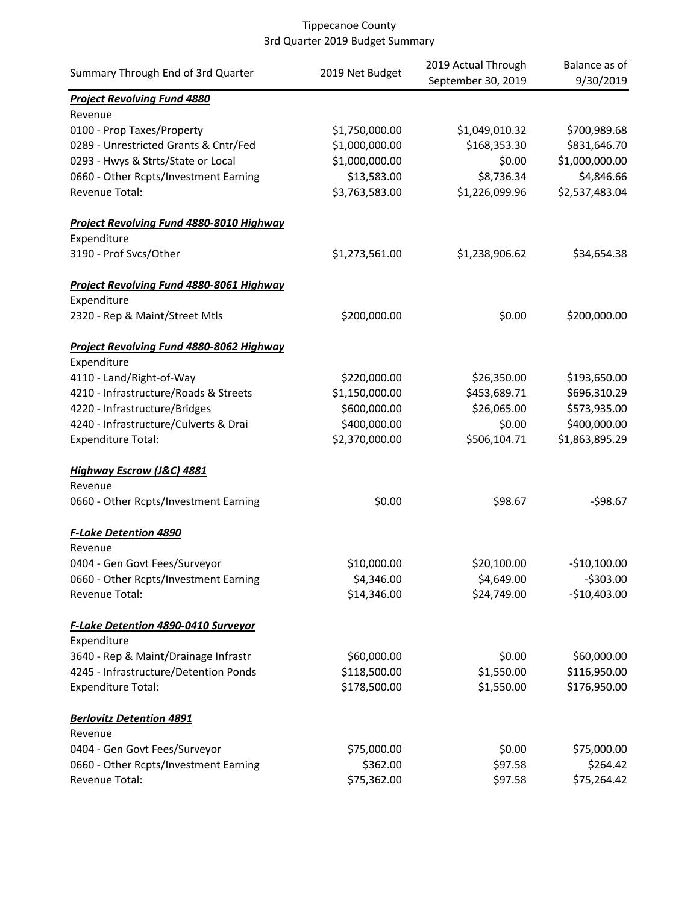| Summary Through End of 3rd Quarter                                     | 2019 Net Budget         | 2019 Actual Through<br>September 30, 2019 | Balance as of<br>9/30/2019 |
|------------------------------------------------------------------------|-------------------------|-------------------------------------------|----------------------------|
| <b>Project Revolving Fund 4880</b><br>Revenue                          |                         |                                           |                            |
| 0100 - Prop Taxes/Property                                             | \$1,750,000.00          | \$1,049,010.32                            | \$700,989.68               |
| 0289 - Unrestricted Grants & Cntr/Fed                                  | \$1,000,000.00          | \$168,353.30                              | \$831,646.70               |
| 0293 - Hwys & Strts/State or Local                                     | \$1,000,000.00          | \$0.00                                    | \$1,000,000.00             |
| 0660 - Other Rcpts/Investment Earning                                  | \$13,583.00             | \$8,736.34                                | \$4,846.66                 |
| Revenue Total:                                                         | \$3,763,583.00          | \$1,226,099.96                            | \$2,537,483.04             |
| Project Revolving Fund 4880-8010 Highway                               |                         |                                           |                            |
| Expenditure                                                            |                         |                                           |                            |
| 3190 - Prof Svcs/Other                                                 | \$1,273,561.00          | \$1,238,906.62                            | \$34,654.38                |
| Project Revolving Fund 4880-8061 Highway                               |                         |                                           |                            |
| Expenditure                                                            |                         |                                           |                            |
| 2320 - Rep & Maint/Street Mtls                                         | \$200,000.00            | \$0.00                                    | \$200,000.00               |
| Project Revolving Fund 4880-8062 Highway<br>Expenditure                |                         |                                           |                            |
| 4110 - Land/Right-of-Way                                               | \$220,000.00            | \$26,350.00                               | \$193,650.00               |
| 4210 - Infrastructure/Roads & Streets                                  | \$1,150,000.00          | \$453,689.71                              | \$696,310.29               |
| 4220 - Infrastructure/Bridges                                          | \$600,000.00            | \$26,065.00                               | \$573,935.00               |
| 4240 - Infrastructure/Culverts & Drai                                  | \$400,000.00            | \$0.00                                    | \$400,000.00               |
| <b>Expenditure Total:</b>                                              | \$2,370,000.00          | \$506,104.71                              | \$1,863,895.29             |
| <b>Highway Escrow (J&amp;C) 4881</b>                                   |                         |                                           |                            |
| Revenue                                                                |                         |                                           |                            |
| 0660 - Other Rcpts/Investment Earning                                  | \$0.00                  | \$98.67                                   | $-598.67$                  |
| <b>F-Lake Detention 4890</b><br>Revenue                                |                         |                                           |                            |
| 0404 - Gen Govt Fees/Surveyor                                          | \$10,000.00             | \$20,100.00                               | $-$10,100.00$              |
| 0660 - Other Rcpts/Investment Earning                                  | \$4,346.00              | \$4,649.00                                | $-5303.00$                 |
| Revenue Total:                                                         | \$14,346.00             | \$24,749.00                               | $-$10,403.00$              |
| <b>F-Lake Detention 4890-0410 Surveyor</b>                             |                         |                                           |                            |
| Expenditure                                                            |                         |                                           |                            |
| 3640 - Rep & Maint/Drainage Infrastr                                   | \$60,000.00             | \$0.00                                    | \$60,000.00                |
| 4245 - Infrastructure/Detention Ponds                                  | \$118,500.00            | \$1,550.00                                | \$116,950.00               |
| <b>Expenditure Total:</b>                                              | \$178,500.00            | \$1,550.00                                | \$176,950.00               |
| <b>Berlovitz Detention 4891</b>                                        |                         |                                           |                            |
| Revenue                                                                |                         |                                           |                            |
| 0404 - Gen Govt Fees/Surveyor<br>0660 - Other Rcpts/Investment Earning | \$75,000.00<br>\$362.00 | \$0.00<br>\$97.58                         | \$75,000.00<br>\$264.42    |
| Revenue Total:                                                         | \$75,362.00             | \$97.58                                   | \$75,264.42                |
|                                                                        |                         |                                           |                            |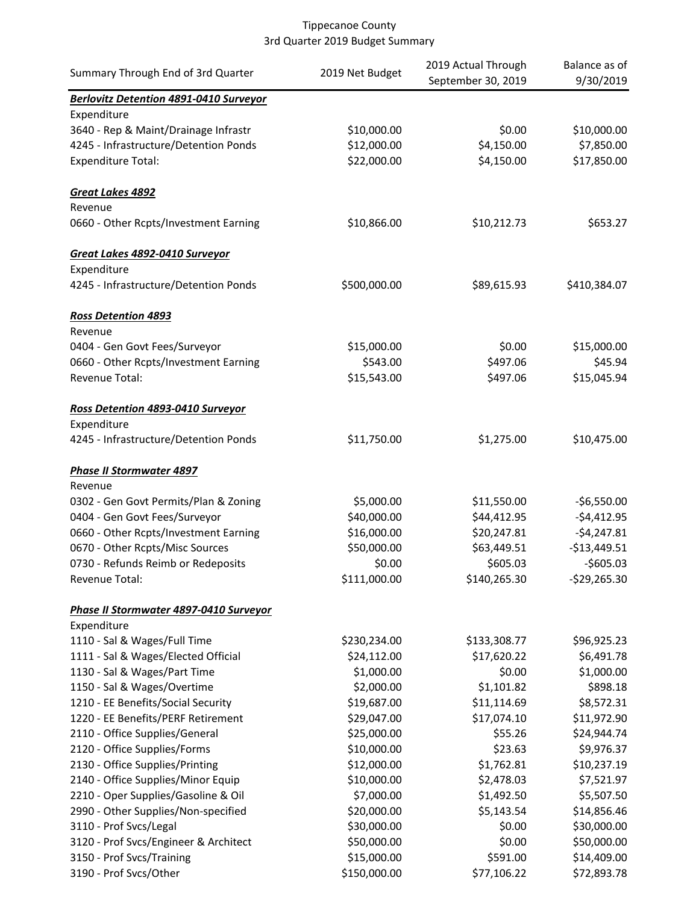| <b>Berlovitz Detention 4891-0410 Surveyor</b><br>Expenditure<br>3640 - Rep & Maint/Drainage Infrastr<br>\$10,000.00<br>\$0.00<br>\$10,000.00<br>\$4,150.00<br>4245 - Infrastructure/Detention Ponds<br>\$12,000.00<br>\$7,850.00<br>\$22,000.00<br>\$4,150.00<br>\$17,850.00<br><b>Expenditure Total:</b><br>Great Lakes 4892<br>Revenue<br>0660 - Other Rcpts/Investment Earning<br>\$10,866.00<br>\$10,212.73<br>\$653.27<br>Great Lakes 4892-0410 Surveyor<br>Expenditure<br>4245 - Infrastructure/Detention Ponds<br>\$500,000.00<br>\$89,615.93<br>\$410,384.07<br><b>Ross Detention 4893</b><br>Revenue<br>0404 - Gen Govt Fees/Surveyor<br>\$15,000.00<br>\$0.00<br>\$15,000.00<br>\$497.06<br>\$45.94<br>0660 - Other Rcpts/Investment Earning<br>\$543.00<br>Revenue Total:<br>\$15,543.00<br>\$497.06<br>\$15,045.94<br>Ross Detention 4893-0410 Surveyor<br>Expenditure<br>4245 - Infrastructure/Detention Ponds<br>\$1,275.00<br>\$11,750.00<br>\$10,475.00<br><b>Phase II Stormwater 4897</b><br>Revenue<br>0302 - Gen Govt Permits/Plan & Zoning<br>\$5,000.00<br>\$11,550.00<br>$-$6,550.00$<br>\$40,000.00<br>\$44,412.95<br>$-$4,412.95$<br>0404 - Gen Govt Fees/Surveyor<br>0660 - Other Rcpts/Investment Earning<br>\$16,000.00<br>\$20,247.81<br>$-54,247.81$<br>\$50,000.00<br>\$63,449.51<br>0670 - Other Rcpts/Misc Sources<br>$-$13,449.51$<br>\$605.03<br>$-$605.03$<br>0730 - Refunds Reimb or Redeposits<br>\$0.00<br>\$111,000.00<br>Revenue Total:<br>\$140,265.30<br>$-$ \$29,265.30<br>Phase II Stormwater 4897-0410 Surveyor<br>Expenditure<br>\$96,925.23<br>1110 - Sal & Wages/Full Time<br>\$230,234.00<br>\$133,308.77<br>\$24,112.00<br>\$17,620.22<br>\$6,491.78<br>1111 - Sal & Wages/Elected Official<br>\$0.00<br>\$1,000.00<br>1130 - Sal & Wages/Part Time<br>\$1,000.00<br>\$1,101.82<br>\$898.18<br>1150 - Sal & Wages/Overtime<br>\$2,000.00<br>\$19,687.00<br>1210 - EE Benefits/Social Security<br>\$11,114.69<br>\$8,572.31<br>1220 - EE Benefits/PERF Retirement<br>\$29,047.00<br>\$17,074.10<br>\$11,972.90<br>\$25,000.00<br>\$55.26<br>\$24,944.74<br>2110 - Office Supplies/General<br>\$10,000.00<br>\$23.63<br>\$9,976.37<br>2120 - Office Supplies/Forms<br>2130 - Office Supplies/Printing<br>\$12,000.00<br>\$1,762.81<br>\$10,237.19<br>\$7,521.97<br>2140 - Office Supplies/Minor Equip<br>\$10,000.00<br>\$2,478.03<br>2210 - Oper Supplies/Gasoline & Oil<br>\$7,000.00<br>\$1,492.50<br>\$5,507.50<br>\$20,000.00<br>\$5,143.54<br>\$14,856.46<br>2990 - Other Supplies/Non-specified<br>3110 - Prof Svcs/Legal<br>\$30,000.00<br>\$0.00<br>\$30,000.00<br>3120 - Prof Svcs/Engineer & Architect<br>\$50,000.00<br>\$0.00<br>\$50,000.00<br>\$15,000.00<br>3150 - Prof Svcs/Training<br>\$591.00<br>\$14,409.00 | Summary Through End of 3rd Quarter | 2019 Net Budget | 2019 Actual Through<br>September 30, 2019 | Balance as of<br>9/30/2019 |
|----------------------------------------------------------------------------------------------------------------------------------------------------------------------------------------------------------------------------------------------------------------------------------------------------------------------------------------------------------------------------------------------------------------------------------------------------------------------------------------------------------------------------------------------------------------------------------------------------------------------------------------------------------------------------------------------------------------------------------------------------------------------------------------------------------------------------------------------------------------------------------------------------------------------------------------------------------------------------------------------------------------------------------------------------------------------------------------------------------------------------------------------------------------------------------------------------------------------------------------------------------------------------------------------------------------------------------------------------------------------------------------------------------------------------------------------------------------------------------------------------------------------------------------------------------------------------------------------------------------------------------------------------------------------------------------------------------------------------------------------------------------------------------------------------------------------------------------------------------------------------------------------------------------------------------------------------------------------------------------------------------------------------------------------------------------------------------------------------------------------------------------------------------------------------------------------------------------------------------------------------------------------------------------------------------------------------------------------------------------------------------------------------------------------------------------------------------------------------------------------------------------------------------------------------------------------------------------------------------------------------------------------------------------------------------------------------------------------------------------------------------------------------------|------------------------------------|-----------------|-------------------------------------------|----------------------------|
|                                                                                                                                                                                                                                                                                                                                                                                                                                                                                                                                                                                                                                                                                                                                                                                                                                                                                                                                                                                                                                                                                                                                                                                                                                                                                                                                                                                                                                                                                                                                                                                                                                                                                                                                                                                                                                                                                                                                                                                                                                                                                                                                                                                                                                                                                                                                                                                                                                                                                                                                                                                                                                                                                                                                                                                  |                                    |                 |                                           |                            |
|                                                                                                                                                                                                                                                                                                                                                                                                                                                                                                                                                                                                                                                                                                                                                                                                                                                                                                                                                                                                                                                                                                                                                                                                                                                                                                                                                                                                                                                                                                                                                                                                                                                                                                                                                                                                                                                                                                                                                                                                                                                                                                                                                                                                                                                                                                                                                                                                                                                                                                                                                                                                                                                                                                                                                                                  |                                    |                 |                                           |                            |
|                                                                                                                                                                                                                                                                                                                                                                                                                                                                                                                                                                                                                                                                                                                                                                                                                                                                                                                                                                                                                                                                                                                                                                                                                                                                                                                                                                                                                                                                                                                                                                                                                                                                                                                                                                                                                                                                                                                                                                                                                                                                                                                                                                                                                                                                                                                                                                                                                                                                                                                                                                                                                                                                                                                                                                                  |                                    |                 |                                           |                            |
|                                                                                                                                                                                                                                                                                                                                                                                                                                                                                                                                                                                                                                                                                                                                                                                                                                                                                                                                                                                                                                                                                                                                                                                                                                                                                                                                                                                                                                                                                                                                                                                                                                                                                                                                                                                                                                                                                                                                                                                                                                                                                                                                                                                                                                                                                                                                                                                                                                                                                                                                                                                                                                                                                                                                                                                  |                                    |                 |                                           |                            |
|                                                                                                                                                                                                                                                                                                                                                                                                                                                                                                                                                                                                                                                                                                                                                                                                                                                                                                                                                                                                                                                                                                                                                                                                                                                                                                                                                                                                                                                                                                                                                                                                                                                                                                                                                                                                                                                                                                                                                                                                                                                                                                                                                                                                                                                                                                                                                                                                                                                                                                                                                                                                                                                                                                                                                                                  |                                    |                 |                                           |                            |
|                                                                                                                                                                                                                                                                                                                                                                                                                                                                                                                                                                                                                                                                                                                                                                                                                                                                                                                                                                                                                                                                                                                                                                                                                                                                                                                                                                                                                                                                                                                                                                                                                                                                                                                                                                                                                                                                                                                                                                                                                                                                                                                                                                                                                                                                                                                                                                                                                                                                                                                                                                                                                                                                                                                                                                                  |                                    |                 |                                           |                            |
|                                                                                                                                                                                                                                                                                                                                                                                                                                                                                                                                                                                                                                                                                                                                                                                                                                                                                                                                                                                                                                                                                                                                                                                                                                                                                                                                                                                                                                                                                                                                                                                                                                                                                                                                                                                                                                                                                                                                                                                                                                                                                                                                                                                                                                                                                                                                                                                                                                                                                                                                                                                                                                                                                                                                                                                  |                                    |                 |                                           |                            |
|                                                                                                                                                                                                                                                                                                                                                                                                                                                                                                                                                                                                                                                                                                                                                                                                                                                                                                                                                                                                                                                                                                                                                                                                                                                                                                                                                                                                                                                                                                                                                                                                                                                                                                                                                                                                                                                                                                                                                                                                                                                                                                                                                                                                                                                                                                                                                                                                                                                                                                                                                                                                                                                                                                                                                                                  |                                    |                 |                                           |                            |
|                                                                                                                                                                                                                                                                                                                                                                                                                                                                                                                                                                                                                                                                                                                                                                                                                                                                                                                                                                                                                                                                                                                                                                                                                                                                                                                                                                                                                                                                                                                                                                                                                                                                                                                                                                                                                                                                                                                                                                                                                                                                                                                                                                                                                                                                                                                                                                                                                                                                                                                                                                                                                                                                                                                                                                                  |                                    |                 |                                           |                            |
|                                                                                                                                                                                                                                                                                                                                                                                                                                                                                                                                                                                                                                                                                                                                                                                                                                                                                                                                                                                                                                                                                                                                                                                                                                                                                                                                                                                                                                                                                                                                                                                                                                                                                                                                                                                                                                                                                                                                                                                                                                                                                                                                                                                                                                                                                                                                                                                                                                                                                                                                                                                                                                                                                                                                                                                  |                                    |                 |                                           |                            |
|                                                                                                                                                                                                                                                                                                                                                                                                                                                                                                                                                                                                                                                                                                                                                                                                                                                                                                                                                                                                                                                                                                                                                                                                                                                                                                                                                                                                                                                                                                                                                                                                                                                                                                                                                                                                                                                                                                                                                                                                                                                                                                                                                                                                                                                                                                                                                                                                                                                                                                                                                                                                                                                                                                                                                                                  |                                    |                 |                                           |                            |
|                                                                                                                                                                                                                                                                                                                                                                                                                                                                                                                                                                                                                                                                                                                                                                                                                                                                                                                                                                                                                                                                                                                                                                                                                                                                                                                                                                                                                                                                                                                                                                                                                                                                                                                                                                                                                                                                                                                                                                                                                                                                                                                                                                                                                                                                                                                                                                                                                                                                                                                                                                                                                                                                                                                                                                                  |                                    |                 |                                           |                            |
|                                                                                                                                                                                                                                                                                                                                                                                                                                                                                                                                                                                                                                                                                                                                                                                                                                                                                                                                                                                                                                                                                                                                                                                                                                                                                                                                                                                                                                                                                                                                                                                                                                                                                                                                                                                                                                                                                                                                                                                                                                                                                                                                                                                                                                                                                                                                                                                                                                                                                                                                                                                                                                                                                                                                                                                  |                                    |                 |                                           |                            |
|                                                                                                                                                                                                                                                                                                                                                                                                                                                                                                                                                                                                                                                                                                                                                                                                                                                                                                                                                                                                                                                                                                                                                                                                                                                                                                                                                                                                                                                                                                                                                                                                                                                                                                                                                                                                                                                                                                                                                                                                                                                                                                                                                                                                                                                                                                                                                                                                                                                                                                                                                                                                                                                                                                                                                                                  |                                    |                 |                                           |                            |
|                                                                                                                                                                                                                                                                                                                                                                                                                                                                                                                                                                                                                                                                                                                                                                                                                                                                                                                                                                                                                                                                                                                                                                                                                                                                                                                                                                                                                                                                                                                                                                                                                                                                                                                                                                                                                                                                                                                                                                                                                                                                                                                                                                                                                                                                                                                                                                                                                                                                                                                                                                                                                                                                                                                                                                                  |                                    |                 |                                           |                            |
|                                                                                                                                                                                                                                                                                                                                                                                                                                                                                                                                                                                                                                                                                                                                                                                                                                                                                                                                                                                                                                                                                                                                                                                                                                                                                                                                                                                                                                                                                                                                                                                                                                                                                                                                                                                                                                                                                                                                                                                                                                                                                                                                                                                                                                                                                                                                                                                                                                                                                                                                                                                                                                                                                                                                                                                  |                                    |                 |                                           |                            |
|                                                                                                                                                                                                                                                                                                                                                                                                                                                                                                                                                                                                                                                                                                                                                                                                                                                                                                                                                                                                                                                                                                                                                                                                                                                                                                                                                                                                                                                                                                                                                                                                                                                                                                                                                                                                                                                                                                                                                                                                                                                                                                                                                                                                                                                                                                                                                                                                                                                                                                                                                                                                                                                                                                                                                                                  |                                    |                 |                                           |                            |
|                                                                                                                                                                                                                                                                                                                                                                                                                                                                                                                                                                                                                                                                                                                                                                                                                                                                                                                                                                                                                                                                                                                                                                                                                                                                                                                                                                                                                                                                                                                                                                                                                                                                                                                                                                                                                                                                                                                                                                                                                                                                                                                                                                                                                                                                                                                                                                                                                                                                                                                                                                                                                                                                                                                                                                                  |                                    |                 |                                           |                            |
|                                                                                                                                                                                                                                                                                                                                                                                                                                                                                                                                                                                                                                                                                                                                                                                                                                                                                                                                                                                                                                                                                                                                                                                                                                                                                                                                                                                                                                                                                                                                                                                                                                                                                                                                                                                                                                                                                                                                                                                                                                                                                                                                                                                                                                                                                                                                                                                                                                                                                                                                                                                                                                                                                                                                                                                  |                                    |                 |                                           |                            |
|                                                                                                                                                                                                                                                                                                                                                                                                                                                                                                                                                                                                                                                                                                                                                                                                                                                                                                                                                                                                                                                                                                                                                                                                                                                                                                                                                                                                                                                                                                                                                                                                                                                                                                                                                                                                                                                                                                                                                                                                                                                                                                                                                                                                                                                                                                                                                                                                                                                                                                                                                                                                                                                                                                                                                                                  |                                    |                 |                                           |                            |
|                                                                                                                                                                                                                                                                                                                                                                                                                                                                                                                                                                                                                                                                                                                                                                                                                                                                                                                                                                                                                                                                                                                                                                                                                                                                                                                                                                                                                                                                                                                                                                                                                                                                                                                                                                                                                                                                                                                                                                                                                                                                                                                                                                                                                                                                                                                                                                                                                                                                                                                                                                                                                                                                                                                                                                                  |                                    |                 |                                           |                            |
|                                                                                                                                                                                                                                                                                                                                                                                                                                                                                                                                                                                                                                                                                                                                                                                                                                                                                                                                                                                                                                                                                                                                                                                                                                                                                                                                                                                                                                                                                                                                                                                                                                                                                                                                                                                                                                                                                                                                                                                                                                                                                                                                                                                                                                                                                                                                                                                                                                                                                                                                                                                                                                                                                                                                                                                  |                                    |                 |                                           |                            |
|                                                                                                                                                                                                                                                                                                                                                                                                                                                                                                                                                                                                                                                                                                                                                                                                                                                                                                                                                                                                                                                                                                                                                                                                                                                                                                                                                                                                                                                                                                                                                                                                                                                                                                                                                                                                                                                                                                                                                                                                                                                                                                                                                                                                                                                                                                                                                                                                                                                                                                                                                                                                                                                                                                                                                                                  |                                    |                 |                                           |                            |
|                                                                                                                                                                                                                                                                                                                                                                                                                                                                                                                                                                                                                                                                                                                                                                                                                                                                                                                                                                                                                                                                                                                                                                                                                                                                                                                                                                                                                                                                                                                                                                                                                                                                                                                                                                                                                                                                                                                                                                                                                                                                                                                                                                                                                                                                                                                                                                                                                                                                                                                                                                                                                                                                                                                                                                                  |                                    |                 |                                           |                            |
|                                                                                                                                                                                                                                                                                                                                                                                                                                                                                                                                                                                                                                                                                                                                                                                                                                                                                                                                                                                                                                                                                                                                                                                                                                                                                                                                                                                                                                                                                                                                                                                                                                                                                                                                                                                                                                                                                                                                                                                                                                                                                                                                                                                                                                                                                                                                                                                                                                                                                                                                                                                                                                                                                                                                                                                  |                                    |                 |                                           |                            |
|                                                                                                                                                                                                                                                                                                                                                                                                                                                                                                                                                                                                                                                                                                                                                                                                                                                                                                                                                                                                                                                                                                                                                                                                                                                                                                                                                                                                                                                                                                                                                                                                                                                                                                                                                                                                                                                                                                                                                                                                                                                                                                                                                                                                                                                                                                                                                                                                                                                                                                                                                                                                                                                                                                                                                                                  |                                    |                 |                                           |                            |
|                                                                                                                                                                                                                                                                                                                                                                                                                                                                                                                                                                                                                                                                                                                                                                                                                                                                                                                                                                                                                                                                                                                                                                                                                                                                                                                                                                                                                                                                                                                                                                                                                                                                                                                                                                                                                                                                                                                                                                                                                                                                                                                                                                                                                                                                                                                                                                                                                                                                                                                                                                                                                                                                                                                                                                                  |                                    |                 |                                           |                            |
|                                                                                                                                                                                                                                                                                                                                                                                                                                                                                                                                                                                                                                                                                                                                                                                                                                                                                                                                                                                                                                                                                                                                                                                                                                                                                                                                                                                                                                                                                                                                                                                                                                                                                                                                                                                                                                                                                                                                                                                                                                                                                                                                                                                                                                                                                                                                                                                                                                                                                                                                                                                                                                                                                                                                                                                  |                                    |                 |                                           |                            |
|                                                                                                                                                                                                                                                                                                                                                                                                                                                                                                                                                                                                                                                                                                                                                                                                                                                                                                                                                                                                                                                                                                                                                                                                                                                                                                                                                                                                                                                                                                                                                                                                                                                                                                                                                                                                                                                                                                                                                                                                                                                                                                                                                                                                                                                                                                                                                                                                                                                                                                                                                                                                                                                                                                                                                                                  |                                    |                 |                                           |                            |
|                                                                                                                                                                                                                                                                                                                                                                                                                                                                                                                                                                                                                                                                                                                                                                                                                                                                                                                                                                                                                                                                                                                                                                                                                                                                                                                                                                                                                                                                                                                                                                                                                                                                                                                                                                                                                                                                                                                                                                                                                                                                                                                                                                                                                                                                                                                                                                                                                                                                                                                                                                                                                                                                                                                                                                                  |                                    |                 |                                           |                            |
|                                                                                                                                                                                                                                                                                                                                                                                                                                                                                                                                                                                                                                                                                                                                                                                                                                                                                                                                                                                                                                                                                                                                                                                                                                                                                                                                                                                                                                                                                                                                                                                                                                                                                                                                                                                                                                                                                                                                                                                                                                                                                                                                                                                                                                                                                                                                                                                                                                                                                                                                                                                                                                                                                                                                                                                  |                                    |                 |                                           |                            |
|                                                                                                                                                                                                                                                                                                                                                                                                                                                                                                                                                                                                                                                                                                                                                                                                                                                                                                                                                                                                                                                                                                                                                                                                                                                                                                                                                                                                                                                                                                                                                                                                                                                                                                                                                                                                                                                                                                                                                                                                                                                                                                                                                                                                                                                                                                                                                                                                                                                                                                                                                                                                                                                                                                                                                                                  |                                    |                 |                                           |                            |
|                                                                                                                                                                                                                                                                                                                                                                                                                                                                                                                                                                                                                                                                                                                                                                                                                                                                                                                                                                                                                                                                                                                                                                                                                                                                                                                                                                                                                                                                                                                                                                                                                                                                                                                                                                                                                                                                                                                                                                                                                                                                                                                                                                                                                                                                                                                                                                                                                                                                                                                                                                                                                                                                                                                                                                                  |                                    |                 |                                           |                            |
|                                                                                                                                                                                                                                                                                                                                                                                                                                                                                                                                                                                                                                                                                                                                                                                                                                                                                                                                                                                                                                                                                                                                                                                                                                                                                                                                                                                                                                                                                                                                                                                                                                                                                                                                                                                                                                                                                                                                                                                                                                                                                                                                                                                                                                                                                                                                                                                                                                                                                                                                                                                                                                                                                                                                                                                  |                                    |                 |                                           |                            |
|                                                                                                                                                                                                                                                                                                                                                                                                                                                                                                                                                                                                                                                                                                                                                                                                                                                                                                                                                                                                                                                                                                                                                                                                                                                                                                                                                                                                                                                                                                                                                                                                                                                                                                                                                                                                                                                                                                                                                                                                                                                                                                                                                                                                                                                                                                                                                                                                                                                                                                                                                                                                                                                                                                                                                                                  |                                    |                 |                                           |                            |
|                                                                                                                                                                                                                                                                                                                                                                                                                                                                                                                                                                                                                                                                                                                                                                                                                                                                                                                                                                                                                                                                                                                                                                                                                                                                                                                                                                                                                                                                                                                                                                                                                                                                                                                                                                                                                                                                                                                                                                                                                                                                                                                                                                                                                                                                                                                                                                                                                                                                                                                                                                                                                                                                                                                                                                                  |                                    |                 |                                           |                            |
|                                                                                                                                                                                                                                                                                                                                                                                                                                                                                                                                                                                                                                                                                                                                                                                                                                                                                                                                                                                                                                                                                                                                                                                                                                                                                                                                                                                                                                                                                                                                                                                                                                                                                                                                                                                                                                                                                                                                                                                                                                                                                                                                                                                                                                                                                                                                                                                                                                                                                                                                                                                                                                                                                                                                                                                  |                                    |                 |                                           |                            |
|                                                                                                                                                                                                                                                                                                                                                                                                                                                                                                                                                                                                                                                                                                                                                                                                                                                                                                                                                                                                                                                                                                                                                                                                                                                                                                                                                                                                                                                                                                                                                                                                                                                                                                                                                                                                                                                                                                                                                                                                                                                                                                                                                                                                                                                                                                                                                                                                                                                                                                                                                                                                                                                                                                                                                                                  |                                    |                 |                                           |                            |
|                                                                                                                                                                                                                                                                                                                                                                                                                                                                                                                                                                                                                                                                                                                                                                                                                                                                                                                                                                                                                                                                                                                                                                                                                                                                                                                                                                                                                                                                                                                                                                                                                                                                                                                                                                                                                                                                                                                                                                                                                                                                                                                                                                                                                                                                                                                                                                                                                                                                                                                                                                                                                                                                                                                                                                                  |                                    |                 |                                           |                            |
|                                                                                                                                                                                                                                                                                                                                                                                                                                                                                                                                                                                                                                                                                                                                                                                                                                                                                                                                                                                                                                                                                                                                                                                                                                                                                                                                                                                                                                                                                                                                                                                                                                                                                                                                                                                                                                                                                                                                                                                                                                                                                                                                                                                                                                                                                                                                                                                                                                                                                                                                                                                                                                                                                                                                                                                  |                                    |                 |                                           |                            |
|                                                                                                                                                                                                                                                                                                                                                                                                                                                                                                                                                                                                                                                                                                                                                                                                                                                                                                                                                                                                                                                                                                                                                                                                                                                                                                                                                                                                                                                                                                                                                                                                                                                                                                                                                                                                                                                                                                                                                                                                                                                                                                                                                                                                                                                                                                                                                                                                                                                                                                                                                                                                                                                                                                                                                                                  |                                    |                 |                                           |                            |
|                                                                                                                                                                                                                                                                                                                                                                                                                                                                                                                                                                                                                                                                                                                                                                                                                                                                                                                                                                                                                                                                                                                                                                                                                                                                                                                                                                                                                                                                                                                                                                                                                                                                                                                                                                                                                                                                                                                                                                                                                                                                                                                                                                                                                                                                                                                                                                                                                                                                                                                                                                                                                                                                                                                                                                                  |                                    |                 |                                           |                            |
|                                                                                                                                                                                                                                                                                                                                                                                                                                                                                                                                                                                                                                                                                                                                                                                                                                                                                                                                                                                                                                                                                                                                                                                                                                                                                                                                                                                                                                                                                                                                                                                                                                                                                                                                                                                                                                                                                                                                                                                                                                                                                                                                                                                                                                                                                                                                                                                                                                                                                                                                                                                                                                                                                                                                                                                  |                                    |                 |                                           |                            |
|                                                                                                                                                                                                                                                                                                                                                                                                                                                                                                                                                                                                                                                                                                                                                                                                                                                                                                                                                                                                                                                                                                                                                                                                                                                                                                                                                                                                                                                                                                                                                                                                                                                                                                                                                                                                                                                                                                                                                                                                                                                                                                                                                                                                                                                                                                                                                                                                                                                                                                                                                                                                                                                                                                                                                                                  | 3190 - Prof Svcs/Other             | \$150,000.00    | \$77,106.22                               | \$72,893.78                |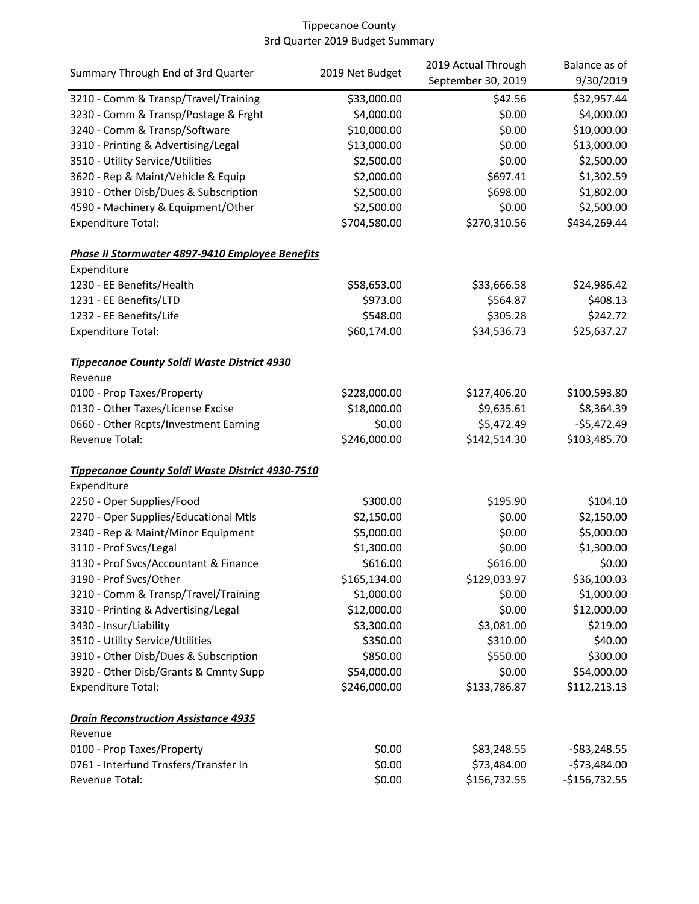| Summary Through End of 3rd Quarter               |                 | 2019 Actual Through | Balance as of   |
|--------------------------------------------------|-----------------|---------------------|-----------------|
|                                                  | 2019 Net Budget | September 30, 2019  | 9/30/2019       |
| 3210 - Comm & Transp/Travel/Training             | \$33,000.00     | \$42.56             | \$32,957.44     |
| 3230 - Comm & Transp/Postage & Frght             | \$4,000.00      | \$0.00              | \$4,000.00      |
| 3240 - Comm & Transp/Software                    | \$10,000.00     | \$0.00              | \$10,000.00     |
| 3310 - Printing & Advertising/Legal              | \$13,000.00     | \$0.00              | \$13,000.00     |
| 3510 - Utility Service/Utilities                 | \$2,500.00      | \$0.00              | \$2,500.00      |
| 3620 - Rep & Maint/Vehicle & Equip               | \$2,000.00      | \$697.41            | \$1,302.59      |
| 3910 - Other Disb/Dues & Subscription            | \$2,500.00      | \$698.00            | \$1,802.00      |
| 4590 - Machinery & Equipment/Other               | \$2,500.00      | \$0.00              | \$2,500.00      |
| <b>Expenditure Total:</b>                        | \$704,580.00    | \$270,310.56        | \$434,269.44    |
| Phase II Stormwater 4897-9410 Employee Benefits  |                 |                     |                 |
| Expenditure                                      |                 |                     |                 |
| 1230 - EE Benefits/Health                        | \$58,653.00     | \$33,666.58         | \$24,986.42     |
| 1231 - EE Benefits/LTD                           | \$973.00        | \$564.87            | \$408.13        |
| 1232 - EE Benefits/Life                          | \$548.00        | \$305.28            | \$242.72        |
| <b>Expenditure Total:</b>                        | \$60,174.00     | \$34,536.73         | \$25,637.27     |
| Tippecanoe County Soldi Waste District 4930      |                 |                     |                 |
| Revenue                                          |                 |                     |                 |
| 0100 - Prop Taxes/Property                       | \$228,000.00    | \$127,406.20        | \$100,593.80    |
| 0130 - Other Taxes/License Excise                | \$18,000.00     | \$9,635.61          | \$8,364.39      |
| 0660 - Other Rcpts/Investment Earning            | \$0.00          | \$5,472.49          | $-$5,472.49$    |
| Revenue Total:                                   | \$246,000.00    | \$142,514.30        | \$103,485.70    |
| Tippecanoe County Soldi Waste District 4930-7510 |                 |                     |                 |
| Expenditure                                      |                 |                     |                 |
| 2250 - Oper Supplies/Food                        | \$300.00        | \$195.90            | \$104.10        |
| 2270 - Oper Supplies/Educational Mtls            | \$2,150.00      | \$0.00              | \$2,150.00      |
| 2340 - Rep & Maint/Minor Equipment               | \$5,000.00      | \$0.00              | \$5,000.00      |
| 3110 - Prof Svcs/Legal                           | \$1,300.00      | \$0.00              | \$1,300.00      |
| 3130 - Prof Svcs/Accountant & Finance            | \$616.00        | \$616.00            | \$0.00          |
| 3190 - Prof Svcs/Other                           | \$165,134.00    | \$129,033.97        | \$36,100.03     |
| 3210 - Comm & Transp/Travel/Training             | \$1,000.00      | \$0.00              | \$1,000.00      |
| 3310 - Printing & Advertising/Legal              | \$12,000.00     | \$0.00              | \$12,000.00     |
| 3430 - Insur/Liability                           | \$3,300.00      | \$3,081.00          | \$219.00        |
| 3510 - Utility Service/Utilities                 | \$350.00        | \$310.00            | \$40.00         |
| 3910 - Other Disb/Dues & Subscription            | \$850.00        | \$550.00            | \$300.00        |
| 3920 - Other Disb/Grants & Cmnty Supp            | \$54,000.00     | \$0.00              | \$54,000.00     |
| <b>Expenditure Total:</b>                        | \$246,000.00    | \$133,786.87        | \$112,213.13    |
| <b>Drain Reconstruction Assistance 4935</b>      |                 |                     |                 |
| Revenue                                          |                 |                     |                 |
| 0100 - Prop Taxes/Property                       | \$0.00          | \$83,248.55         | $-$ \$83,248.55 |
| 0761 - Interfund Trnsfers/Transfer In            | \$0.00          | \$73,484.00         | $-573,484.00$   |
| Revenue Total:                                   | \$0.00          | \$156,732.55        | $-$156,732.55$  |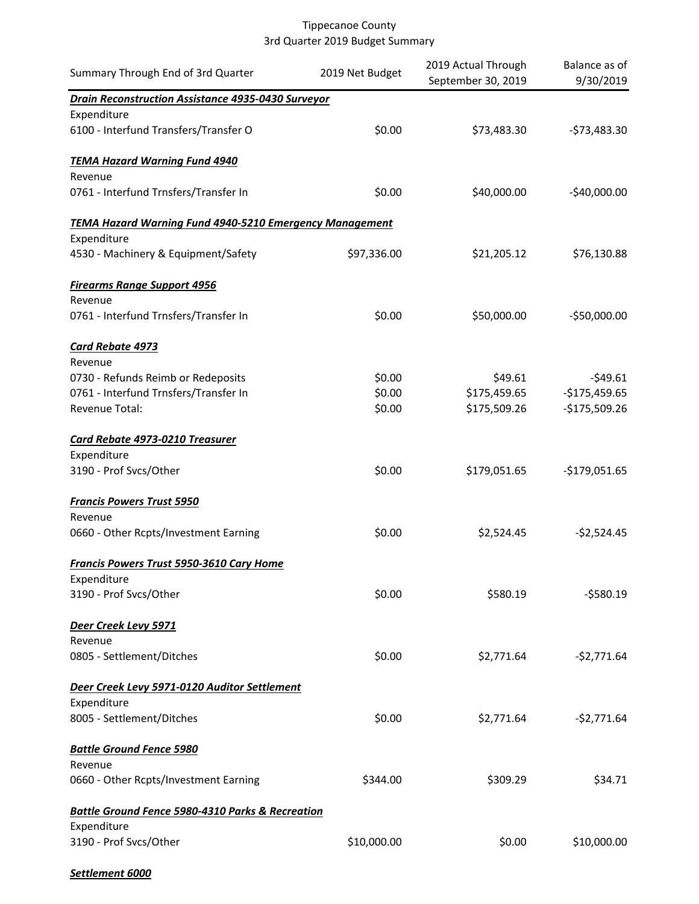| Summary Through End of 3rd Quarter                                          | 2019 Net Budget | 2019 Actual Through<br>September 30, 2019 | Balance as of<br>9/30/2019 |
|-----------------------------------------------------------------------------|-----------------|-------------------------------------------|----------------------------|
| <b>Drain Reconstruction Assistance 4935-0430 Surveyor</b>                   |                 |                                           |                            |
| Expenditure                                                                 |                 |                                           |                            |
| 6100 - Interfund Transfers/Transfer O                                       | \$0.00          | \$73,483.30                               | $-$73,483.30$              |
| <b>TEMA Hazard Warning Fund 4940</b>                                        |                 |                                           |                            |
| Revenue                                                                     |                 |                                           |                            |
| 0761 - Interfund Trnsfers/Transfer In                                       | \$0.00          | \$40,000.00                               | $-$40,000.00$              |
| <b>TEMA Hazard Warning Fund 4940-5210 Emergency Management</b>              |                 |                                           |                            |
| Expenditure                                                                 |                 |                                           |                            |
| 4530 - Machinery & Equipment/Safety                                         | \$97,336.00     | \$21,205.12                               | \$76,130.88                |
| <b>Firearms Range Support 4956</b>                                          |                 |                                           |                            |
| Revenue                                                                     |                 |                                           |                            |
| 0761 - Interfund Trnsfers/Transfer In                                       | \$0.00          | \$50,000.00                               | $-$50,000.00$              |
| Card Rebate 4973                                                            |                 |                                           |                            |
| Revenue                                                                     | \$0.00          | \$49.61                                   | $-549.61$                  |
| 0730 - Refunds Reimb or Redeposits<br>0761 - Interfund Trnsfers/Transfer In | \$0.00          | \$175,459.65                              | $-$175,459.65$             |
| Revenue Total:                                                              | \$0.00          | \$175,509.26                              | $-$175,509.26$             |
|                                                                             |                 |                                           |                            |
| Card Rebate 4973-0210 Treasurer                                             |                 |                                           |                            |
| Expenditure                                                                 |                 |                                           |                            |
| 3190 - Prof Svcs/Other                                                      | \$0.00          | \$179,051.65                              | $-$179,051.65$             |
| <b>Francis Powers Trust 5950</b>                                            |                 |                                           |                            |
| Revenue                                                                     |                 |                                           |                            |
| 0660 - Other Rcpts/Investment Earning                                       | \$0.00          | \$2,524.45                                | $-52,524.45$               |
| Francis Powers Trust 5950-3610 Cary Home                                    |                 |                                           |                            |
| Expenditure                                                                 |                 |                                           |                            |
| 3190 - Prof Svcs/Other                                                      | \$0.00          | \$580.19                                  | $-5580.19$                 |
| Deer Creek Levy 5971                                                        |                 |                                           |                            |
| Revenue                                                                     |                 |                                           |                            |
| 0805 - Settlement/Ditches                                                   | \$0.00          | \$2,771.64                                | $-52,771.64$               |
| Deer Creek Levy 5971-0120 Auditor Settlement                                |                 |                                           |                            |
| Expenditure                                                                 |                 |                                           |                            |
| 8005 - Settlement/Ditches                                                   | \$0.00          | \$2,771.64                                | $-52,771.64$               |
| <b>Battle Ground Fence 5980</b>                                             |                 |                                           |                            |
| Revenue                                                                     |                 |                                           |                            |
| 0660 - Other Rcpts/Investment Earning                                       | \$344.00        | \$309.29                                  | \$34.71                    |
| <b>Battle Ground Fence 5980-4310 Parks &amp; Recreation</b>                 |                 |                                           |                            |
| Expenditure                                                                 |                 |                                           |                            |
| 3190 - Prof Svcs/Other                                                      | \$10,000.00     | \$0.00                                    | \$10,000.00                |
|                                                                             |                 |                                           |                            |

*Settlement 6000*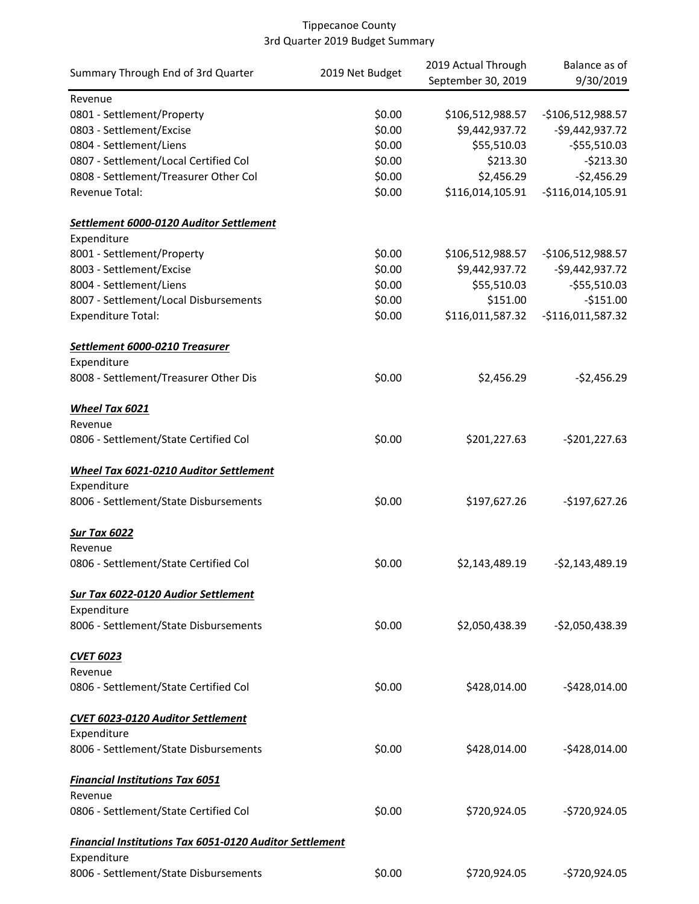| Summary Through End of 3rd Quarter                             | 2019 Net Budget | 2019 Actual Through | Balance as of      |
|----------------------------------------------------------------|-----------------|---------------------|--------------------|
|                                                                |                 | September 30, 2019  | 9/30/2019          |
| Revenue                                                        |                 |                     |                    |
| 0801 - Settlement/Property                                     | \$0.00          | \$106,512,988.57    | $-$106,512,988.57$ |
| 0803 - Settlement/Excise                                       | \$0.00          | \$9,442,937.72      | $-$9,442,937.72$   |
| 0804 - Settlement/Liens                                        | \$0.00          | \$55,510.03         | $-$55,510.03$      |
| 0807 - Settlement/Local Certified Col                          | \$0.00          | \$213.30            | $-5213.30$         |
| 0808 - Settlement/Treasurer Other Col                          | \$0.00          | \$2,456.29          | $-$2,456.29$       |
| Revenue Total:                                                 | \$0.00          | \$116,014,105.91    | $-$116,014,105.91$ |
|                                                                |                 |                     |                    |
| Settlement 6000-0120 Auditor Settlement                        |                 |                     |                    |
| Expenditure                                                    |                 |                     |                    |
| 8001 - Settlement/Property                                     | \$0.00          | \$106,512,988.57    | $-$106,512,988.57$ |
| 8003 - Settlement/Excise                                       | \$0.00          | \$9,442,937.72      | $-59,442,937.72$   |
| 8004 - Settlement/Liens                                        | \$0.00          | \$55,510.03         | $-$55,510.03$      |
| 8007 - Settlement/Local Disbursements                          | \$0.00          | \$151.00            | $-$151.00$         |
| <b>Expenditure Total:</b>                                      | \$0.00          | \$116,011,587.32    | $-$116,011,587.32$ |
| Settlement 6000-0210 Treasurer                                 |                 |                     |                    |
| Expenditure                                                    |                 |                     |                    |
| 8008 - Settlement/Treasurer Other Dis                          | \$0.00          | \$2,456.29          | $-$2,456.29$       |
|                                                                |                 |                     |                    |
| Wheel Tax 6021                                                 |                 |                     |                    |
| Revenue                                                        |                 |                     |                    |
| 0806 - Settlement/State Certified Col                          | \$0.00          | \$201,227.63        | $-5201,227.63$     |
| Wheel Tax 6021-0210 Auditor Settlement                         |                 |                     |                    |
| Expenditure                                                    |                 |                     |                    |
| 8006 - Settlement/State Disbursements                          | \$0.00          | \$197,627.26        | $-$197,627.26$     |
|                                                                |                 |                     |                    |
| Sur Tax 6022                                                   |                 |                     |                    |
| Revenue                                                        |                 |                     |                    |
| 0806 - Settlement/State Certified Col                          | \$0.00          | \$2,143,489.19      | $-52,143,489.19$   |
| <b>Sur Tax 6022-0120 Audior Settlement</b>                     |                 |                     |                    |
| Expenditure                                                    |                 |                     |                    |
| 8006 - Settlement/State Disbursements                          | \$0.00          | \$2,050,438.39      | $-52,050,438.39$   |
|                                                                |                 |                     |                    |
| <b>CVET 6023</b>                                               |                 |                     |                    |
| Revenue                                                        |                 |                     |                    |
| 0806 - Settlement/State Certified Col                          | \$0.00          | \$428,014.00        | $-$428,014.00$     |
| <b>CVET 6023-0120 Auditor Settlement</b>                       |                 |                     |                    |
| Expenditure                                                    |                 |                     |                    |
| 8006 - Settlement/State Disbursements                          | \$0.00          | \$428,014.00        | $-$428,014.00$     |
|                                                                |                 |                     |                    |
| <b>Financial Institutions Tax 6051</b>                         |                 |                     |                    |
| Revenue                                                        |                 |                     |                    |
| 0806 - Settlement/State Certified Col                          | \$0.00          | \$720,924.05        | -\$720,924.05      |
| <b>Financial Institutions Tax 6051-0120 Auditor Settlement</b> |                 |                     |                    |
| Expenditure                                                    |                 |                     |                    |
| 8006 - Settlement/State Disbursements                          | \$0.00          | \$720,924.05        | -\$720,924.05      |
|                                                                |                 |                     |                    |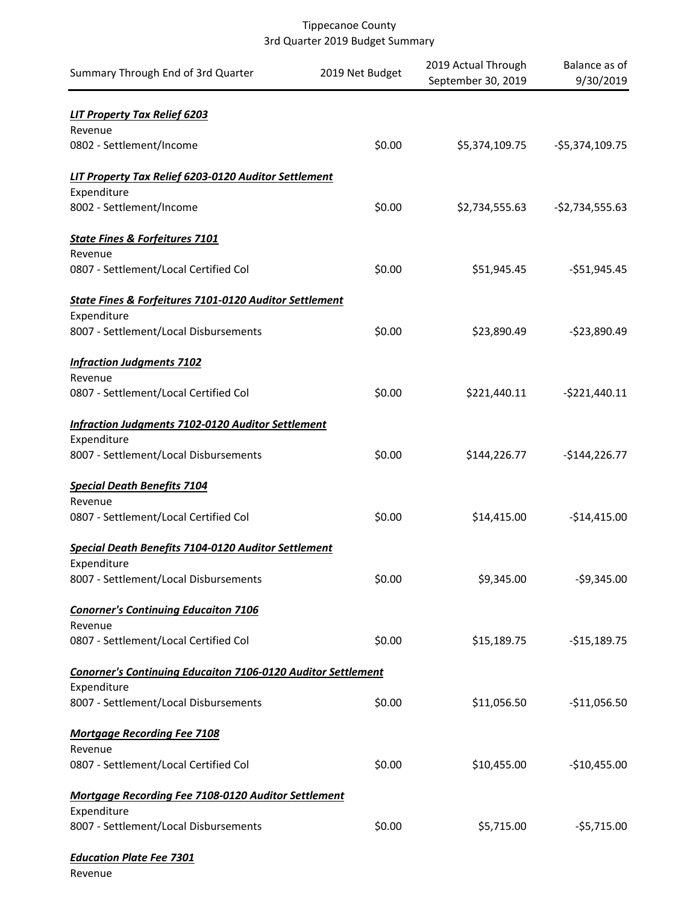| Summary Through End of 3rd Quarter                                  | 2019 Net Budget | 2019 Actual Through<br>September 30, 2019 | Balance as of<br>9/30/2019 |
|---------------------------------------------------------------------|-----------------|-------------------------------------------|----------------------------|
| <b>LIT Property Tax Relief 6203</b><br>Revenue                      |                 |                                           |                            |
| 0802 - Settlement/Income                                            | \$0.00          | \$5,374,109.75                            | $-55,374,109.75$           |
| LIT Property Tax Relief 6203-0120 Auditor Settlement                |                 |                                           |                            |
| Expenditure                                                         |                 |                                           |                            |
| 8002 - Settlement/Income                                            | \$0.00          | \$2,734,555.63                            | $-52,734,555.63$           |
| <b>State Fines &amp; Forfeitures 7101</b>                           |                 |                                           |                            |
| Revenue<br>0807 - Settlement/Local Certified Col                    | \$0.00          | \$51,945.45                               | $-$51,945.45$              |
| State Fines & Forfeitures 7101-0120 Auditor Settlement              |                 |                                           |                            |
| Expenditure                                                         |                 |                                           |                            |
| 8007 - Settlement/Local Disbursements                               | \$0.00          | \$23,890.49                               | $-$23,890.49$              |
| <b>Infraction Judgments 7102</b>                                    |                 |                                           |                            |
| Revenue<br>0807 - Settlement/Local Certified Col                    | \$0.00          | \$221,440.11                              | $-5221,440.11$             |
| <b>Infraction Judgments 7102-0120 Auditor Settlement</b>            |                 |                                           |                            |
| Expenditure                                                         |                 |                                           |                            |
| 8007 - Settlement/Local Disbursements                               | \$0.00          | \$144,226.77                              | $-$144,226.77$             |
| <b>Special Death Benefits 7104</b>                                  |                 |                                           |                            |
| Revenue<br>0807 - Settlement/Local Certified Col                    | \$0.00          | \$14,415.00                               | $-$14,415.00$              |
| Special Death Benefits 7104-0120 Auditor Settlement                 |                 |                                           |                            |
| Expenditure                                                         |                 |                                           |                            |
| 8007 - Settlement/Local Disbursements                               | \$0.00          | \$9,345.00                                | $-59,345.00$               |
| <b>Conorner's Continuing Educaiton 7106</b>                         |                 |                                           |                            |
| Revenue                                                             |                 |                                           |                            |
| 0807 - Settlement/Local Certified Col                               | \$0.00          | \$15,189.75                               | $-$15,189.75$              |
| <b>Conorner's Continuing Educaiton 7106-0120 Auditor Settlement</b> |                 |                                           |                            |
| Expenditure                                                         |                 |                                           |                            |
| 8007 - Settlement/Local Disbursements                               | \$0.00          | \$11,056.50                               | $-$11,056.50$              |
| <b>Mortgage Recording Fee 7108</b><br>Revenue                       |                 |                                           |                            |
| 0807 - Settlement/Local Certified Col                               | \$0.00          | \$10,455.00                               | $-$10,455.00$              |
| Mortgage Recording Fee 7108-0120 Auditor Settlement                 |                 |                                           |                            |
| Expenditure<br>8007 - Settlement/Local Disbursements                | \$0.00          | \$5,715.00                                | $-55,715.00$               |
| <b>Education Plate Fee 7301</b>                                     |                 |                                           |                            |

Revenue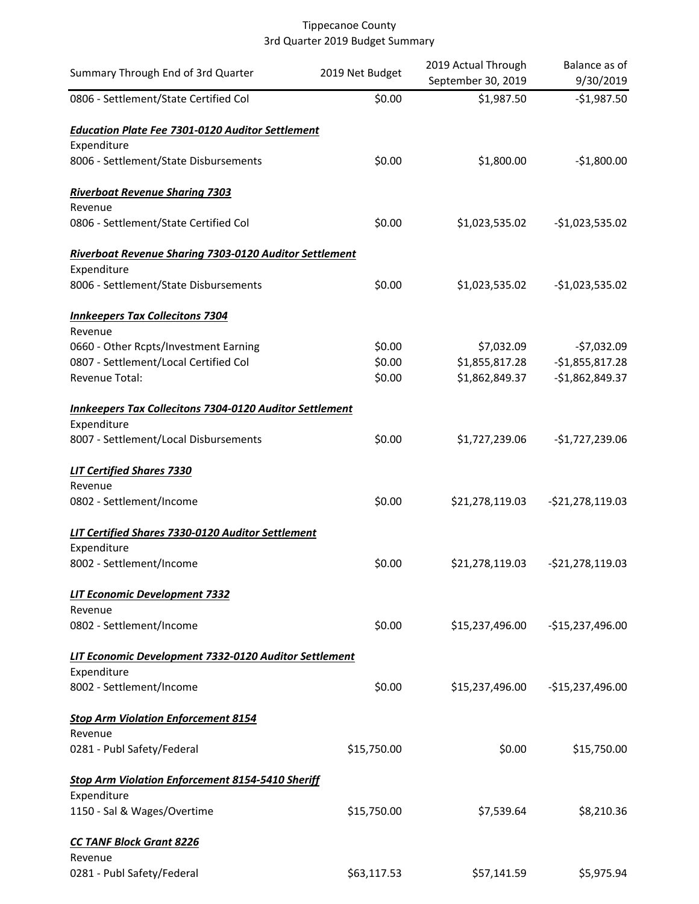| Summary Through End of 3rd Quarter                             | 2019 Net Budget | 2019 Actual Through<br>September 30, 2019 | Balance as of<br>9/30/2019 |
|----------------------------------------------------------------|-----------------|-------------------------------------------|----------------------------|
| 0806 - Settlement/State Certified Col                          | \$0.00          | \$1,987.50                                | $-$1,987.50$               |
| <b>Education Plate Fee 7301-0120 Auditor Settlement</b>        |                 |                                           |                            |
| Expenditure                                                    |                 |                                           |                            |
| 8006 - Settlement/State Disbursements                          | \$0.00          | \$1,800.00                                | $-$1,800.00$               |
| <b>Riverboat Revenue Sharing 7303</b>                          |                 |                                           |                            |
| Revenue                                                        |                 |                                           |                            |
| 0806 - Settlement/State Certified Col                          | \$0.00          | \$1,023,535.02                            | $-$1,023,535.02$           |
| Riverboat Revenue Sharing 7303-0120 Auditor Settlement         |                 |                                           |                            |
| Expenditure                                                    |                 |                                           |                            |
| 8006 - Settlement/State Disbursements                          | \$0.00          | \$1,023,535.02                            | $-$1,023,535.02$           |
| <b>Innkeepers Tax Collecitons 7304</b>                         |                 |                                           |                            |
| Revenue                                                        |                 |                                           |                            |
| 0660 - Other Rcpts/Investment Earning                          | \$0.00          | \$7,032.09                                | $-57,032.09$               |
| 0807 - Settlement/Local Certified Col                          | \$0.00          | \$1,855,817.28                            | $-$1,855,817.28$           |
| Revenue Total:                                                 | \$0.00          | \$1,862,849.37                            | $-$1,862,849.37$           |
| <b>Innkeepers Tax Collecitons 7304-0120 Auditor Settlement</b> |                 |                                           |                            |
| Expenditure                                                    |                 |                                           |                            |
| 8007 - Settlement/Local Disbursements                          | \$0.00          | \$1,727,239.06                            | $-$1,727,239.06$           |
| <b>LIT Certified Shares 7330</b>                               |                 |                                           |                            |
| Revenue                                                        |                 |                                           |                            |
| 0802 - Settlement/Income                                       | \$0.00          | \$21,278,119.03                           | $-$21,278,119.03$          |
| LIT Certified Shares 7330-0120 Auditor Settlement              |                 |                                           |                            |
| Expenditure                                                    |                 |                                           |                            |
| 8002 - Settlement/Income                                       | \$0.00          | \$21,278,119.03                           | $-521,278,119.03$          |
| LIT Economic Development 7332                                  |                 |                                           |                            |
| Revenue                                                        |                 |                                           |                            |
| 0802 - Settlement/Income                                       | \$0.00          | \$15,237,496.00                           | -\$15,237,496.00           |
| LIT Economic Development 7332-0120 Auditor Settlement          |                 |                                           |                            |
| Expenditure                                                    |                 |                                           |                            |
| 8002 - Settlement/Income                                       | \$0.00          | \$15,237,496.00                           | $-$15,237,496.00$          |
| <b>Stop Arm Violation Enforcement 8154</b>                     |                 |                                           |                            |
| Revenue                                                        |                 |                                           |                            |
| 0281 - Publ Safety/Federal                                     | \$15,750.00     | \$0.00                                    | \$15,750.00                |
| <b>Stop Arm Violation Enforcement 8154-5410 Sheriff</b>        |                 |                                           |                            |
| Expenditure                                                    |                 |                                           |                            |
| 1150 - Sal & Wages/Overtime                                    | \$15,750.00     | \$7,539.64                                | \$8,210.36                 |
| <b>CC TANF Block Grant 8226</b>                                |                 |                                           |                            |
| Revenue                                                        |                 |                                           |                            |
| 0281 - Publ Safety/Federal                                     | \$63,117.53     | \$57,141.59                               | \$5,975.94                 |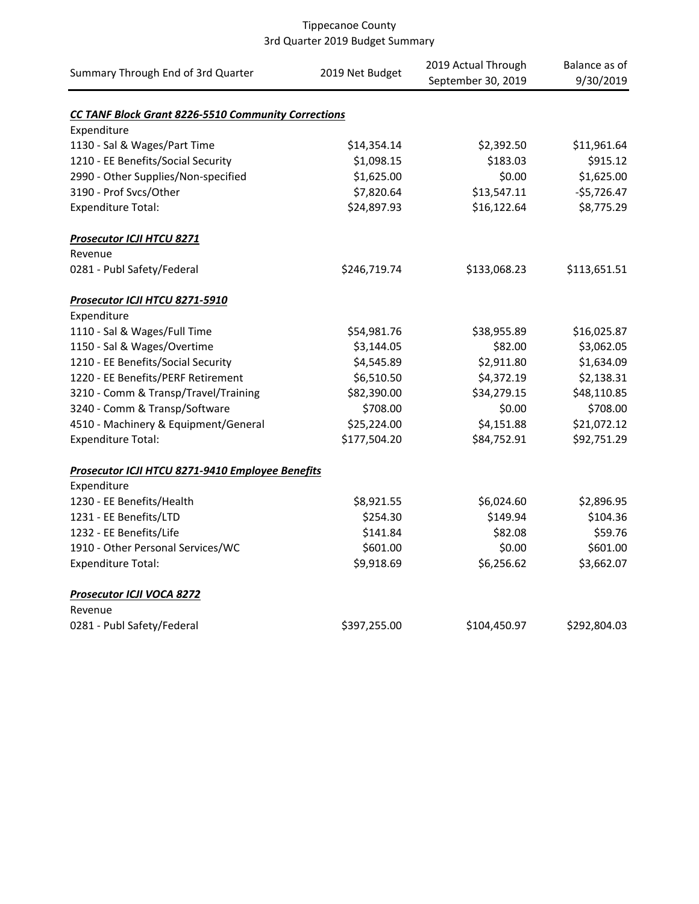| Summary Through End of 3rd Quarter                         | 2019 Net Budget | 2019 Actual Through<br>September 30, 2019 | Balance as of<br>9/30/2019 |
|------------------------------------------------------------|-----------------|-------------------------------------------|----------------------------|
| <b>CC TANF Block Grant 8226-5510 Community Corrections</b> |                 |                                           |                            |
| Expenditure                                                |                 |                                           |                            |
| 1130 - Sal & Wages/Part Time                               | \$14,354.14     | \$2,392.50                                | \$11,961.64                |
| 1210 - EE Benefits/Social Security                         | \$1,098.15      | \$183.03                                  | \$915.12                   |
| 2990 - Other Supplies/Non-specified                        | \$1,625.00      | \$0.00                                    | \$1,625.00                 |
| 3190 - Prof Svcs/Other                                     | \$7,820.64      | \$13,547.11                               | $-$5,726.47$               |
| <b>Expenditure Total:</b>                                  | \$24,897.93     | \$16,122.64                               | \$8,775.29                 |
| <b>Prosecutor ICJI HTCU 8271</b>                           |                 |                                           |                            |
| Revenue                                                    |                 |                                           |                            |
| 0281 - Publ Safety/Federal                                 | \$246,719.74    | \$133,068.23                              | \$113,651.51               |
| Prosecutor ICJI HTCU 8271-5910                             |                 |                                           |                            |
| Expenditure                                                |                 |                                           |                            |
| 1110 - Sal & Wages/Full Time                               | \$54,981.76     | \$38,955.89                               | \$16,025.87                |
| 1150 - Sal & Wages/Overtime                                | \$3,144.05      | \$82.00                                   | \$3,062.05                 |
| 1210 - EE Benefits/Social Security                         | \$4,545.89      | \$2,911.80                                | \$1,634.09                 |
| 1220 - EE Benefits/PERF Retirement                         | \$6,510.50      | \$4,372.19                                | \$2,138.31                 |
| 3210 - Comm & Transp/Travel/Training                       | \$82,390.00     | \$34,279.15                               | \$48,110.85                |
| 3240 - Comm & Transp/Software                              | \$708.00        | \$0.00                                    | \$708.00                   |
| 4510 - Machinery & Equipment/General                       | \$25,224.00     | \$4,151.88                                | \$21,072.12                |
| <b>Expenditure Total:</b>                                  | \$177,504.20    | \$84,752.91                               | \$92,751.29                |
| Prosecutor ICJI HTCU 8271-9410 Employee Benefits           |                 |                                           |                            |
| Expenditure                                                |                 |                                           |                            |
| 1230 - EE Benefits/Health                                  | \$8,921.55      | \$6,024.60                                | \$2,896.95                 |
| 1231 - EE Benefits/LTD                                     | \$254.30        | \$149.94                                  | \$104.36                   |
| 1232 - EE Benefits/Life                                    | \$141.84        | \$82.08                                   | \$59.76                    |
| 1910 - Other Personal Services/WC                          | \$601.00        | \$0.00                                    | \$601.00                   |
| <b>Expenditure Total:</b>                                  | \$9,918.69      | \$6,256.62                                | \$3,662.07                 |
| Prosecutor ICJI VOCA 8272                                  |                 |                                           |                            |
| Revenue                                                    |                 |                                           |                            |
| 0281 - Publ Safety/Federal                                 | \$397,255.00    | \$104,450.97                              | \$292,804.03               |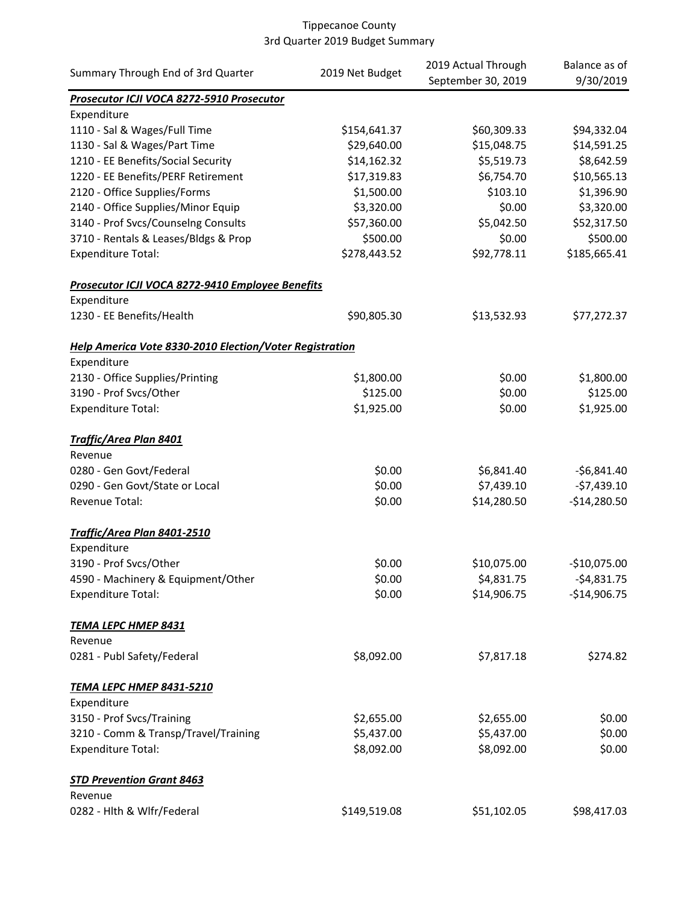| Summary Through End of 3rd Quarter                      |                 | 2019 Actual Through | Balance as of |
|---------------------------------------------------------|-----------------|---------------------|---------------|
|                                                         | 2019 Net Budget | September 30, 2019  | 9/30/2019     |
| Prosecutor ICJI VOCA 8272-5910 Prosecutor               |                 |                     |               |
| Expenditure                                             |                 |                     |               |
| 1110 - Sal & Wages/Full Time                            | \$154,641.37    | \$60,309.33         | \$94,332.04   |
| 1130 - Sal & Wages/Part Time                            | \$29,640.00     | \$15,048.75         | \$14,591.25   |
| 1210 - EE Benefits/Social Security                      | \$14,162.32     | \$5,519.73          | \$8,642.59    |
| 1220 - EE Benefits/PERF Retirement                      | \$17,319.83     | \$6,754.70          | \$10,565.13   |
| 2120 - Office Supplies/Forms                            | \$1,500.00      | \$103.10            | \$1,396.90    |
| 2140 - Office Supplies/Minor Equip                      | \$3,320.00      | \$0.00              | \$3,320.00    |
| 3140 - Prof Svcs/Counselng Consults                     | \$57,360.00     | \$5,042.50          | \$52,317.50   |
| 3710 - Rentals & Leases/Bldgs & Prop                    | \$500.00        | \$0.00              | \$500.00      |
| <b>Expenditure Total:</b>                               | \$278,443.52    | \$92,778.11         | \$185,665.41  |
| Prosecutor ICJI VOCA 8272-9410 Employee Benefits        |                 |                     |               |
| Expenditure                                             |                 |                     |               |
| 1230 - EE Benefits/Health                               | \$90,805.30     | \$13,532.93         | \$77,272.37   |
| Help America Vote 8330-2010 Election/Voter Registration |                 |                     |               |
| Expenditure                                             |                 |                     |               |
| 2130 - Office Supplies/Printing                         | \$1,800.00      | \$0.00              | \$1,800.00    |
| 3190 - Prof Svcs/Other                                  | \$125.00        | \$0.00              | \$125.00      |
| <b>Expenditure Total:</b>                               | \$1,925.00      | \$0.00              | \$1,925.00    |
| <b>Traffic/Area Plan 8401</b>                           |                 |                     |               |
| Revenue                                                 |                 |                     |               |
| 0280 - Gen Govt/Federal                                 | \$0.00          | \$6,841.40          | $-56,841.40$  |
| 0290 - Gen Govt/State or Local                          | \$0.00          | \$7,439.10          | $-$7,439.10$  |
| Revenue Total:                                          | \$0.00          | \$14,280.50         | $-$14,280.50$ |
| <u>Traffic/Area Plan 8401-2510</u>                      |                 |                     |               |
| Expenditure                                             |                 |                     |               |
| 3190 - Prof Svcs/Other                                  | \$0.00          | \$10,075.00         | $-$10,075.00$ |
| 4590 - Machinery & Equipment/Other                      | \$0.00          | \$4,831.75          | $-54,831.75$  |
| <b>Expenditure Total:</b>                               | \$0.00          | \$14,906.75         | $-$14,906.75$ |
| TEMA LEPC HMEP 8431                                     |                 |                     |               |
| Revenue                                                 |                 |                     |               |
| 0281 - Publ Safety/Federal                              | \$8,092.00      | \$7,817.18          | \$274.82      |
| <b>TEMA LEPC HMEP 8431-5210</b>                         |                 |                     |               |
| Expenditure                                             |                 |                     |               |
| 3150 - Prof Svcs/Training                               | \$2,655.00      | \$2,655.00          | \$0.00        |
| 3210 - Comm & Transp/Travel/Training                    | \$5,437.00      | \$5,437.00          | \$0.00        |
| <b>Expenditure Total:</b>                               | \$8,092.00      | \$8,092.00          | \$0.00        |
| <b>STD Prevention Grant 8463</b>                        |                 |                     |               |
| Revenue                                                 |                 |                     |               |
| 0282 - Hlth & Wlfr/Federal                              | \$149,519.08    | \$51,102.05         | \$98,417.03   |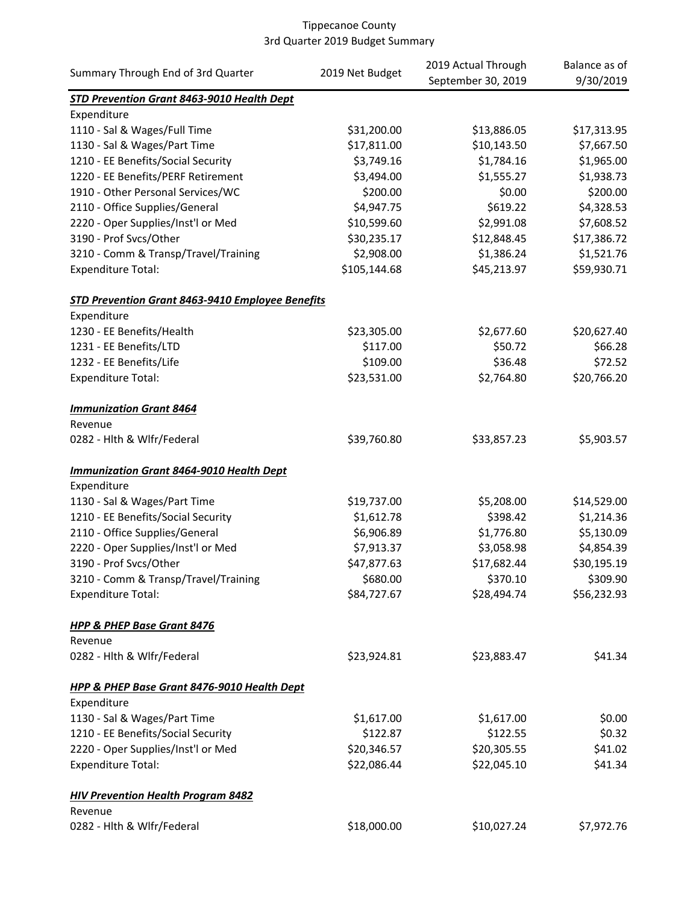|                                                         | 2019 Net Budget | 2019 Actual Through | Balance as of |
|---------------------------------------------------------|-----------------|---------------------|---------------|
| Summary Through End of 3rd Quarter                      |                 | September 30, 2019  | 9/30/2019     |
| STD Prevention Grant 8463-9010 Health Dept              |                 |                     |               |
| Expenditure                                             |                 |                     |               |
| 1110 - Sal & Wages/Full Time                            | \$31,200.00     | \$13,886.05         | \$17,313.95   |
| 1130 - Sal & Wages/Part Time                            | \$17,811.00     | \$10,143.50         | \$7,667.50    |
| 1210 - EE Benefits/Social Security                      | \$3,749.16      | \$1,784.16          | \$1,965.00    |
| 1220 - EE Benefits/PERF Retirement                      | \$3,494.00      | \$1,555.27          | \$1,938.73    |
| 1910 - Other Personal Services/WC                       | \$200.00        | \$0.00              | \$200.00      |
| 2110 - Office Supplies/General                          | \$4,947.75      | \$619.22            | \$4,328.53    |
| 2220 - Oper Supplies/Inst'l or Med                      | \$10,599.60     | \$2,991.08          | \$7,608.52    |
| 3190 - Prof Svcs/Other                                  | \$30,235.17     | \$12,848.45         | \$17,386.72   |
| 3210 - Comm & Transp/Travel/Training                    | \$2,908.00      | \$1,386.24          | \$1,521.76    |
| <b>Expenditure Total:</b>                               | \$105,144.68    | \$45,213.97         | \$59,930.71   |
| <b>STD Prevention Grant 8463-9410 Employee Benefits</b> |                 |                     |               |
| Expenditure                                             |                 |                     |               |
| 1230 - EE Benefits/Health                               | \$23,305.00     | \$2,677.60          | \$20,627.40   |
| 1231 - EE Benefits/LTD                                  | \$117.00        | \$50.72             | \$66.28       |
| 1232 - EE Benefits/Life                                 | \$109.00        | \$36.48             | \$72.52       |
| <b>Expenditure Total:</b>                               | \$23,531.00     | \$2,764.80          | \$20,766.20   |
| <b>Immunization Grant 8464</b>                          |                 |                     |               |
| Revenue                                                 |                 |                     |               |
| 0282 - Hlth & Wlfr/Federal                              | \$39,760.80     | \$33,857.23         | \$5,903.57    |
| <b>Immunization Grant 8464-9010 Health Dept</b>         |                 |                     |               |
| Expenditure                                             |                 |                     |               |
| 1130 - Sal & Wages/Part Time                            | \$19,737.00     | \$5,208.00          | \$14,529.00   |
| 1210 - EE Benefits/Social Security                      | \$1,612.78      | \$398.42            | \$1,214.36    |
| 2110 - Office Supplies/General                          | \$6,906.89      | \$1,776.80          | \$5,130.09    |
| 2220 - Oper Supplies/Inst'l or Med                      | \$7,913.37      | \$3,058.98          | \$4,854.39    |
| 3190 - Prof Svcs/Other                                  | \$47,877.63     | \$17,682.44         | \$30,195.19   |
| 3210 - Comm & Transp/Travel/Training                    | \$680.00        | \$370.10            | \$309.90      |
| <b>Expenditure Total:</b>                               | \$84,727.67     | \$28,494.74         | \$56,232.93   |
| <b>HPP &amp; PHEP Base Grant 8476</b>                   |                 |                     |               |
| Revenue                                                 |                 |                     |               |
| 0282 - Hlth & Wlfr/Federal                              | \$23,924.81     | \$23,883.47         | \$41.34       |
| HPP & PHEP Base Grant 8476-9010 Health Dept             |                 |                     |               |
| Expenditure                                             |                 |                     |               |
| 1130 - Sal & Wages/Part Time                            | \$1,617.00      | \$1,617.00          | \$0.00        |
| 1210 - EE Benefits/Social Security                      | \$122.87        | \$122.55            | \$0.32        |
| 2220 - Oper Supplies/Inst'l or Med                      | \$20,346.57     | \$20,305.55         | \$41.02       |
| <b>Expenditure Total:</b>                               | \$22,086.44     | \$22,045.10         | \$41.34       |
| <b>HIV Prevention Health Program 8482</b>               |                 |                     |               |
| Revenue                                                 |                 |                     |               |
| 0282 - Hith & Wifr/Federal                              | \$18,000.00     | \$10,027.24         | \$7,972.76    |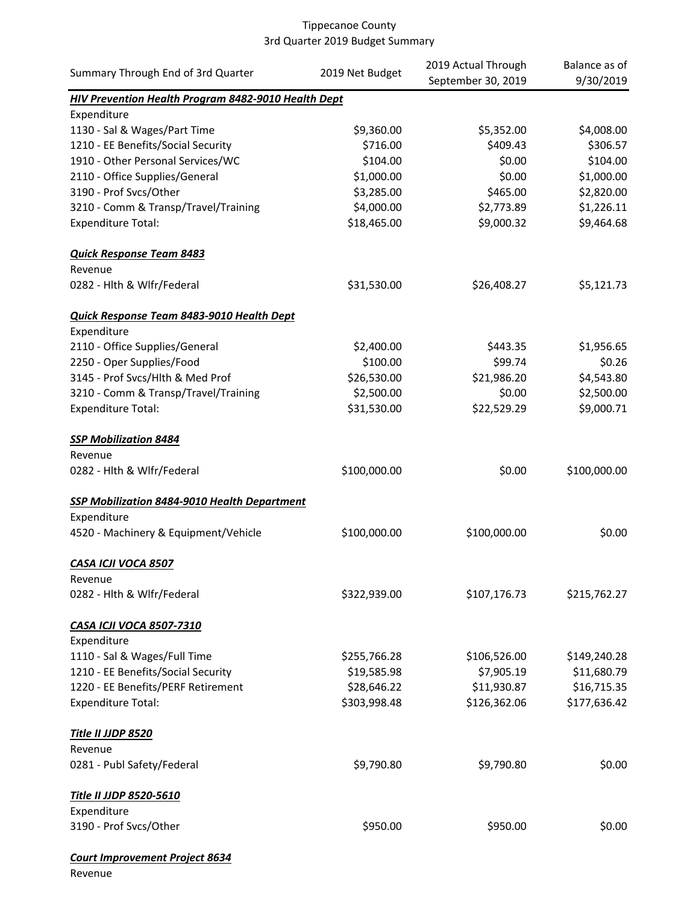| Summary Through End of 3rd Quarter                  | 2019 Net Budget | 2019 Actual Through | Balance as of |
|-----------------------------------------------------|-----------------|---------------------|---------------|
|                                                     |                 | September 30, 2019  | 9/30/2019     |
| HIV Prevention Health Program 8482-9010 Health Dept |                 |                     |               |
| Expenditure                                         |                 |                     |               |
| 1130 - Sal & Wages/Part Time                        | \$9,360.00      | \$5,352.00          | \$4,008.00    |
| 1210 - EE Benefits/Social Security                  | \$716.00        | \$409.43            | \$306.57      |
| 1910 - Other Personal Services/WC                   | \$104.00        | \$0.00              | \$104.00      |
| 2110 - Office Supplies/General                      | \$1,000.00      | \$0.00              | \$1,000.00    |
| 3190 - Prof Svcs/Other                              | \$3,285.00      | \$465.00            | \$2,820.00    |
| 3210 - Comm & Transp/Travel/Training                | \$4,000.00      | \$2,773.89          | \$1,226.11    |
| <b>Expenditure Total:</b>                           | \$18,465.00     | \$9,000.32          | \$9,464.68    |
| <b>Quick Response Team 8483</b>                     |                 |                     |               |
| Revenue                                             |                 |                     |               |
| 0282 - Hlth & Wlfr/Federal                          | \$31,530.00     | \$26,408.27         | \$5,121.73    |
| Quick Response Team 8483-9010 Health Dept           |                 |                     |               |
| Expenditure                                         |                 |                     |               |
| 2110 - Office Supplies/General                      | \$2,400.00      | \$443.35            | \$1,956.65    |
| 2250 - Oper Supplies/Food                           | \$100.00        | \$99.74             | \$0.26        |
| 3145 - Prof Svcs/Hlth & Med Prof                    | \$26,530.00     | \$21,986.20         | \$4,543.80    |
| 3210 - Comm & Transp/Travel/Training                | \$2,500.00      | \$0.00              | \$2,500.00    |
| <b>Expenditure Total:</b>                           | \$31,530.00     | \$22,529.29         | \$9,000.71    |
| <b>SSP Mobilization 8484</b>                        |                 |                     |               |
| Revenue                                             |                 |                     |               |
| 0282 - Hlth & Wlfr/Federal                          | \$100,000.00    | \$0.00              | \$100,000.00  |
| <b>SSP Mobilization 8484-9010 Health Department</b> |                 |                     |               |
| Expenditure                                         |                 |                     |               |
| 4520 - Machinery & Equipment/Vehicle                | \$100,000.00    | \$100,000.00        | \$0.00        |
| CASA ICJI VOCA 8507                                 |                 |                     |               |
| Revenue                                             |                 |                     |               |
| 0282 - Hlth & Wlfr/Federal                          | \$322,939.00    | \$107,176.73        | \$215,762.27  |
| <b>CASA ICJI VOCA 8507-7310</b>                     |                 |                     |               |
| Expenditure                                         |                 |                     |               |
| 1110 - Sal & Wages/Full Time                        | \$255,766.28    | \$106,526.00        | \$149,240.28  |
| 1210 - EE Benefits/Social Security                  | \$19,585.98     | \$7,905.19          | \$11,680.79   |
| 1220 - EE Benefits/PERF Retirement                  | \$28,646.22     | \$11,930.87         | \$16,715.35   |
| <b>Expenditure Total:</b>                           | \$303,998.48    | \$126,362.06        | \$177,636.42  |
| <b>Title II JJDP 8520</b>                           |                 |                     |               |
| Revenue                                             |                 |                     |               |
| 0281 - Publ Safety/Federal                          | \$9,790.80      | \$9,790.80          | \$0.00        |
| <b>Title II JJDP 8520-5610</b>                      |                 |                     |               |
| Expenditure                                         |                 |                     |               |
| 3190 - Prof Svcs/Other                              | \$950.00        | \$950.00            | \$0.00        |
| <b>Court Improvement Project 8634</b>               |                 |                     |               |

Revenue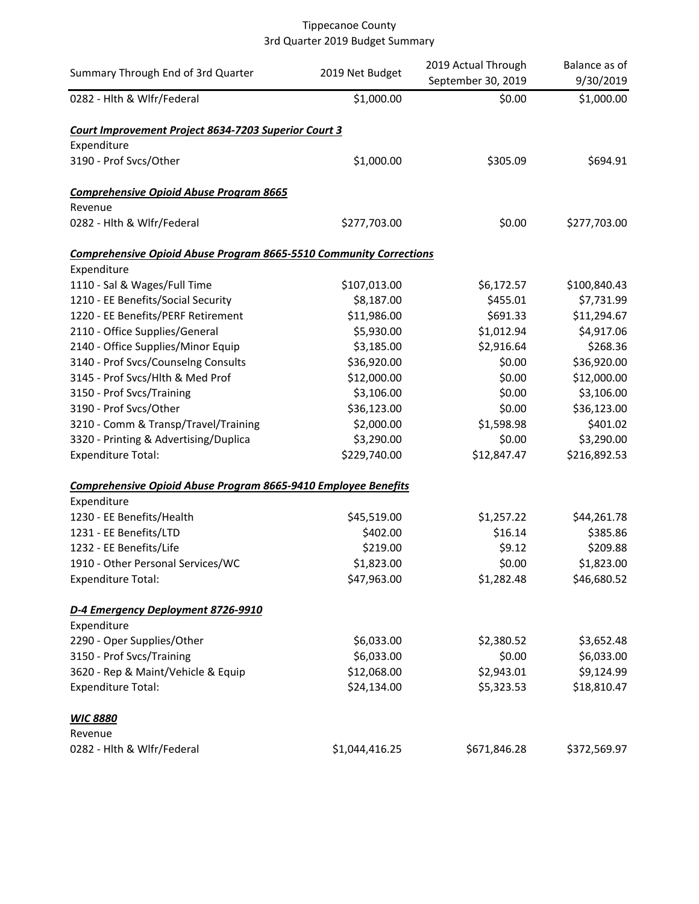| Summary Through End of 3rd Quarter                                        | 2019 Net Budget | 2019 Actual Through<br>September 30, 2019 | Balance as of<br>9/30/2019 |
|---------------------------------------------------------------------------|-----------------|-------------------------------------------|----------------------------|
| 0282 - Hith & Wifr/Federal                                                | \$1,000.00      | \$0.00                                    | \$1,000.00                 |
| Court Improvement Project 8634-7203 Superior Court 3                      |                 |                                           |                            |
| Expenditure                                                               |                 |                                           |                            |
| 3190 - Prof Svcs/Other                                                    | \$1,000.00      | \$305.09                                  | \$694.91                   |
| <b>Comprehensive Opioid Abuse Program 8665</b>                            |                 |                                           |                            |
| Revenue                                                                   |                 |                                           |                            |
| 0282 - Hith & Wifr/Federal                                                | \$277,703.00    | \$0.00                                    | \$277,703.00               |
| <b>Comprehensive Opioid Abuse Program 8665-5510 Community Corrections</b> |                 |                                           |                            |
| Expenditure                                                               |                 |                                           |                            |
| 1110 - Sal & Wages/Full Time                                              | \$107,013.00    | \$6,172.57                                | \$100,840.43               |
| 1210 - EE Benefits/Social Security                                        | \$8,187.00      | \$455.01                                  | \$7,731.99                 |
| 1220 - EE Benefits/PERF Retirement                                        | \$11,986.00     | \$691.33                                  | \$11,294.67                |
| 2110 - Office Supplies/General                                            | \$5,930.00      | \$1,012.94                                | \$4,917.06                 |
| 2140 - Office Supplies/Minor Equip                                        | \$3,185.00      | \$2,916.64                                | \$268.36                   |
| 3140 - Prof Svcs/Counselng Consults                                       | \$36,920.00     | \$0.00                                    | \$36,920.00                |
| 3145 - Prof Svcs/Hlth & Med Prof                                          | \$12,000.00     | \$0.00                                    | \$12,000.00                |
| 3150 - Prof Svcs/Training                                                 | \$3,106.00      | \$0.00                                    | \$3,106.00                 |
| 3190 - Prof Svcs/Other                                                    | \$36,123.00     | \$0.00                                    | \$36,123.00                |
| 3210 - Comm & Transp/Travel/Training                                      | \$2,000.00      | \$1,598.98                                | \$401.02                   |
| 3320 - Printing & Advertising/Duplica                                     | \$3,290.00      | \$0.00                                    | \$3,290.00                 |
| Expenditure Total:                                                        | \$229,740.00    | \$12,847.47                               | \$216,892.53               |
| Comprehensive Opioid Abuse Program 8665-9410 Employee Benefits            |                 |                                           |                            |
| Expenditure                                                               |                 |                                           |                            |
| 1230 - EE Benefits/Health                                                 | \$45,519.00     | \$1,257.22                                | \$44,261.78                |
| 1231 - EE Benefits/LTD                                                    | \$402.00        | \$16.14                                   | \$385.86                   |
| 1232 - EE Benefits/Life                                                   | \$219.00        | \$9.12                                    | \$209.88                   |
| 1910 - Other Personal Services/WC                                         | \$1,823.00      | \$0.00                                    | \$1,823.00                 |
| <b>Expenditure Total:</b>                                                 | \$47,963.00     | \$1,282.48                                | \$46,680.52                |
| D-4 Emergency Deployment 8726-9910                                        |                 |                                           |                            |
| Expenditure                                                               |                 |                                           |                            |
| 2290 - Oper Supplies/Other                                                | \$6,033.00      | \$2,380.52                                | \$3,652.48                 |
| 3150 - Prof Svcs/Training                                                 | \$6,033.00      | \$0.00                                    | \$6,033.00                 |
| 3620 - Rep & Maint/Vehicle & Equip                                        | \$12,068.00     | \$2,943.01                                | \$9,124.99                 |
| <b>Expenditure Total:</b>                                                 | \$24,134.00     | \$5,323.53                                | \$18,810.47                |
| <b>WIC 8880</b>                                                           |                 |                                           |                            |
| Revenue                                                                   |                 |                                           |                            |
| 0282 - Hlth & Wlfr/Federal                                                | \$1,044,416.25  | \$671,846.28                              | \$372,569.97               |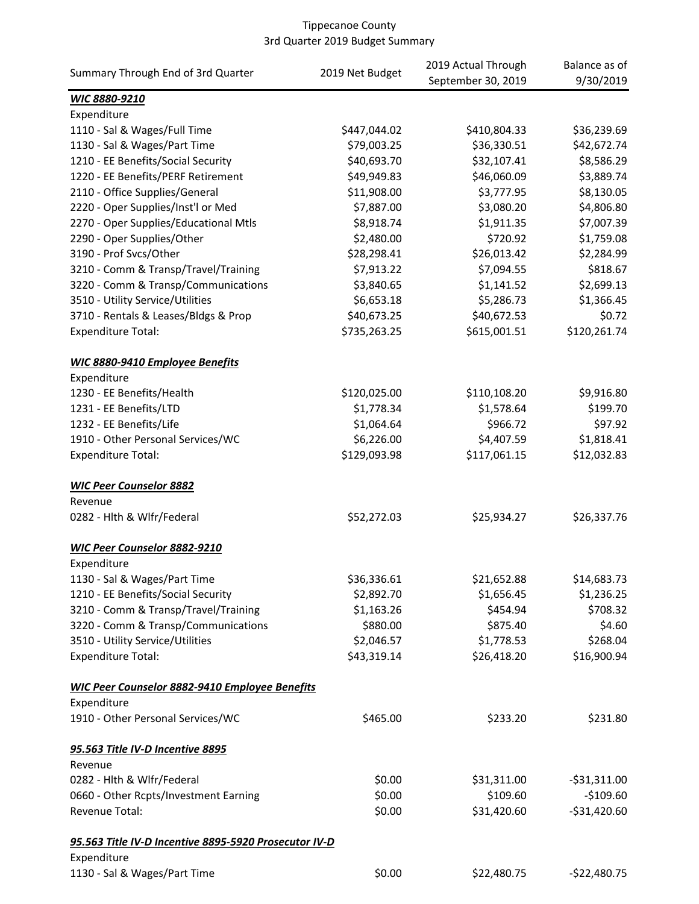|                                                       |                 | 2019 Actual Through | Balance as of   |
|-------------------------------------------------------|-----------------|---------------------|-----------------|
| Summary Through End of 3rd Quarter                    | 2019 Net Budget | September 30, 2019  | 9/30/2019       |
| WIC 8880-9210                                         |                 |                     |                 |
| Expenditure                                           |                 |                     |                 |
| 1110 - Sal & Wages/Full Time                          | \$447,044.02    | \$410,804.33        | \$36,239.69     |
| 1130 - Sal & Wages/Part Time                          | \$79,003.25     | \$36,330.51         | \$42,672.74     |
| 1210 - EE Benefits/Social Security                    | \$40,693.70     | \$32,107.41         | \$8,586.29      |
| 1220 - EE Benefits/PERF Retirement                    | \$49,949.83     | \$46,060.09         | \$3,889.74      |
| 2110 - Office Supplies/General                        | \$11,908.00     | \$3,777.95          | \$8,130.05      |
| 2220 - Oper Supplies/Inst'l or Med                    | \$7,887.00      | \$3,080.20          | \$4,806.80      |
| 2270 - Oper Supplies/Educational Mtls                 | \$8,918.74      | \$1,911.35          | \$7,007.39      |
| 2290 - Oper Supplies/Other                            | \$2,480.00      | \$720.92            | \$1,759.08      |
| 3190 - Prof Svcs/Other                                | \$28,298.41     | \$26,013.42         | \$2,284.99      |
| 3210 - Comm & Transp/Travel/Training                  | \$7,913.22      | \$7,094.55          | \$818.67        |
| 3220 - Comm & Transp/Communications                   | \$3,840.65      | \$1,141.52          | \$2,699.13      |
| 3510 - Utility Service/Utilities                      | \$6,653.18      | \$5,286.73          | \$1,366.45      |
| 3710 - Rentals & Leases/Bldgs & Prop                  | \$40,673.25     | \$40,672.53         | \$0.72          |
| <b>Expenditure Total:</b>                             | \$735,263.25    | \$615,001.51        | \$120,261.74    |
| WIC 8880-9410 Employee Benefits                       |                 |                     |                 |
| Expenditure                                           |                 |                     |                 |
| 1230 - EE Benefits/Health                             | \$120,025.00    | \$110,108.20        | \$9,916.80      |
| 1231 - EE Benefits/LTD                                | \$1,778.34      | \$1,578.64          | \$199.70        |
| 1232 - EE Benefits/Life                               | \$1,064.64      | \$966.72            | \$97.92         |
| 1910 - Other Personal Services/WC                     | \$6,226.00      | \$4,407.59          | \$1,818.41      |
| <b>Expenditure Total:</b>                             | \$129,093.98    | \$117,061.15        | \$12,032.83     |
| <b>WIC Peer Counselor 8882</b>                        |                 |                     |                 |
| Revenue                                               |                 |                     |                 |
| 0282 - Hlth & Wlfr/Federal                            | \$52,272.03     | \$25,934.27         | \$26,337.76     |
| <b>WIC Peer Counselor 8882-9210</b>                   |                 |                     |                 |
| Expenditure                                           |                 |                     |                 |
| 1130 - Sal & Wages/Part Time                          | \$36,336.61     | \$21,652.88         | \$14,683.73     |
| 1210 - EE Benefits/Social Security                    | \$2,892.70      | \$1,656.45          | \$1,236.25      |
| 3210 - Comm & Transp/Travel/Training                  | \$1,163.26      | \$454.94            | \$708.32        |
| 3220 - Comm & Transp/Communications                   | \$880.00        | \$875.40            | \$4.60          |
| 3510 - Utility Service/Utilities                      | \$2,046.57      | \$1,778.53          | \$268.04        |
| <b>Expenditure Total:</b>                             | \$43,319.14     | \$26,418.20         | \$16,900.94     |
| WIC Peer Counselor 8882-9410 Employee Benefits        |                 |                     |                 |
| Expenditure                                           |                 |                     |                 |
| 1910 - Other Personal Services/WC                     | \$465.00        | \$233.20            | \$231.80        |
| 95.563 Title IV-D Incentive 8895                      |                 |                     |                 |
| Revenue                                               |                 |                     |                 |
| 0282 - Hlth & Wlfr/Federal                            | \$0.00          | \$31,311.00         | $-$ \$31,311.00 |
| 0660 - Other Rcpts/Investment Earning                 | \$0.00          | \$109.60            | $-$109.60$      |
| Revenue Total:                                        | \$0.00          | \$31,420.60         | $-531,420.60$   |
| 95.563 Title IV-D Incentive 8895-5920 Prosecutor IV-D |                 |                     |                 |
| Expenditure                                           |                 |                     |                 |
| 1130 - Sal & Wages/Part Time                          | \$0.00          | \$22,480.75         | -\$22,480.75    |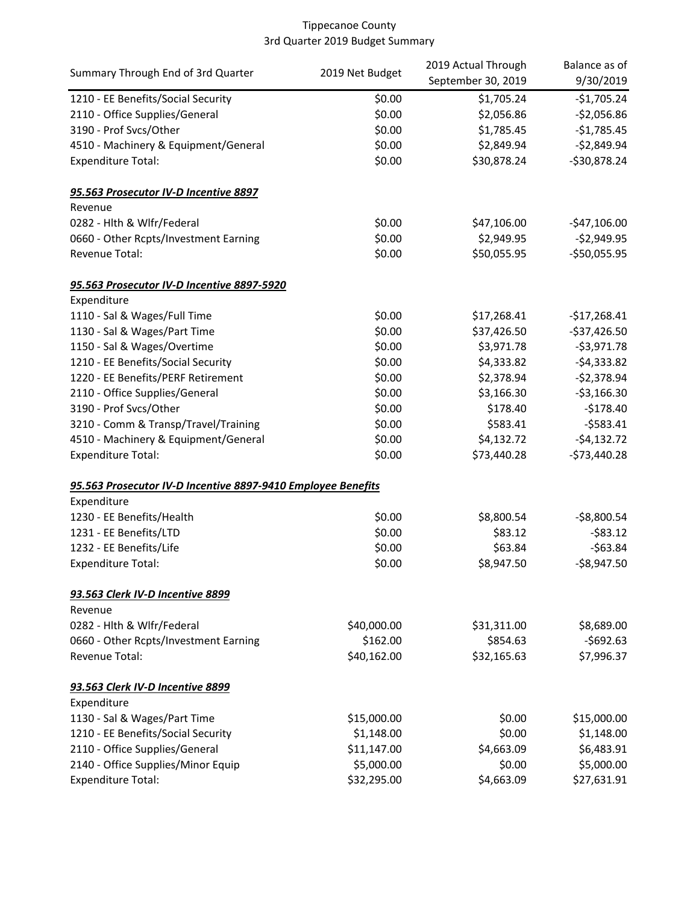| Summary Through End of 3rd Quarter                           | 2019 Net Budget | 2019 Actual Through | Balance as of |  |
|--------------------------------------------------------------|-----------------|---------------------|---------------|--|
|                                                              |                 | September 30, 2019  | 9/30/2019     |  |
| 1210 - EE Benefits/Social Security                           | \$0.00          | \$1,705.24          | $-$1,705.24$  |  |
| 2110 - Office Supplies/General                               | \$0.00          | \$2,056.86          | $-52,056.86$  |  |
| 3190 - Prof Svcs/Other                                       | \$0.00          | \$1,785.45          | $-$1,785.45$  |  |
| 4510 - Machinery & Equipment/General                         | \$0.00          | \$2,849.94          | $-$2,849.94$  |  |
| <b>Expenditure Total:</b>                                    | \$0.00          | \$30,878.24         | $-$30,878.24$ |  |
| 95.563 Prosecutor IV-D Incentive 8897                        |                 |                     |               |  |
| Revenue                                                      |                 |                     |               |  |
| 0282 - Hlth & Wlfr/Federal                                   | \$0.00          | \$47,106.00         | $-547,106.00$ |  |
| 0660 - Other Rcpts/Investment Earning                        | \$0.00          | \$2,949.95          | $-$2,949.95$  |  |
| Revenue Total:                                               | \$0.00          | \$50,055.95         | $-$50,055.95$ |  |
| 95.563 Prosecutor IV-D Incentive 8897-5920                   |                 |                     |               |  |
| Expenditure                                                  |                 |                     |               |  |
| 1110 - Sal & Wages/Full Time                                 | \$0.00          | \$17,268.41         | $-$17,268.41$ |  |
| 1130 - Sal & Wages/Part Time                                 | \$0.00          | \$37,426.50         | $-$37,426.50$ |  |
| 1150 - Sal & Wages/Overtime                                  | \$0.00          | \$3,971.78          | $-53,971.78$  |  |
| 1210 - EE Benefits/Social Security                           | \$0.00          | \$4,333.82          | $-$4,333.82$  |  |
| 1220 - EE Benefits/PERF Retirement                           | \$0.00          | \$2,378.94          | $-$2,378.94$  |  |
| 2110 - Office Supplies/General                               | \$0.00          | \$3,166.30          | $-53,166.30$  |  |
| 3190 - Prof Svcs/Other                                       | \$0.00          | \$178.40            | $-$178.40$    |  |
| 3210 - Comm & Transp/Travel/Training                         | \$0.00          | \$583.41            | $-$ \$583.41  |  |
| 4510 - Machinery & Equipment/General                         | \$0.00          | \$4,132.72          | $-54,132.72$  |  |
| <b>Expenditure Total:</b>                                    | \$0.00          | \$73,440.28         | $-$73,440.28$ |  |
| 95.563 Prosecutor IV-D Incentive 8897-9410 Employee Benefits |                 |                     |               |  |
| Expenditure                                                  |                 |                     |               |  |
| 1230 - EE Benefits/Health                                    | \$0.00          | \$8,800.54          | $-58,800.54$  |  |
| 1231 - EE Benefits/LTD                                       | \$0.00          | \$83.12             | $-583.12$     |  |
| 1232 - EE Benefits/Life                                      | \$0.00          | \$63.84             | $-563.84$     |  |
| <b>Expenditure Total:</b>                                    | \$0.00          | \$8,947.50          | $-$8,947.50$  |  |
| 93.563 Clerk IV-D Incentive 8899                             |                 |                     |               |  |
| Revenue                                                      |                 |                     |               |  |
| 0282 - Hlth & Wlfr/Federal                                   | \$40,000.00     | \$31,311.00         | \$8,689.00    |  |
| 0660 - Other Rcpts/Investment Earning                        | \$162.00        | \$854.63            | $-5692.63$    |  |
| Revenue Total:                                               | \$40,162.00     | \$32,165.63         | \$7,996.37    |  |
| 93.563 Clerk IV-D Incentive 8899                             |                 |                     |               |  |
| Expenditure                                                  |                 |                     |               |  |
| 1130 - Sal & Wages/Part Time                                 | \$15,000.00     | \$0.00              | \$15,000.00   |  |
| 1210 - EE Benefits/Social Security                           | \$1,148.00      | \$0.00              | \$1,148.00    |  |
| 2110 - Office Supplies/General                               | \$11,147.00     | \$4,663.09          | \$6,483.91    |  |
| 2140 - Office Supplies/Minor Equip                           | \$5,000.00      | \$0.00              | \$5,000.00    |  |
| <b>Expenditure Total:</b>                                    | \$32,295.00     | \$4,663.09          | \$27,631.91   |  |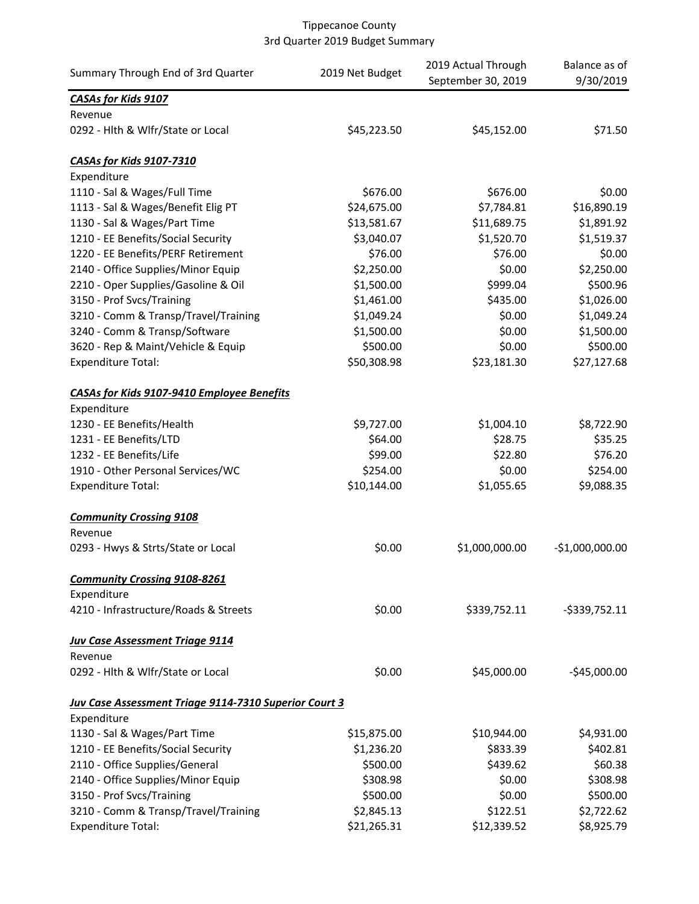|                                                              |                 | 2019 Actual Through | Balance as of    |
|--------------------------------------------------------------|-----------------|---------------------|------------------|
| Summary Through End of 3rd Quarter                           | 2019 Net Budget | September 30, 2019  | 9/30/2019        |
| <b>CASAs for Kids 9107</b>                                   |                 |                     |                  |
| Revenue                                                      |                 |                     |                  |
| 0292 - Hlth & Wlfr/State or Local                            | \$45,223.50     | \$45,152.00         | \$71.50          |
| <b>CASAs for Kids 9107-7310</b>                              |                 |                     |                  |
| Expenditure                                                  |                 |                     |                  |
| 1110 - Sal & Wages/Full Time                                 | \$676.00        | \$676.00            | \$0.00           |
| 1113 - Sal & Wages/Benefit Elig PT                           | \$24,675.00     | \$7,784.81          | \$16,890.19      |
| 1130 - Sal & Wages/Part Time                                 | \$13,581.67     | \$11,689.75         | \$1,891.92       |
| 1210 - EE Benefits/Social Security                           | \$3,040.07      | \$1,520.70          | \$1,519.37       |
| 1220 - EE Benefits/PERF Retirement                           | \$76.00         | \$76.00             | \$0.00           |
| 2140 - Office Supplies/Minor Equip                           | \$2,250.00      | \$0.00              | \$2,250.00       |
| 2210 - Oper Supplies/Gasoline & Oil                          | \$1,500.00      | \$999.04            | \$500.96         |
| 3150 - Prof Svcs/Training                                    | \$1,461.00      | \$435.00            | \$1,026.00       |
| 3210 - Comm & Transp/Travel/Training                         | \$1,049.24      | \$0.00              | \$1,049.24       |
| 3240 - Comm & Transp/Software                                | \$1,500.00      | \$0.00              | \$1,500.00       |
| 3620 - Rep & Maint/Vehicle & Equip                           | \$500.00        | \$0.00              | \$500.00         |
| <b>Expenditure Total:</b>                                    | \$50,308.98     | \$23,181.30         | \$27,127.68      |
| <b>CASAs for Kids 9107-9410 Employee Benefits</b>            |                 |                     |                  |
| Expenditure                                                  |                 |                     |                  |
| 1230 - EE Benefits/Health                                    | \$9,727.00      | \$1,004.10          | \$8,722.90       |
| 1231 - EE Benefits/LTD                                       | \$64.00         | \$28.75             | \$35.25          |
| 1232 - EE Benefits/Life                                      | \$99.00         | \$22.80             | \$76.20          |
| 1910 - Other Personal Services/WC                            | \$254.00        | \$0.00              | \$254.00         |
| <b>Expenditure Total:</b>                                    | \$10,144.00     | \$1,055.65          | \$9,088.35       |
| <b>Community Crossing 9108</b>                               |                 |                     |                  |
| Revenue                                                      |                 |                     |                  |
| 0293 - Hwys & Strts/State or Local                           | \$0.00          | \$1,000,000.00      | $-$1,000,000.00$ |
| <b>Community Crossing 9108-8261</b>                          |                 |                     |                  |
| Expenditure                                                  |                 |                     |                  |
| 4210 - Infrastructure/Roads & Streets                        | \$0.00          | \$339,752.11        | $-$ \$339,752.11 |
| <b>Juv Case Assessment Triage 9114</b>                       |                 |                     |                  |
| Revenue                                                      |                 |                     |                  |
| 0292 - Hlth & Wlfr/State or Local                            | \$0.00          | \$45,000.00         | $-$45,000.00$    |
| <b>Juv Case Assessment Triage 9114-7310 Superior Court 3</b> |                 |                     |                  |
| Expenditure                                                  |                 |                     |                  |
| 1130 - Sal & Wages/Part Time                                 | \$15,875.00     | \$10,944.00         | \$4,931.00       |
| 1210 - EE Benefits/Social Security                           | \$1,236.20      | \$833.39            | \$402.81         |
| 2110 - Office Supplies/General                               | \$500.00        | \$439.62            | \$60.38          |
| 2140 - Office Supplies/Minor Equip                           | \$308.98        | \$0.00              | \$308.98         |
| 3150 - Prof Svcs/Training                                    | \$500.00        | \$0.00              | \$500.00         |
| 3210 - Comm & Transp/Travel/Training                         | \$2,845.13      | \$122.51            | \$2,722.62       |
| <b>Expenditure Total:</b>                                    | \$21,265.31     | \$12,339.52         | \$8,925.79       |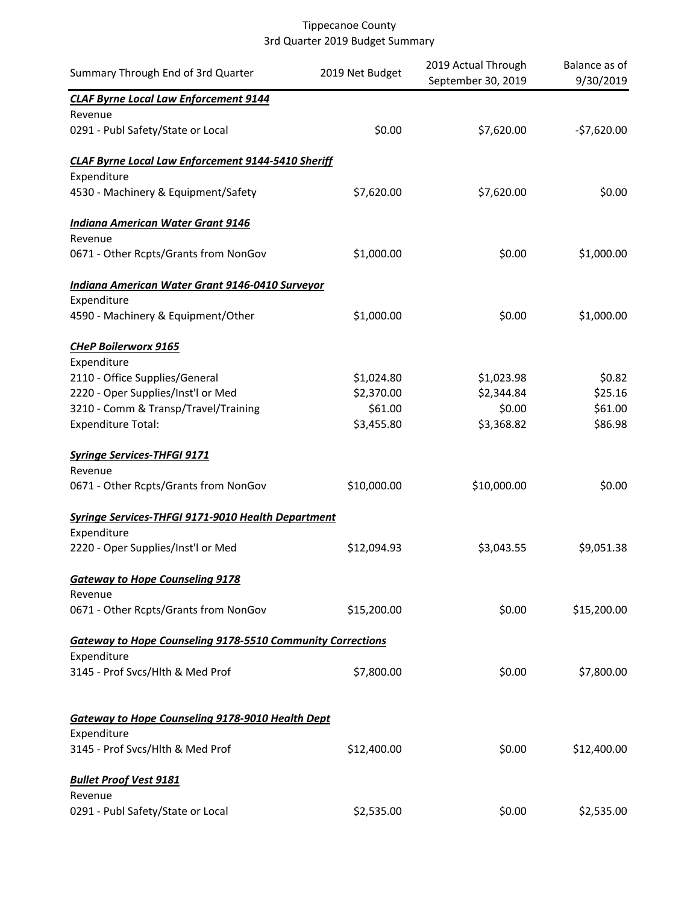| Summary Through End of 3rd Quarter                                | 2019 Net Budget | 2019 Actual Through<br>September 30, 2019 | Balance as of<br>9/30/2019 |
|-------------------------------------------------------------------|-----------------|-------------------------------------------|----------------------------|
| <b>CLAF Byrne Local Law Enforcement 9144</b>                      |                 |                                           |                            |
| Revenue                                                           |                 |                                           |                            |
| 0291 - Publ Safety/State or Local                                 | \$0.00          | \$7,620.00                                | $-$7,620.00$               |
| <b>CLAF Byrne Local Law Enforcement 9144-5410 Sheriff</b>         |                 |                                           |                            |
| Expenditure                                                       |                 |                                           |                            |
| 4530 - Machinery & Equipment/Safety                               | \$7,620.00      | \$7,620.00                                | \$0.00                     |
| <b>Indiana American Water Grant 9146</b>                          |                 |                                           |                            |
| Revenue                                                           |                 |                                           |                            |
| 0671 - Other Rcpts/Grants from NonGov                             | \$1,000.00      | \$0.00                                    | \$1,000.00                 |
| Indiana American Water Grant 9146-0410 Surveyor                   |                 |                                           |                            |
| Expenditure                                                       |                 |                                           |                            |
| 4590 - Machinery & Equipment/Other                                | \$1,000.00      | \$0.00                                    | \$1,000.00                 |
| <b>CHeP Boilerworx 9165</b>                                       |                 |                                           |                            |
| Expenditure                                                       |                 |                                           |                            |
| 2110 - Office Supplies/General                                    | \$1,024.80      | \$1,023.98                                | \$0.82                     |
| 2220 - Oper Supplies/Inst'l or Med                                | \$2,370.00      | \$2,344.84                                | \$25.16                    |
| 3210 - Comm & Transp/Travel/Training                              | \$61.00         | \$0.00                                    | \$61.00                    |
| <b>Expenditure Total:</b>                                         | \$3,455.80      | \$3,368.82                                | \$86.98                    |
| <b>Syringe Services-THFGI 9171</b>                                |                 |                                           |                            |
| Revenue                                                           |                 |                                           |                            |
| 0671 - Other Rcpts/Grants from NonGov                             | \$10,000.00     | \$10,000.00                               | \$0.00                     |
| <b>Syringe Services-THFGI 9171-9010 Health Department</b>         |                 |                                           |                            |
| Expenditure                                                       |                 |                                           |                            |
| 2220 - Oper Supplies/Inst'l or Med                                | \$12,094.93     | \$3,043.55                                | \$9,051.38                 |
| <b>Gateway to Hope Counseling 9178</b>                            |                 |                                           |                            |
| Revenue                                                           |                 |                                           |                            |
| 0671 - Other Rcpts/Grants from NonGov                             | \$15,200.00     | \$0.00                                    | \$15,200.00                |
| <b>Gateway to Hope Counseling 9178-5510 Community Corrections</b> |                 |                                           |                            |
| Expenditure                                                       |                 |                                           |                            |
| 3145 - Prof Svcs/Hlth & Med Prof                                  | \$7,800.00      | \$0.00                                    | \$7,800.00                 |
|                                                                   |                 |                                           |                            |
| <b>Gateway to Hope Counseling 9178-9010 Health Dept</b>           |                 |                                           |                            |
| Expenditure                                                       |                 |                                           |                            |
| 3145 - Prof Svcs/Hlth & Med Prof                                  | \$12,400.00     | \$0.00                                    | \$12,400.00                |
| <b>Bullet Proof Vest 9181</b>                                     |                 |                                           |                            |
| Revenue                                                           |                 |                                           |                            |
| 0291 - Publ Safety/State or Local                                 | \$2,535.00      | \$0.00                                    | \$2,535.00                 |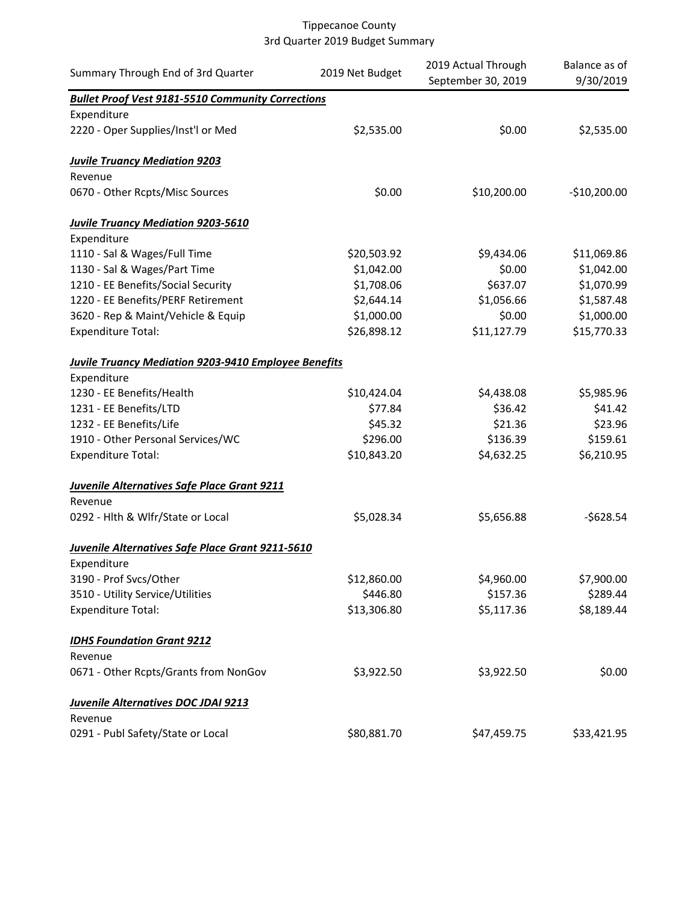| Summary Through End of 3rd Quarter                       | 2019 Net Budget | 2019 Actual Through<br>September 30, 2019 | Balance as of<br>9/30/2019 |
|----------------------------------------------------------|-----------------|-------------------------------------------|----------------------------|
| <b>Bullet Proof Vest 9181-5510 Community Corrections</b> |                 |                                           |                            |
| Expenditure                                              |                 |                                           |                            |
| 2220 - Oper Supplies/Inst'l or Med                       | \$2,535.00      | \$0.00                                    | \$2,535.00                 |
| <b>Juvile Truancy Mediation 9203</b>                     |                 |                                           |                            |
| Revenue                                                  |                 |                                           |                            |
| 0670 - Other Rcpts/Misc Sources                          | \$0.00          | \$10,200.00                               | $-$10,200.00$              |
| <b>Juvile Truancy Mediation 9203-5610</b>                |                 |                                           |                            |
| Expenditure                                              |                 |                                           |                            |
| 1110 - Sal & Wages/Full Time                             | \$20,503.92     | \$9,434.06                                | \$11,069.86                |
| 1130 - Sal & Wages/Part Time                             | \$1,042.00      | \$0.00                                    | \$1,042.00                 |
| 1210 - EE Benefits/Social Security                       | \$1,708.06      | \$637.07                                  | \$1,070.99                 |
| 1220 - EE Benefits/PERF Retirement                       | \$2,644.14      | \$1,056.66                                | \$1,587.48                 |
| 3620 - Rep & Maint/Vehicle & Equip                       | \$1,000.00      | \$0.00                                    | \$1,000.00                 |
| <b>Expenditure Total:</b>                                | \$26,898.12     | \$11,127.79                               | \$15,770.33                |
| Juvile Truancy Mediation 9203-9410 Employee Benefits     |                 |                                           |                            |
| Expenditure                                              |                 |                                           |                            |
| 1230 - EE Benefits/Health                                | \$10,424.04     | \$4,438.08                                | \$5,985.96                 |
| 1231 - EE Benefits/LTD                                   | \$77.84         | \$36.42                                   | \$41.42                    |
| 1232 - EE Benefits/Life                                  | \$45.32         | \$21.36                                   | \$23.96                    |
| 1910 - Other Personal Services/WC                        | \$296.00        | \$136.39                                  | \$159.61                   |
| <b>Expenditure Total:</b>                                | \$10,843.20     | \$4,632.25                                | \$6,210.95                 |
| <b>Juvenile Alternatives Safe Place Grant 9211</b>       |                 |                                           |                            |
| Revenue                                                  |                 |                                           |                            |
| 0292 - Hlth & Wlfr/State or Local                        | \$5,028.34      | \$5,656.88                                | $-5628.54$                 |
| Juvenile Alternatives Safe Place Grant 9211-5610         |                 |                                           |                            |
| Expenditure                                              |                 |                                           |                            |
| 3190 - Prof Svcs/Other                                   | \$12,860.00     | \$4,960.00                                | \$7,900.00                 |
| 3510 - Utility Service/Utilities                         | \$446.80        | \$157.36                                  | \$289.44                   |
| <b>Expenditure Total:</b>                                | \$13,306.80     | \$5,117.36                                | \$8,189.44                 |
| <b>IDHS Foundation Grant 9212</b>                        |                 |                                           |                            |
| Revenue                                                  |                 |                                           |                            |
| 0671 - Other Rcpts/Grants from NonGov                    | \$3,922.50      | \$3,922.50                                | \$0.00                     |
| <b>Juvenile Alternatives DOC JDAI 9213</b>               |                 |                                           |                            |
| Revenue                                                  |                 |                                           |                            |
| 0291 - Publ Safety/State or Local                        | \$80,881.70     | \$47,459.75                               | \$33,421.95                |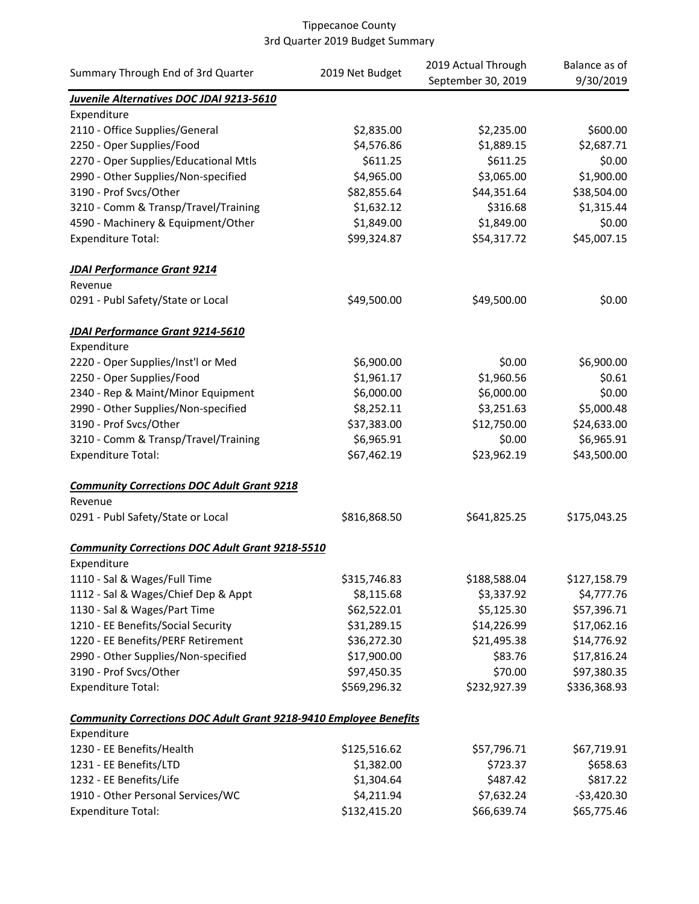| Summary Through End of 3rd Quarter                                                      | 2019 Net Budget | 2019 Actual Through | Balance as of |
|-----------------------------------------------------------------------------------------|-----------------|---------------------|---------------|
|                                                                                         |                 | September 30, 2019  | 9/30/2019     |
| Juvenile Alternatives DOC JDAI 9213-5610                                                |                 |                     |               |
| Expenditure                                                                             |                 |                     |               |
| 2110 - Office Supplies/General                                                          | \$2,835.00      | \$2,235.00          | \$600.00      |
| 2250 - Oper Supplies/Food                                                               | \$4,576.86      | \$1,889.15          | \$2,687.71    |
| 2270 - Oper Supplies/Educational Mtls                                                   | \$611.25        | \$611.25            | \$0.00        |
| 2990 - Other Supplies/Non-specified                                                     | \$4,965.00      | \$3,065.00          | \$1,900.00    |
| 3190 - Prof Svcs/Other                                                                  | \$82,855.64     | \$44,351.64         | \$38,504.00   |
| 3210 - Comm & Transp/Travel/Training                                                    | \$1,632.12      | \$316.68            | \$1,315.44    |
| 4590 - Machinery & Equipment/Other                                                      | \$1,849.00      | \$1,849.00          | \$0.00        |
| <b>Expenditure Total:</b>                                                               | \$99,324.87     | \$54,317.72         | \$45,007.15   |
| <b>JDAI Performance Grant 9214</b>                                                      |                 |                     |               |
| Revenue                                                                                 |                 |                     |               |
| 0291 - Publ Safety/State or Local                                                       | \$49,500.00     | \$49,500.00         | \$0.00        |
| <b>JDAI Performance Grant 9214-5610</b>                                                 |                 |                     |               |
| Expenditure                                                                             |                 |                     |               |
| 2220 - Oper Supplies/Inst'l or Med                                                      | \$6,900.00      | \$0.00              | \$6,900.00    |
| 2250 - Oper Supplies/Food                                                               | \$1,961.17      | \$1,960.56          | \$0.61        |
| 2340 - Rep & Maint/Minor Equipment                                                      | \$6,000.00      | \$6,000.00          | \$0.00        |
| 2990 - Other Supplies/Non-specified                                                     | \$8,252.11      | \$3,251.63          | \$5,000.48    |
| 3190 - Prof Svcs/Other                                                                  | \$37,383.00     | \$12,750.00         | \$24,633.00   |
| 3210 - Comm & Transp/Travel/Training                                                    | \$6,965.91      | \$0.00              | \$6,965.91    |
| <b>Expenditure Total:</b>                                                               | \$67,462.19     | \$23,962.19         | \$43,500.00   |
| <b>Community Corrections DOC Adult Grant 9218</b>                                       |                 |                     |               |
| Revenue                                                                                 |                 |                     |               |
| 0291 - Publ Safety/State or Local                                                       | \$816,868.50    | \$641,825.25        | \$175,043.25  |
| <b>Community Corrections DOC Adult Grant 9218-5510</b>                                  |                 |                     |               |
| Expenditure                                                                             | \$315,746.83    | \$188,588.04        | \$127,158.79  |
| 1110 - Sal & Wages/Full Time<br>1112 - Sal & Wages/Chief Dep & Appt                     | \$8,115.68      | \$3,337.92          | \$4,777.76    |
| 1130 - Sal & Wages/Part Time                                                            | \$62,522.01     | \$5,125.30          | \$57,396.71   |
| 1210 - EE Benefits/Social Security                                                      | \$31,289.15     | \$14,226.99         | \$17,062.16   |
| 1220 - EE Benefits/PERF Retirement                                                      | \$36,272.30     | \$21,495.38         | \$14,776.92   |
| 2990 - Other Supplies/Non-specified                                                     | \$17,900.00     | \$83.76             | \$17,816.24   |
| 3190 - Prof Svcs/Other                                                                  | \$97,450.35     | \$70.00             | \$97,380.35   |
| <b>Expenditure Total:</b>                                                               | \$569,296.32    | \$232,927.39        | \$336,368.93  |
|                                                                                         |                 |                     |               |
| <b>Community Corrections DOC Adult Grant 9218-9410 Employee Benefits</b><br>Expenditure |                 |                     |               |
| 1230 - EE Benefits/Health                                                               | \$125,516.62    | \$57,796.71         | \$67,719.91   |
| 1231 - EE Benefits/LTD                                                                  | \$1,382.00      | \$723.37            | \$658.63      |
| 1232 - EE Benefits/Life                                                                 | \$1,304.64      | \$487.42            | \$817.22      |
| 1910 - Other Personal Services/WC                                                       | \$4,211.94      | \$7,632.24          | $-$3,420.30$  |
| <b>Expenditure Total:</b>                                                               | \$132,415.20    | \$66,639.74         | \$65,775.46   |
|                                                                                         |                 |                     |               |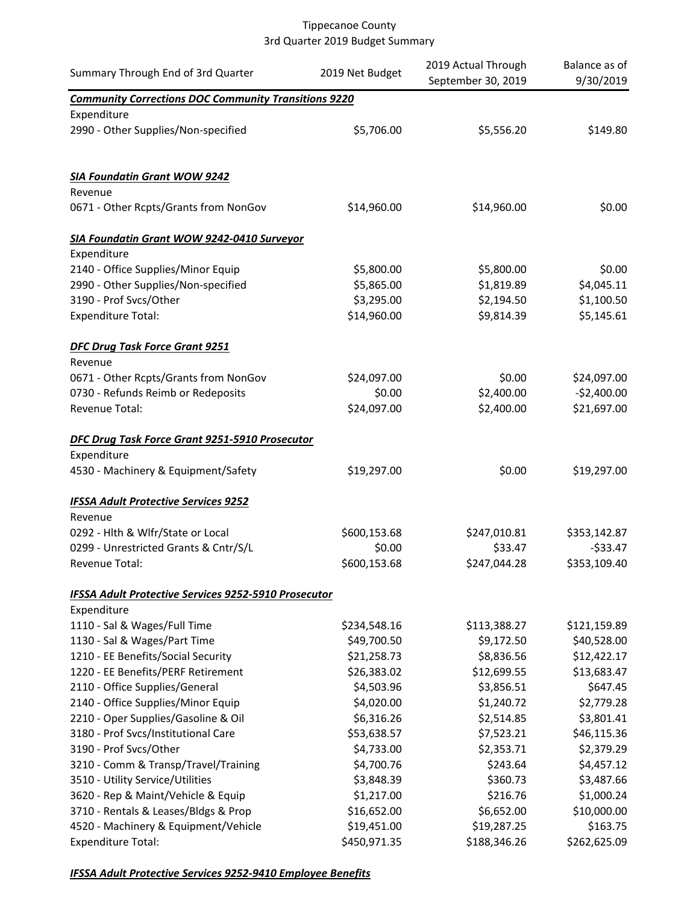| Summary Through End of 3rd Quarter                          | 2019 Net Budget | 2019 Actual Through<br>September 30, 2019 | Balance as of<br>9/30/2019 |
|-------------------------------------------------------------|-----------------|-------------------------------------------|----------------------------|
| <b>Community Corrections DOC Community Transitions 9220</b> |                 |                                           |                            |
| Expenditure                                                 |                 |                                           |                            |
| 2990 - Other Supplies/Non-specified                         | \$5,706.00      | \$5,556.20                                | \$149.80                   |
| <b>SIA Foundatin Grant WOW 9242</b>                         |                 |                                           |                            |
| Revenue                                                     |                 |                                           |                            |
| 0671 - Other Rcpts/Grants from NonGov                       | \$14,960.00     | \$14,960.00                               | \$0.00                     |
| SIA Foundatin Grant WOW 9242-0410 Surveyor                  |                 |                                           |                            |
| Expenditure                                                 |                 |                                           |                            |
| 2140 - Office Supplies/Minor Equip                          | \$5,800.00      | \$5,800.00                                | \$0.00                     |
| 2990 - Other Supplies/Non-specified                         | \$5,865.00      | \$1,819.89                                | \$4,045.11                 |
| 3190 - Prof Svcs/Other                                      | \$3,295.00      | \$2,194.50                                | \$1,100.50                 |
| <b>Expenditure Total:</b>                                   | \$14,960.00     | \$9,814.39                                | \$5,145.61                 |
| <b>DFC Drug Task Force Grant 9251</b><br>Revenue            |                 |                                           |                            |
| 0671 - Other Rcpts/Grants from NonGov                       | \$24,097.00     | \$0.00                                    | \$24,097.00                |
| 0730 - Refunds Reimb or Redeposits                          | \$0.00          | \$2,400.00                                | $-$2,400.00$               |
| Revenue Total:                                              | \$24,097.00     | \$2,400.00                                | \$21,697.00                |
| DFC Drug Task Force Grant 9251-5910 Prosecutor              |                 |                                           |                            |
| Expenditure                                                 |                 |                                           |                            |
| 4530 - Machinery & Equipment/Safety                         | \$19,297.00     | \$0.00                                    | \$19,297.00                |
| <b>IFSSA Adult Protective Services 9252</b><br>Revenue      |                 |                                           |                            |
| 0292 - Hlth & Wlfr/State or Local                           | \$600,153.68    | \$247,010.81                              | \$353,142.87               |
| 0299 - Unrestricted Grants & Cntr/S/L                       | \$0.00          | \$33.47                                   | $-533.47$                  |
| Revenue Total:                                              | \$600,153.68    | \$247,044.28                              | \$353,109.40               |
| IFSSA Adult Protective Services 9252-5910 Prosecutor        |                 |                                           |                            |
| Expenditure                                                 |                 |                                           |                            |
| 1110 - Sal & Wages/Full Time                                | \$234,548.16    | \$113,388.27                              | \$121,159.89               |
| 1130 - Sal & Wages/Part Time                                | \$49,700.50     | \$9,172.50                                | \$40,528.00                |
| 1210 - EE Benefits/Social Security                          | \$21,258.73     | \$8,836.56                                | \$12,422.17                |
| 1220 - EE Benefits/PERF Retirement                          | \$26,383.02     | \$12,699.55                               | \$13,683.47                |
| 2110 - Office Supplies/General                              | \$4,503.96      | \$3,856.51                                | \$647.45                   |
| 2140 - Office Supplies/Minor Equip                          | \$4,020.00      | \$1,240.72                                | \$2,779.28                 |
| 2210 - Oper Supplies/Gasoline & Oil                         | \$6,316.26      | \$2,514.85                                | \$3,801.41                 |
| 3180 - Prof Svcs/Institutional Care                         | \$53,638.57     | \$7,523.21                                | \$46,115.36                |
| 3190 - Prof Svcs/Other                                      | \$4,733.00      | \$2,353.71                                | \$2,379.29                 |
| 3210 - Comm & Transp/Travel/Training                        | \$4,700.76      | \$243.64                                  | \$4,457.12                 |
| 3510 - Utility Service/Utilities                            | \$3,848.39      | \$360.73                                  | \$3,487.66                 |
| 3620 - Rep & Maint/Vehicle & Equip                          | \$1,217.00      | \$216.76                                  | \$1,000.24                 |
| 3710 - Rentals & Leases/Bldgs & Prop                        | \$16,652.00     | \$6,652.00                                | \$10,000.00                |
| 4520 - Machinery & Equipment/Vehicle                        | \$19,451.00     | \$19,287.25                               | \$163.75                   |
| <b>Expenditure Total:</b>                                   | \$450,971.35    | \$188,346.26                              | \$262,625.09               |

*IFSSA Adult Protective Services 9252-9410 Employee Benefits*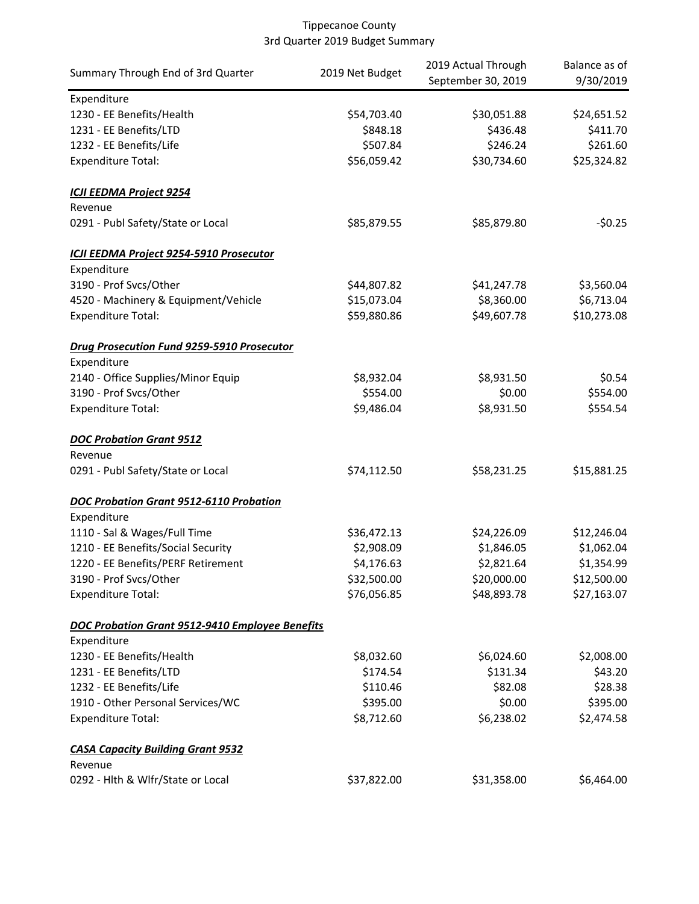| Summary Through End of 3rd Quarter                     | 2019 Net Budget | 2019 Actual Through | Balance as of |
|--------------------------------------------------------|-----------------|---------------------|---------------|
|                                                        |                 | September 30, 2019  | 9/30/2019     |
| Expenditure                                            |                 |                     |               |
| 1230 - EE Benefits/Health                              | \$54,703.40     | \$30,051.88         | \$24,651.52   |
| 1231 - EE Benefits/LTD                                 | \$848.18        | \$436.48            | \$411.70      |
| 1232 - EE Benefits/Life                                | \$507.84        | \$246.24            | \$261.60      |
| <b>Expenditure Total:</b>                              | \$56,059.42     | \$30,734.60         | \$25,324.82   |
| <b>ICJI EEDMA Project 9254</b>                         |                 |                     |               |
| Revenue                                                |                 |                     |               |
| 0291 - Publ Safety/State or Local                      | \$85,879.55     | \$85,879.80         | $-50.25$      |
| ICJI EEDMA Project 9254-5910 Prosecutor                |                 |                     |               |
| Expenditure                                            |                 |                     |               |
| 3190 - Prof Svcs/Other                                 | \$44,807.82     | \$41,247.78         | \$3,560.04    |
| 4520 - Machinery & Equipment/Vehicle                   | \$15,073.04     | \$8,360.00          | \$6,713.04    |
| <b>Expenditure Total:</b>                              | \$59,880.86     | \$49,607.78         | \$10,273.08   |
| <b>Drug Prosecution Fund 9259-5910 Prosecutor</b>      |                 |                     |               |
| Expenditure                                            |                 |                     |               |
| 2140 - Office Supplies/Minor Equip                     | \$8,932.04      | \$8,931.50          | \$0.54        |
| 3190 - Prof Svcs/Other                                 | \$554.00        | \$0.00              | \$554.00      |
| <b>Expenditure Total:</b>                              | \$9,486.04      | \$8,931.50          | \$554.54      |
| <b>DOC Probation Grant 9512</b>                        |                 |                     |               |
| Revenue                                                |                 |                     |               |
| 0291 - Publ Safety/State or Local                      | \$74,112.50     | \$58,231.25         | \$15,881.25   |
| <b>DOC Probation Grant 9512-6110 Probation</b>         |                 |                     |               |
| Expenditure                                            |                 |                     |               |
| 1110 - Sal & Wages/Full Time                           | \$36,472.13     | \$24,226.09         | \$12,246.04   |
| 1210 - EE Benefits/Social Security                     | \$2,908.09      | \$1,846.05          | \$1,062.04    |
| 1220 - EE Benefits/PERF Retirement                     | \$4,176.63      | \$2,821.64          | \$1,354.99    |
| 3190 - Prof Svcs/Other                                 | \$32,500.00     | \$20,000.00         | \$12,500.00   |
| <b>Expenditure Total:</b>                              | \$76,056.85     | \$48,893.78         | \$27,163.07   |
| <b>DOC Probation Grant 9512-9410 Employee Benefits</b> |                 |                     |               |
| Expenditure                                            |                 |                     |               |
| 1230 - EE Benefits/Health                              | \$8,032.60      | \$6,024.60          | \$2,008.00    |
| 1231 - EE Benefits/LTD                                 | \$174.54        | \$131.34            | \$43.20       |
| 1232 - EE Benefits/Life                                | \$110.46        | \$82.08             | \$28.38       |
| 1910 - Other Personal Services/WC                      | \$395.00        | \$0.00              | \$395.00      |
| <b>Expenditure Total:</b>                              | \$8,712.60      | \$6,238.02          | \$2,474.58    |
| <b>CASA Capacity Building Grant 9532</b>               |                 |                     |               |
| Revenue                                                |                 |                     |               |
| 0292 - Hlth & Wlfr/State or Local                      | \$37,822.00     | \$31,358.00         | \$6,464.00    |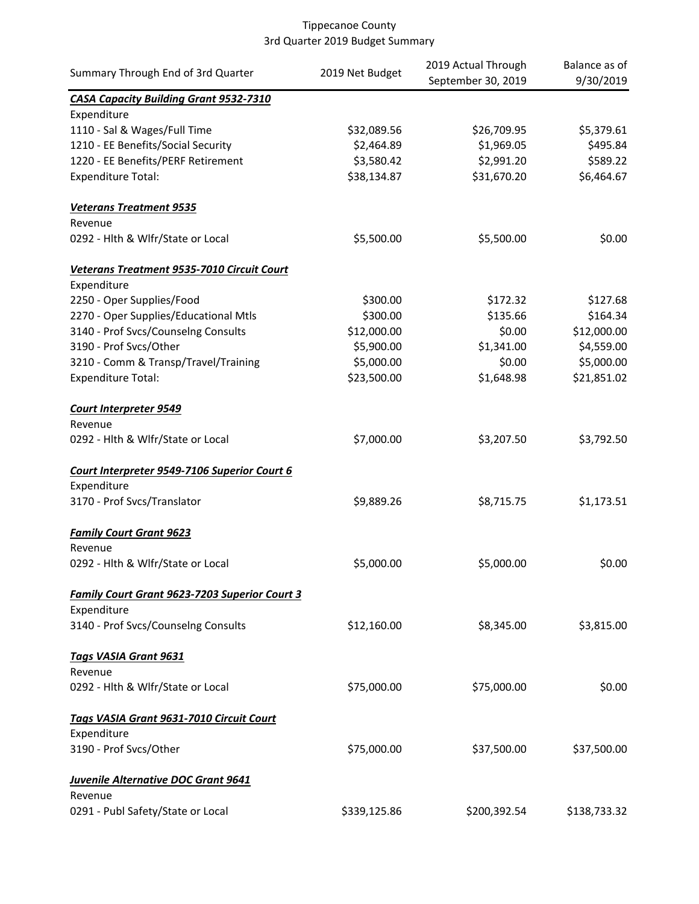| Summary Through End of 3rd Quarter                   | 2019 Net Budget | 2019 Actual Through<br>September 30, 2019 | Balance as of<br>9/30/2019 |
|------------------------------------------------------|-----------------|-------------------------------------------|----------------------------|
| <b>CASA Capacity Building Grant 9532-7310</b>        |                 |                                           |                            |
| Expenditure                                          |                 |                                           |                            |
| 1110 - Sal & Wages/Full Time                         | \$32,089.56     | \$26,709.95                               | \$5,379.61                 |
| 1210 - EE Benefits/Social Security                   | \$2,464.89      | \$1,969.05                                | \$495.84                   |
| 1220 - EE Benefits/PERF Retirement                   | \$3,580.42      | \$2,991.20                                | \$589.22                   |
| <b>Expenditure Total:</b>                            | \$38,134.87     | \$31,670.20                               | \$6,464.67                 |
| <b>Veterans Treatment 9535</b>                       |                 |                                           |                            |
| Revenue                                              |                 |                                           |                            |
| 0292 - Hlth & Wlfr/State or Local                    | \$5,500.00      | \$5,500.00                                | \$0.00                     |
| Veterans Treatment 9535-7010 Circuit Court           |                 |                                           |                            |
| Expenditure                                          |                 |                                           |                            |
| 2250 - Oper Supplies/Food                            | \$300.00        | \$172.32                                  | \$127.68                   |
| 2270 - Oper Supplies/Educational Mtls                | \$300.00        | \$135.66                                  | \$164.34                   |
| 3140 - Prof Svcs/Counselng Consults                  | \$12,000.00     | \$0.00                                    | \$12,000.00                |
| 3190 - Prof Svcs/Other                               | \$5,900.00      | \$1,341.00                                | \$4,559.00                 |
| 3210 - Comm & Transp/Travel/Training                 | \$5,000.00      | \$0.00                                    | \$5,000.00                 |
| <b>Expenditure Total:</b>                            | \$23,500.00     | \$1,648.98                                | \$21,851.02                |
| <b>Court Interpreter 9549</b>                        |                 |                                           |                            |
| Revenue                                              |                 |                                           |                            |
| 0292 - Hlth & Wlfr/State or Local                    | \$7,000.00      | \$3,207.50                                | \$3,792.50                 |
| Court Interpreter 9549-7106 Superior Court 6         |                 |                                           |                            |
| Expenditure                                          |                 |                                           |                            |
| 3170 - Prof Svcs/Translator                          | \$9,889.26      | \$8,715.75                                | \$1,173.51                 |
| <b>Family Court Grant 9623</b>                       |                 |                                           |                            |
| Revenue                                              |                 |                                           |                            |
| 0292 - Hlth & Wlfr/State or Local                    | \$5,000.00      | \$5,000.00                                | \$0.00                     |
| <b>Family Court Grant 9623-7203 Superior Court 3</b> |                 |                                           |                            |
| Expenditure                                          |                 |                                           |                            |
| 3140 - Prof Svcs/Counselng Consults                  | \$12,160.00     | \$8,345.00                                | \$3,815.00                 |
| <b>Tags VASIA Grant 9631</b>                         |                 |                                           |                            |
| Revenue                                              |                 |                                           |                            |
| 0292 - Hlth & Wlfr/State or Local                    | \$75,000.00     | \$75,000.00                               | \$0.00                     |
| Tags VASIA Grant 9631-7010 Circuit Court             |                 |                                           |                            |
| Expenditure                                          |                 |                                           |                            |
| 3190 - Prof Svcs/Other                               | \$75,000.00     | \$37,500.00                               | \$37,500.00                |
| <b>Juvenile Alternative DOC Grant 9641</b>           |                 |                                           |                            |
| Revenue                                              |                 |                                           |                            |
| 0291 - Publ Safety/State or Local                    | \$339,125.86    | \$200,392.54                              | \$138,733.32               |